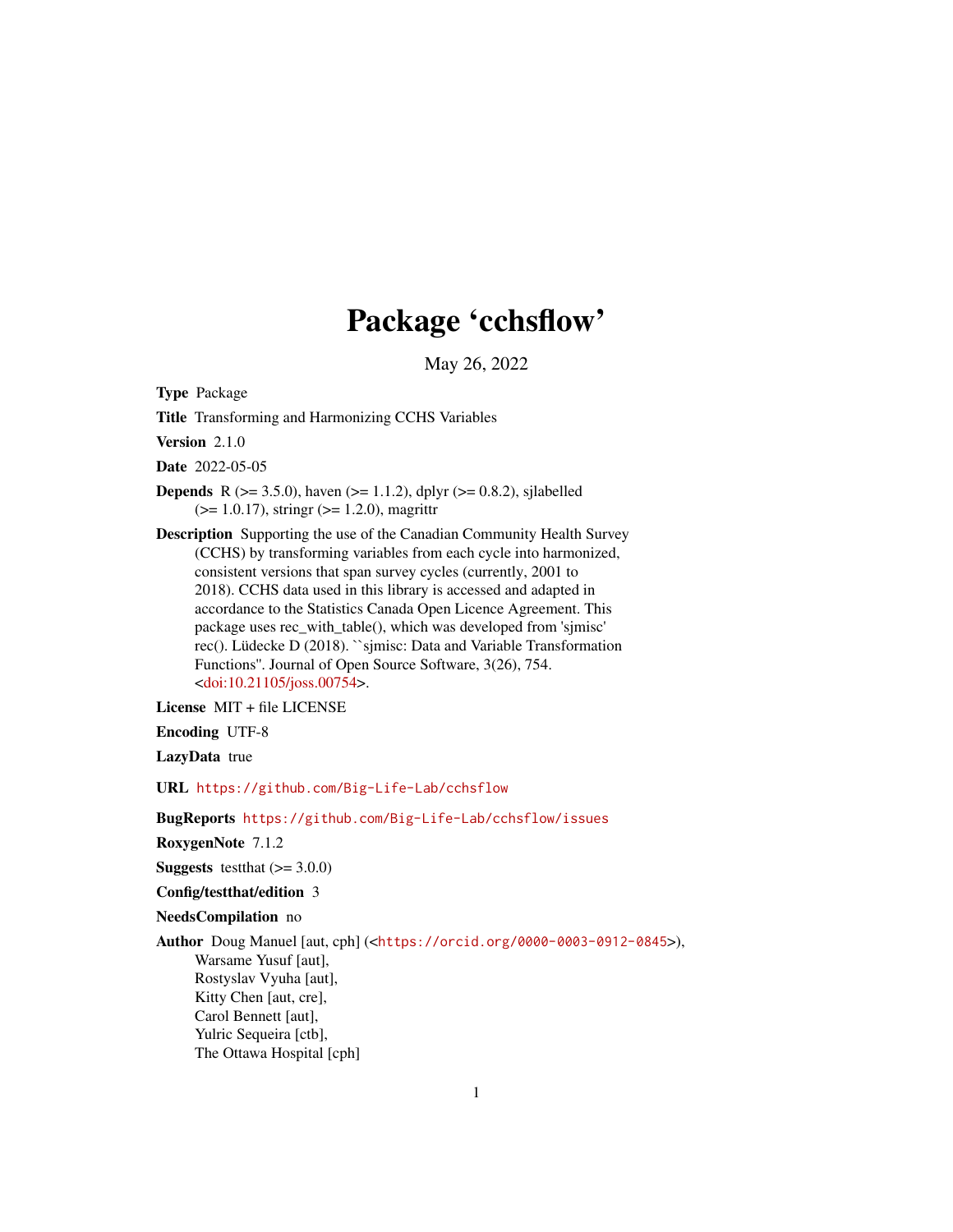# Package 'cchsflow'

May 26, 2022

Type Package

Title Transforming and Harmonizing CCHS Variables

Version 2.1.0

Date 2022-05-05

- **Depends** R ( $>= 3.5.0$ ), haven ( $>= 1.1.2$ ), dplyr ( $>= 0.8.2$ ), sjlabelled  $(>= 1.0.17)$ , stringr  $(>= 1.2.0)$ , magrittr
- Description Supporting the use of the Canadian Community Health Survey (CCHS) by transforming variables from each cycle into harmonized, consistent versions that span survey cycles (currently, 2001 to 2018). CCHS data used in this library is accessed and adapted in accordance to the Statistics Canada Open Licence Agreement. This package uses rec\_with\_table(), which was developed from 'sjmisc' rec(). Lüdecke D (2018). ``sjmisc: Data and Variable Transformation Functions''. Journal of Open Source Software, 3(26), 754. [<doi:10.21105/joss.00754>](https://doi.org/10.21105/joss.00754).

License MIT + file LICENSE

Encoding UTF-8

LazyData true

URL <https://github.com/Big-Life-Lab/cchsflow>

BugReports <https://github.com/Big-Life-Lab/cchsflow/issues>

RoxygenNote 7.1.2

**Suggests** testthat  $(>= 3.0.0)$ 

Config/testthat/edition 3

NeedsCompilation no

Author Doug Manuel [aut, cph] (<<https://orcid.org/0000-0003-0912-0845>>), Warsame Yusuf [aut], Rostyslav Vyuha [aut], Kitty Chen [aut, cre], Carol Bennett [aut], Yulric Sequeira [ctb], The Ottawa Hospital [cph]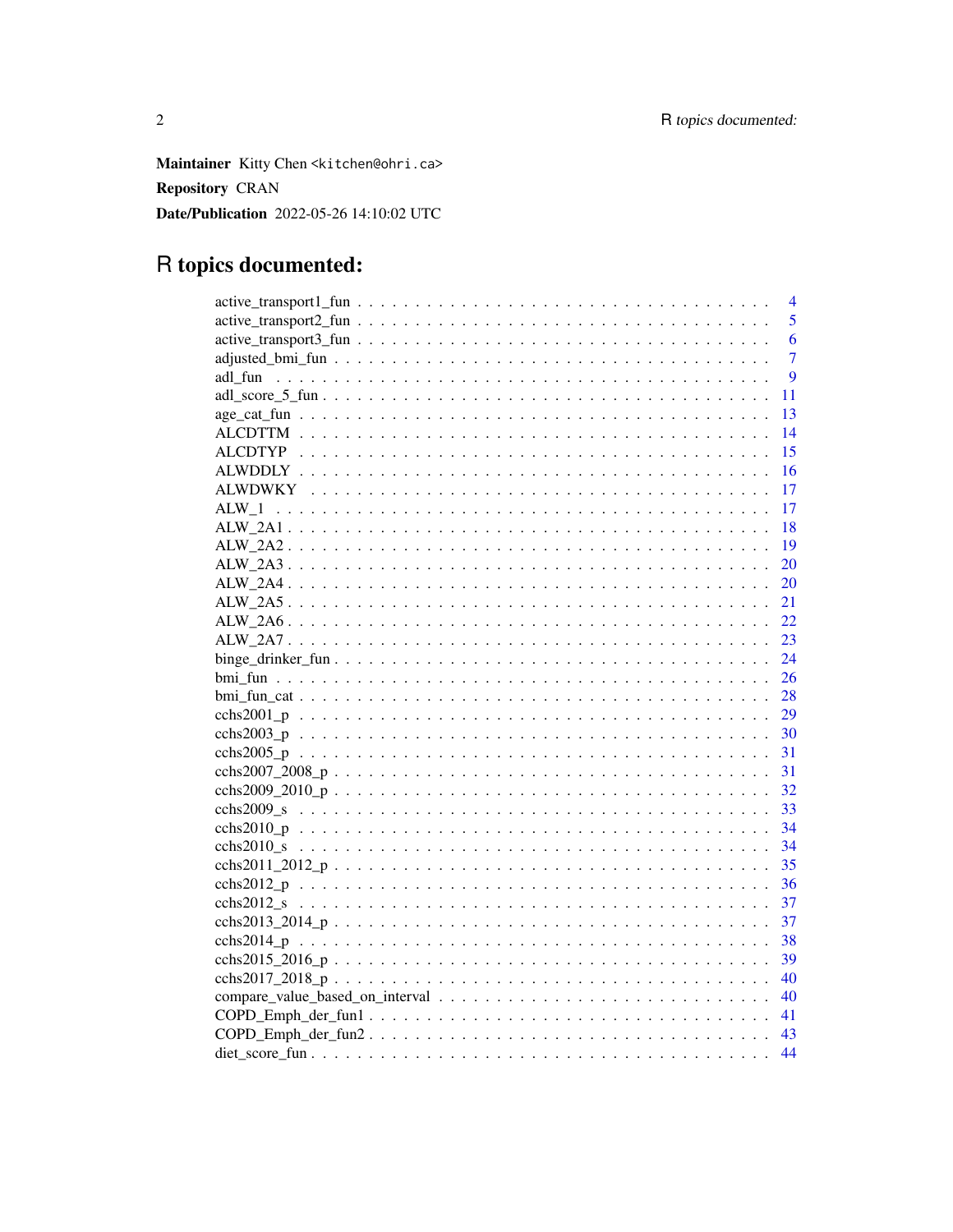Maintainer Kitty Chen <kitchen@ohri.ca> **Repository CRAN** Date/Publication 2022-05-26 14:10:02 UTC

# R topics documented:

|         | $\overline{4}$   |
|---------|------------------|
|         | 5                |
|         | 6                |
|         | $\overline{7}$   |
|         | $\boldsymbol{Q}$ |
|         | 11               |
|         | 13               |
|         | 14               |
|         | 15               |
|         | 16               |
|         | -17              |
| $ALW_1$ | 17               |
|         |                  |
|         |                  |
|         | 20               |
|         | 20               |
|         | 21               |
|         | 22               |
|         | 23               |
|         | 24               |
|         | 26               |
|         |                  |
|         |                  |
|         | 30               |
|         |                  |
|         |                  |
|         |                  |
|         |                  |
|         | 34               |
|         | 34               |
|         |                  |
|         |                  |
|         |                  |
|         |                  |
|         |                  |
|         | 39               |
|         | 40               |
|         |                  |
|         |                  |
|         |                  |
|         | 44               |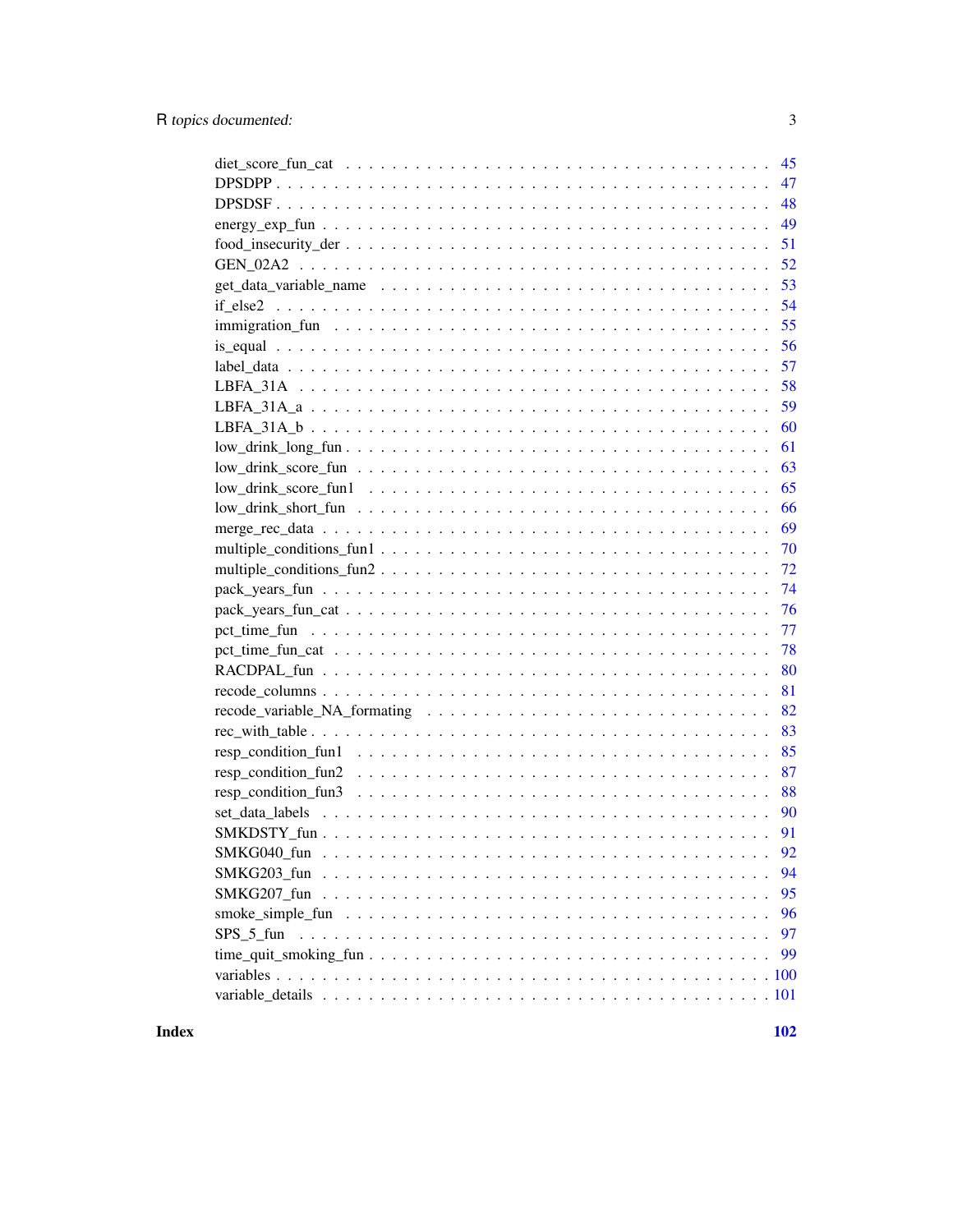|           | 45  |
|-----------|-----|
|           | 47  |
|           | 48  |
|           | 49  |
|           | 51  |
|           | 52  |
|           | 53  |
|           | 54  |
|           | 55  |
|           | 56  |
|           | 57  |
|           | 58  |
|           | 59  |
|           | 60  |
|           | 61  |
|           | 63  |
|           | 65  |
|           | 66  |
|           | 69  |
|           | 70  |
|           | 72  |
|           | 74  |
|           | 76  |
|           | 77  |
|           | 78  |
|           | 80  |
|           | 81  |
|           | 82  |
|           | 83  |
|           | 85  |
|           | 87  |
|           | 88  |
|           | 90  |
|           | 91  |
|           |     |
|           | 94  |
|           | 95  |
|           | 96  |
| SPS 5 fun | 97  |
|           | 99  |
|           | 100 |
|           |     |
|           |     |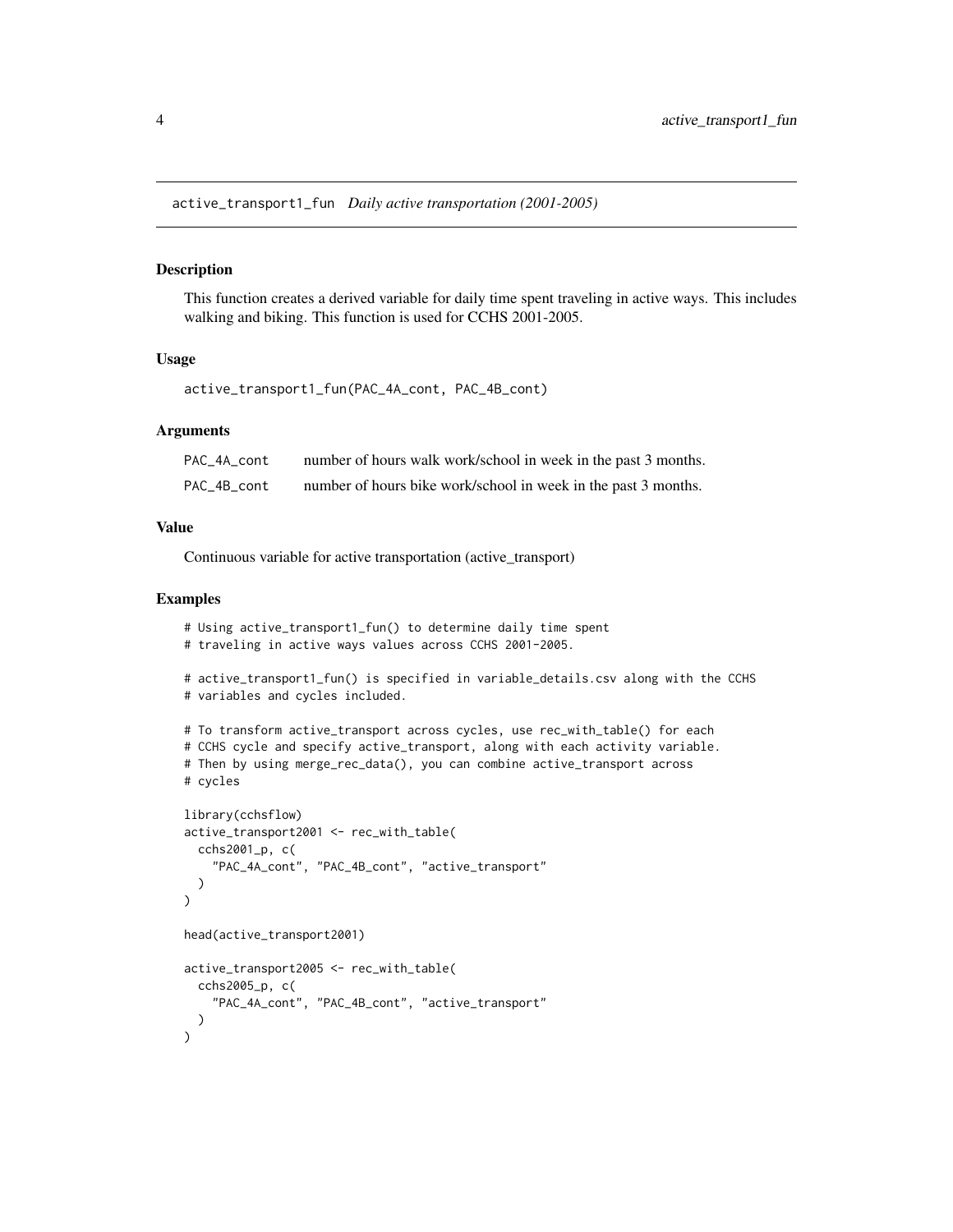<span id="page-3-0"></span>active\_transport1\_fun *Daily active transportation (2001-2005)*

### Description

This function creates a derived variable for daily time spent traveling in active ways. This includes walking and biking. This function is used for CCHS 2001-2005.

## Usage

```
active_transport1_fun(PAC_4A_cont, PAC_4B_cont)
```
## Arguments

| PAC 4A cont | number of hours walk work/school in week in the past 3 months. |
|-------------|----------------------------------------------------------------|
| PAC 4B cont | number of hours bike work/school in week in the past 3 months. |

#### Value

Continuous variable for active transportation (active\_transport)

```
# Using active_transport1_fun() to determine daily time spent
# traveling in active ways values across CCHS 2001-2005.
# active_transport1_fun() is specified in variable_details.csv along with the CCHS
# variables and cycles included.
# To transform active_transport across cycles, use rec_with_table() for each
# CCHS cycle and specify active_transport, along with each activity variable.
# Then by using merge_rec_data(), you can combine active_transport across
# cycles
library(cchsflow)
active_transport2001 <- rec_with_table(
  cchs2001_p, c(
    "PAC_4A_cont", "PAC_4B_cont", "active_transport"
  )
)
head(active_transport2001)
active_transport2005 <- rec_with_table(
  cchs2005_p, c(
    "PAC_4A_cont", "PAC_4B_cont", "active_transport"
  )
\mathcal{L}
```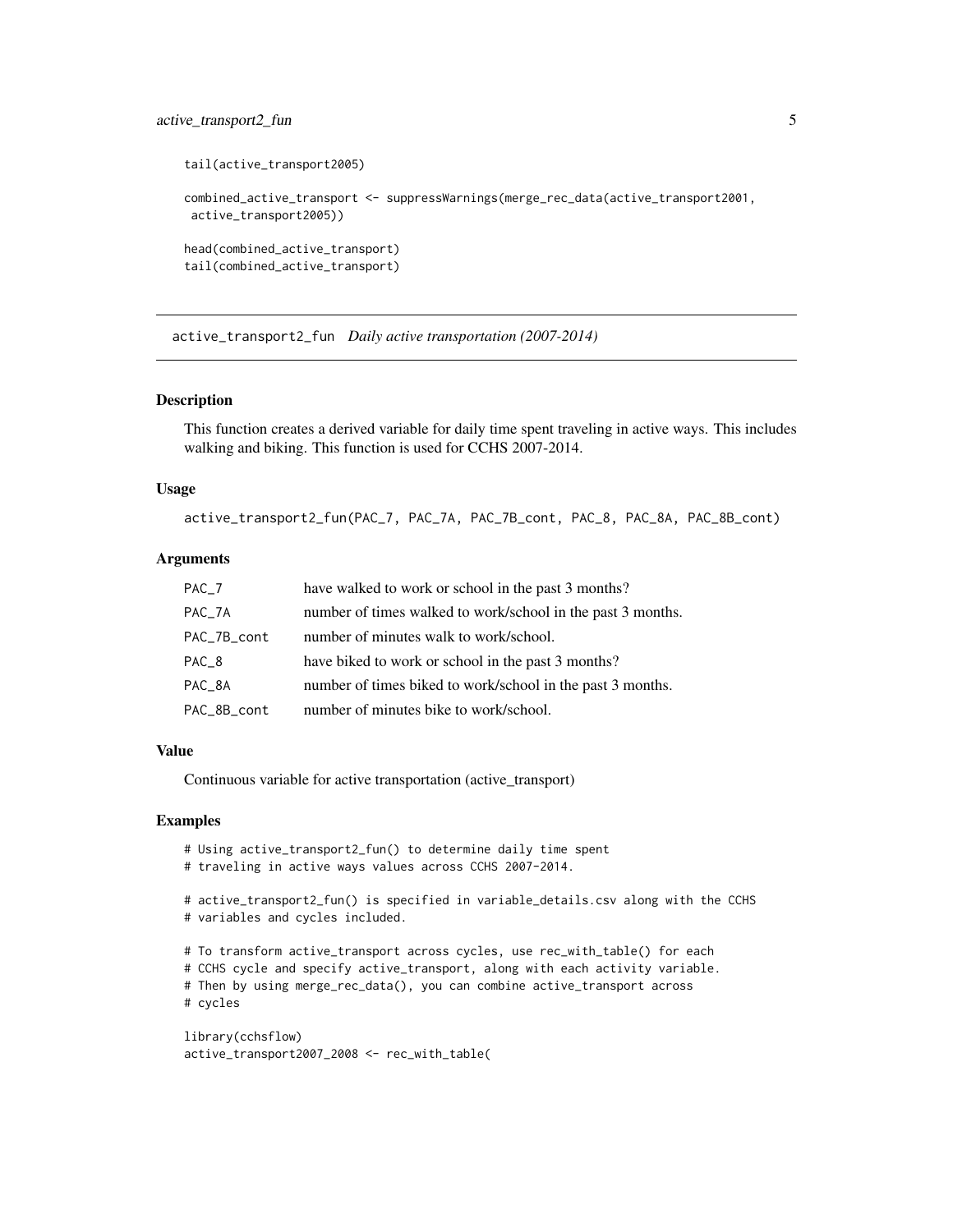# <span id="page-4-0"></span>active\_transport2\_fun 5

```
tail(active_transport2005)
combined_active_transport <- suppressWarnings(merge_rec_data(active_transport2001,
active_transport2005))
head(combined_active_transport)
tail(combined_active_transport)
```
active\_transport2\_fun *Daily active transportation (2007-2014)*

#### Description

This function creates a derived variable for daily time spent traveling in active ways. This includes walking and biking. This function is used for CCHS 2007-2014.

## Usage

active\_transport2\_fun(PAC\_7, PAC\_7A, PAC\_7B\_cont, PAC\_8, PAC\_8A, PAC\_8B\_cont)

## **Arguments**

| $PAC_7$          | have walked to work or school in the past 3 months?         |
|------------------|-------------------------------------------------------------|
| $PAC_7A$         | number of times walked to work/school in the past 3 months. |
| PAC_7B_cont      | number of minutes walk to work/school.                      |
| PAC <sub>8</sub> | have biked to work or school in the past 3 months?          |
| PAC_8A           | number of times biked to work/school in the past 3 months.  |
| PAC_8B_cont      | number of minutes bike to work/school.                      |

## Value

Continuous variable for active transportation (active\_transport)

#### Examples

```
# Using active_transport2_fun() to determine daily time spent
```
# traveling in active ways values across CCHS 2007-2014.

# active\_transport2\_fun() is specified in variable\_details.csv along with the CCHS # variables and cycles included.

# To transform active\_transport across cycles, use rec\_with\_table() for each

# CCHS cycle and specify active\_transport, along with each activity variable.

# Then by using merge\_rec\_data(), you can combine active\_transport across

# cycles

```
library(cchsflow)
active_transport2007_2008 <- rec_with_table(
```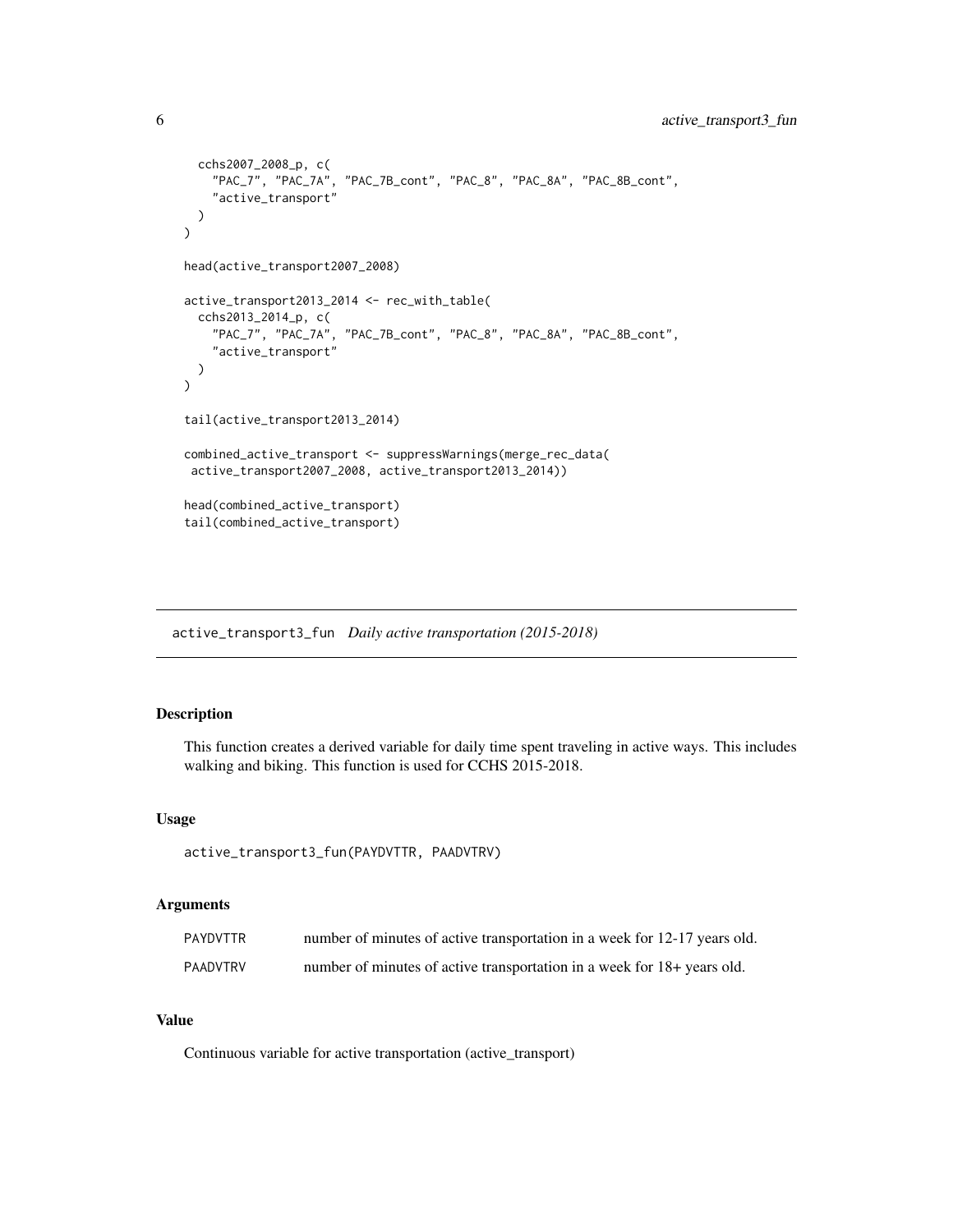```
cchs2007_2008_p, c(
    "PAC_7", "PAC_7A", "PAC_7B_cont", "PAC_8", "PAC_8A", "PAC_8B_cont",
    "active_transport"
  )
\mathcal{L}head(active_transport2007_2008)
active_transport2013_2014 <- rec_with_table(
  cchs2013_2014_p, c(
    "PAC_7", "PAC_7A", "PAC_7B_cont", "PAC_8", "PAC_8A", "PAC_8B_cont",
    "active_transport"
  )
\overline{\phantom{a}}tail(active_transport2013_2014)
combined_active_transport <- suppressWarnings(merge_rec_data(
 active_transport2007_2008, active_transport2013_2014))
head(combined_active_transport)
tail(combined_active_transport)
```
active\_transport3\_fun *Daily active transportation (2015-2018)*

## Description

This function creates a derived variable for daily time spent traveling in active ways. This includes walking and biking. This function is used for CCHS 2015-2018.

## Usage

active\_transport3\_fun(PAYDVTTR, PAADVTRV)

## Arguments

| PAYDVTTR | number of minutes of active transportation in a week for 12-17 years old. |
|----------|---------------------------------------------------------------------------|
| PAADVTRV | number of minutes of active transportation in a week for 18+ years old.   |

# Value

Continuous variable for active transportation (active\_transport)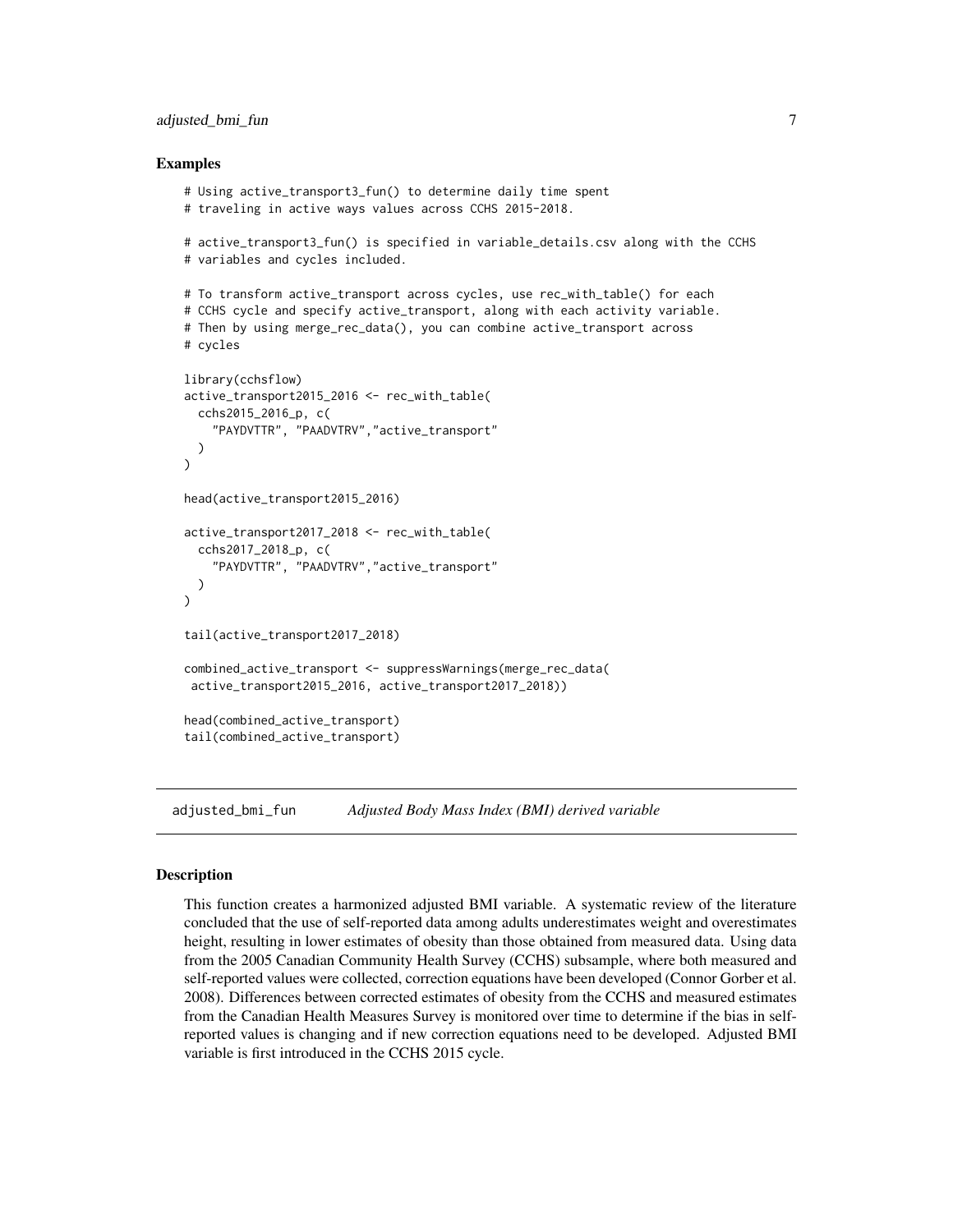# <span id="page-6-0"></span>adjusted\_bmi\_fun 7

### Examples

```
# Using active_transport3_fun() to determine daily time spent
# traveling in active ways values across CCHS 2015-2018.
# active_transport3_fun() is specified in variable_details.csv along with the CCHS
# variables and cycles included.
# To transform active_transport across cycles, use rec_with_table() for each
# CCHS cycle and specify active_transport, along with each activity variable.
# Then by using merge_rec_data(), you can combine active_transport across
# cycles
library(cchsflow)
active_transport2015_2016 <- rec_with_table(
 cchs2015_2016_p, c(
    "PAYDVTTR", "PAADVTRV","active_transport"
 )
\mathcal{L}head(active_transport2015_2016)
active_transport2017_2018 <- rec_with_table(
 cchs2017_2018_p, c(
    "PAYDVTTR", "PAADVTRV","active_transport"
 )
)
tail(active_transport2017_2018)
combined_active_transport <- suppressWarnings(merge_rec_data(
active_transport2015_2016, active_transport2017_2018))
head(combined_active_transport)
tail(combined_active_transport)
```
adjusted\_bmi\_fun *Adjusted Body Mass Index (BMI) derived variable*

## Description

This function creates a harmonized adjusted BMI variable. A systematic review of the literature concluded that the use of self-reported data among adults underestimates weight and overestimates height, resulting in lower estimates of obesity than those obtained from measured data. Using data from the 2005 Canadian Community Health Survey (CCHS) subsample, where both measured and self-reported values were collected, correction equations have been developed (Connor Gorber et al. 2008). Differences between corrected estimates of obesity from the CCHS and measured estimates from the Canadian Health Measures Survey is monitored over time to determine if the bias in selfreported values is changing and if new correction equations need to be developed. Adjusted BMI variable is first introduced in the CCHS 2015 cycle.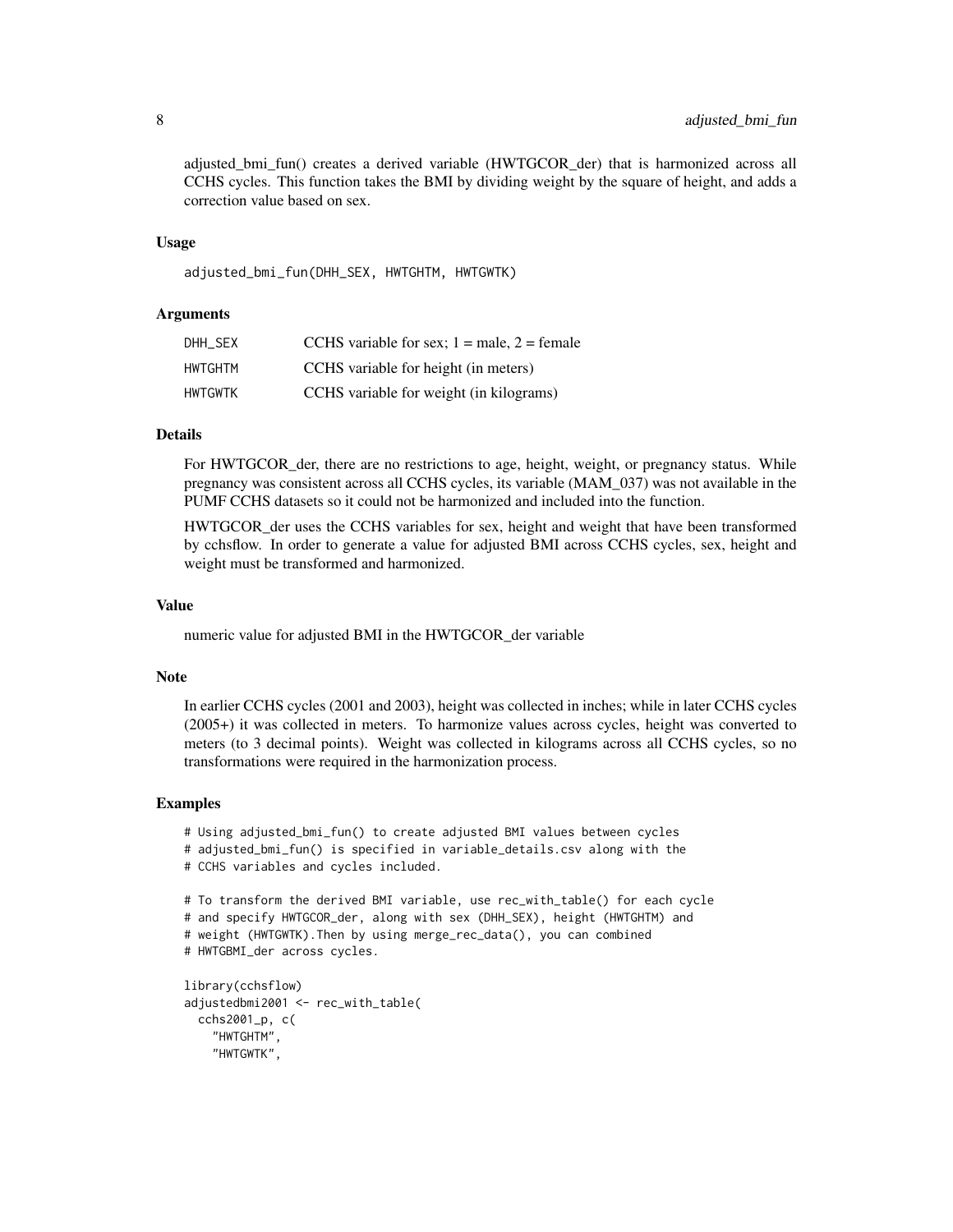adjusted\_bmi\_fun() creates a derived variable (HWTGCOR\_der) that is harmonized across all CCHS cycles. This function takes the BMI by dividing weight by the square of height, and adds a correction value based on sex.

## Usage

adjusted\_bmi\_fun(DHH\_SEX, HWTGHTM, HWTGWTK)

## **Arguments**

| DHH SEX | CCHS variable for sex; $1 =$ male, $2 =$ female |
|---------|-------------------------------------------------|
| HWTGHTM | CCHS variable for height (in meters)            |
| HWTGWTK | CCHS variable for weight (in kilograms)         |

## Details

For HWTGCOR der, there are no restrictions to age, height, weight, or pregnancy status. While pregnancy was consistent across all CCHS cycles, its variable (MAM\_037) was not available in the PUMF CCHS datasets so it could not be harmonized and included into the function.

HWTGCOR\_der uses the CCHS variables for sex, height and weight that have been transformed by cchsflow. In order to generate a value for adjusted BMI across CCHS cycles, sex, height and weight must be transformed and harmonized.

## Value

numeric value for adjusted BMI in the HWTGCOR\_der variable

#### Note

In earlier CCHS cycles (2001 and 2003), height was collected in inches; while in later CCHS cycles (2005+) it was collected in meters. To harmonize values across cycles, height was converted to meters (to 3 decimal points). Weight was collected in kilograms across all CCHS cycles, so no transformations were required in the harmonization process.

```
# Using adjusted_bmi_fun() to create adjusted BMI values between cycles
# adjusted_bmi_fun() is specified in variable_details.csv along with the
# CCHS variables and cycles included.
# To transform the derived BMI variable, use rec_with_table() for each cycle
# and specify HWTGCOR_der, along with sex (DHH_SEX), height (HWTGHTM) and
# weight (HWTGWTK).Then by using merge_rec_data(), you can combined
# HWTGBMI_der across cycles.
library(cchsflow)
adjustedbmi2001 <- rec_with_table(
```

```
cchs2001_p, c(
  "HWTGHTM",
  "HWTGWTK",
```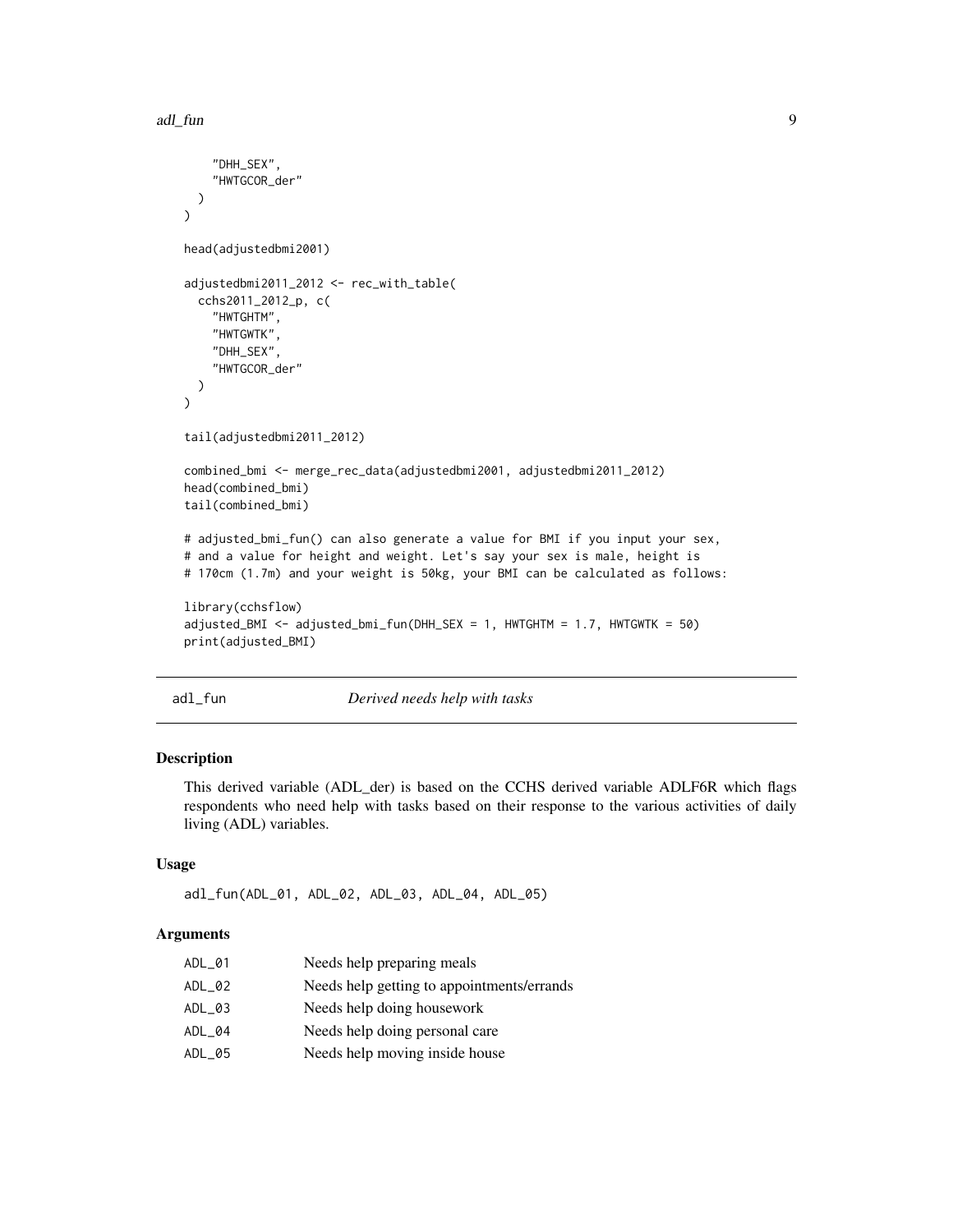```
"DHH_SEX",
    "HWTGCOR_der"
  )
\lambdahead(adjustedbmi2001)
adjustedbmi2011_2012 <- rec_with_table(
  cchs2011_2012_p, c(
    "HWTGHTM",
    "HWTGWTK",
    "DHH_SEX",
    "HWTGCOR_der"
  )
\mathcal{L}tail(adjustedbmi2011_2012)
combined_bmi <- merge_rec_data(adjustedbmi2001, adjustedbmi2011_2012)
head(combined_bmi)
tail(combined_bmi)
# adjusted_bmi_fun() can also generate a value for BMI if you input your sex,
# and a value for height and weight. Let's say your sex is male, height is
# 170cm (1.7m) and your weight is 50kg, your BMI can be calculated as follows:
library(cchsflow)
adjusted_BMI <- adjusted_bmi_fun(DHH_SEX = 1, HWTGHTM = 1.7, HWTGWTK = 50)
print(adjusted_BMI)
```
adl\_fun *Derived needs help with tasks*

## Description

This derived variable (ADL\_der) is based on the CCHS derived variable ADLF6R which flags respondents who need help with tasks based on their response to the various activities of daily living (ADL) variables.

## Usage

adl\_fun(ADL\_01, ADL\_02, ADL\_03, ADL\_04, ADL\_05)

# Arguments

| ADL_01 | Needs help preparing meals                 |
|--------|--------------------------------------------|
| ADL_02 | Needs help getting to appointments/errands |
| ADL_03 | Needs help doing housework                 |
| ADL_04 | Needs help doing personal care             |
| ADL_05 | Needs help moving inside house             |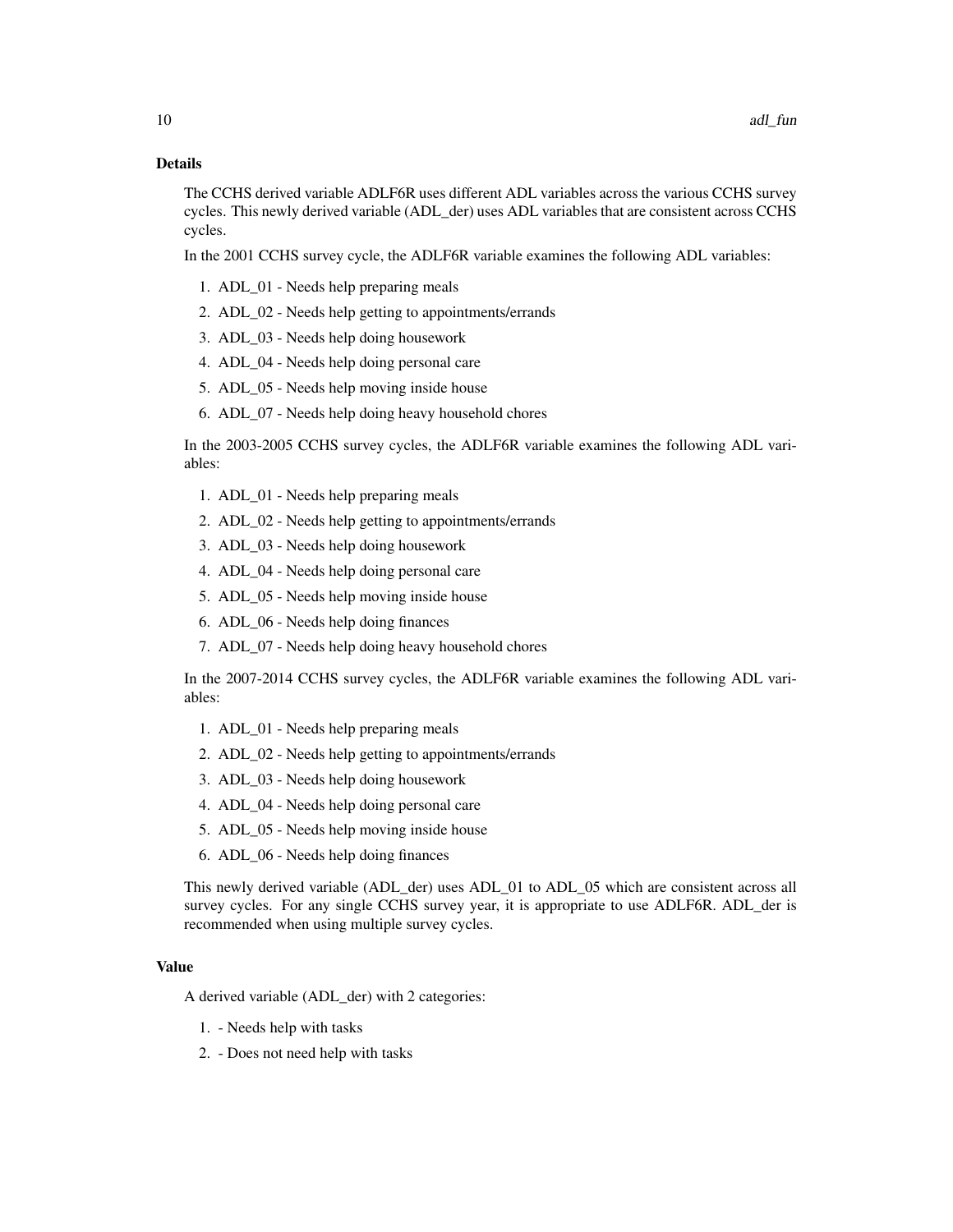## Details

The CCHS derived variable ADLF6R uses different ADL variables across the various CCHS survey cycles. This newly derived variable (ADL\_der) uses ADL variables that are consistent across CCHS cycles.

In the 2001 CCHS survey cycle, the ADLF6R variable examines the following ADL variables:

- 1. ADL\_01 Needs help preparing meals
- 2. ADL\_02 Needs help getting to appointments/errands
- 3. ADL\_03 Needs help doing housework
- 4. ADL\_04 Needs help doing personal care
- 5. ADL\_05 Needs help moving inside house
- 6. ADL\_07 Needs help doing heavy household chores

In the 2003-2005 CCHS survey cycles, the ADLF6R variable examines the following ADL variables:

- 1. ADL\_01 Needs help preparing meals
- 2. ADL\_02 Needs help getting to appointments/errands
- 3. ADL\_03 Needs help doing housework
- 4. ADL\_04 Needs help doing personal care
- 5. ADL\_05 Needs help moving inside house
- 6. ADL\_06 Needs help doing finances
- 7. ADL\_07 Needs help doing heavy household chores

In the 2007-2014 CCHS survey cycles, the ADLF6R variable examines the following ADL variables:

- 1. ADL\_01 Needs help preparing meals
- 2. ADL\_02 Needs help getting to appointments/errands
- 3. ADL\_03 Needs help doing housework
- 4. ADL\_04 Needs help doing personal care
- 5. ADL\_05 Needs help moving inside house
- 6. ADL\_06 Needs help doing finances

This newly derived variable (ADL\_der) uses ADL\_01 to ADL\_05 which are consistent across all survey cycles. For any single CCHS survey year, it is appropriate to use ADLF6R. ADL\_der is recommended when using multiple survey cycles.

# Value

A derived variable (ADL\_der) with 2 categories:

- 1. Needs help with tasks
- 2. Does not need help with tasks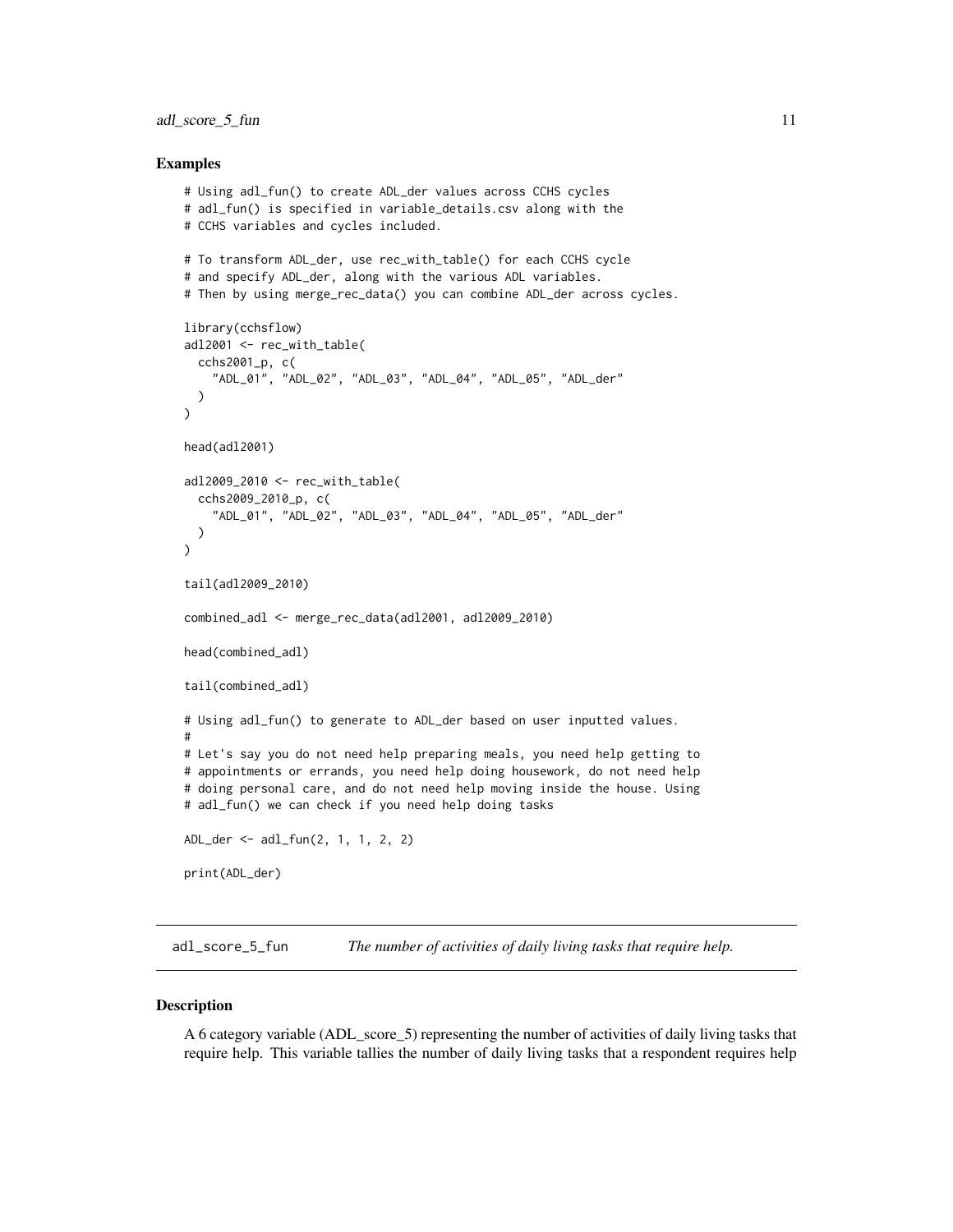### <span id="page-10-0"></span>adl\_score\_5\_fun 11

## Examples

```
# Using adl_fun() to create ADL_der values across CCHS cycles
# adl_fun() is specified in variable_details.csv along with the
# CCHS variables and cycles included.
# To transform ADL_der, use rec_with_table() for each CCHS cycle
# and specify ADL_der, along with the various ADL variables.
# Then by using merge_rec_data() you can combine ADL_der across cycles.
library(cchsflow)
adl2001 <- rec_with_table(
  cchs2001_p, c(
    "ADL_01", "ADL_02", "ADL_03", "ADL_04", "ADL_05", "ADL_der"
  )
)
head(adl2001)
adl2009_2010 <- rec_with_table(
  cchs2009_2010_p, c(
    "ADL_01", "ADL_02", "ADL_03", "ADL_04", "ADL_05", "ADL_der"
  )
)
tail(adl2009_2010)
combined_adl <- merge_rec_data(adl2001, adl2009_2010)
head(combined_adl)
tail(combined_adl)
# Using adl_fun() to generate to ADL_der based on user inputted values.
#
# Let's say you do not need help preparing meals, you need help getting to
# appointments or errands, you need help doing housework, do not need help
# doing personal care, and do not need help moving inside the house. Using
# adl_fun() we can check if you need help doing tasks
ADL_der <- adl_fun(2, 1, 1, 2, 2)
print(ADL_der)
```
adl\_score\_5\_fun *The number of activities of daily living tasks that require help.*

#### **Description**

A 6 category variable (ADL\_score\_5) representing the number of activities of daily living tasks that require help. This variable tallies the number of daily living tasks that a respondent requires help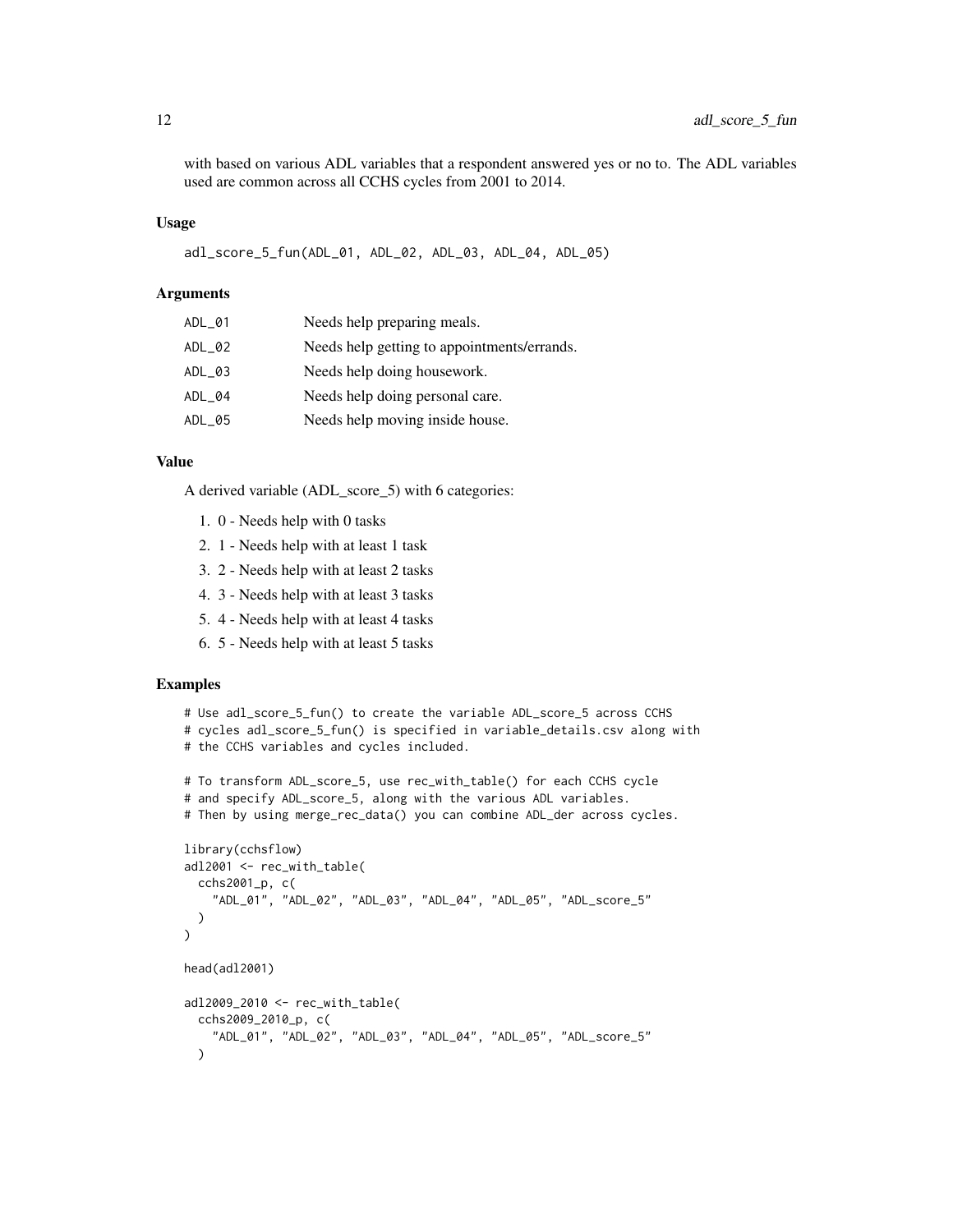with based on various ADL variables that a respondent answered yes or no to. The ADL variables used are common across all CCHS cycles from 2001 to 2014.

## Usage

adl\_score\_5\_fun(ADL\_01, ADL\_02, ADL\_03, ADL\_04, ADL\_05)

## Arguments

| $ADL_01$ | Needs help preparing meals.                 |
|----------|---------------------------------------------|
| ADL_02   | Needs help getting to appointments/errands. |
| ADL_03   | Needs help doing housework.                 |
| ADL_04   | Needs help doing personal care.             |
| ADL_05   | Needs help moving inside house.             |

# Value

A derived variable (ADL\_score\_5) with 6 categories:

- 1. 0 Needs help with 0 tasks
- 2. 1 Needs help with at least 1 task
- 3. 2 Needs help with at least 2 tasks
- 4. 3 Needs help with at least 3 tasks
- 5. 4 Needs help with at least 4 tasks
- 6. 5 Needs help with at least 5 tasks

```
# Use adl_score_5_fun() to create the variable ADL_score_5 across CCHS
# cycles adl_score_5_fun() is specified in variable_details.csv along with
# the CCHS variables and cycles included.
# To transform ADL_score_5, use rec_with_table() for each CCHS cycle
# and specify ADL_score_5, along with the various ADL variables.
# Then by using merge_rec_data() you can combine ADL_der across cycles.
library(cchsflow)
adl2001 <- rec_with_table(
 cchs2001_p, c(
    "ADL_01", "ADL_02", "ADL_03", "ADL_04", "ADL_05", "ADL_score_5"
 )
\mathcal{L}head(adl2001)
adl2009_2010 <- rec_with_table(
 cchs2009_2010_p, c(
   "ADL_01", "ADL_02", "ADL_03", "ADL_04", "ADL_05", "ADL_score_5"
 )
```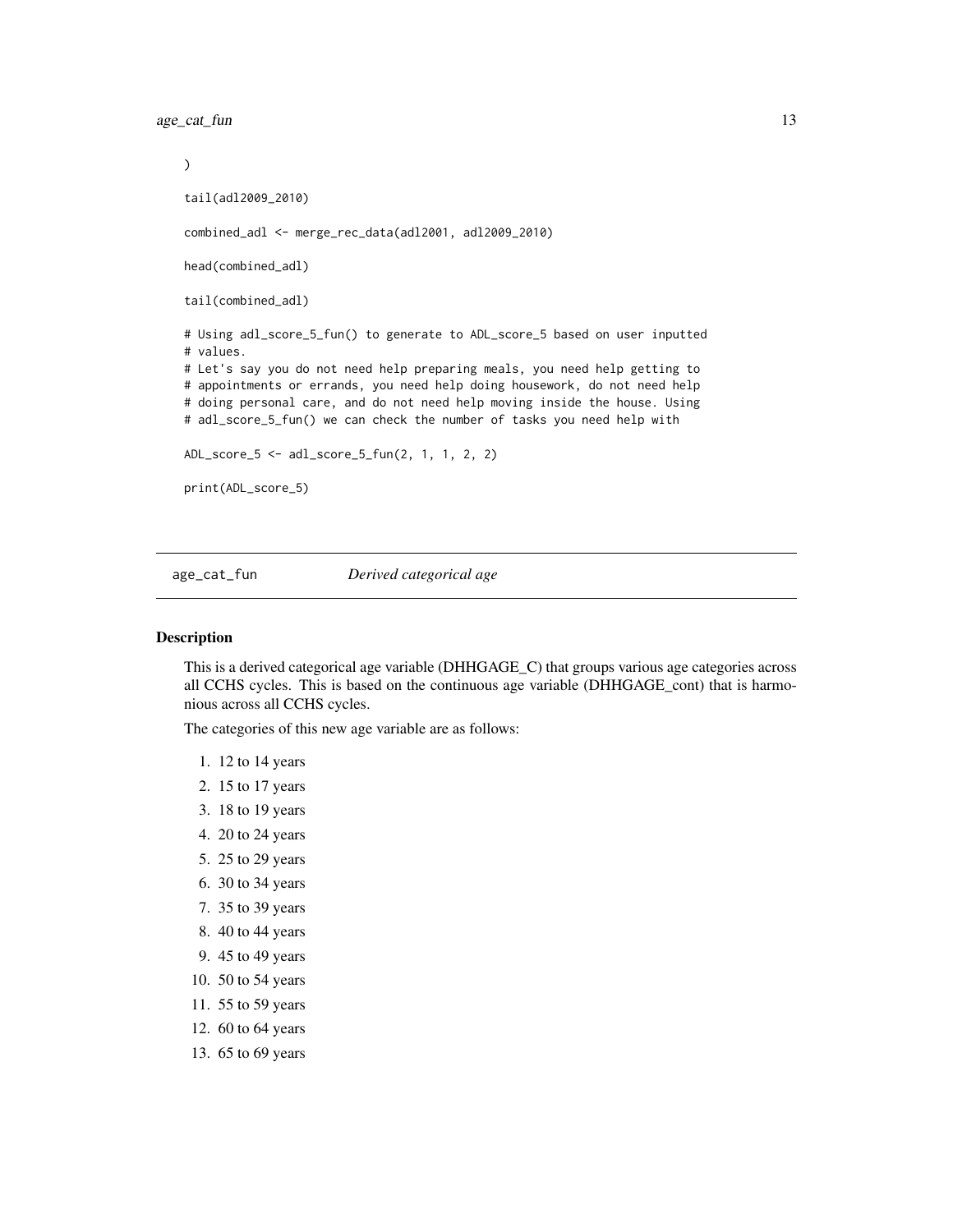<span id="page-12-0"></span>age\_cat\_fun 13

 $\mathcal{L}$ tail(adl2009\_2010) combined\_adl <- merge\_rec\_data(adl2001, adl2009\_2010) head(combined\_adl) tail(combined\_adl) # Using adl\_score\_5\_fun() to generate to ADL\_score\_5 based on user inputted # values. # Let's say you do not need help preparing meals, you need help getting to # appointments or errands, you need help doing housework, do not need help # doing personal care, and do not need help moving inside the house. Using # adl\_score\_5\_fun() we can check the number of tasks you need help with ADL\_score\_5 <- adl\_score\_5\_fun(2, 1, 1, 2, 2) print(ADL\_score\_5)

age\_cat\_fun *Derived categorical age*

# Description

This is a derived categorical age variable (DHHGAGE\_C) that groups various age categories across all CCHS cycles. This is based on the continuous age variable (DHHGAGE\_cont) that is harmonious across all CCHS cycles.

The categories of this new age variable are as follows:

- 1. 12 to 14 years
- 2. 15 to 17 years
- 3. 18 to 19 years
- 4. 20 to 24 years
- 5. 25 to 29 years
- 6. 30 to 34 years
- 7. 35 to 39 years
- 8. 40 to 44 years
- 9. 45 to 49 years
- 10. 50 to 54 years
- 11. 55 to 59 years
- 12. 60 to 64 years
- 13. 65 to 69 years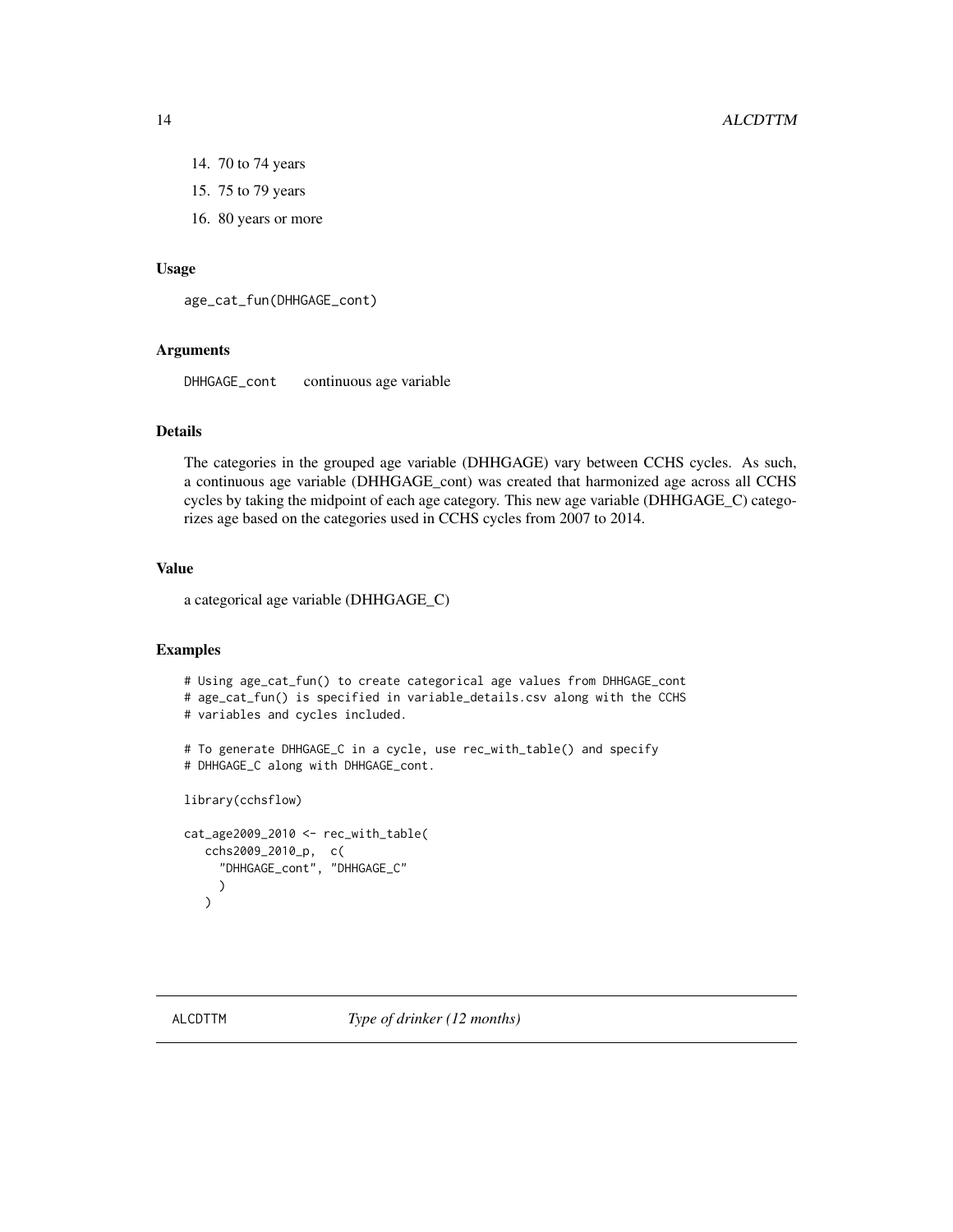## 14 ALCDTTM

- 14. 70 to 74 years
- 15. 75 to 79 years
- 16. 80 years or more

## Usage

```
age_cat_fun(DHHGAGE_cont)
```
# Arguments

DHHGAGE\_cont continuous age variable

#### Details

The categories in the grouped age variable (DHHGAGE) vary between CCHS cycles. As such, a continuous age variable (DHHGAGE\_cont) was created that harmonized age across all CCHS cycles by taking the midpoint of each age category. This new age variable (DHHGAGE\_C) categorizes age based on the categories used in CCHS cycles from 2007 to 2014.

# Value

a categorical age variable (DHHGAGE\_C)

# Examples

```
# Using age_cat_fun() to create categorical age values from DHHGAGE_cont
# age_cat_fun() is specified in variable_details.csv along with the CCHS
# variables and cycles included.
# To generate DHHGAGE_C in a cycle, use rec_with_table() and specify
# DHHGAGE_C along with DHHGAGE_cont.
library(cchsflow)
cat_age2009_2010 <- rec_with_table(
  cchs2009_2010_p, c(
     "DHHGAGE_cont", "DHHGAGE_C"
```
)  $\lambda$ 

<span id="page-13-0"></span>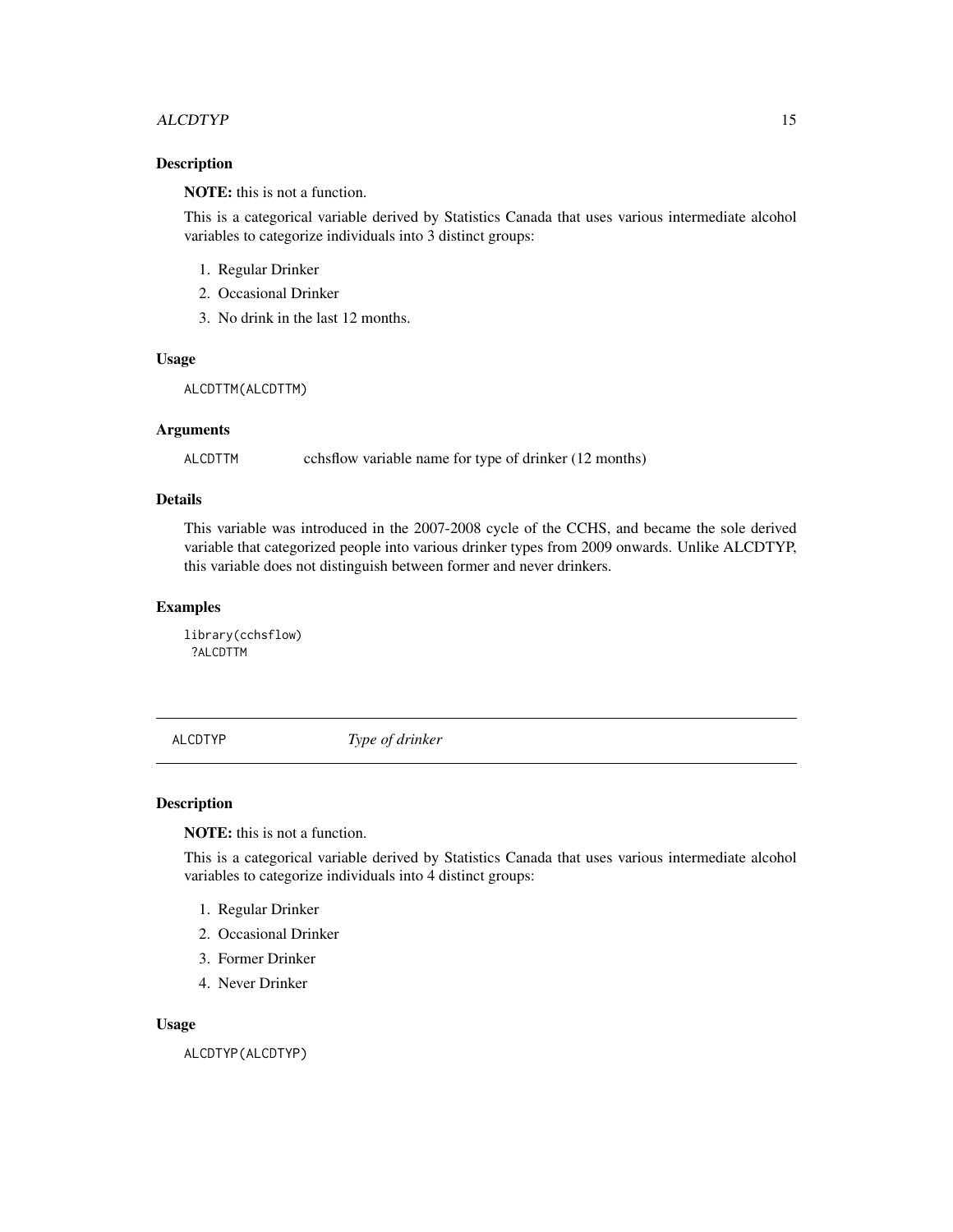## <span id="page-14-0"></span>ALCDTYP<sup>15</sup>

# Description

NOTE: this is not a function.

This is a categorical variable derived by Statistics Canada that uses various intermediate alcohol variables to categorize individuals into 3 distinct groups:

- 1. Regular Drinker
- 2. Occasional Drinker
- 3. No drink in the last 12 months.

# Usage

ALCDTTM(ALCDTTM)

#### Arguments

ALCDTTM cchsflow variable name for type of drinker (12 months)

# Details

This variable was introduced in the 2007-2008 cycle of the CCHS, and became the sole derived variable that categorized people into various drinker types from 2009 onwards. Unlike ALCDTYP, this variable does not distinguish between former and never drinkers.

# Examples

library(cchsflow) ?ALCDTTM

ALCDTYP *Type of drinker*

## Description

NOTE: this is not a function.

This is a categorical variable derived by Statistics Canada that uses various intermediate alcohol variables to categorize individuals into 4 distinct groups:

- 1. Regular Drinker
- 2. Occasional Drinker
- 3. Former Drinker
- 4. Never Drinker

#### Usage

ALCDTYP(ALCDTYP)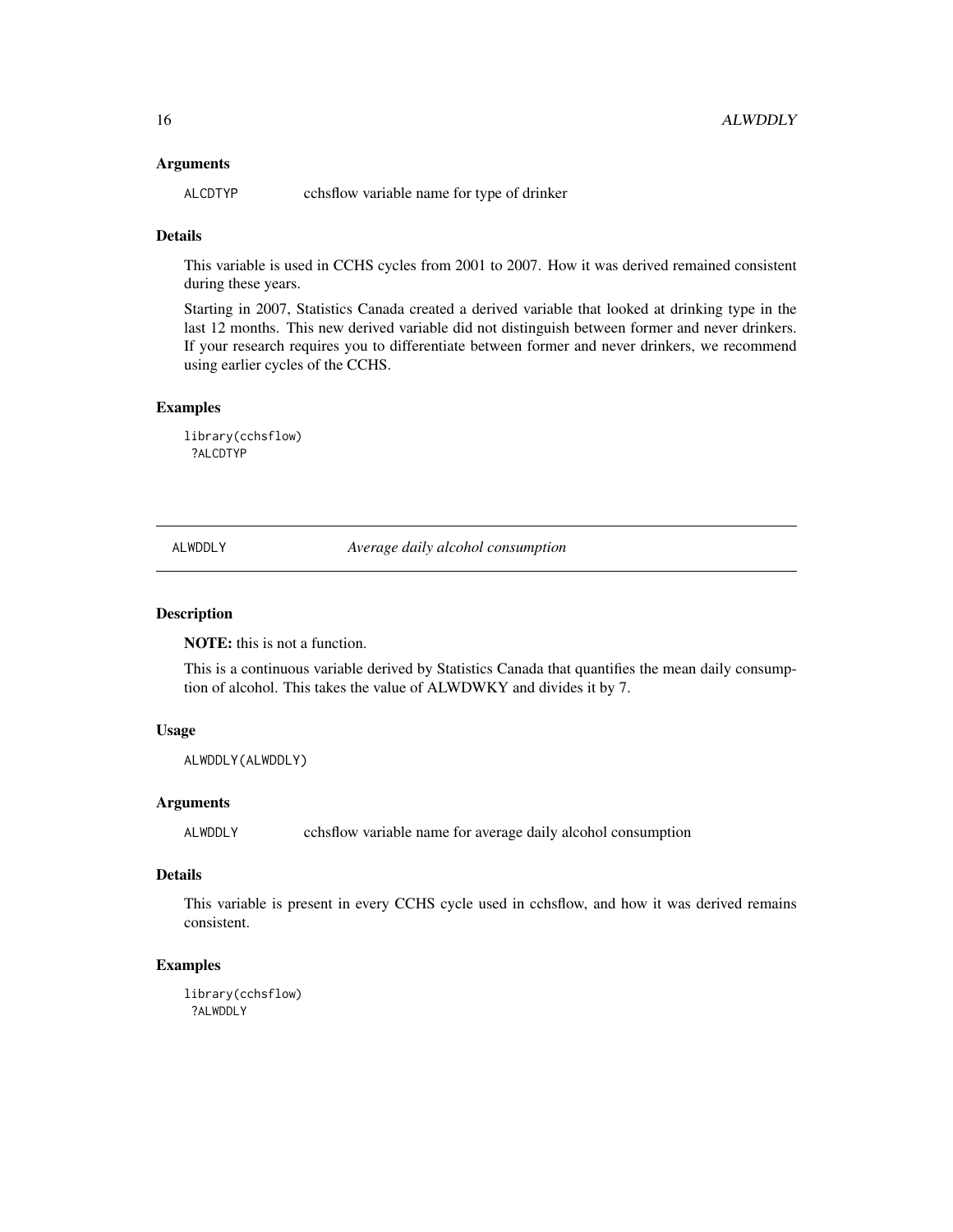## <span id="page-15-0"></span>Arguments

ALCDTYP cchsflow variable name for type of drinker

# **Details**

This variable is used in CCHS cycles from 2001 to 2007. How it was derived remained consistent during these years.

Starting in 2007, Statistics Canada created a derived variable that looked at drinking type in the last 12 months. This new derived variable did not distinguish between former and never drinkers. If your research requires you to differentiate between former and never drinkers, we recommend using earlier cycles of the CCHS.

# Examples

library(cchsflow) ?ALCDTYP

ALWDDLY *Average daily alcohol consumption*

# Description

NOTE: this is not a function.

This is a continuous variable derived by Statistics Canada that quantifies the mean daily consumption of alcohol. This takes the value of ALWDWKY and divides it by 7.

## Usage

ALWDDLY(ALWDDLY)

## Arguments

ALWDDLY cchsflow variable name for average daily alcohol consumption

#### Details

This variable is present in every CCHS cycle used in cchsflow, and how it was derived remains consistent.

## Examples

library(cchsflow) ?ALWDDLY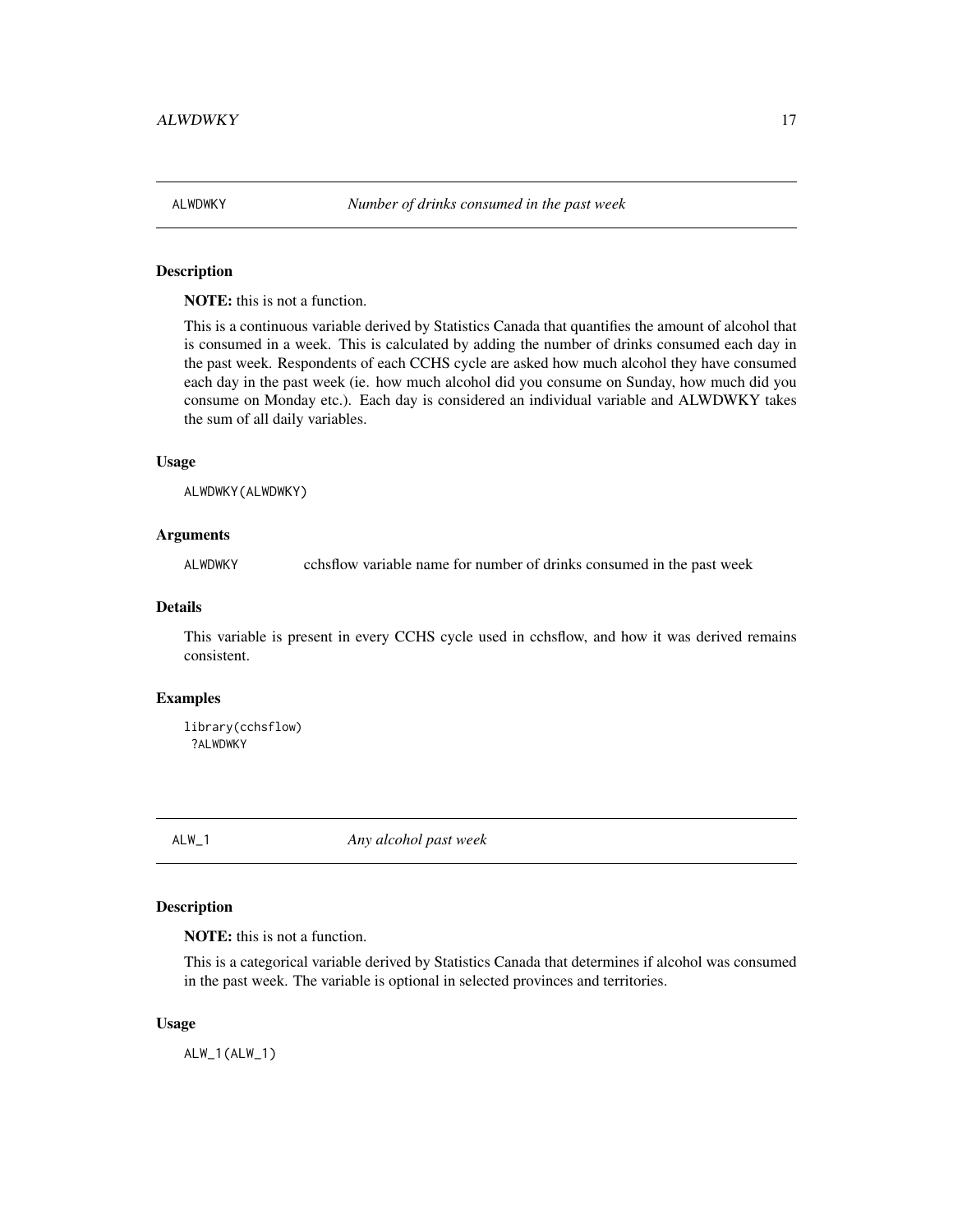<span id="page-16-0"></span>

## Description

NOTE: this is not a function.

This is a continuous variable derived by Statistics Canada that quantifies the amount of alcohol that is consumed in a week. This is calculated by adding the number of drinks consumed each day in the past week. Respondents of each CCHS cycle are asked how much alcohol they have consumed each day in the past week (ie. how much alcohol did you consume on Sunday, how much did you consume on Monday etc.). Each day is considered an individual variable and ALWDWKY takes the sum of all daily variables.

### Usage

ALWDWKY(ALWDWKY)

## Arguments

ALWDWKY cchsflow variable name for number of drinks consumed in the past week

## Details

This variable is present in every CCHS cycle used in cchsflow, and how it was derived remains consistent.

#### Examples

library(cchsflow) ?ALWDWKY

ALW\_1 *Any alcohol past week*

# Description

NOTE: this is not a function.

This is a categorical variable derived by Statistics Canada that determines if alcohol was consumed in the past week. The variable is optional in selected provinces and territories.

#### Usage

ALW\_1(ALW\_1)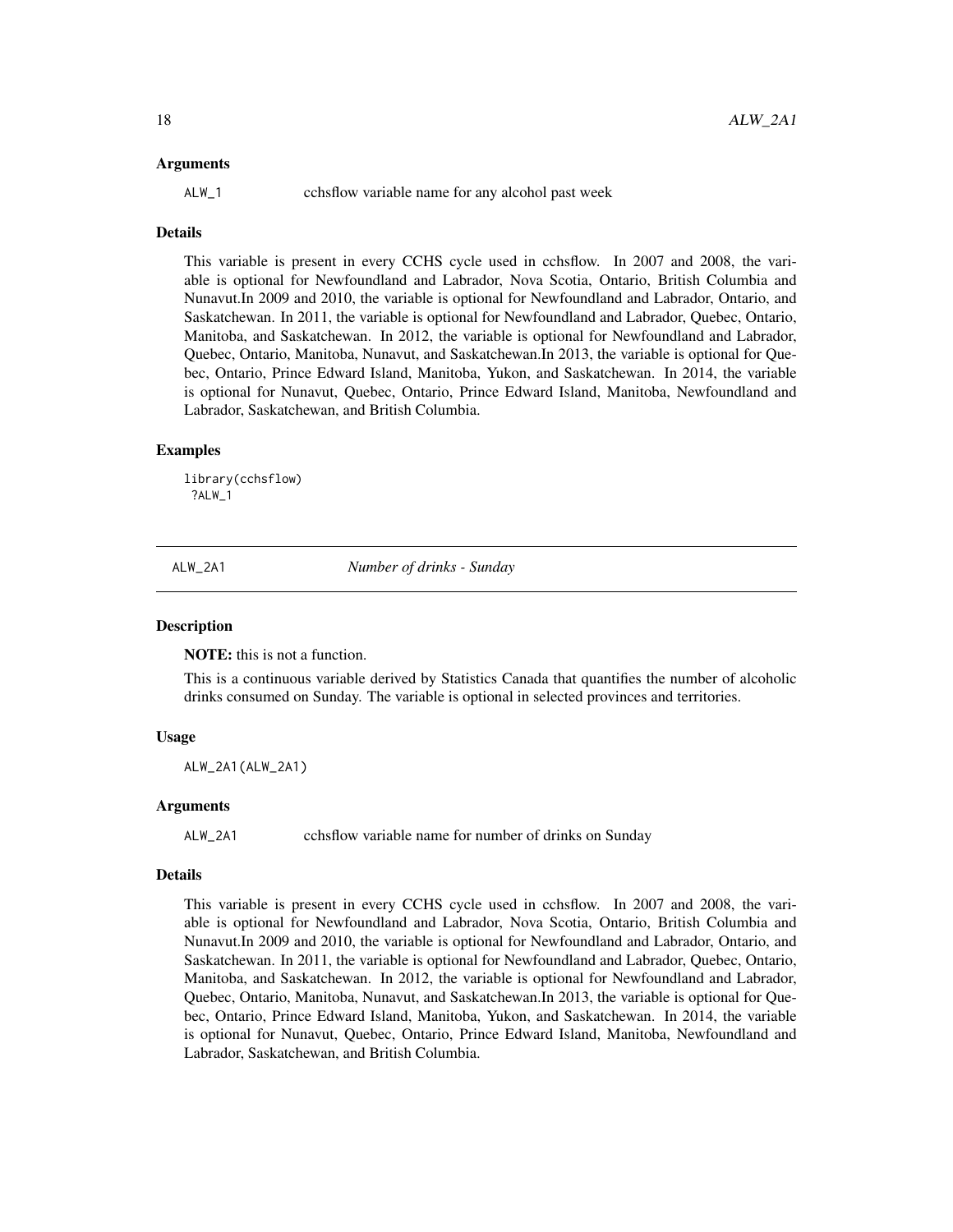#### <span id="page-17-0"></span>Arguments

ALW\_1 cchsflow variable name for any alcohol past week

## Details

This variable is present in every CCHS cycle used in cchsflow. In 2007 and 2008, the variable is optional for Newfoundland and Labrador, Nova Scotia, Ontario, British Columbia and Nunavut.In 2009 and 2010, the variable is optional for Newfoundland and Labrador, Ontario, and Saskatchewan. In 2011, the variable is optional for Newfoundland and Labrador, Quebec, Ontario, Manitoba, and Saskatchewan. In 2012, the variable is optional for Newfoundland and Labrador, Quebec, Ontario, Manitoba, Nunavut, and Saskatchewan.In 2013, the variable is optional for Quebec, Ontario, Prince Edward Island, Manitoba, Yukon, and Saskatchewan. In 2014, the variable is optional for Nunavut, Quebec, Ontario, Prince Edward Island, Manitoba, Newfoundland and Labrador, Saskatchewan, and British Columbia.

#### Examples

library(cchsflow) ?ALW\_1

ALW\_2A1 *Number of drinks - Sunday*

## **Description**

NOTE: this is not a function.

This is a continuous variable derived by Statistics Canada that quantifies the number of alcoholic drinks consumed on Sunday. The variable is optional in selected provinces and territories.

## Usage

ALW\_2A1(ALW\_2A1)

## **Arguments**

ALW\_2A1 cchsflow variable name for number of drinks on Sunday

#### Details

This variable is present in every CCHS cycle used in cchsflow. In 2007 and 2008, the variable is optional for Newfoundland and Labrador, Nova Scotia, Ontario, British Columbia and Nunavut.In 2009 and 2010, the variable is optional for Newfoundland and Labrador, Ontario, and Saskatchewan. In 2011, the variable is optional for Newfoundland and Labrador, Quebec, Ontario, Manitoba, and Saskatchewan. In 2012, the variable is optional for Newfoundland and Labrador, Quebec, Ontario, Manitoba, Nunavut, and Saskatchewan.In 2013, the variable is optional for Quebec, Ontario, Prince Edward Island, Manitoba, Yukon, and Saskatchewan. In 2014, the variable is optional for Nunavut, Quebec, Ontario, Prince Edward Island, Manitoba, Newfoundland and Labrador, Saskatchewan, and British Columbia.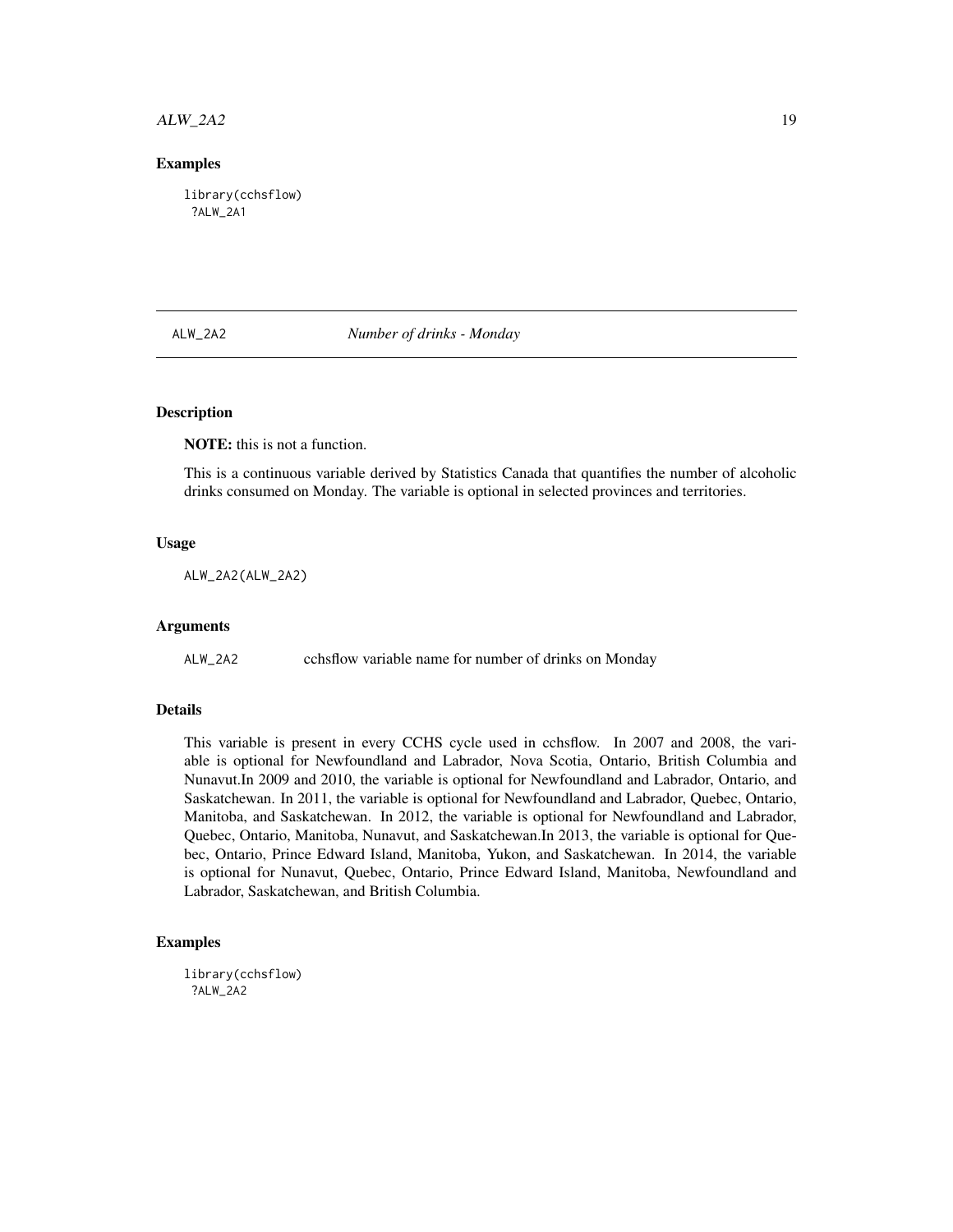# <span id="page-18-0"></span> $ALW_2A2$  19

## Examples

library(cchsflow) ?ALW\_2A1

ALW\_2A2 *Number of drinks - Monday*

# **Description**

NOTE: this is not a function.

This is a continuous variable derived by Statistics Canada that quantifies the number of alcoholic drinks consumed on Monday. The variable is optional in selected provinces and territories.

## Usage

ALW\_2A2(ALW\_2A2)

## Arguments

ALW\_2A2 cchsflow variable name for number of drinks on Monday

## Details

This variable is present in every CCHS cycle used in cchsflow. In 2007 and 2008, the variable is optional for Newfoundland and Labrador, Nova Scotia, Ontario, British Columbia and Nunavut.In 2009 and 2010, the variable is optional for Newfoundland and Labrador, Ontario, and Saskatchewan. In 2011, the variable is optional for Newfoundland and Labrador, Quebec, Ontario, Manitoba, and Saskatchewan. In 2012, the variable is optional for Newfoundland and Labrador, Quebec, Ontario, Manitoba, Nunavut, and Saskatchewan.In 2013, the variable is optional for Quebec, Ontario, Prince Edward Island, Manitoba, Yukon, and Saskatchewan. In 2014, the variable is optional for Nunavut, Quebec, Ontario, Prince Edward Island, Manitoba, Newfoundland and Labrador, Saskatchewan, and British Columbia.

## Examples

library(cchsflow) ?ALW\_2A2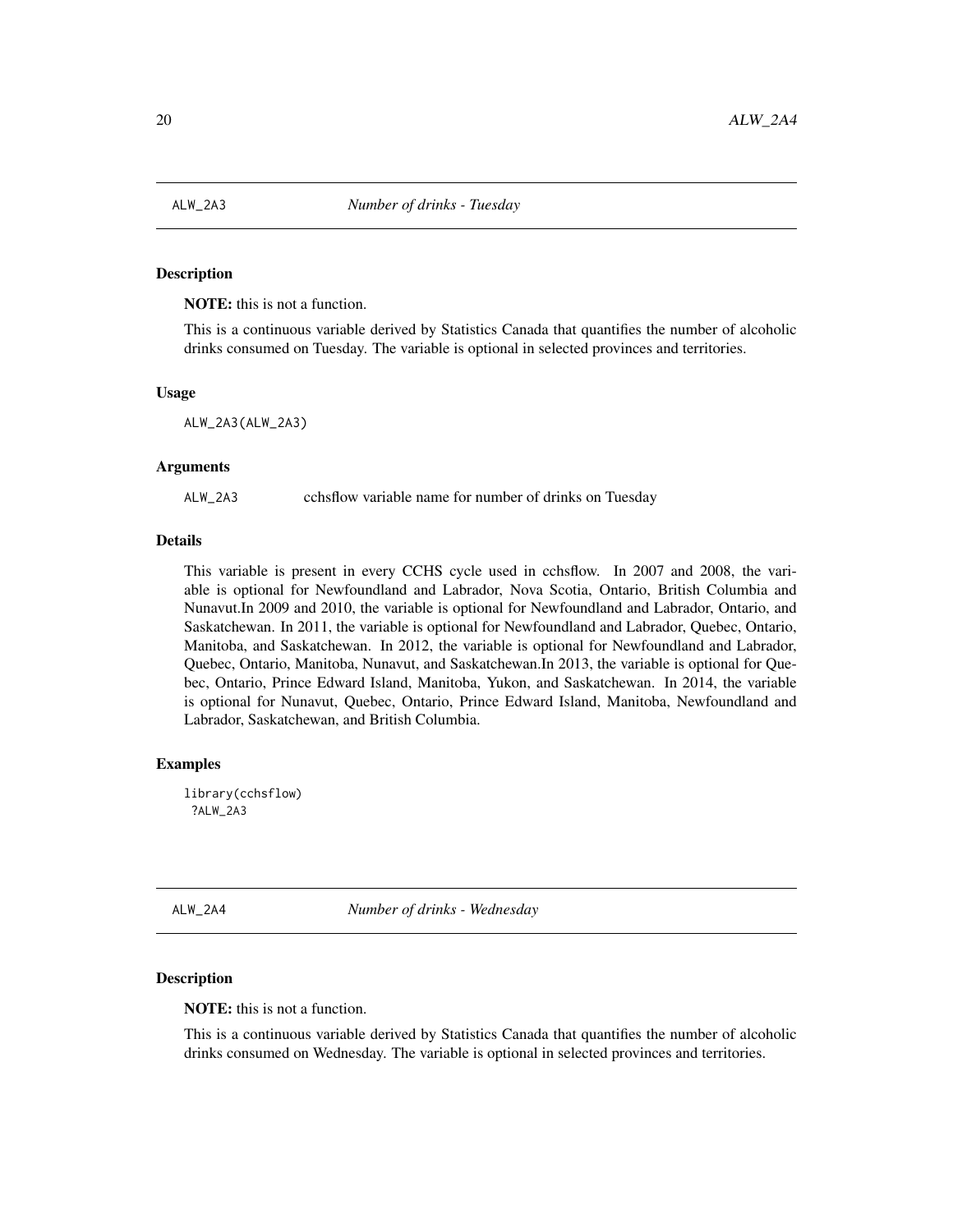<span id="page-19-0"></span>

# **Description**

NOTE: this is not a function.

This is a continuous variable derived by Statistics Canada that quantifies the number of alcoholic drinks consumed on Tuesday. The variable is optional in selected provinces and territories.

## Usage

ALW\_2A3(ALW\_2A3)

#### Arguments

ALW\_2A3 cchsflow variable name for number of drinks on Tuesday

## Details

This variable is present in every CCHS cycle used in cchsflow. In 2007 and 2008, the variable is optional for Newfoundland and Labrador, Nova Scotia, Ontario, British Columbia and Nunavut.In 2009 and 2010, the variable is optional for Newfoundland and Labrador, Ontario, and Saskatchewan. In 2011, the variable is optional for Newfoundland and Labrador, Quebec, Ontario, Manitoba, and Saskatchewan. In 2012, the variable is optional for Newfoundland and Labrador, Quebec, Ontario, Manitoba, Nunavut, and Saskatchewan.In 2013, the variable is optional for Quebec, Ontario, Prince Edward Island, Manitoba, Yukon, and Saskatchewan. In 2014, the variable is optional for Nunavut, Quebec, Ontario, Prince Edward Island, Manitoba, Newfoundland and Labrador, Saskatchewan, and British Columbia.

## Examples

library(cchsflow) ?ALW\_2A3

ALW\_2A4 *Number of drinks - Wednesday*

## Description

NOTE: this is not a function.

This is a continuous variable derived by Statistics Canada that quantifies the number of alcoholic drinks consumed on Wednesday. The variable is optional in selected provinces and territories.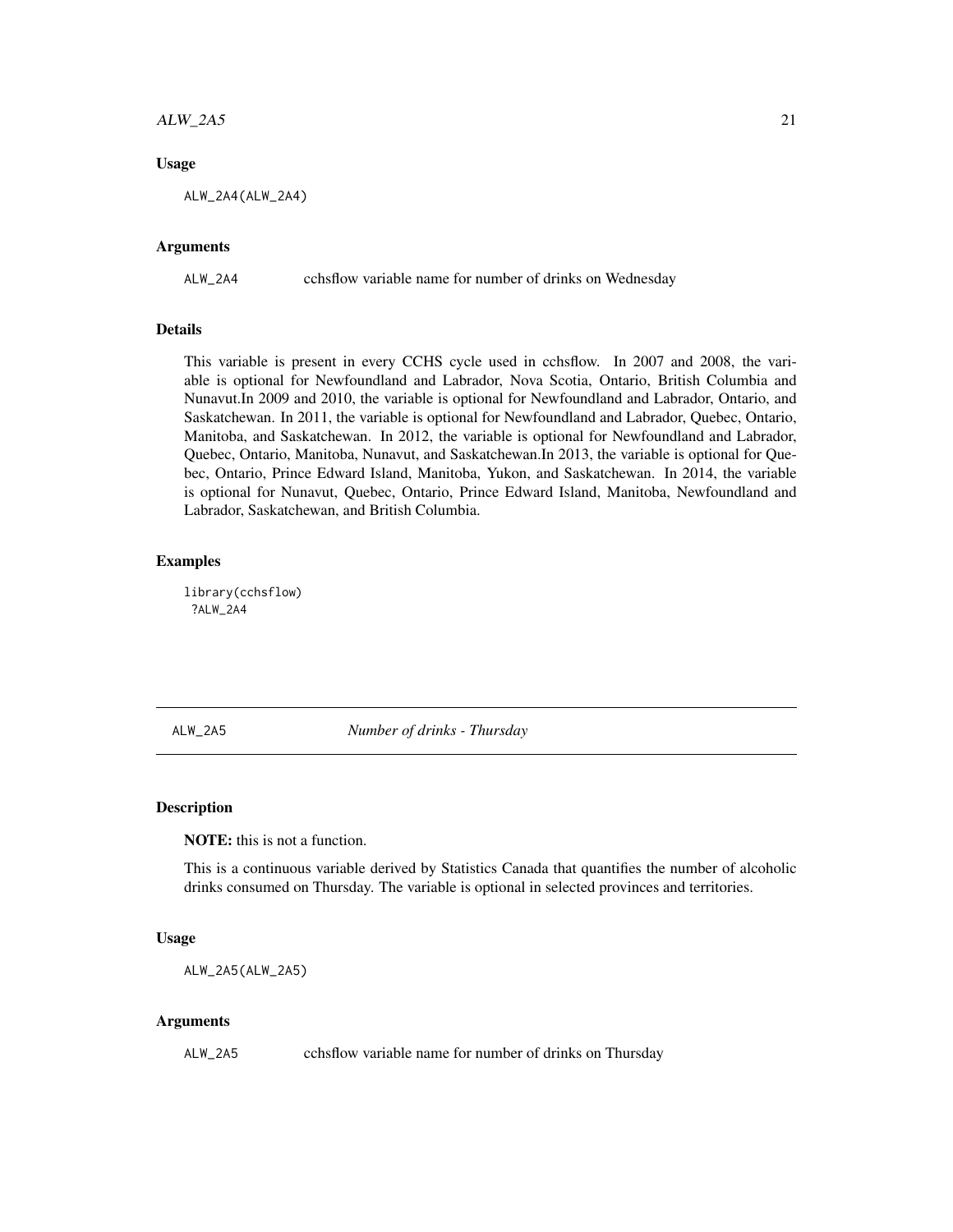# <span id="page-20-0"></span> $ALW_2A5$  21

## Usage

ALW\_2A4(ALW\_2A4)

# Arguments

ALW\_2A4 cchsflow variable name for number of drinks on Wednesday

## Details

This variable is present in every CCHS cycle used in cchsflow. In 2007 and 2008, the variable is optional for Newfoundland and Labrador, Nova Scotia, Ontario, British Columbia and Nunavut.In 2009 and 2010, the variable is optional for Newfoundland and Labrador, Ontario, and Saskatchewan. In 2011, the variable is optional for Newfoundland and Labrador, Quebec, Ontario, Manitoba, and Saskatchewan. In 2012, the variable is optional for Newfoundland and Labrador, Quebec, Ontario, Manitoba, Nunavut, and Saskatchewan.In 2013, the variable is optional for Quebec, Ontario, Prince Edward Island, Manitoba, Yukon, and Saskatchewan. In 2014, the variable is optional for Nunavut, Quebec, Ontario, Prince Edward Island, Manitoba, Newfoundland and Labrador, Saskatchewan, and British Columbia.

#### Examples

library(cchsflow) ?ALW\_2A4

ALW\_2A5 *Number of drinks - Thursday*

## **Description**

NOTE: this is not a function.

This is a continuous variable derived by Statistics Canada that quantifies the number of alcoholic drinks consumed on Thursday. The variable is optional in selected provinces and territories.

#### Usage

ALW\_2A5(ALW\_2A5)

#### Arguments

ALW\_2A5 cchsflow variable name for number of drinks on Thursday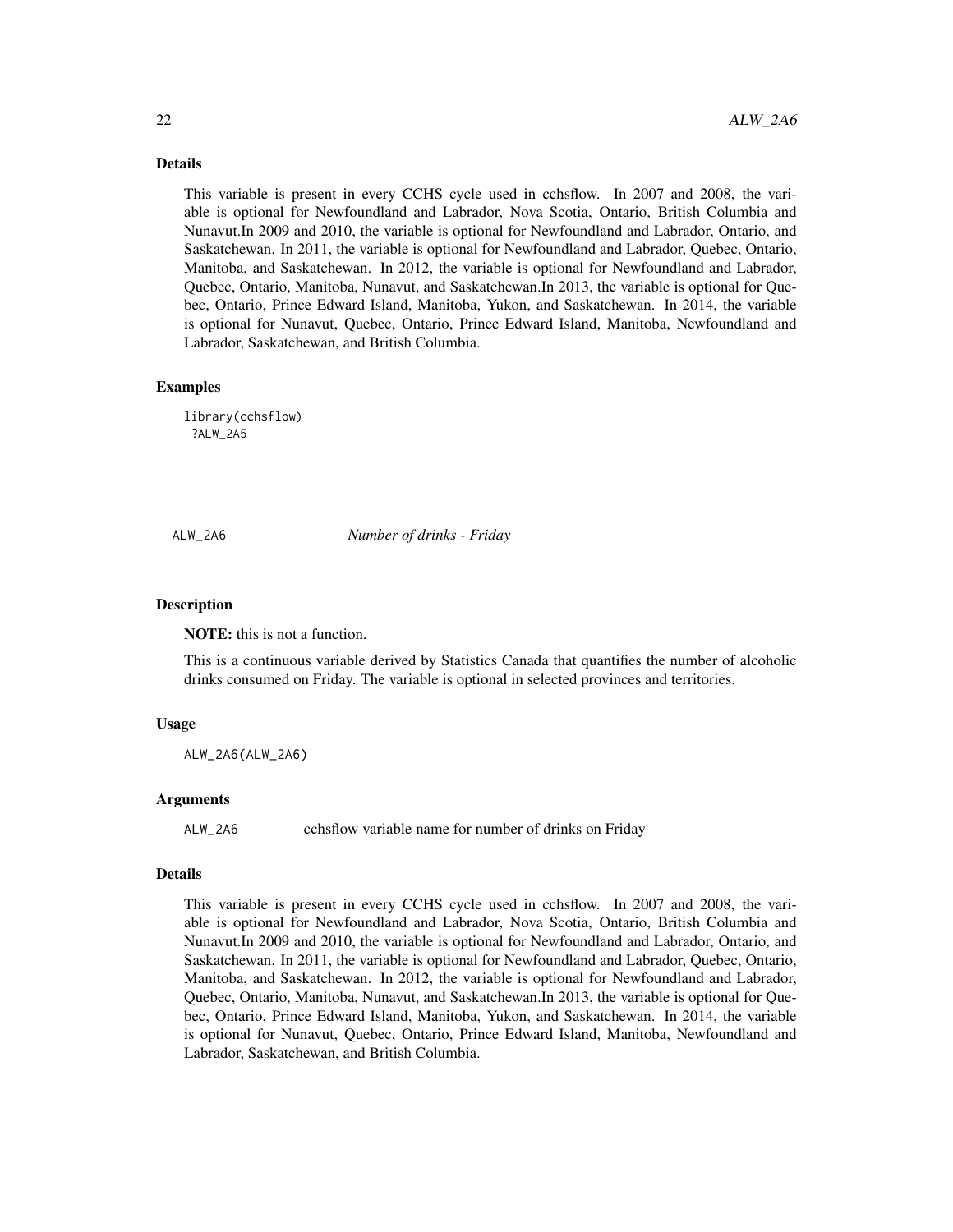Details

This variable is present in every CCHS cycle used in cchsflow. In 2007 and 2008, the variable is optional for Newfoundland and Labrador, Nova Scotia, Ontario, British Columbia and Nunavut.In 2009 and 2010, the variable is optional for Newfoundland and Labrador, Ontario, and Saskatchewan. In 2011, the variable is optional for Newfoundland and Labrador, Quebec, Ontario, Manitoba, and Saskatchewan. In 2012, the variable is optional for Newfoundland and Labrador, Quebec, Ontario, Manitoba, Nunavut, and Saskatchewan.In 2013, the variable is optional for Quebec, Ontario, Prince Edward Island, Manitoba, Yukon, and Saskatchewan. In 2014, the variable is optional for Nunavut, Quebec, Ontario, Prince Edward Island, Manitoba, Newfoundland and Labrador, Saskatchewan, and British Columbia.

## Examples

library(cchsflow) ?ALW\_2A5

ALW\_2A6 *Number of drinks - Friday*

#### Description

NOTE: this is not a function.

This is a continuous variable derived by Statistics Canada that quantifies the number of alcoholic drinks consumed on Friday. The variable is optional in selected provinces and territories.

#### Usage

ALW\_2A6(ALW\_2A6)

#### Arguments

ALW\_2A6 cchsflow variable name for number of drinks on Friday

#### Details

This variable is present in every CCHS cycle used in cchsflow. In 2007 and 2008, the variable is optional for Newfoundland and Labrador, Nova Scotia, Ontario, British Columbia and Nunavut.In 2009 and 2010, the variable is optional for Newfoundland and Labrador, Ontario, and Saskatchewan. In 2011, the variable is optional for Newfoundland and Labrador, Quebec, Ontario, Manitoba, and Saskatchewan. In 2012, the variable is optional for Newfoundland and Labrador, Quebec, Ontario, Manitoba, Nunavut, and Saskatchewan.In 2013, the variable is optional for Quebec, Ontario, Prince Edward Island, Manitoba, Yukon, and Saskatchewan. In 2014, the variable is optional for Nunavut, Quebec, Ontario, Prince Edward Island, Manitoba, Newfoundland and Labrador, Saskatchewan, and British Columbia.

<span id="page-21-0"></span>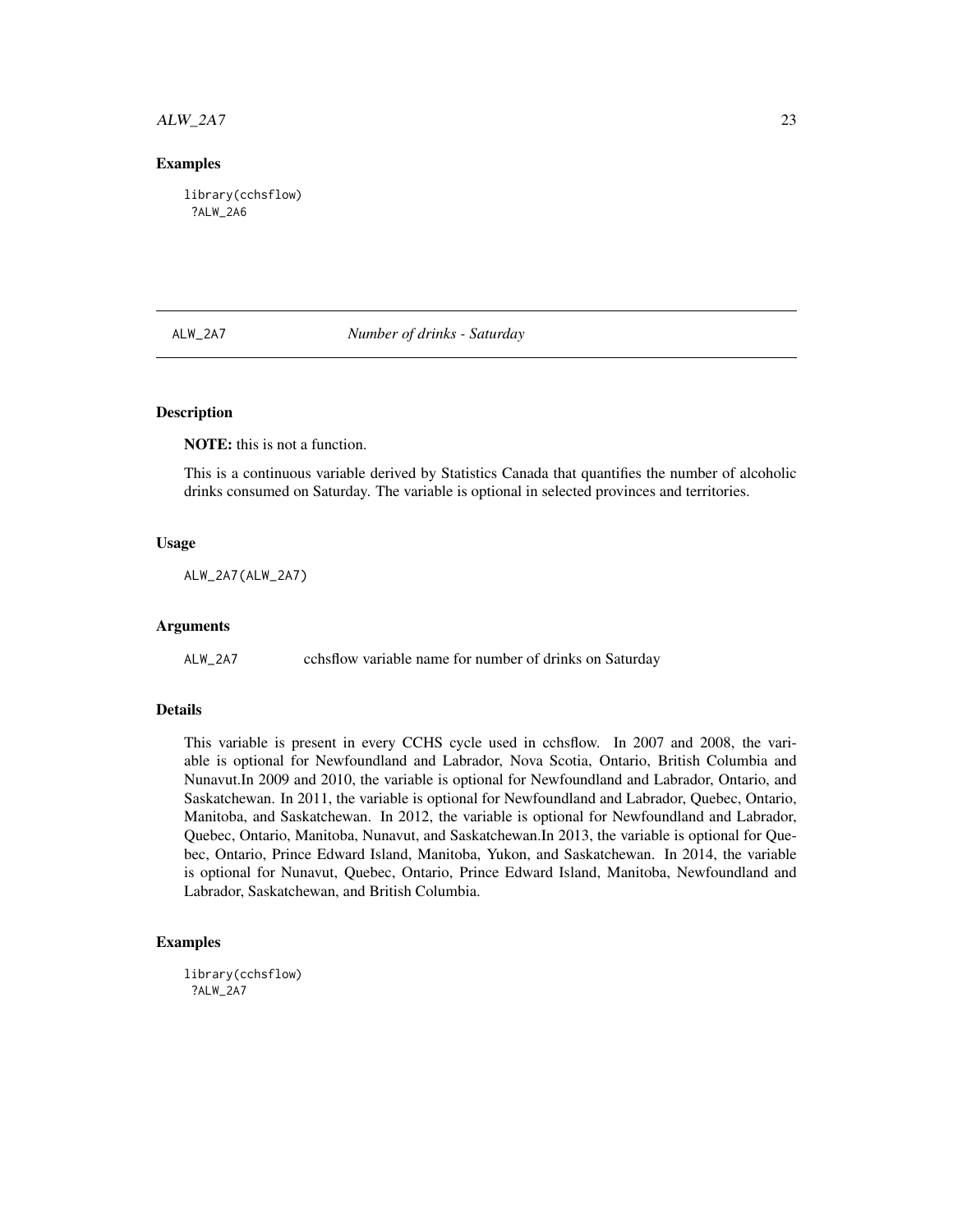# <span id="page-22-0"></span> $ALW_2A7$  23

## Examples

library(cchsflow) ?ALW\_2A6

ALW\_2A7 *Number of drinks - Saturday*

# **Description**

NOTE: this is not a function.

This is a continuous variable derived by Statistics Canada that quantifies the number of alcoholic drinks consumed on Saturday. The variable is optional in selected provinces and territories.

## Usage

ALW\_2A7(ALW\_2A7)

## Arguments

ALW\_2A7 cchsflow variable name for number of drinks on Saturday

## Details

This variable is present in every CCHS cycle used in cchsflow. In 2007 and 2008, the variable is optional for Newfoundland and Labrador, Nova Scotia, Ontario, British Columbia and Nunavut.In 2009 and 2010, the variable is optional for Newfoundland and Labrador, Ontario, and Saskatchewan. In 2011, the variable is optional for Newfoundland and Labrador, Quebec, Ontario, Manitoba, and Saskatchewan. In 2012, the variable is optional for Newfoundland and Labrador, Quebec, Ontario, Manitoba, Nunavut, and Saskatchewan.In 2013, the variable is optional for Quebec, Ontario, Prince Edward Island, Manitoba, Yukon, and Saskatchewan. In 2014, the variable is optional for Nunavut, Quebec, Ontario, Prince Edward Island, Manitoba, Newfoundland and Labrador, Saskatchewan, and British Columbia.

## Examples

library(cchsflow) ?ALW\_2A7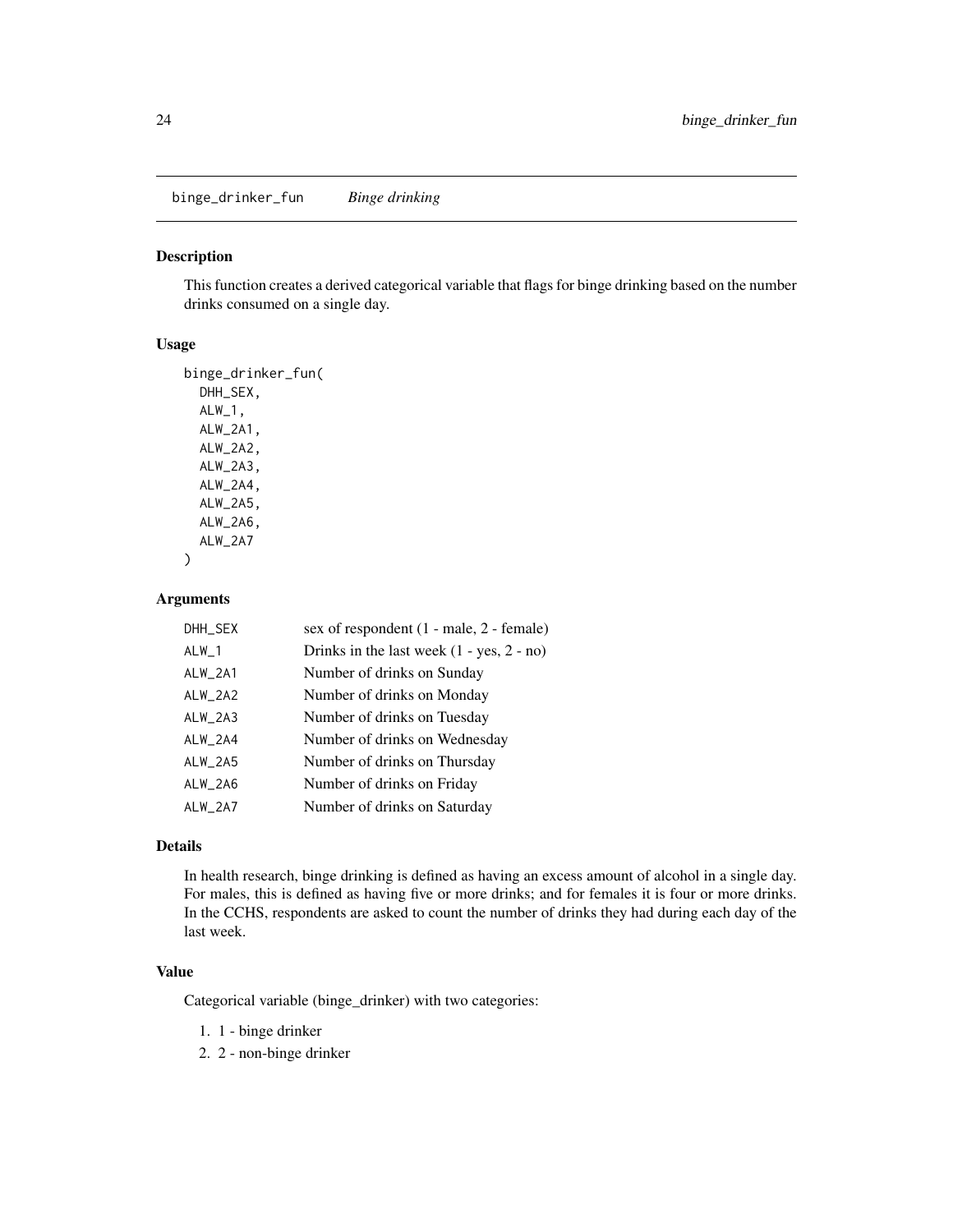<span id="page-23-0"></span>binge\_drinker\_fun *Binge drinking*

# Description

This function creates a derived categorical variable that flags for binge drinking based on the number drinks consumed on a single day.

# Usage

```
binge_drinker_fun(
  DHH_SEX,
  ALW_1,
  ALW_2A1,
  ALW_2A2,
  ALW_2A3,
  ALW_2A4,
  ALW_2A5,
 ALW_2A6,
  ALW_2A7
)
```
# Arguments

| DHH_SEX   | sex of respondent (1 - male, 2 - female)    |
|-----------|---------------------------------------------|
| $ALW_1$   | Drinks in the last week $(1 - yes, 2 - no)$ |
| ALW_2A1   | Number of drinks on Sunday                  |
| ALW_2A2   | Number of drinks on Monday                  |
| $ALW_2A3$ | Number of drinks on Tuesday                 |
| ALW_2A4   | Number of drinks on Wednesday               |
| ALW_2A5   | Number of drinks on Thursday                |
| ALW_2A6   | Number of drinks on Friday                  |
| ALW_2A7   | Number of drinks on Saturday                |

# Details

In health research, binge drinking is defined as having an excess amount of alcohol in a single day. For males, this is defined as having five or more drinks; and for females it is four or more drinks. In the CCHS, respondents are asked to count the number of drinks they had during each day of the last week.

# Value

Categorical variable (binge\_drinker) with two categories:

- 1. 1 binge drinker
- 2. 2 non-binge drinker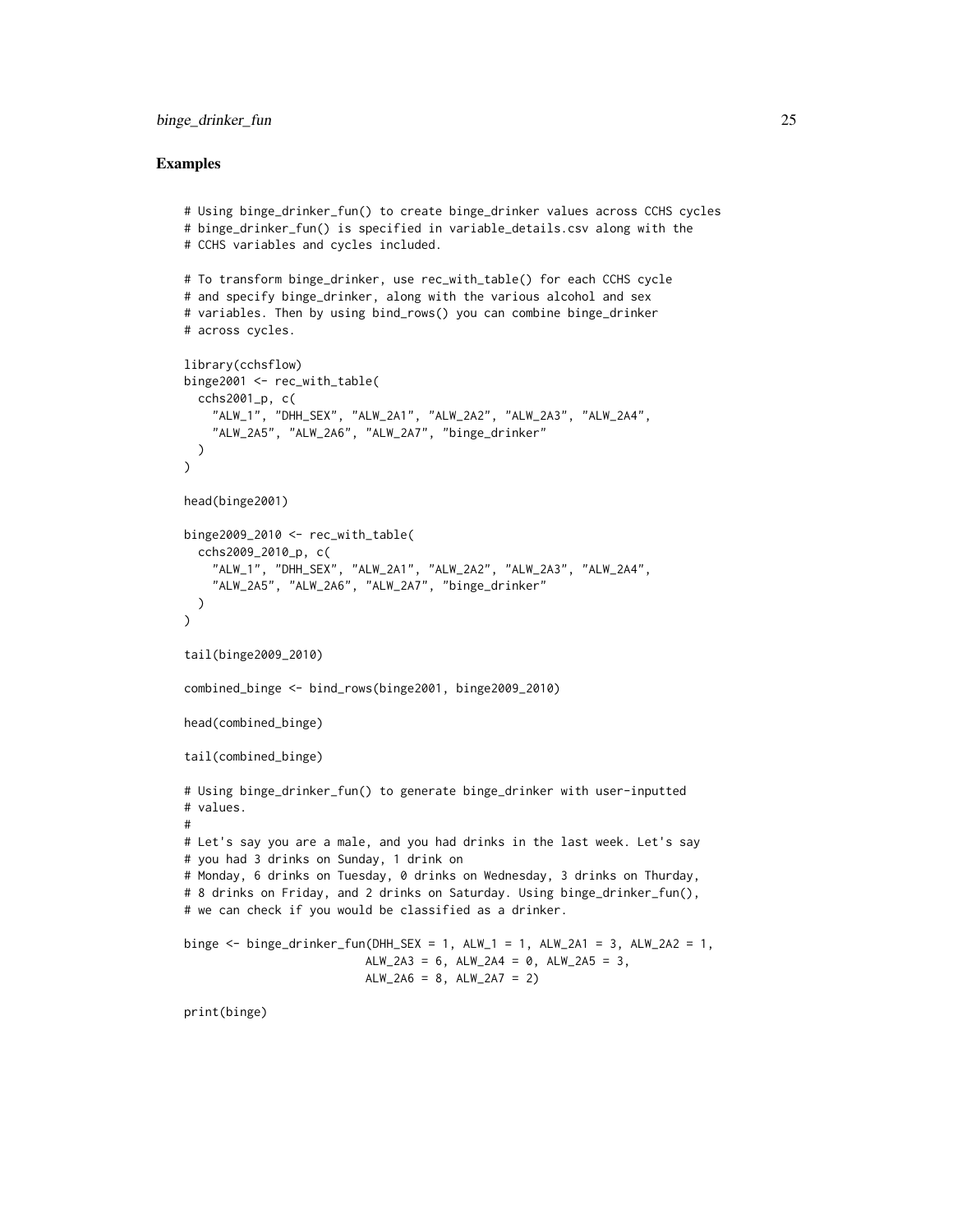```
# Using binge_drinker_fun() to create binge_drinker values across CCHS cycles
# binge_drinker_fun() is specified in variable_details.csv along with the
# CCHS variables and cycles included.
# To transform binge_drinker, use rec_with_table() for each CCHS cycle
# and specify binge_drinker, along with the various alcohol and sex
# variables. Then by using bind_rows() you can combine binge_drinker
# across cycles.
library(cchsflow)
binge2001 <- rec_with_table(
  cchs2001_p, c(
    "ALW_1", "DHH_SEX", "ALW_2A1", "ALW_2A2", "ALW_2A3", "ALW_2A4",
    "ALW_2A5", "ALW_2A6", "ALW_2A7", "binge_drinker"
  )
\mathcal{L}head(binge2001)
binge2009_2010 <- rec_with_table(
  cchs2009_2010_p, c(
    "ALW_1", "DHH_SEX", "ALW_2A1", "ALW_2A2", "ALW_2A3", "ALW_2A4",
    "ALW_2A5", "ALW_2A6", "ALW_2A7", "binge_drinker"
  )
\lambdatail(binge2009_2010)
combined_binge <- bind_rows(binge2001, binge2009_2010)
head(combined_binge)
tail(combined_binge)
# Using binge_drinker_fun() to generate binge_drinker with user-inputted
# values.
#
# Let's say you are a male, and you had drinks in the last week. Let's say
# you had 3 drinks on Sunday, 1 drink on
# Monday, 6 drinks on Tuesday, 0 drinks on Wednesday, 3 drinks on Thurday,
# 8 drinks on Friday, and 2 drinks on Saturday. Using binge_drinker_fun(),
# we can check if you would be classified as a drinker.
binge \le binge_drinker_fun(DHH_SEX = 1, ALW_1 = 1, ALW_2A1 = 3, ALW_2A2 = 1,
                          ALW_2A3 = 6, ALW_2A4 = 0, ALW_2A5 = 3,
                          ALW_2A6 = 8, ALW_2A7 = 2print(binge)
```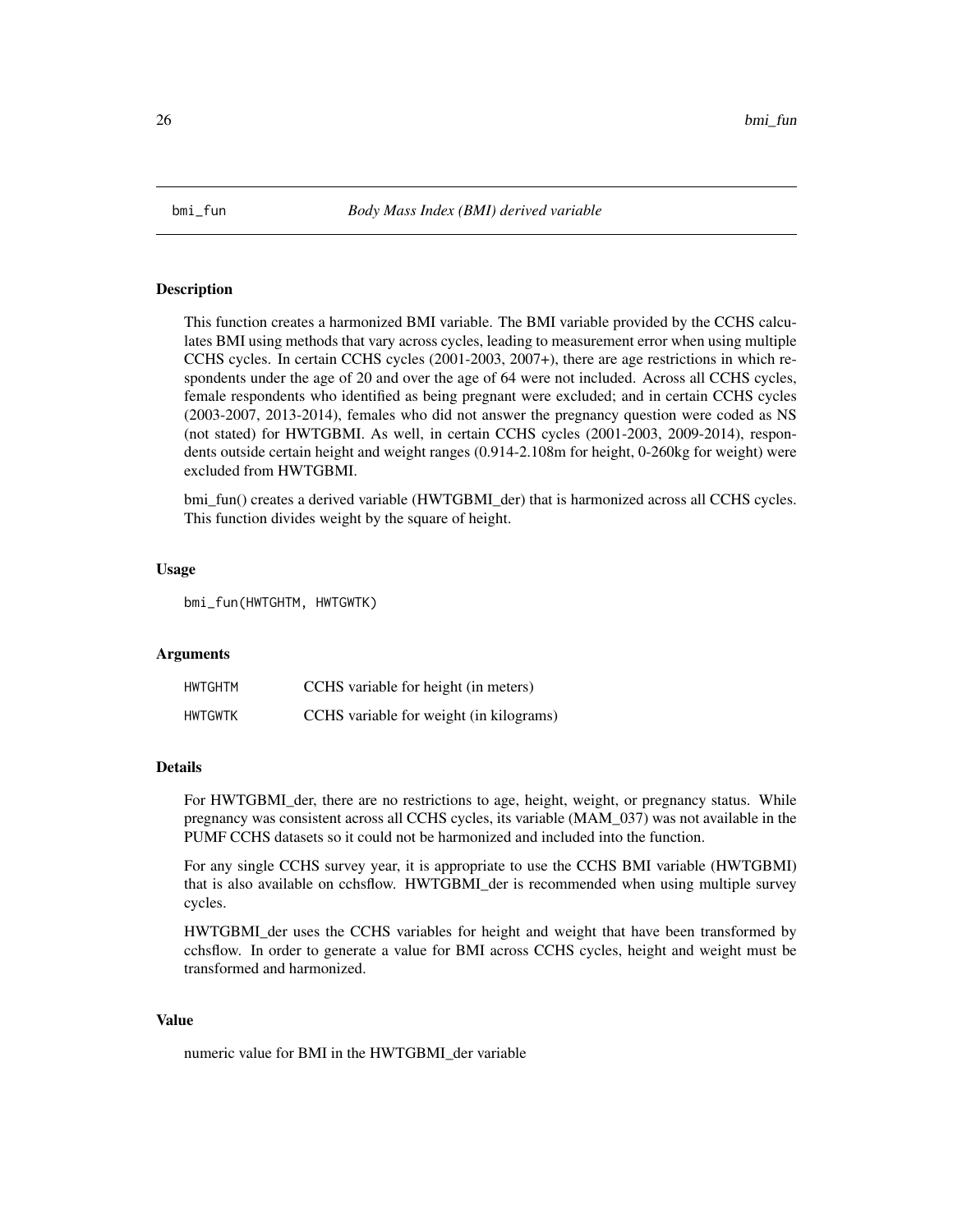<span id="page-25-1"></span><span id="page-25-0"></span>

#### Description

This function creates a harmonized BMI variable. The BMI variable provided by the CCHS calculates BMI using methods that vary across cycles, leading to measurement error when using multiple CCHS cycles. In certain CCHS cycles (2001-2003, 2007+), there are age restrictions in which respondents under the age of 20 and over the age of 64 were not included. Across all CCHS cycles, female respondents who identified as being pregnant were excluded; and in certain CCHS cycles (2003-2007, 2013-2014), females who did not answer the pregnancy question were coded as NS (not stated) for HWTGBMI. As well, in certain CCHS cycles (2001-2003, 2009-2014), respondents outside certain height and weight ranges (0.914-2.108m for height, 0-260kg for weight) were excluded from HWTGBMI.

bmi\_fun() creates a derived variable (HWTGBMI\_der) that is harmonized across all CCHS cycles. This function divides weight by the square of height.

#### Usage

bmi\_fun(HWTGHTM, HWTGWTK)

## Arguments

| HWTGHTM        | CCHS variable for height (in meters)    |
|----------------|-----------------------------------------|
| <b>HWTGWTK</b> | CCHS variable for weight (in kilograms) |

#### Details

For HWTGBMI\_der, there are no restrictions to age, height, weight, or pregnancy status. While pregnancy was consistent across all CCHS cycles, its variable (MAM\_037) was not available in the PUMF CCHS datasets so it could not be harmonized and included into the function.

For any single CCHS survey year, it is appropriate to use the CCHS BMI variable (HWTGBMI) that is also available on cchsflow. HWTGBMI\_der is recommended when using multiple survey cycles.

HWTGBMI\_der uses the CCHS variables for height and weight that have been transformed by cchsflow. In order to generate a value for BMI across CCHS cycles, height and weight must be transformed and harmonized.

# Value

numeric value for BMI in the HWTGBMI\_der variable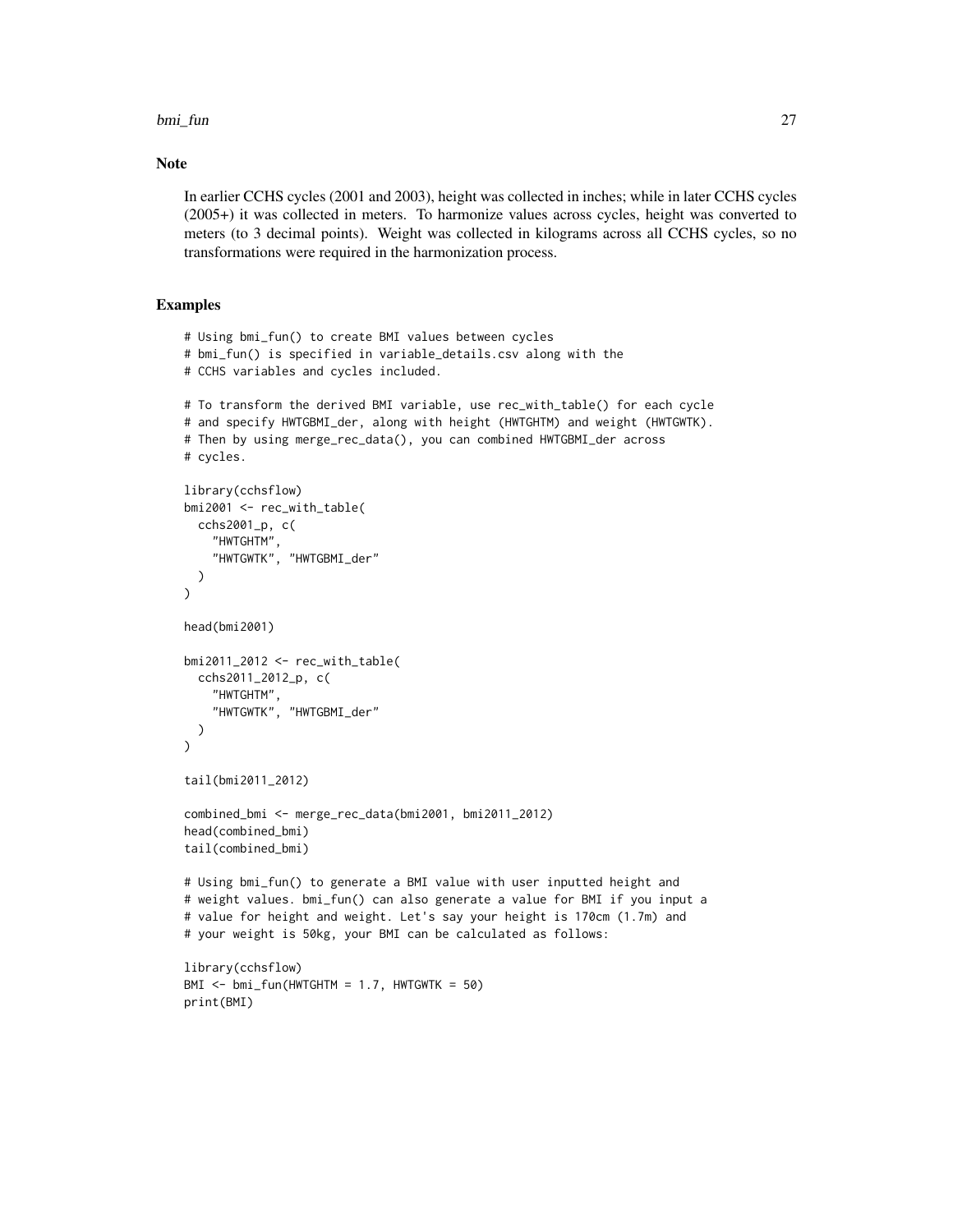#### bmi\_fun 27

#### Note

In earlier CCHS cycles (2001 and 2003), height was collected in inches; while in later CCHS cycles (2005+) it was collected in meters. To harmonize values across cycles, height was converted to meters (to 3 decimal points). Weight was collected in kilograms across all CCHS cycles, so no transformations were required in the harmonization process.

```
# Using bmi_fun() to create BMI values between cycles
# bmi_fun() is specified in variable_details.csv along with the
# CCHS variables and cycles included.
# To transform the derived BMI variable, use rec_with_table() for each cycle
# and specify HWTGBMI_der, along with height (HWTGHTM) and weight (HWTGWTK).
# Then by using merge_rec_data(), you can combined HWTGBMI_der across
# cycles.
library(cchsflow)
bmi2001 <- rec_with_table(
  cchs2001_p, c(
    "HWTGHTM",
    "HWTGWTK", "HWTGBMI_der"
  )
\mathcal{L}head(bmi2001)
bmi2011_2012 <- rec_with_table(
  cchs2011_2012_p, c(
    "HWTGHTM",
    "HWTGWTK", "HWTGBMI_der"
  )
\overline{)}tail(bmi2011_2012)
combined_bmi <- merge_rec_data(bmi2001, bmi2011_2012)
head(combined_bmi)
tail(combined_bmi)
# Using bmi_fun() to generate a BMI value with user inputted height and
# weight values. bmi_fun() can also generate a value for BMI if you input a
# value for height and weight. Let's say your height is 170cm (1.7m) and
# your weight is 50kg, your BMI can be calculated as follows:
library(cchsflow)
BMI <- bmi_fun(HWTGHTM = 1.7, HWTGWTK = 50)
print(BMI)
```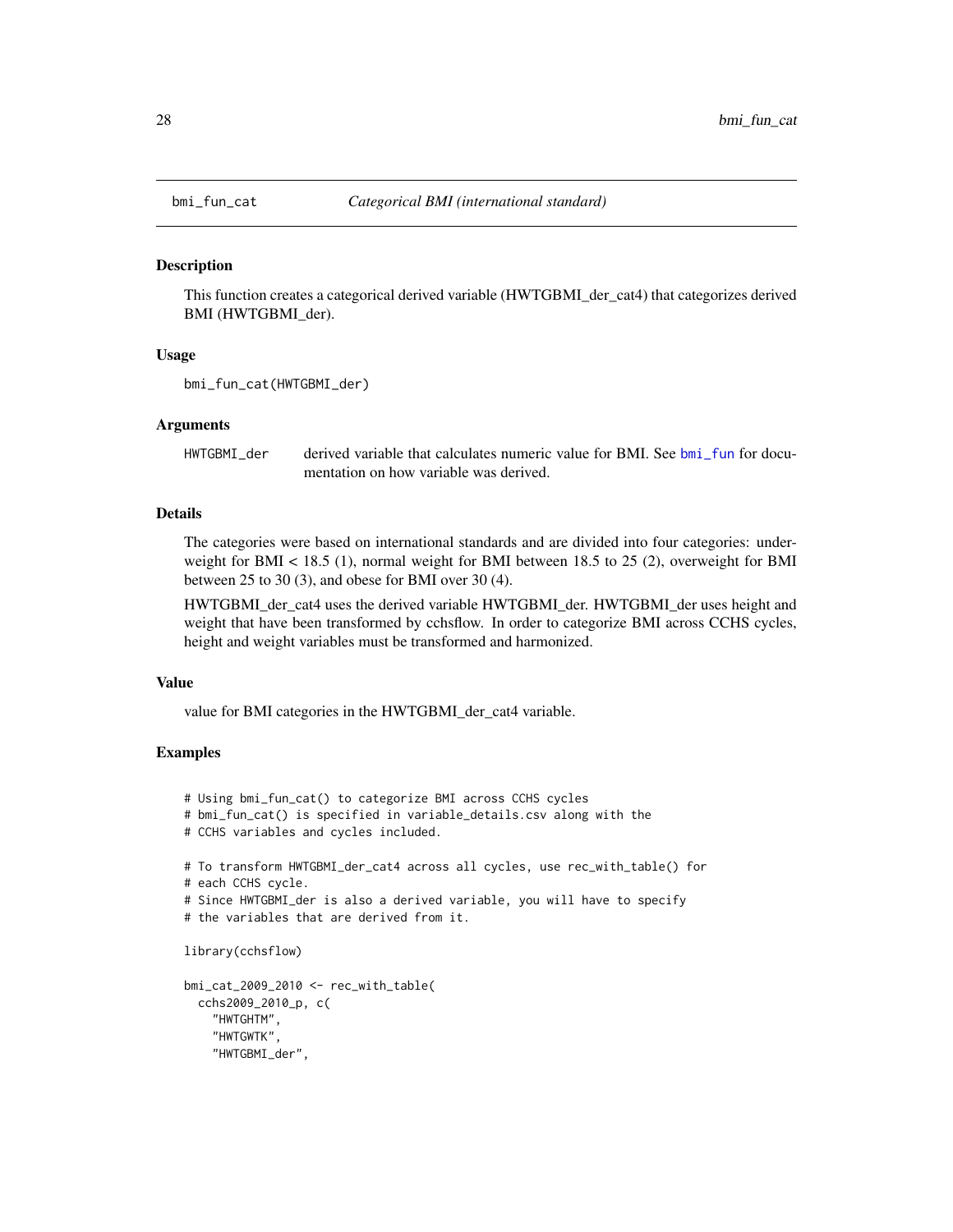<span id="page-27-0"></span>

## Description

This function creates a categorical derived variable (HWTGBMI\_der\_cat4) that categorizes derived BMI (HWTGBMI\_der).

## Usage

```
bmi_fun_cat(HWTGBMI_der)
```
## Arguments

HWTGBMI\_der derived variable that calculates numeric value for BMI. See [bmi\\_fun](#page-25-1) for documentation on how variable was derived.

# Details

The categories were based on international standards and are divided into four categories: underweight for  $BMI < 18.5$  (1), normal weight for BMI between 18.5 to 25 (2), overweight for BMI between 25 to 30 (3), and obese for BMI over 30 (4).

HWTGBMI\_der\_cat4 uses the derived variable HWTGBMI\_der. HWTGBMI\_der uses height and weight that have been transformed by cchsflow. In order to categorize BMI across CCHS cycles, height and weight variables must be transformed and harmonized.

# Value

value for BMI categories in the HWTGBMI\_der\_cat4 variable.

# Examples

- # Using bmi\_fun\_cat() to categorize BMI across CCHS cycles
- # bmi\_fun\_cat() is specified in variable\_details.csv along with the
- # CCHS variables and cycles included.

```
# To transform HWTGBMI_der_cat4 across all cycles, use rec_with_table() for
# each CCHS cycle.
```

```
# Since HWTGBMI_der is also a derived variable, you will have to specify
```

```
# the variables that are derived from it.
```
library(cchsflow)

```
bmi_cat_2009_2010 <- rec_with_table(
 cchs2009_2010_p, c(
    "HWTGHTM",
    "HWTGWTK",
    "HWTGBMI_der",
```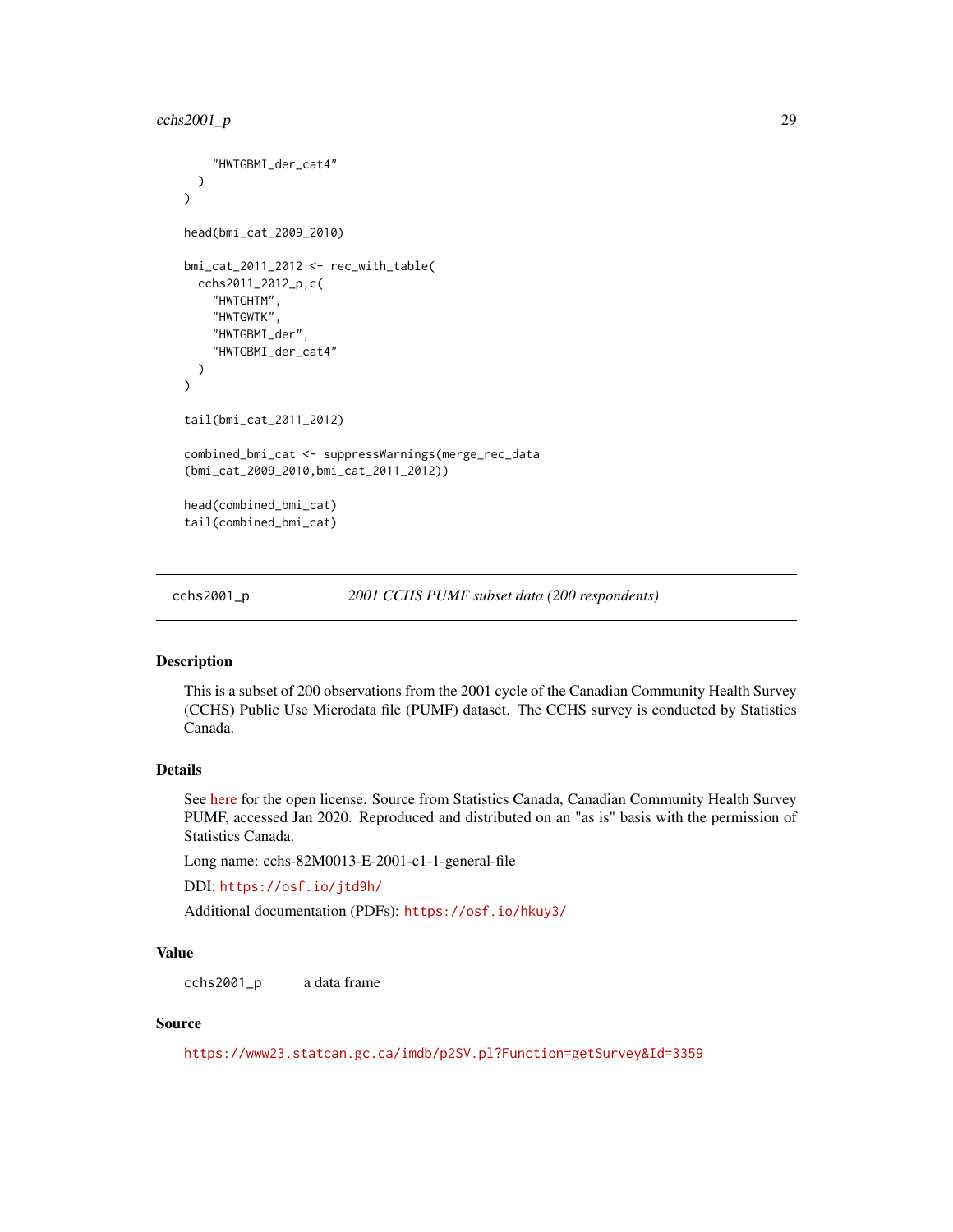```
"HWTGBMI_der_cat4"
 )
)
head(bmi_cat_2009_2010)
bmi_cat_2011_2012 <- rec_with_table(
 cchs2011_2012_p,c(
    "HWTGHTM",
    "HWTGWTK",
    "HWTGBMI_der",
    "HWTGBMI_der_cat4"
 )
\overline{)}tail(bmi_cat_2011_2012)
combined_bmi_cat <- suppressWarnings(merge_rec_data
(bmi_cat_2009_2010,bmi_cat_2011_2012))
head(combined_bmi_cat)
tail(combined_bmi_cat)
```
cchs2001\_p *2001 CCHS PUMF subset data (200 respondents)*

## Description

This is a subset of 200 observations from the 2001 cycle of the Canadian Community Health Survey (CCHS) Public Use Microdata file (PUMF) dataset. The CCHS survey is conducted by Statistics Canada.

# Details

See [here](https://www.statcan.gc.ca/en/reference/licence) for the open license. Source from Statistics Canada, Canadian Community Health Survey PUMF, accessed Jan 2020. Reproduced and distributed on an "as is" basis with the permission of Statistics Canada.

Long name: cchs-82M0013-E-2001-c1-1-general-file

DDI: <https://osf.io/jtd9h/>

Additional documentation (PDFs): <https://osf.io/hkuy3/>

## Value

cchs2001\_p a data frame

## Source

<https://www23.statcan.gc.ca/imdb/p2SV.pl?Function=getSurvey&Id=3359>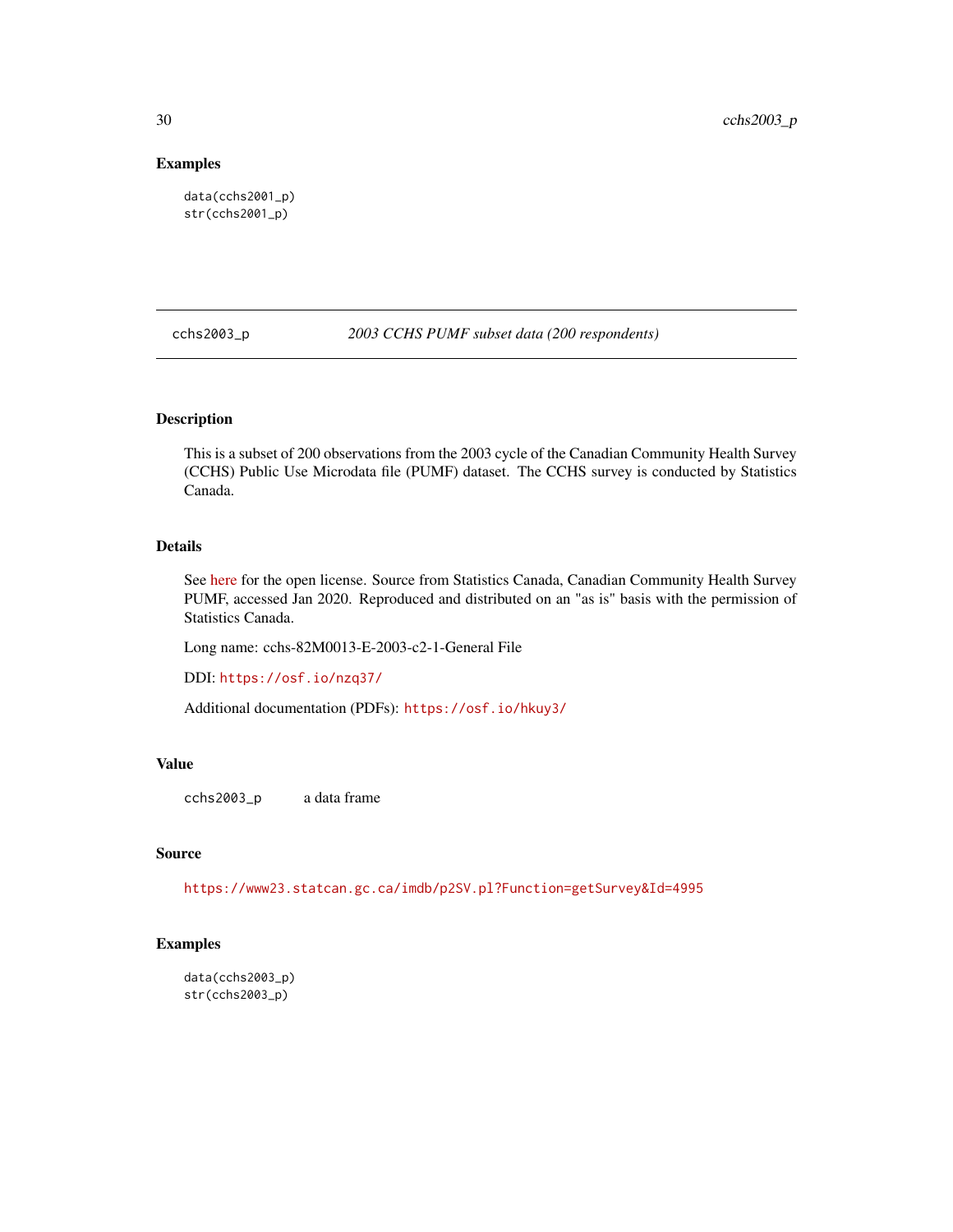# Examples

data(cchs2001\_p) str(cchs2001\_p)

cchs2003\_p *2003 CCHS PUMF subset data (200 respondents)*

# Description

This is a subset of 200 observations from the 2003 cycle of the Canadian Community Health Survey (CCHS) Public Use Microdata file (PUMF) dataset. The CCHS survey is conducted by Statistics Canada.

# Details

See [here](https://www.statcan.gc.ca/en/reference/licence) for the open license. Source from Statistics Canada, Canadian Community Health Survey PUMF, accessed Jan 2020. Reproduced and distributed on an "as is" basis with the permission of Statistics Canada.

Long name: cchs-82M0013-E-2003-c2-1-General File

DDI: <https://osf.io/nzq37/>

Additional documentation (PDFs): <https://osf.io/hkuy3/>

# Value

cchs2003\_p a data frame

## Source

<https://www23.statcan.gc.ca/imdb/p2SV.pl?Function=getSurvey&Id=4995>

```
data(cchs2003_p)
str(cchs2003_p)
```
<span id="page-29-0"></span>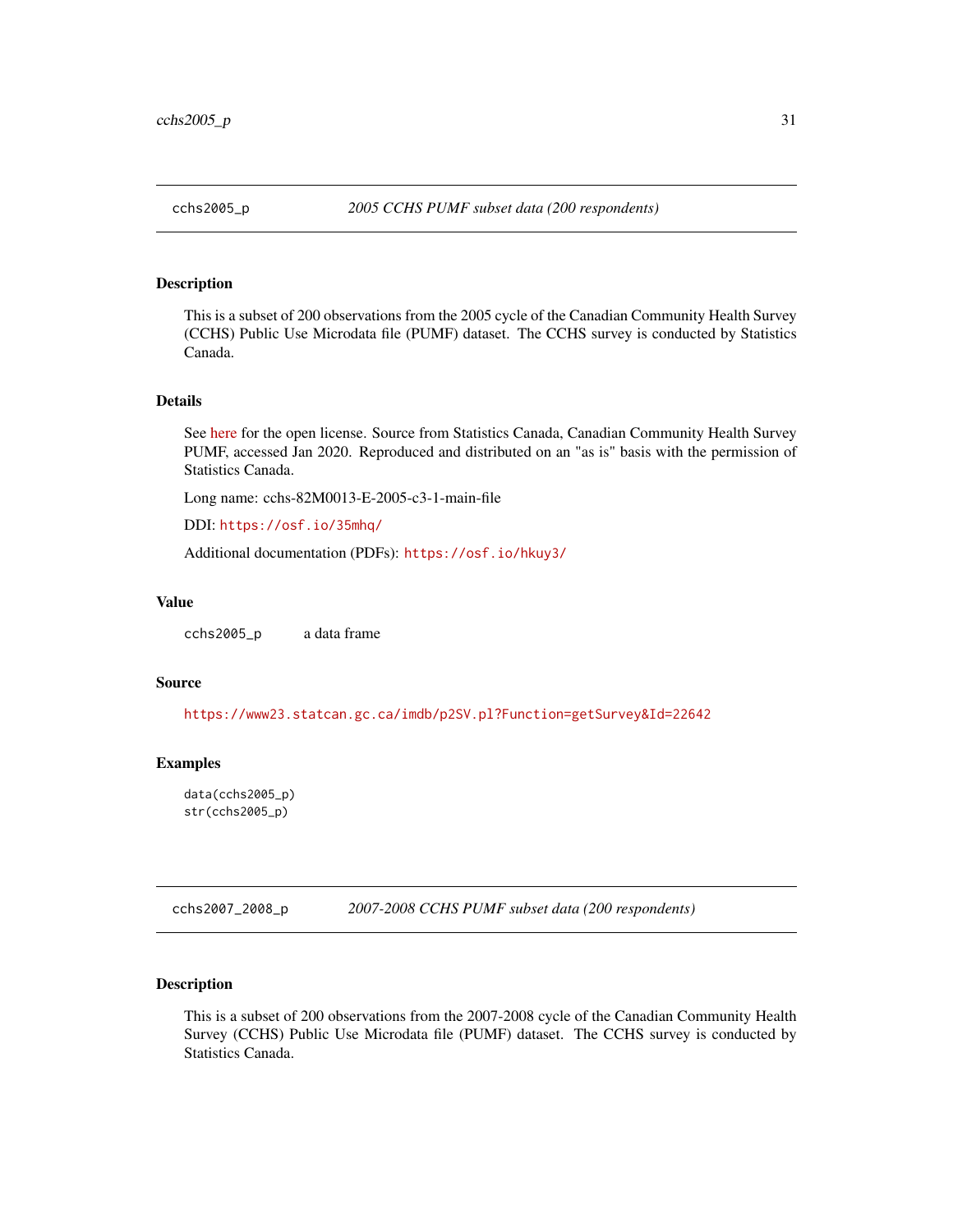<span id="page-30-0"></span>

## Description

This is a subset of 200 observations from the 2005 cycle of the Canadian Community Health Survey (CCHS) Public Use Microdata file (PUMF) dataset. The CCHS survey is conducted by Statistics Canada.

## Details

See [here](https://www.statcan.gc.ca/en/reference/licence) for the open license. Source from Statistics Canada, Canadian Community Health Survey PUMF, accessed Jan 2020. Reproduced and distributed on an "as is" basis with the permission of Statistics Canada.

Long name: cchs-82M0013-E-2005-c3-1-main-file

DDI: <https://osf.io/35mhq/>

Additional documentation (PDFs): <https://osf.io/hkuy3/>

# Value

cchs2005\_p a data frame

#### Source

<https://www23.statcan.gc.ca/imdb/p2SV.pl?Function=getSurvey&Id=22642>

#### Examples

data(cchs2005\_p) str(cchs2005\_p)

cchs2007\_2008\_p *2007-2008 CCHS PUMF subset data (200 respondents)*

## Description

This is a subset of 200 observations from the 2007-2008 cycle of the Canadian Community Health Survey (CCHS) Public Use Microdata file (PUMF) dataset. The CCHS survey is conducted by Statistics Canada.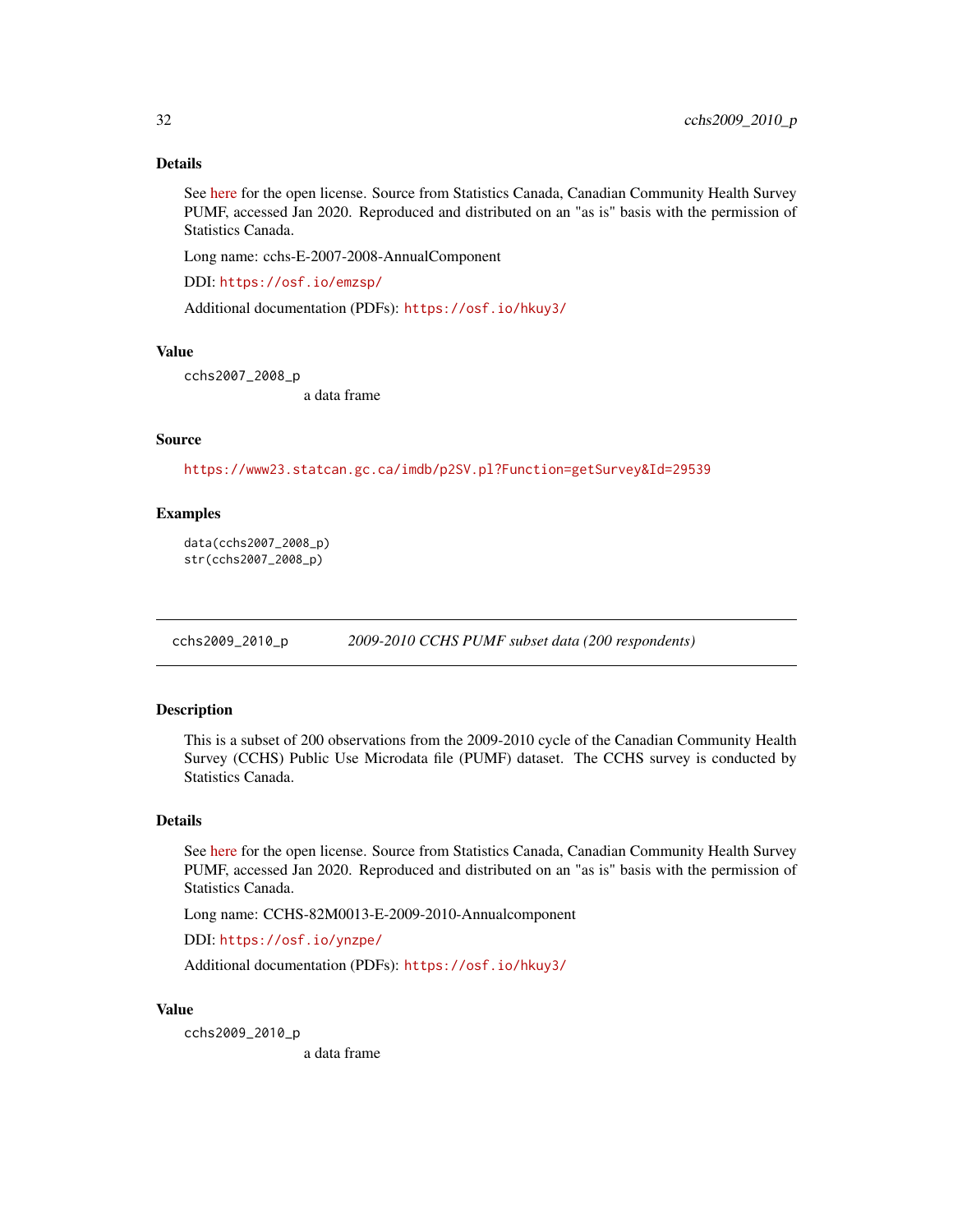# Details

See [here](https://www.statcan.gc.ca/en/reference/licence) for the open license. Source from Statistics Canada, Canadian Community Health Survey PUMF, accessed Jan 2020. Reproduced and distributed on an "as is" basis with the permission of Statistics Canada.

Long name: cchs-E-2007-2008-AnnualComponent

DDI: <https://osf.io/emzsp/>

Additional documentation (PDFs): <https://osf.io/hkuy3/>

## Value

cchs2007\_2008\_p

a data frame

## Source

<https://www23.statcan.gc.ca/imdb/p2SV.pl?Function=getSurvey&Id=29539>

# Examples

```
data(cchs2007_2008_p)
str(cchs2007_2008_p)
```
cchs2009\_2010\_p *2009-2010 CCHS PUMF subset data (200 respondents)*

## Description

This is a subset of 200 observations from the 2009-2010 cycle of the Canadian Community Health Survey (CCHS) Public Use Microdata file (PUMF) dataset. The CCHS survey is conducted by Statistics Canada.

# Details

See [here](https://www.statcan.gc.ca/en/reference/licence) for the open license. Source from Statistics Canada, Canadian Community Health Survey PUMF, accessed Jan 2020. Reproduced and distributed on an "as is" basis with the permission of Statistics Canada.

Long name: CCHS-82M0013-E-2009-2010-Annualcomponent

DDI: <https://osf.io/ynzpe/>

Additional documentation (PDFs): <https://osf.io/hkuy3/>

### Value

cchs2009\_2010\_p a data frame

<span id="page-31-0"></span>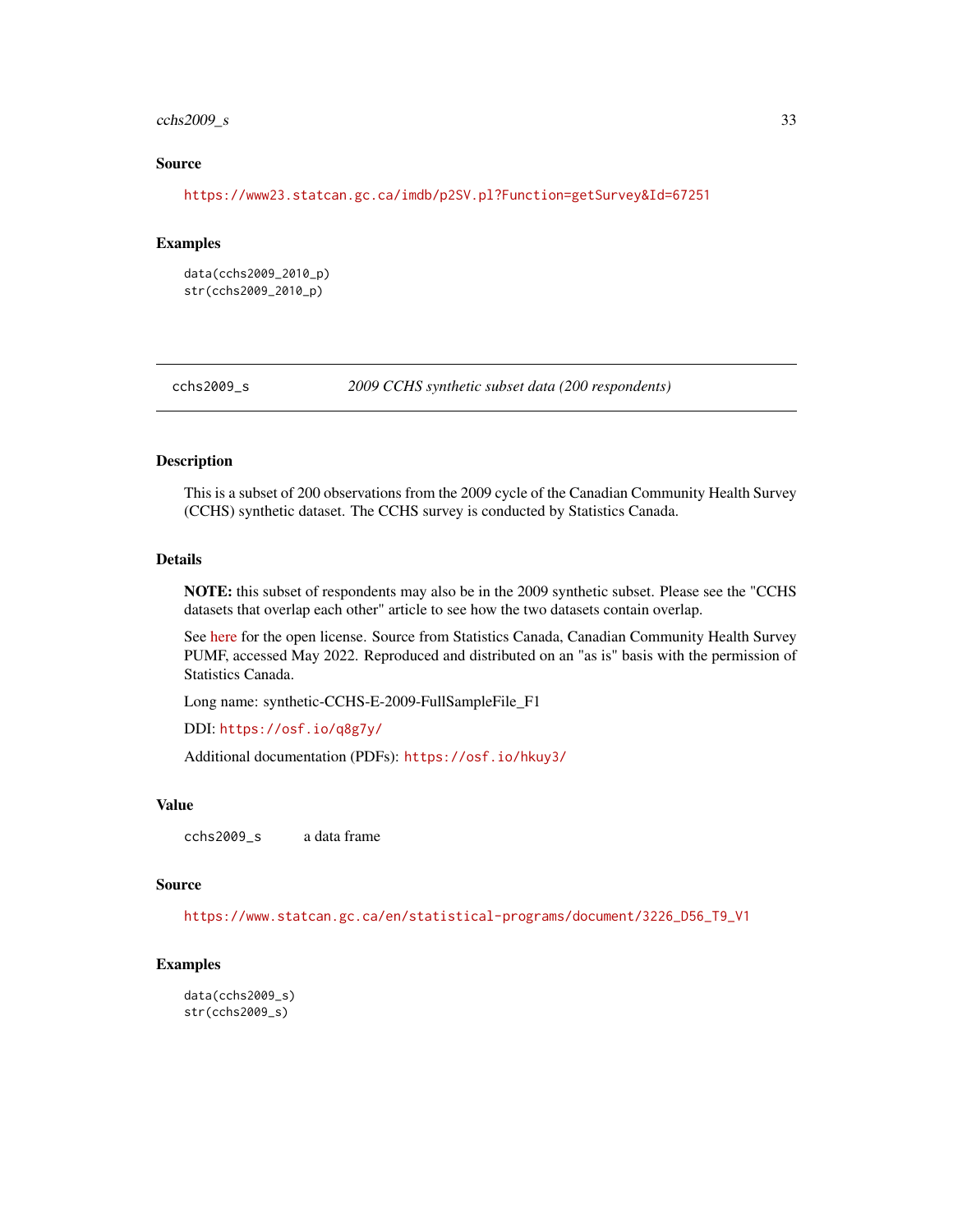## <span id="page-32-0"></span> $\cosh 2009$ <sub>-S</sub> 33

## Source

<https://www23.statcan.gc.ca/imdb/p2SV.pl?Function=getSurvey&Id=67251>

## Examples

data(cchs2009\_2010\_p) str(cchs2009\_2010\_p)

cchs2009\_s *2009 CCHS synthetic subset data (200 respondents)*

# Description

This is a subset of 200 observations from the 2009 cycle of the Canadian Community Health Survey (CCHS) synthetic dataset. The CCHS survey is conducted by Statistics Canada.

## Details

NOTE: this subset of respondents may also be in the 2009 synthetic subset. Please see the "CCHS datasets that overlap each other" article to see how the two datasets contain overlap.

See [here](https://www.statcan.gc.ca/en/reference/licence) for the open license. Source from Statistics Canada, Canadian Community Health Survey PUMF, accessed May 2022. Reproduced and distributed on an "as is" basis with the permission of Statistics Canada.

Long name: synthetic-CCHS-E-2009-FullSampleFile\_F1

DDI: <https://osf.io/q8g7y/>

Additional documentation (PDFs): <https://osf.io/hkuy3/>

## Value

cchs2009\_s a data frame

## Source

[https://www.statcan.gc.ca/en/statistical-programs/document/3226\\_D56\\_T9\\_V1](https://www.statcan.gc.ca/en/statistical-programs/document/3226_D56_T9_V1)

```
data(cchs2009_s)
str(cchs2009_s)
```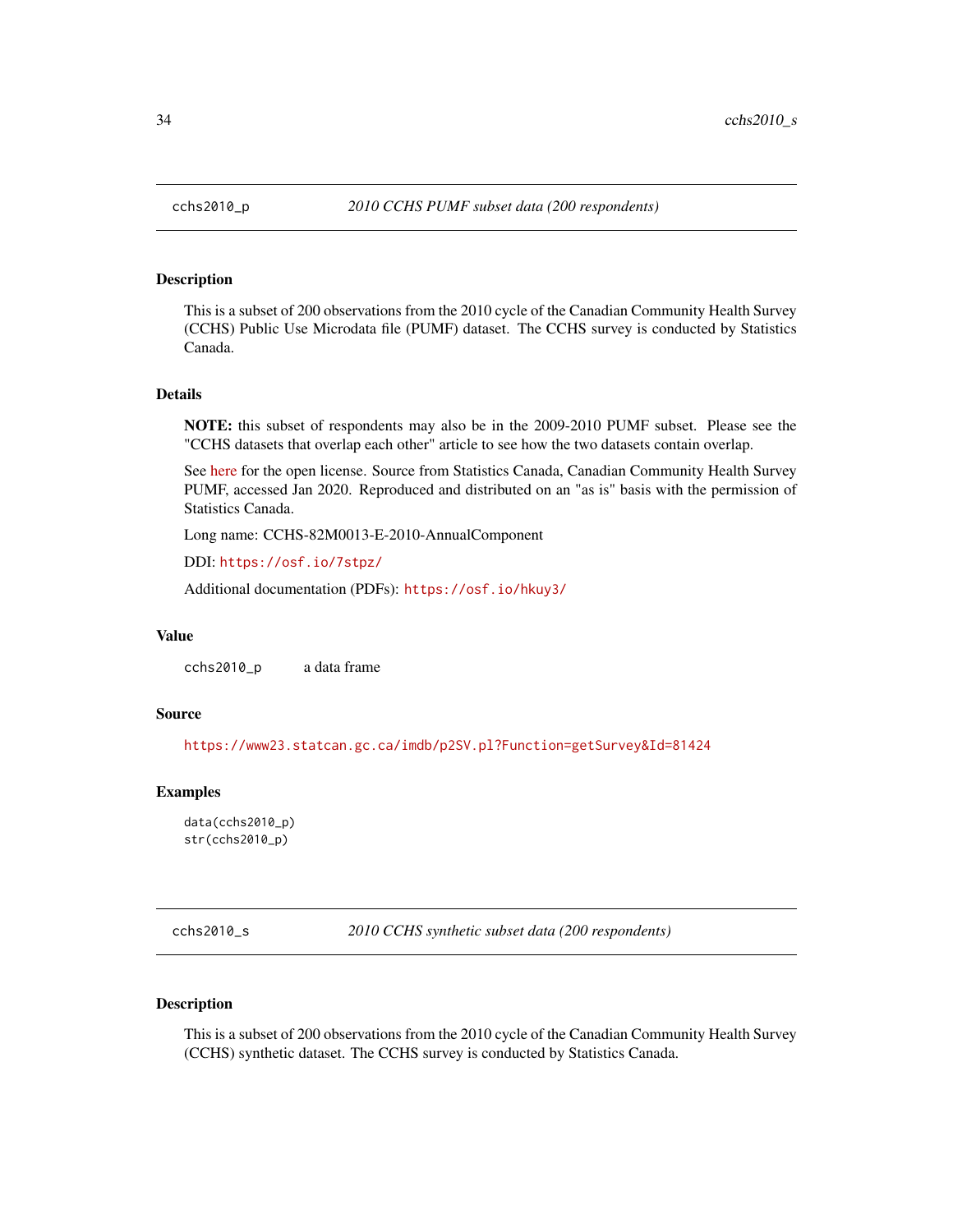## Description

This is a subset of 200 observations from the 2010 cycle of the Canadian Community Health Survey (CCHS) Public Use Microdata file (PUMF) dataset. The CCHS survey is conducted by Statistics Canada.

## Details

NOTE: this subset of respondents may also be in the 2009-2010 PUMF subset. Please see the "CCHS datasets that overlap each other" article to see how the two datasets contain overlap.

See [here](https://www.statcan.gc.ca/en/reference/licence) for the open license. Source from Statistics Canada, Canadian Community Health Survey PUMF, accessed Jan 2020. Reproduced and distributed on an "as is" basis with the permission of Statistics Canada.

Long name: CCHS-82M0013-E-2010-AnnualComponent

DDI: <https://osf.io/7stpz/>

Additional documentation (PDFs): <https://osf.io/hkuy3/>

#### Value

cchs2010\_p a data frame

## Source

<https://www23.statcan.gc.ca/imdb/p2SV.pl?Function=getSurvey&Id=81424>

# Examples

data(cchs2010\_p) str(cchs2010\_p)

cchs2010\_s *2010 CCHS synthetic subset data (200 respondents)*

# Description

This is a subset of 200 observations from the 2010 cycle of the Canadian Community Health Survey (CCHS) synthetic dataset. The CCHS survey is conducted by Statistics Canada.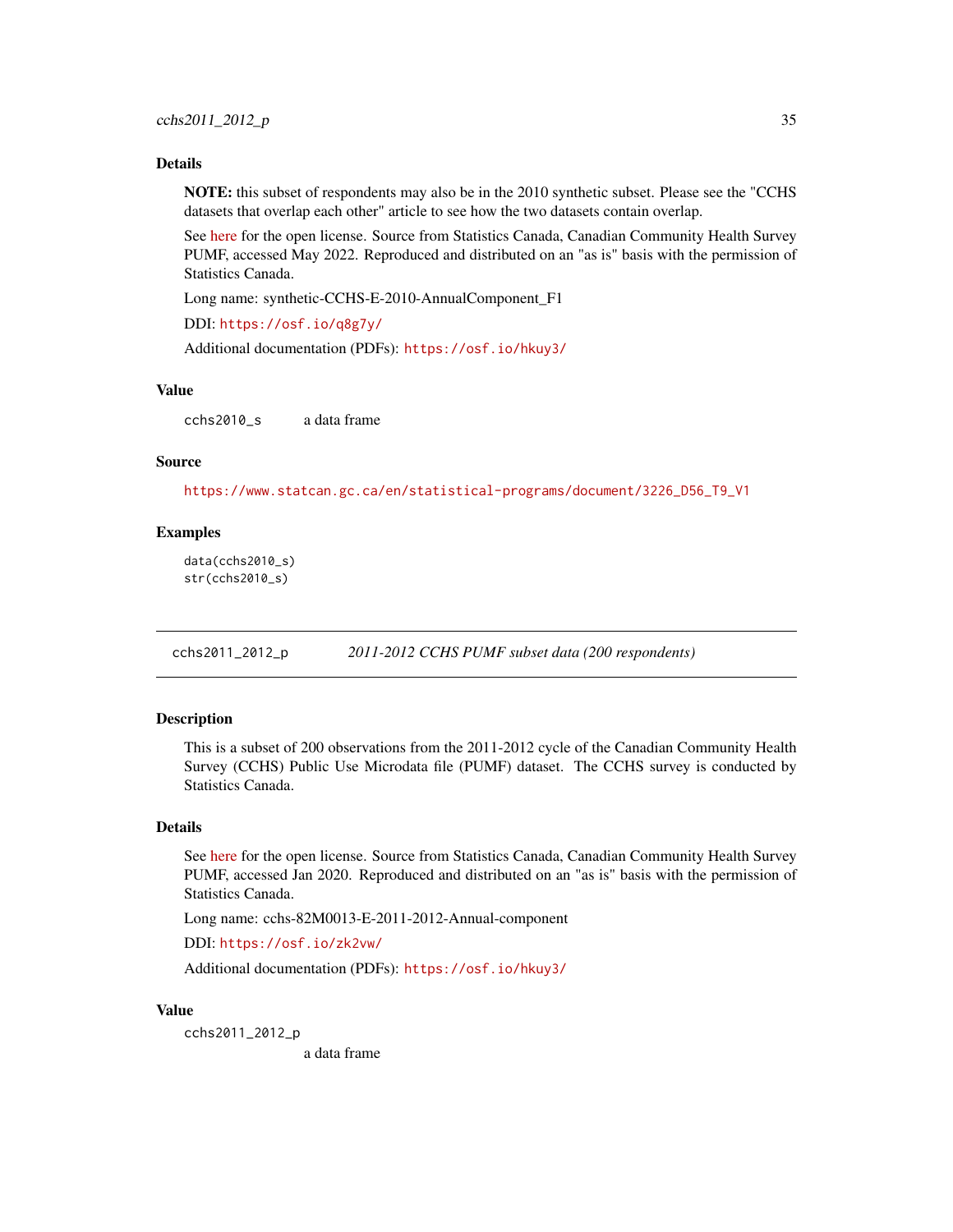#### <span id="page-34-0"></span>Details

NOTE: this subset of respondents may also be in the 2010 synthetic subset. Please see the "CCHS datasets that overlap each other" article to see how the two datasets contain overlap.

See [here](https://www.statcan.gc.ca/en/reference/licence) for the open license. Source from Statistics Canada, Canadian Community Health Survey PUMF, accessed May 2022. Reproduced and distributed on an "as is" basis with the permission of Statistics Canada.

Long name: synthetic-CCHS-E-2010-AnnualComponent\_F1

DDI: <https://osf.io/q8g7y/>

Additional documentation (PDFs): <https://osf.io/hkuy3/>

## Value

cchs2010\_s a data frame

## Source

[https://www.statcan.gc.ca/en/statistical-programs/document/3226\\_D56\\_T9\\_V1](https://www.statcan.gc.ca/en/statistical-programs/document/3226_D56_T9_V1)

## Examples

data(cchs2010\_s) str(cchs2010\_s)

cchs2011\_2012\_p *2011-2012 CCHS PUMF subset data (200 respondents)*

# Description

This is a subset of 200 observations from the 2011-2012 cycle of the Canadian Community Health Survey (CCHS) Public Use Microdata file (PUMF) dataset. The CCHS survey is conducted by Statistics Canada.

#### Details

See [here](https://www.statcan.gc.ca/en/reference/licence) for the open license. Source from Statistics Canada, Canadian Community Health Survey PUMF, accessed Jan 2020. Reproduced and distributed on an "as is" basis with the permission of Statistics Canada.

Long name: cchs-82M0013-E-2011-2012-Annual-component

DDI: <https://osf.io/zk2vw/>

Additional documentation (PDFs): <https://osf.io/hkuy3/>

### Value

cchs2011\_2012\_p a data frame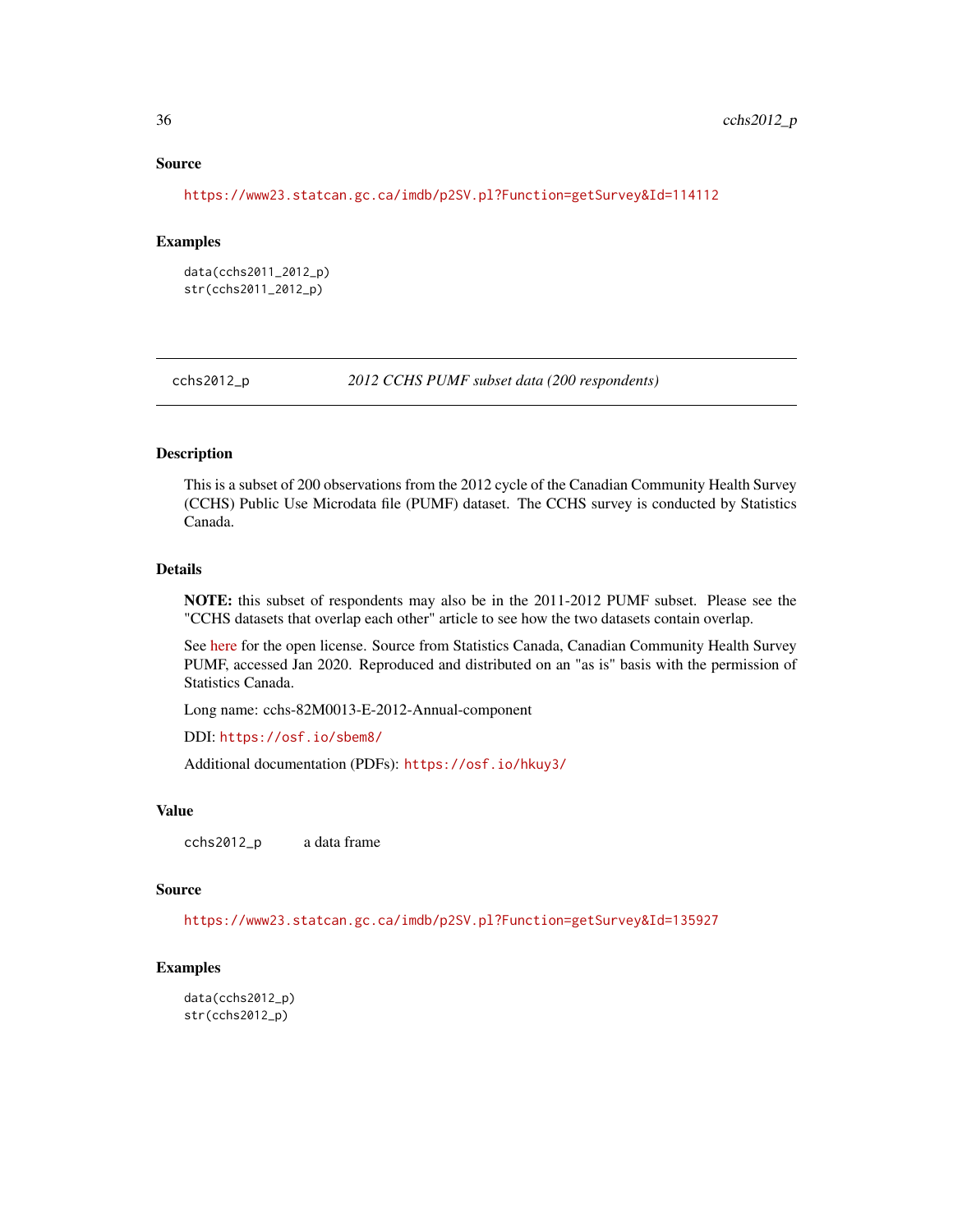## Source

<https://www23.statcan.gc.ca/imdb/p2SV.pl?Function=getSurvey&Id=114112>

#### Examples

data(cchs2011\_2012\_p) str(cchs2011\_2012\_p)

cchs2012\_p *2012 CCHS PUMF subset data (200 respondents)*

# Description

This is a subset of 200 observations from the 2012 cycle of the Canadian Community Health Survey (CCHS) Public Use Microdata file (PUMF) dataset. The CCHS survey is conducted by Statistics Canada.

## Details

NOTE: this subset of respondents may also be in the 2011-2012 PUMF subset. Please see the "CCHS datasets that overlap each other" article to see how the two datasets contain overlap.

See [here](https://www.statcan.gc.ca/en/reference/licence) for the open license. Source from Statistics Canada, Canadian Community Health Survey PUMF, accessed Jan 2020. Reproduced and distributed on an "as is" basis with the permission of Statistics Canada.

Long name: cchs-82M0013-E-2012-Annual-component

DDI: <https://osf.io/sbem8/>

Additional documentation (PDFs): <https://osf.io/hkuy3/>

## Value

cchs2012\_p a data frame

#### Source

<https://www23.statcan.gc.ca/imdb/p2SV.pl?Function=getSurvey&Id=135927>

## Examples

data(cchs2012\_p) str(cchs2012\_p)

<span id="page-35-0"></span>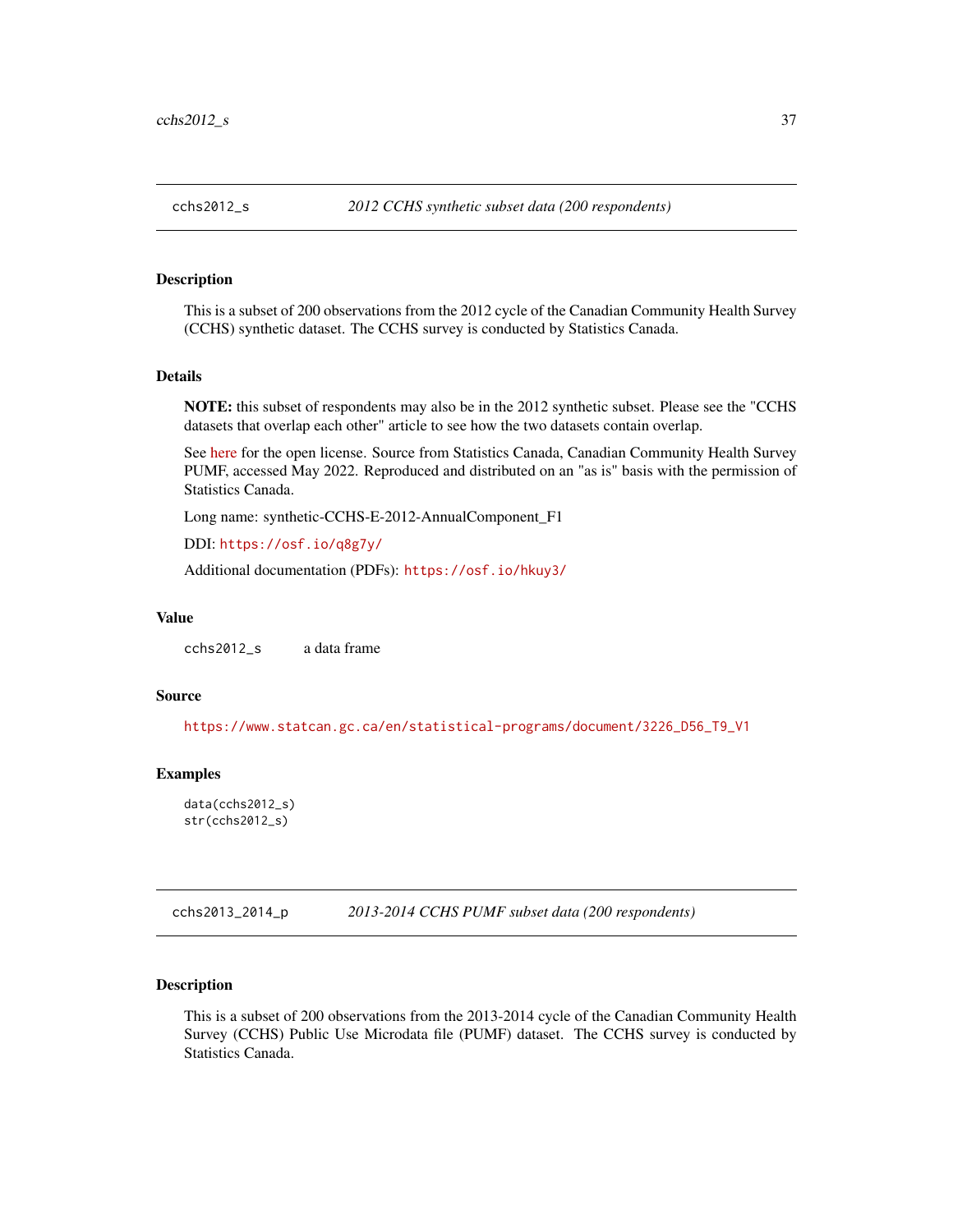This is a subset of 200 observations from the 2012 cycle of the Canadian Community Health Survey (CCHS) synthetic dataset. The CCHS survey is conducted by Statistics Canada.

## Details

NOTE: this subset of respondents may also be in the 2012 synthetic subset. Please see the "CCHS datasets that overlap each other" article to see how the two datasets contain overlap.

See [here](https://www.statcan.gc.ca/en/reference/licence) for the open license. Source from Statistics Canada, Canadian Community Health Survey PUMF, accessed May 2022. Reproduced and distributed on an "as is" basis with the permission of Statistics Canada.

Long name: synthetic-CCHS-E-2012-AnnualComponent\_F1

DDI: <https://osf.io/q8g7y/>

Additional documentation (PDFs): <https://osf.io/hkuy3/>

### Value

cchs2012\_s a data frame

## Source

[https://www.statcan.gc.ca/en/statistical-programs/document/3226\\_D56\\_T9\\_V1](https://www.statcan.gc.ca/en/statistical-programs/document/3226_D56_T9_V1)

### Examples

```
data(cchs2012_s)
str(cchs2012_s)
```
cchs2013\_2014\_p *2013-2014 CCHS PUMF subset data (200 respondents)*

#### Description

This is a subset of 200 observations from the 2013-2014 cycle of the Canadian Community Health Survey (CCHS) Public Use Microdata file (PUMF) dataset. The CCHS survey is conducted by Statistics Canada.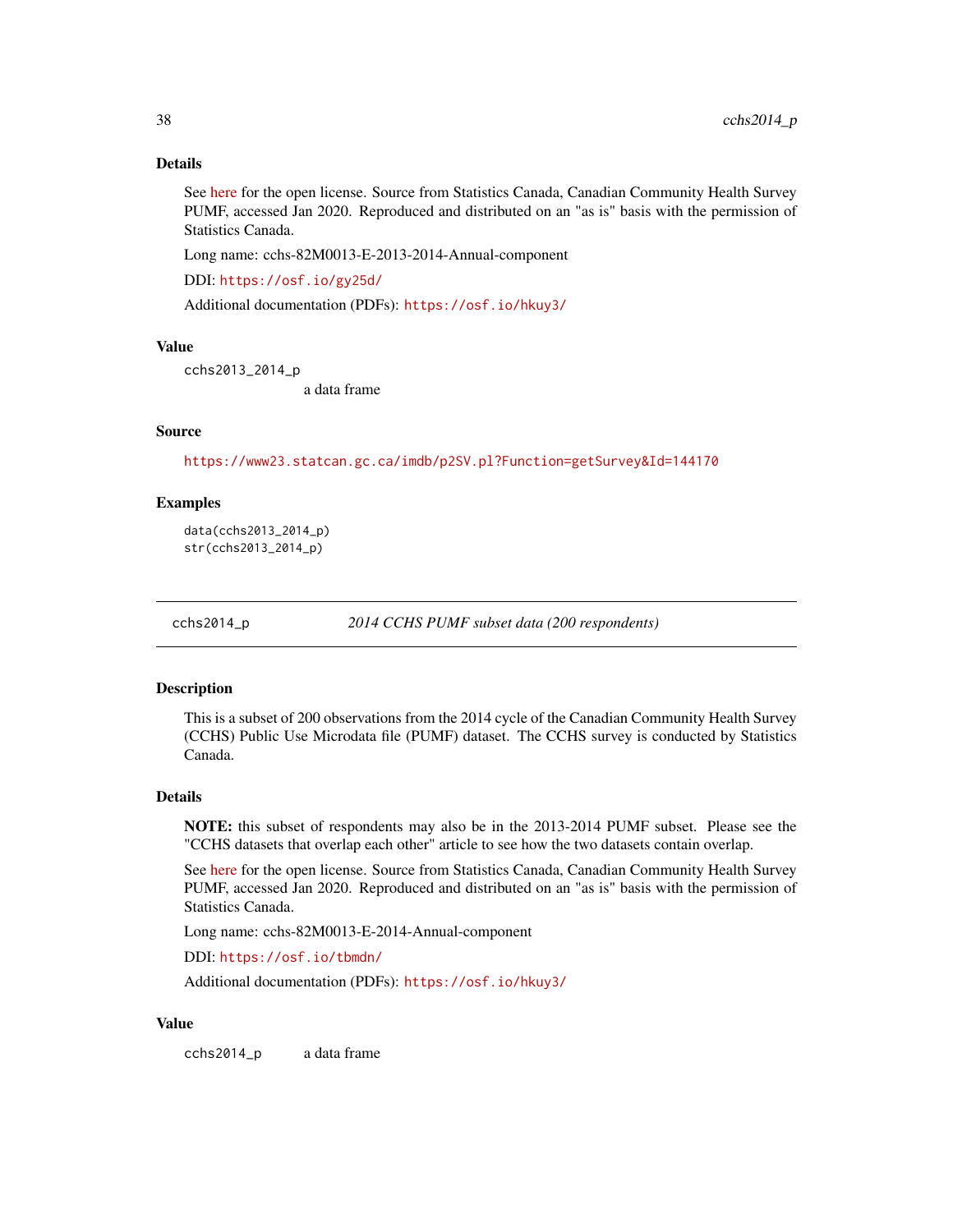## Details

See [here](https://www.statcan.gc.ca/en/reference/licence) for the open license. Source from Statistics Canada, Canadian Community Health Survey PUMF, accessed Jan 2020. Reproduced and distributed on an "as is" basis with the permission of Statistics Canada.

Long name: cchs-82M0013-E-2013-2014-Annual-component

DDI: <https://osf.io/gy25d/>

Additional documentation (PDFs): <https://osf.io/hkuy3/>

#### Value

cchs2013\_2014\_p

a data frame

#### Source

<https://www23.statcan.gc.ca/imdb/p2SV.pl?Function=getSurvey&Id=144170>

### Examples

data(cchs2013\_2014\_p) str(cchs2013\_2014\_p)

cchs2014\_p *2014 CCHS PUMF subset data (200 respondents)*

#### Description

This is a subset of 200 observations from the 2014 cycle of the Canadian Community Health Survey (CCHS) Public Use Microdata file (PUMF) dataset. The CCHS survey is conducted by Statistics Canada.

#### Details

NOTE: this subset of respondents may also be in the 2013-2014 PUMF subset. Please see the "CCHS datasets that overlap each other" article to see how the two datasets contain overlap.

See [here](https://www.statcan.gc.ca/en/reference/licence) for the open license. Source from Statistics Canada, Canadian Community Health Survey PUMF, accessed Jan 2020. Reproduced and distributed on an "as is" basis with the permission of Statistics Canada.

Long name: cchs-82M0013-E-2014-Annual-component

DDI: <https://osf.io/tbmdn/>

Additional documentation (PDFs): <https://osf.io/hkuy3/>

### Value

cchs2014\_p a data frame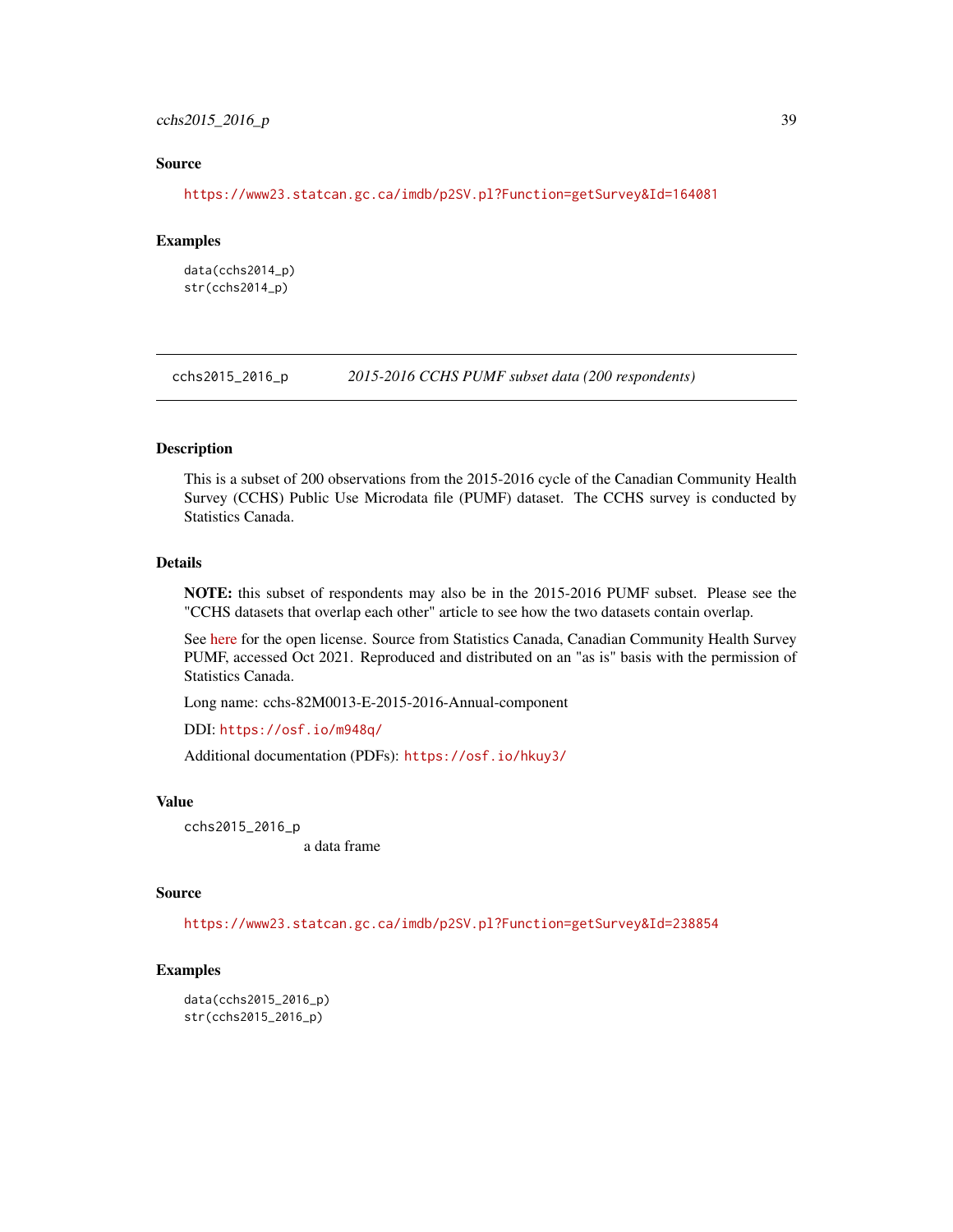## cchs2015\_2016\_p 39

### Source

<https://www23.statcan.gc.ca/imdb/p2SV.pl?Function=getSurvey&Id=164081>

#### Examples

data(cchs2014\_p) str(cchs2014\_p)

cchs2015\_2016\_p *2015-2016 CCHS PUMF subset data (200 respondents)*

### Description

This is a subset of 200 observations from the 2015-2016 cycle of the Canadian Community Health Survey (CCHS) Public Use Microdata file (PUMF) dataset. The CCHS survey is conducted by Statistics Canada.

## Details

NOTE: this subset of respondents may also be in the 2015-2016 PUMF subset. Please see the "CCHS datasets that overlap each other" article to see how the two datasets contain overlap.

See [here](https://www.statcan.gc.ca/en/reference/licence) for the open license. Source from Statistics Canada, Canadian Community Health Survey PUMF, accessed Oct 2021. Reproduced and distributed on an "as is" basis with the permission of Statistics Canada.

Long name: cchs-82M0013-E-2015-2016-Annual-component

DDI: <https://osf.io/m948q/>

Additional documentation (PDFs): <https://osf.io/hkuy3/>

#### Value

cchs2015\_2016\_p a data frame

## Source

<https://www23.statcan.gc.ca/imdb/p2SV.pl?Function=getSurvey&Id=238854>

# Examples

data(cchs2015\_2016\_p) str(cchs2015\_2016\_p)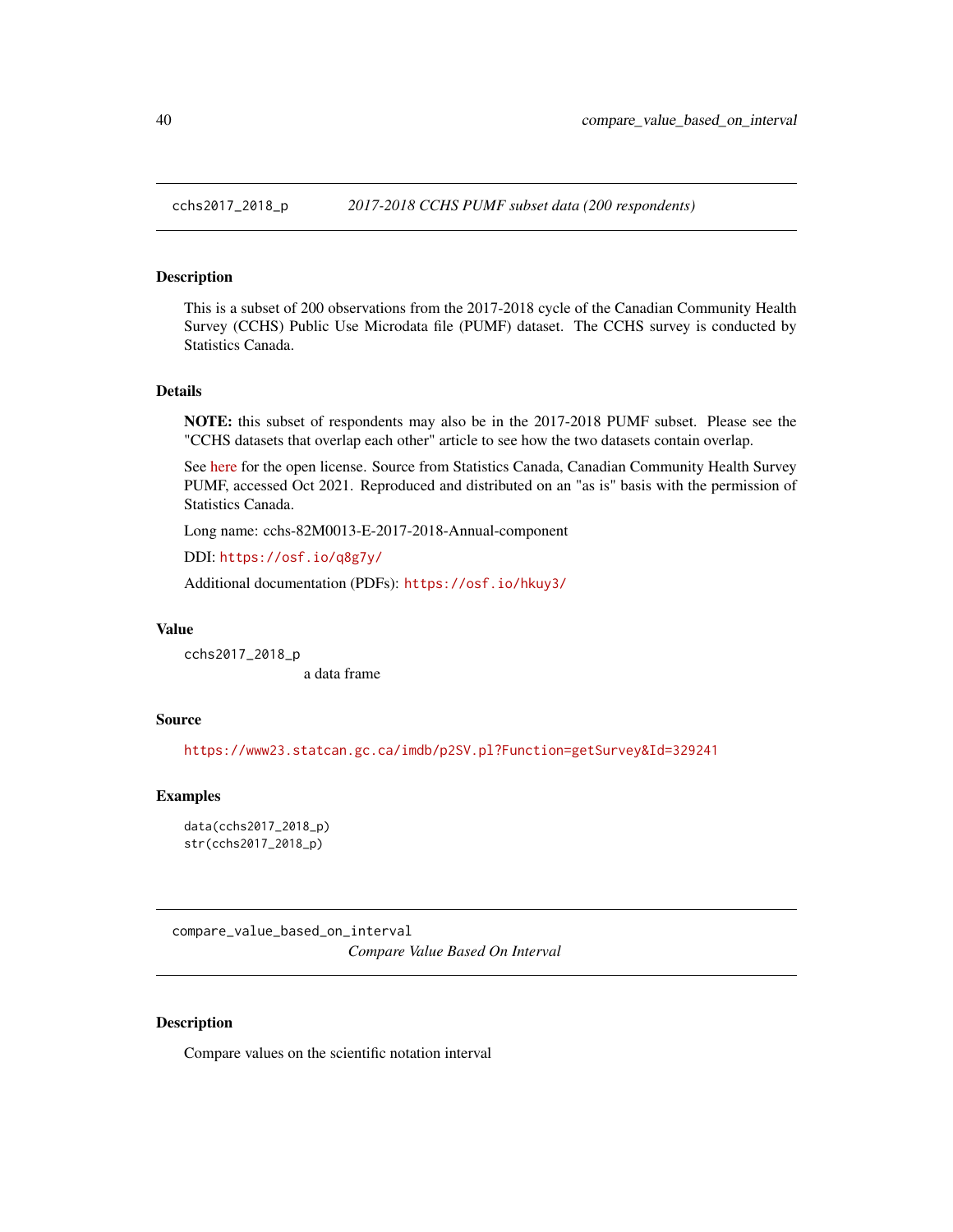This is a subset of 200 observations from the 2017-2018 cycle of the Canadian Community Health Survey (CCHS) Public Use Microdata file (PUMF) dataset. The CCHS survey is conducted by Statistics Canada.

## Details

NOTE: this subset of respondents may also be in the 2017-2018 PUMF subset. Please see the "CCHS datasets that overlap each other" article to see how the two datasets contain overlap.

See [here](https://www.statcan.gc.ca/en/reference/licence) for the open license. Source from Statistics Canada, Canadian Community Health Survey PUMF, accessed Oct 2021. Reproduced and distributed on an "as is" basis with the permission of Statistics Canada.

Long name: cchs-82M0013-E-2017-2018-Annual-component

DDI: <https://osf.io/q8g7y/>

Additional documentation (PDFs): <https://osf.io/hkuy3/>

#### Value

cchs2017\_2018\_p a data frame

### Source

<https://www23.statcan.gc.ca/imdb/p2SV.pl?Function=getSurvey&Id=329241>

## Examples

data(cchs2017\_2018\_p) str(cchs2017\_2018\_p)

compare\_value\_based\_on\_interval *Compare Value Based On Interval*

### Description

Compare values on the scientific notation interval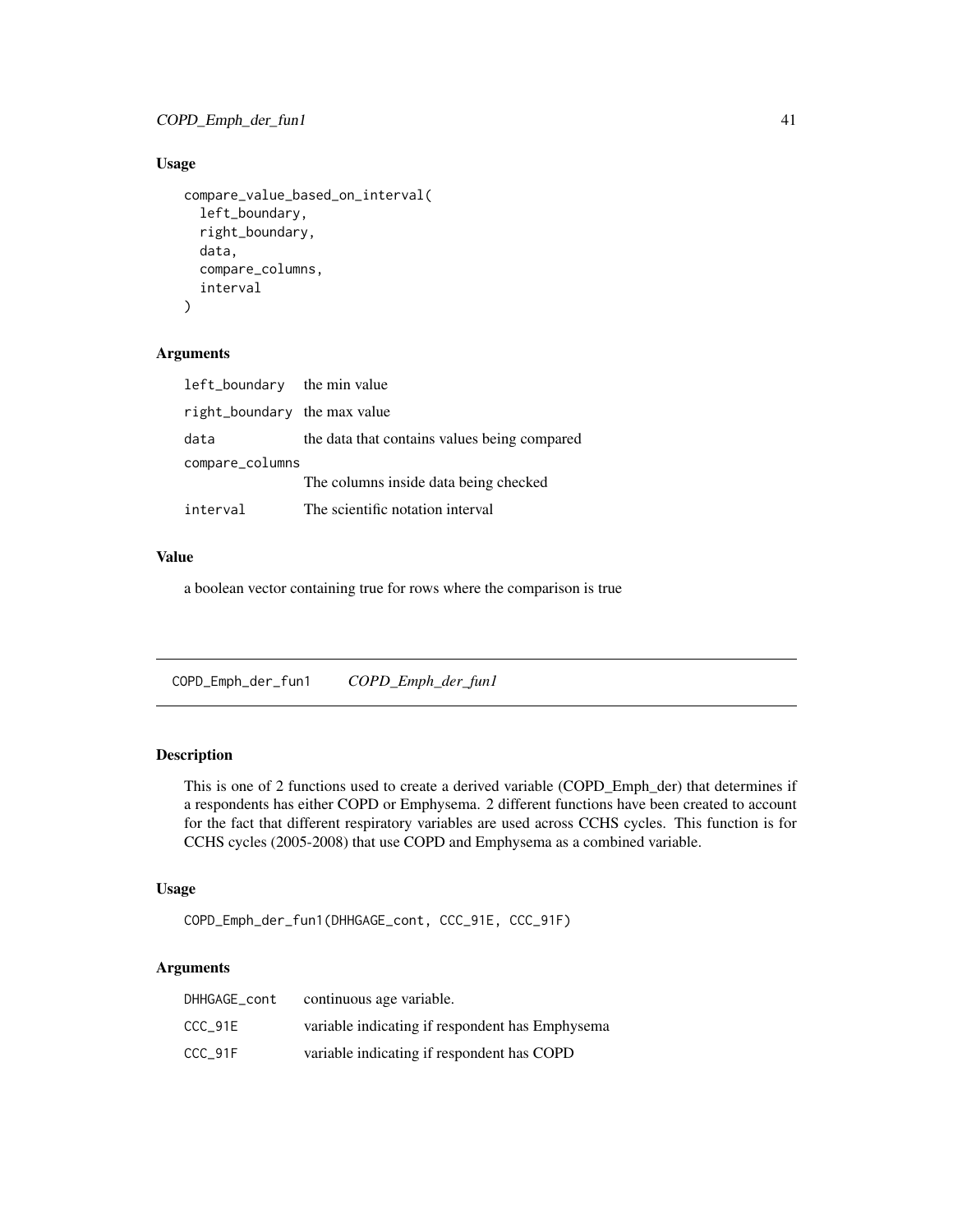## Usage

```
compare_value_based_on_interval(
  left_boundary,
  right_boundary,
  data,
  compare_columns,
  interval
)
```
## Arguments

| left_boundary the min value  |                                              |
|------------------------------|----------------------------------------------|
| right_boundary the max value |                                              |
| data                         | the data that contains values being compared |
| compare_columns              |                                              |
|                              | The columns inside data being checked        |
| interval                     | The scientific notation interval             |

## Value

a boolean vector containing true for rows where the comparison is true

COPD\_Emph\_der\_fun1 *COPD\_Emph\_der\_fun1*

## Description

This is one of 2 functions used to create a derived variable (COPD\_Emph\_der) that determines if a respondents has either COPD or Emphysema. 2 different functions have been created to account for the fact that different respiratory variables are used across CCHS cycles. This function is for CCHS cycles (2005-2008) that use COPD and Emphysema as a combined variable.

## Usage

```
COPD_Emph_der_fun1(DHHGAGE_cont, CCC_91E, CCC_91F)
```
## Arguments

| DHHGAGE cont | continuous age variable.                        |
|--------------|-------------------------------------------------|
| CCC 91E      | variable indicating if respondent has Emphysema |
| CCC 91F      | variable indicating if respondent has COPD      |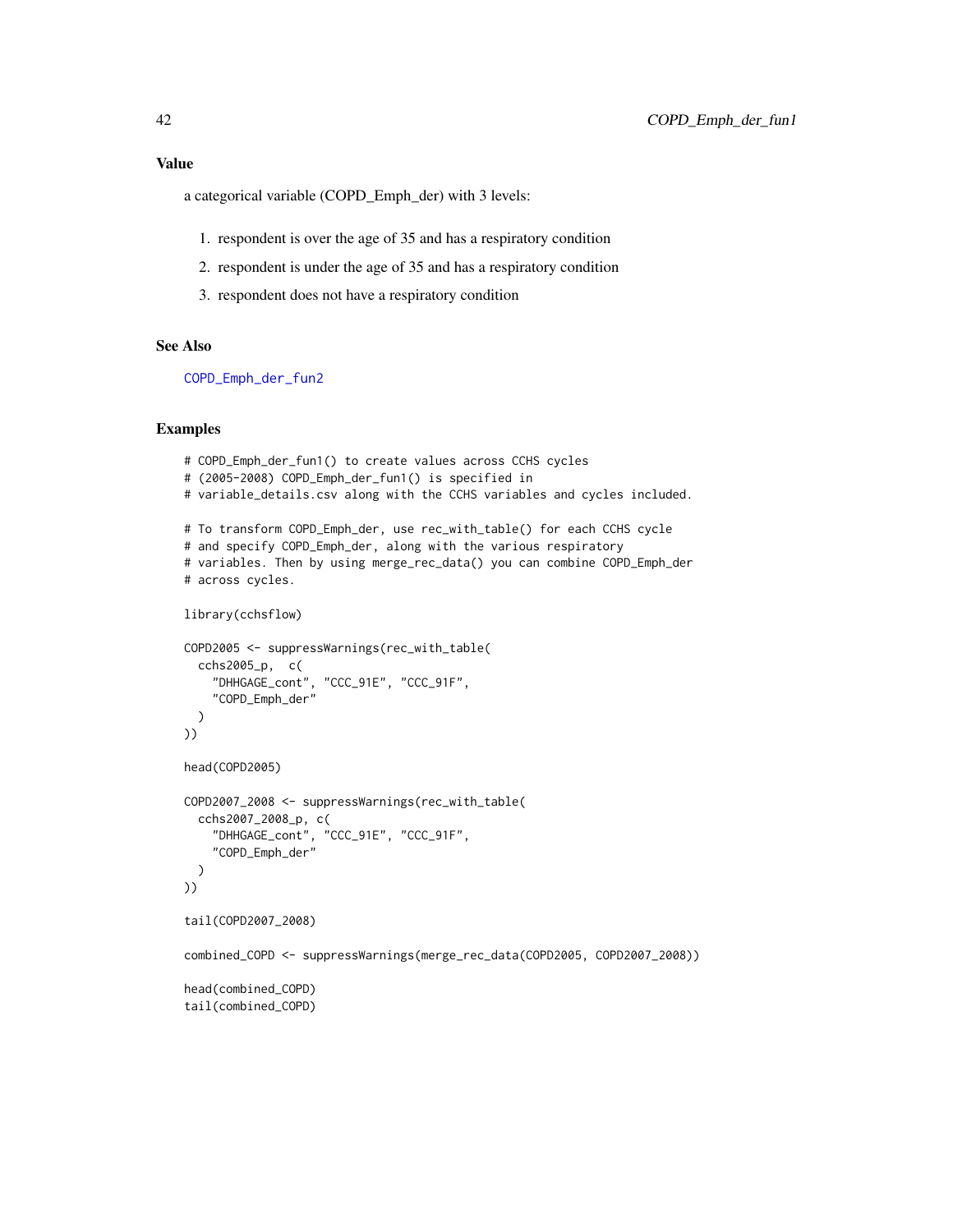a categorical variable (COPD\_Emph\_der) with 3 levels:

- 1. respondent is over the age of 35 and has a respiratory condition
- 2. respondent is under the age of 35 and has a respiratory condition
- 3. respondent does not have a respiratory condition

## See Also

[COPD\\_Emph\\_der\\_fun2](#page-42-0)

```
# COPD_Emph_der_fun1() to create values across CCHS cycles
# (2005-2008) COPD_Emph_der_fun1() is specified in
# variable_details.csv along with the CCHS variables and cycles included.
# To transform COPD_Emph_der, use rec_with_table() for each CCHS cycle
# and specify COPD_Emph_der, along with the various respiratory
# variables. Then by using merge_rec_data() you can combine COPD_Emph_der
# across cycles.
library(cchsflow)
COPD2005 <- suppressWarnings(rec_with_table(
  cchs2005_p, c(
    "DHHGAGE_cont", "CCC_91E", "CCC_91F",
    "COPD_Emph_der"
  )
))
head(COPD2005)
COPD2007_2008 <- suppressWarnings(rec_with_table(
  cchs2007_2008_p, c(
    "DHHGAGE_cont", "CCC_91E", "CCC_91F",
    "COPD_Emph_der"
  )
))
tail(COPD2007_2008)
combined_COPD <- suppressWarnings(merge_rec_data(COPD2005, COPD2007_2008))
head(combined_COPD)
tail(combined_COPD)
```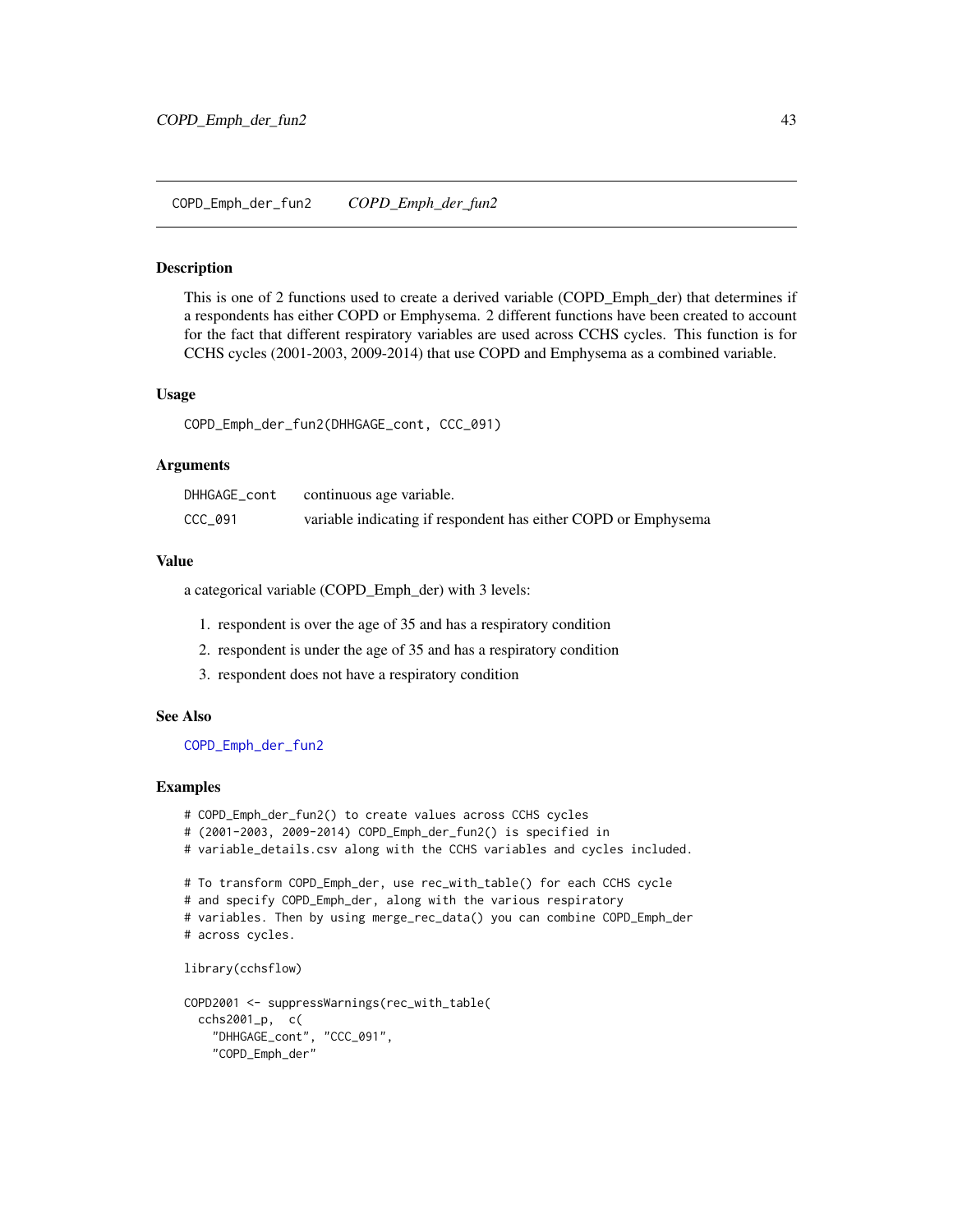<span id="page-42-0"></span>This is one of 2 functions used to create a derived variable (COPD\_Emph\_der) that determines if a respondents has either COPD or Emphysema. 2 different functions have been created to account for the fact that different respiratory variables are used across CCHS cycles. This function is for CCHS cycles (2001-2003, 2009-2014) that use COPD and Emphysema as a combined variable.

#### Usage

COPD\_Emph\_der\_fun2(DHHGAGE\_cont, CCC\_091)

#### Arguments

| DHHGAGE_cont | continuous age variable.                                       |
|--------------|----------------------------------------------------------------|
| CCC_091      | variable indicating if respondent has either COPD or Emphysema |

#### Value

a categorical variable (COPD\_Emph\_der) with 3 levels:

- 1. respondent is over the age of 35 and has a respiratory condition
- 2. respondent is under the age of 35 and has a respiratory condition
- 3. respondent does not have a respiratory condition

### See Also

[COPD\\_Emph\\_der\\_fun2](#page-42-0)

#### Examples

- # COPD\_Emph\_der\_fun2() to create values across CCHS cycles
- # (2001-2003, 2009-2014) COPD\_Emph\_der\_fun2() is specified in
- # variable\_details.csv along with the CCHS variables and cycles included.

```
# To transform COPD_Emph_der, use rec_with_table() for each CCHS cycle
```
# and specify COPD\_Emph\_der, along with the various respiratory

```
# variables. Then by using merge_rec_data() you can combine COPD_Emph_der
# across cycles.
```

```
library(cchsflow)
```

```
COPD2001 <- suppressWarnings(rec_with_table(
 cchs2001_p, c(
    "DHHGAGE_cont", "CCC_091",
    "COPD_Emph_der"
```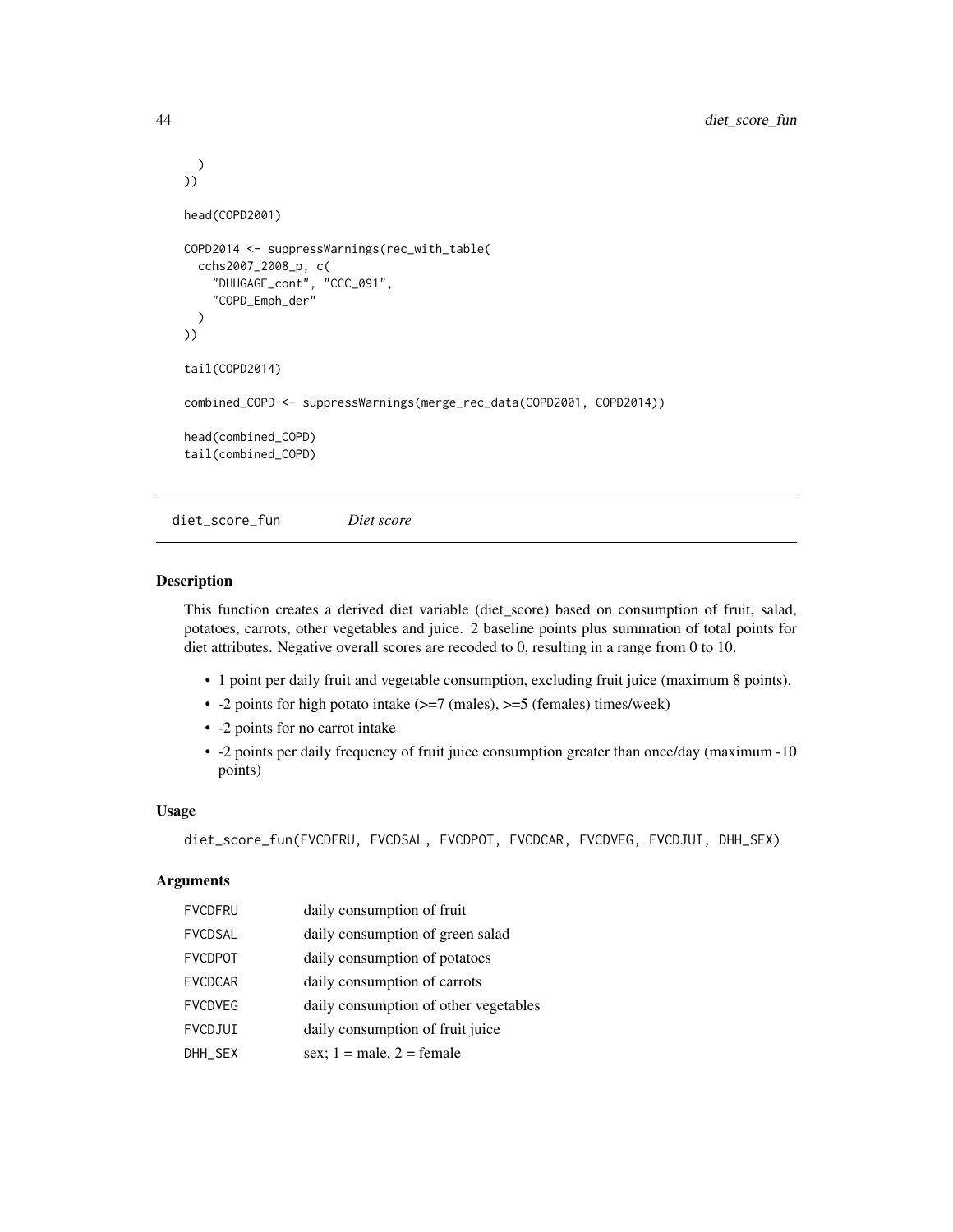```
)
))
head(COPD2001)
COPD2014 <- suppressWarnings(rec_with_table(
 cchs2007_2008_p, c(
    "DHHGAGE_cont", "CCC_091",
    "COPD_Emph_der"
 )
))
tail(COPD2014)
combined_COPD <- suppressWarnings(merge_rec_data(COPD2001, COPD2014))
head(combined_COPD)
tail(combined_COPD)
```
<span id="page-43-0"></span>diet\_score\_fun *Diet score*

### Description

This function creates a derived diet variable (diet\_score) based on consumption of fruit, salad, potatoes, carrots, other vegetables and juice. 2 baseline points plus summation of total points for diet attributes. Negative overall scores are recoded to 0, resulting in a range from 0 to 10.

- 1 point per daily fruit and vegetable consumption, excluding fruit juice (maximum 8 points).
- -2 points for high potato intake (>=7 (males), >=5 (females) times/week)
- -2 points for no carrot intake
- -2 points per daily frequency of fruit juice consumption greater than once/day (maximum -10 points)

### Usage

```
diet_score_fun(FVCDFRU, FVCDSAL, FVCDPOT, FVCDCAR, FVCDVEG, FVCDJUI, DHH_SEX)
```
## Arguments

| <b>FVCDFRU</b> | daily consumption of fruit            |
|----------------|---------------------------------------|
| <b>FVCDSAL</b> | daily consumption of green salad      |
| <b>FVCDPOT</b> | daily consumption of potatoes         |
| <b>FVCDCAR</b> | daily consumption of carrots          |
| <b>FVCDVEG</b> | daily consumption of other vegetables |
| FVCDJUI        | daily consumption of fruit juice      |
| DHH SEX        | sex; $1 =$ male, $2 =$ female         |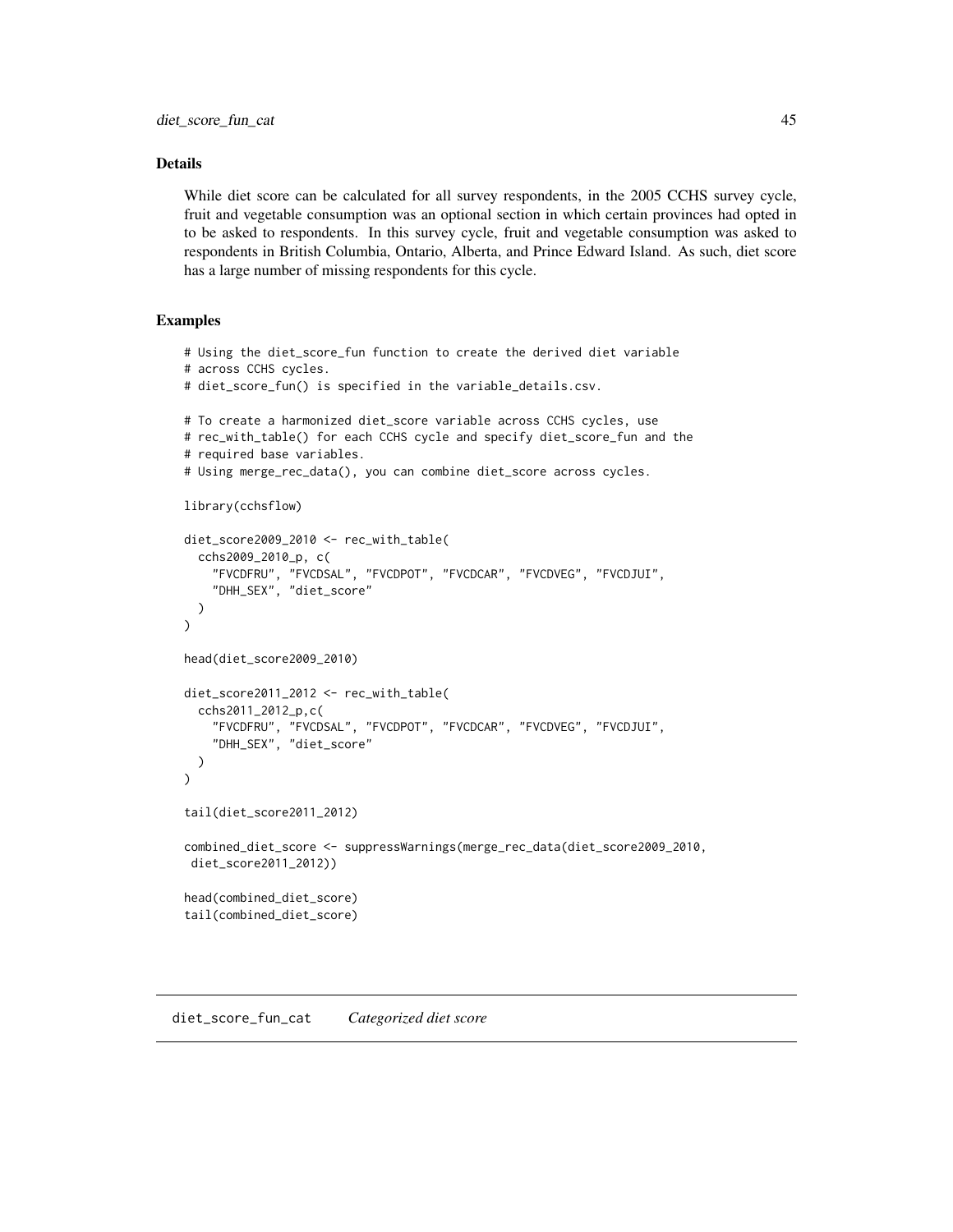## Details

While diet score can be calculated for all survey respondents, in the 2005 CCHS survey cycle, fruit and vegetable consumption was an optional section in which certain provinces had opted in to be asked to respondents. In this survey cycle, fruit and vegetable consumption was asked to respondents in British Columbia, Ontario, Alberta, and Prince Edward Island. As such, diet score has a large number of missing respondents for this cycle.

## Examples

```
# Using the diet_score_fun function to create the derived diet variable
# across CCHS cycles.
# diet_score_fun() is specified in the variable_details.csv.
# To create a harmonized diet_score variable across CCHS cycles, use
# rec_with_table() for each CCHS cycle and specify diet_score_fun and the
# required base variables.
# Using merge_rec_data(), you can combine diet_score across cycles.
library(cchsflow)
diet_score2009_2010 <- rec_with_table(
  cchs2009_2010_p, c(
    "FVCDFRU", "FVCDSAL", "FVCDPOT", "FVCDCAR", "FVCDVEG", "FVCDJUI",
    "DHH_SEX", "diet_score"
  )
\lambdahead(diet_score2009_2010)
diet_score2011_2012 <- rec_with_table(
  cchs2011_2012_p,c(
    "FVCDFRU", "FVCDSAL", "FVCDPOT", "FVCDCAR", "FVCDVEG", "FVCDJUI",
    "DHH_SEX", "diet_score"
  )
\mathcal{L}tail(diet_score2011_2012)
combined_diet_score <- suppressWarnings(merge_rec_data(diet_score2009_2010,
 diet_score2011_2012))
head(combined_diet_score)
tail(combined_diet_score)
```
diet\_score\_fun\_cat *Categorized diet score*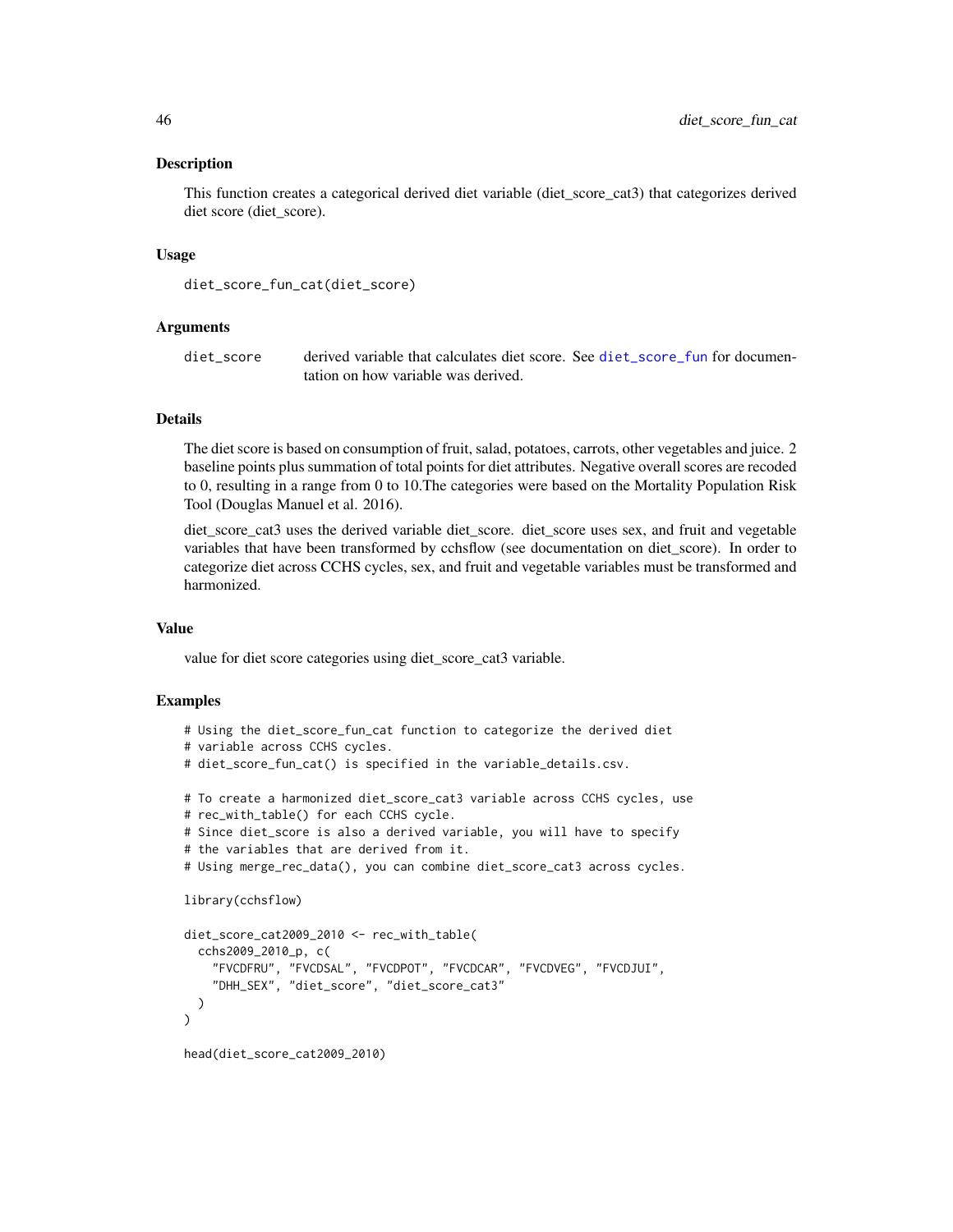This function creates a categorical derived diet variable (diet\_score\_cat3) that categorizes derived diet score (diet\_score).

#### Usage

```
diet_score_fun_cat(diet_score)
```
#### Arguments

diet\_score derived variable that calculates diet score. See [diet\\_score\\_fun](#page-43-0) for documentation on how variable was derived.

### Details

The diet score is based on consumption of fruit, salad, potatoes, carrots, other vegetables and juice. 2 baseline points plus summation of total points for diet attributes. Negative overall scores are recoded to 0, resulting in a range from 0 to 10.The categories were based on the Mortality Population Risk Tool (Douglas Manuel et al. 2016).

diet\_score\_cat3 uses the derived variable diet\_score. diet\_score uses sex, and fruit and vegetable variables that have been transformed by cchsflow (see documentation on diet\_score). In order to categorize diet across CCHS cycles, sex, and fruit and vegetable variables must be transformed and harmonized.

#### Value

value for diet score categories using diet\_score\_cat3 variable.

```
# Using the diet_score_fun_cat function to categorize the derived diet
# variable across CCHS cycles.
# diet_score_fun_cat() is specified in the variable_details.csv.
# To create a harmonized diet_score_cat3 variable across CCHS cycles, use
# rec_with_table() for each CCHS cycle.
# Since diet_score is also a derived variable, you will have to specify
# the variables that are derived from it.
# Using merge_rec_data(), you can combine diet_score_cat3 across cycles.
library(cchsflow)
diet_score_cat2009_2010 <- rec_with_table(
 cchs2009_2010_p, c(
   "FVCDFRU", "FVCDSAL", "FVCDPOT", "FVCDCAR", "FVCDVEG", "FVCDJUI",
    "DHH_SEX", "diet_score", "diet_score_cat3"
 )
\mathcal{L}head(diet_score_cat2009_2010)
```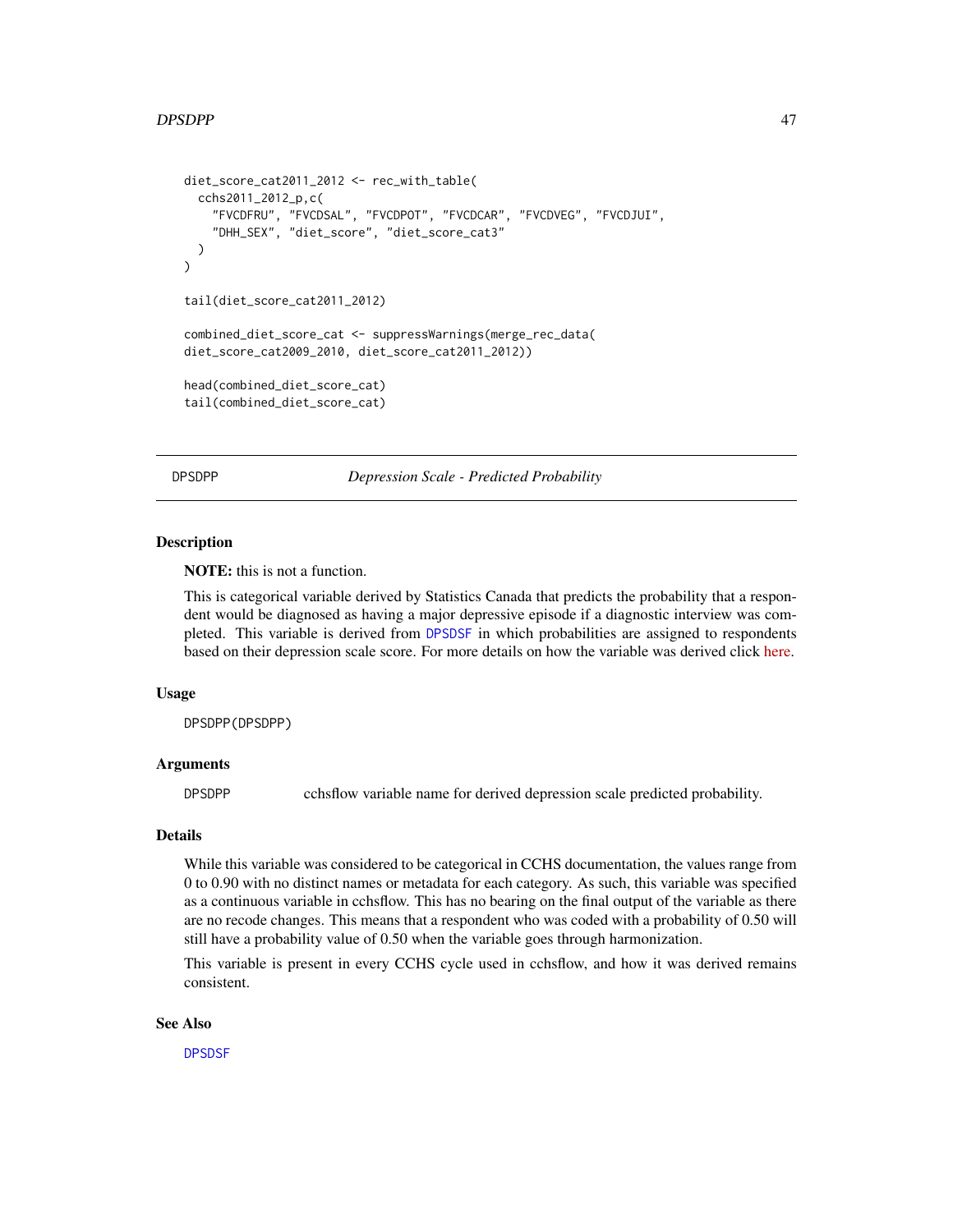### DPSDPP 47

```
diet_score_cat2011_2012 <- rec_with_table(
 cchs2011_2012_p,c(
    "FVCDFRU", "FVCDSAL", "FVCDPOT", "FVCDCAR", "FVCDVEG", "FVCDJUI",
    "DHH_SEX", "diet_score", "diet_score_cat3"
 )
)
tail(diet_score_cat2011_2012)
combined_diet_score_cat <- suppressWarnings(merge_rec_data(
diet_score_cat2009_2010, diet_score_cat2011_2012))
head(combined_diet_score_cat)
tail(combined_diet_score_cat)
```
<span id="page-46-0"></span>DPSDPP *Depression Scale - Predicted Probability*

#### **Description**

NOTE: this is not a function.

This is categorical variable derived by Statistics Canada that predicts the probability that a respondent would be diagnosed as having a major depressive episode if a diagnostic interview was completed. This variable is derived from [DPSDSF](#page-47-0) in which probabilities are assigned to respondents based on their depression scale score. For more details on how the variable was derived click [here.](https://osf.io/auqwh/)

### Usage

DPSDPP(DPSDPP)

#### Arguments

DPSDPP cchsflow variable name for derived depression scale predicted probability.

## Details

While this variable was considered to be categorical in CCHS documentation, the values range from 0 to 0.90 with no distinct names or metadata for each category. As such, this variable was specified as a continuous variable in cchsflow. This has no bearing on the final output of the variable as there are no recode changes. This means that a respondent who was coded with a probability of 0.50 will still have a probability value of 0.50 when the variable goes through harmonization.

This variable is present in every CCHS cycle used in cchsflow, and how it was derived remains consistent.

### See Also

[DPSDSF](#page-47-0)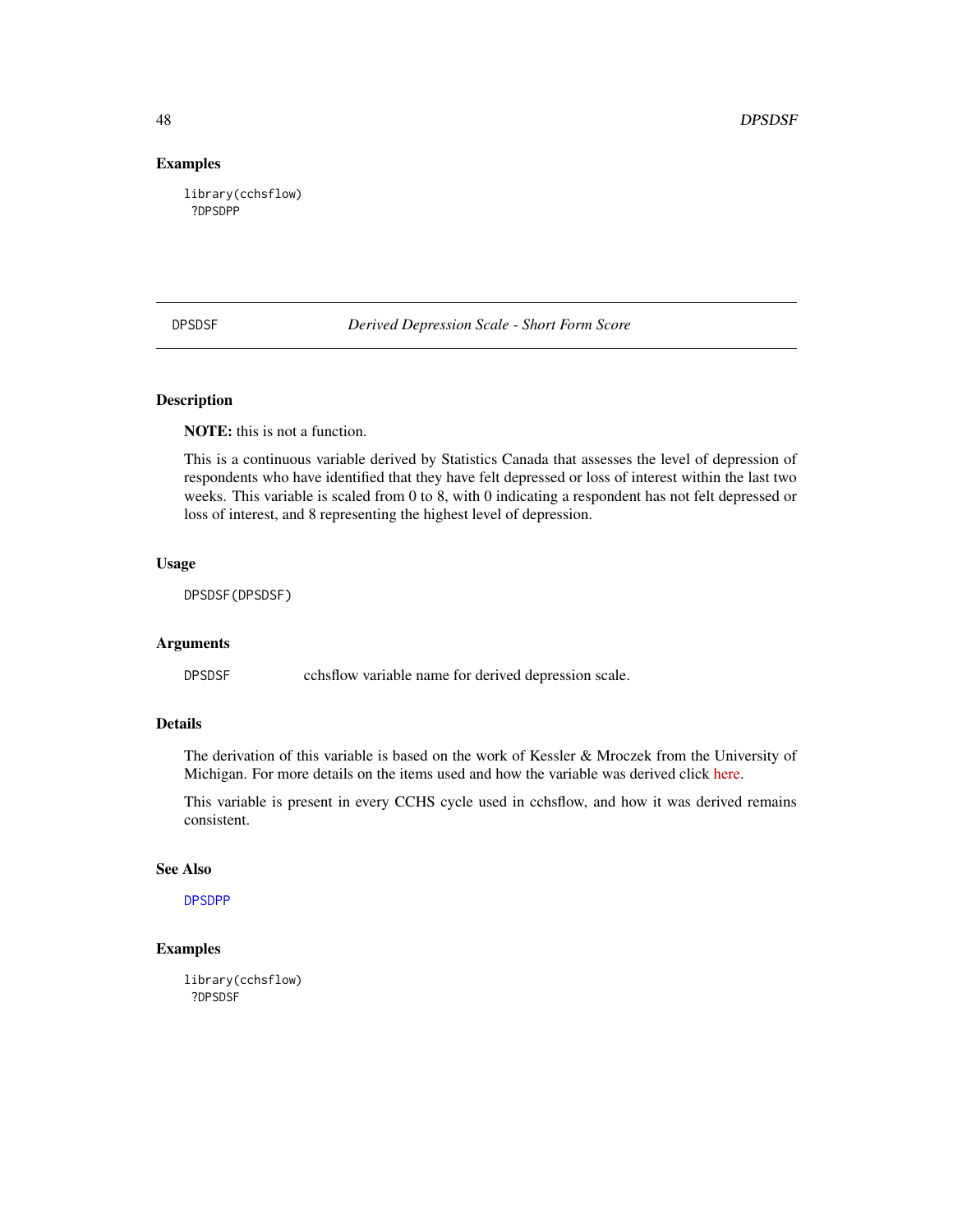### Examples

library(cchsflow) ?DPSDPP

<span id="page-47-0"></span>DPSDSF *Derived Depression Scale - Short Form Score*

### Description

NOTE: this is not a function.

This is a continuous variable derived by Statistics Canada that assesses the level of depression of respondents who have identified that they have felt depressed or loss of interest within the last two weeks. This variable is scaled from 0 to 8, with 0 indicating a respondent has not felt depressed or loss of interest, and 8 representing the highest level of depression.

## Usage

DPSDSF(DPSDSF)

#### Arguments

DPSDSF cchsflow variable name for derived depression scale.

## Details

The derivation of this variable is based on the work of Kessler & Mroczek from the University of Michigan. For more details on the items used and how the variable was derived click [here.](https://osf.io/auqwh/)

This variable is present in every CCHS cycle used in cchsflow, and how it was derived remains consistent.

### See Also

[DPSDPP](#page-46-0)

## Examples

library(cchsflow) ?DPSDSF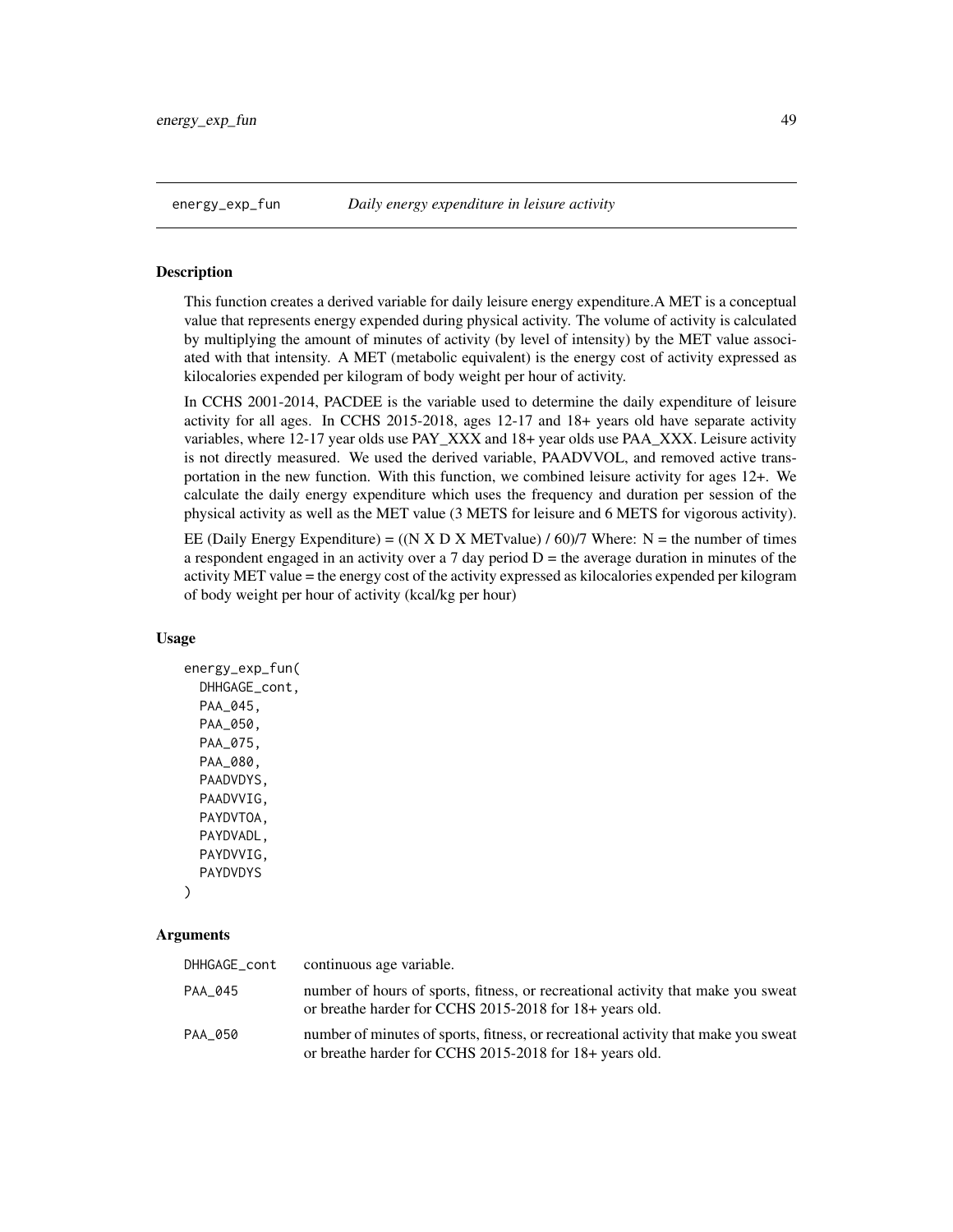This function creates a derived variable for daily leisure energy expenditure.A MET is a conceptual value that represents energy expended during physical activity. The volume of activity is calculated by multiplying the amount of minutes of activity (by level of intensity) by the MET value associated with that intensity. A MET (metabolic equivalent) is the energy cost of activity expressed as kilocalories expended per kilogram of body weight per hour of activity.

In CCHS 2001-2014, PACDEE is the variable used to determine the daily expenditure of leisure activity for all ages. In CCHS 2015-2018, ages 12-17 and 18+ years old have separate activity variables, where 12-17 year olds use PAY\_XXX and 18+ year olds use PAA\_XXX. Leisure activity is not directly measured. We used the derived variable, PAADVVOL, and removed active transportation in the new function. With this function, we combined leisure activity for ages 12+. We calculate the daily energy expenditure which uses the frequency and duration per session of the physical activity as well as the MET value (3 METS for leisure and 6 METS for vigorous activity).

EE (Daily Energy Expenditure) =  $((N X D X METvalue) / 60)/7$  Where: N = the number of times a respondent engaged in an activity over a 7 day period  $D =$  the average duration in minutes of the activity MET value = the energy cost of the activity expressed as kilocalories expended per kilogram of body weight per hour of activity (kcal/kg per hour)

### Usage

```
energy_exp_fun(
 DHHGAGE_cont,
 PAA_045,
 PAA_050,
  PAA_075,
 PAA_080,
  PAADVDYS,
  PAADVVIG,
  PAYDVTOA,
  PAYDVADL,
 PAYDVVIG,
  PAYDVDYS
)
```
### Arguments

| DHHGAGE_cont | continuous age variable.                                                                                                                      |
|--------------|-----------------------------------------------------------------------------------------------------------------------------------------------|
| PAA 045      | number of hours of sports, fitness, or recreational activity that make you sweat<br>or breathe harder for CCHS 2015-2018 for 18+ years old.   |
| PAA 050      | number of minutes of sports, fitness, or recreational activity that make you sweat<br>or breathe harder for CCHS 2015-2018 for 18+ years old. |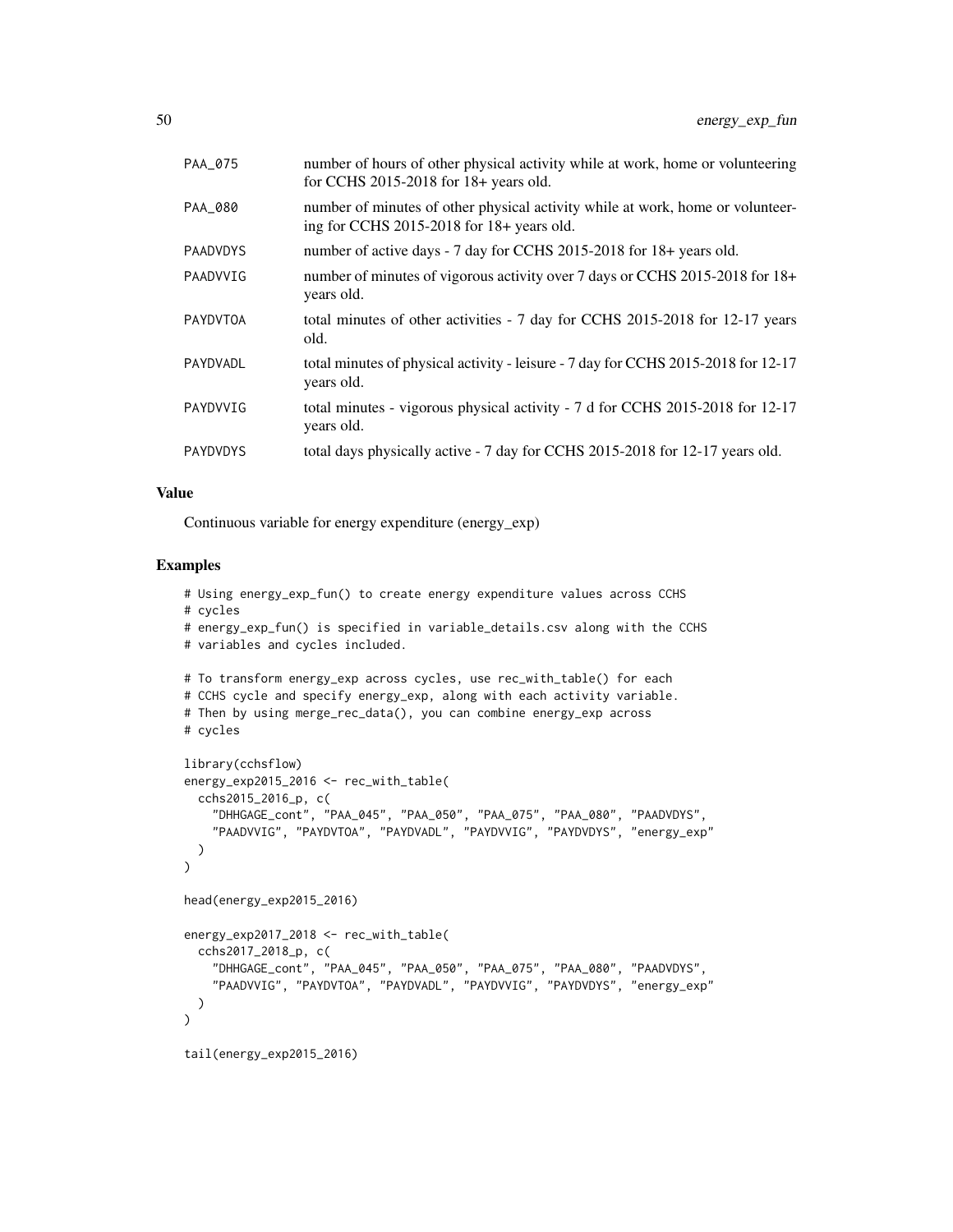| PAA_075         | number of hours of other physical activity while at work, home or volunteering<br>for CCHS 2015-2018 for 18+ years old.     |
|-----------------|-----------------------------------------------------------------------------------------------------------------------------|
| PAA_080         | number of minutes of other physical activity while at work, home or volunteer-<br>ing for CCHS 2015-2018 for 18+ years old. |
| <b>PAADVDYS</b> | number of active days - 7 day for CCHS 2015-2018 for 18+ years old.                                                         |
| PAADVVIG        | number of minutes of vigorous activity over 7 days or CCHS 2015-2018 for 18+<br>years old.                                  |
| <b>PAYDVTOA</b> | total minutes of other activities - 7 day for CCHS 2015-2018 for 12-17 years<br>old.                                        |
| PAYDVADL        | total minutes of physical activity - leisure - 7 day for CCHS 2015-2018 for 12-17<br>years old.                             |
| PAYDVVIG        | total minutes - vigorous physical activity - 7 d for CCHS 2015-2018 for 12-17<br>years old.                                 |
| PAYDVDYS        | total days physically active - 7 day for CCHS 2015-2018 for 12-17 years old.                                                |

## Value

Continuous variable for energy expenditure (energy\_exp)

```
# Using energy_exp_fun() to create energy expenditure values across CCHS
# cycles
# energy_exp_fun() is specified in variable_details.csv along with the CCHS
# variables and cycles included.
# To transform energy_exp across cycles, use rec_with_table() for each
# CCHS cycle and specify energy_exp, along with each activity variable.
# Then by using merge_rec_data(), you can combine energy_exp across
# cycles
library(cchsflow)
energy_exp2015_2016 <- rec_with_table(
  cchs2015_2016_p, c(
    "DHHGAGE_cont", "PAA_045", "PAA_050", "PAA_075", "PAA_080", "PAADVDYS",
    "PAADVVIG", "PAYDVTOA", "PAYDVADL", "PAYDVVIG", "PAYDVDYS", "energy_exp"
 )
\mathcal{L}head(energy_exp2015_2016)
energy_exp2017_2018 <- rec_with_table(
 cchs2017_2018_p, c(
    "DHHGAGE_cont", "PAA_045", "PAA_050", "PAA_075", "PAA_080", "PAADVDYS",
    "PAADVVIG", "PAYDVTOA", "PAYDVADL", "PAYDVVIG", "PAYDVDYS", "energy_exp"
 )
\mathcal{L}tail(energy_exp2015_2016)
```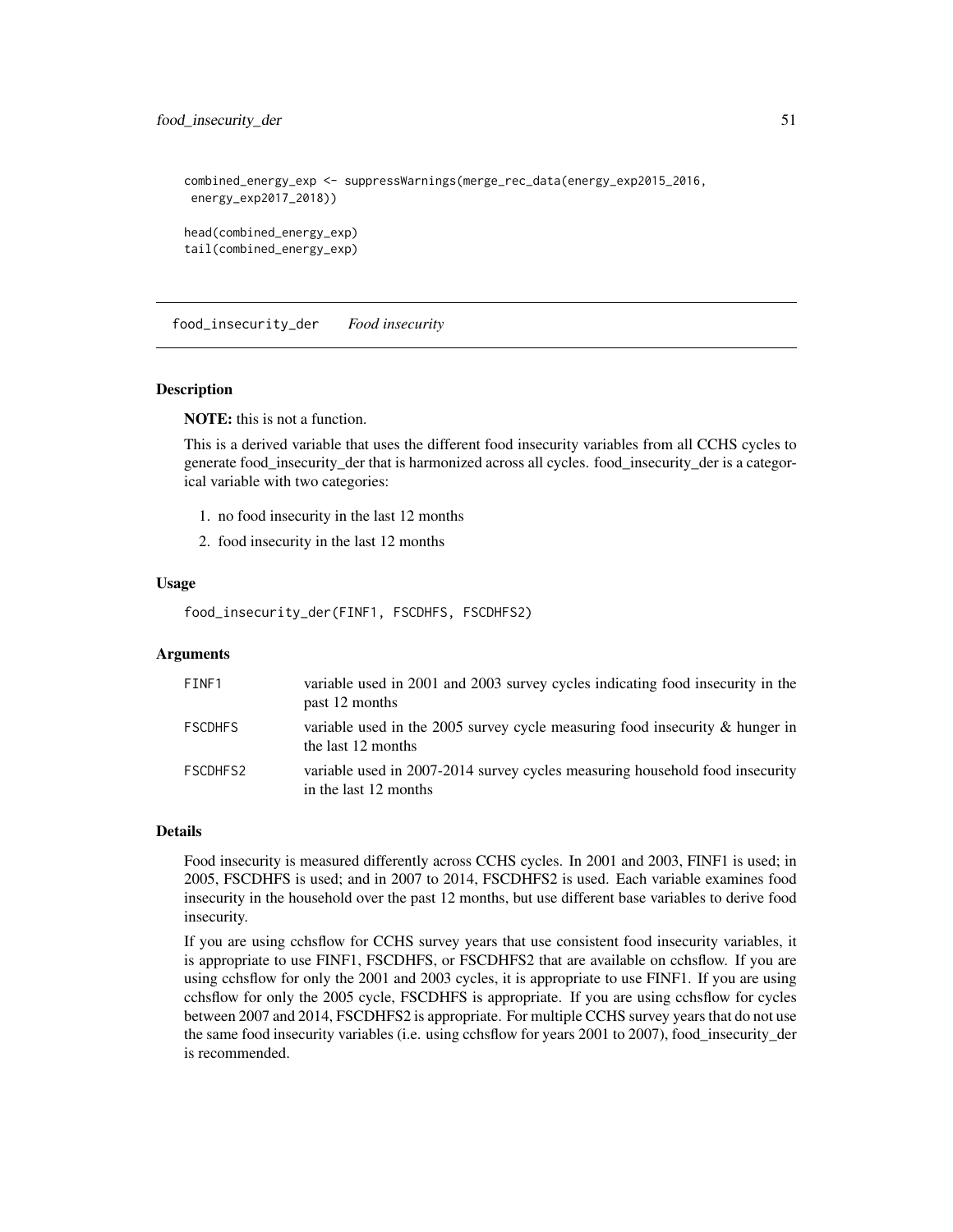food\_insecurity\_der 51

```
combined_energy_exp <- suppressWarnings(merge_rec_data(energy_exp2015_2016,
energy_exp2017_2018))
head(combined_energy_exp)
tail(combined_energy_exp)
```
food\_insecurity\_der *Food insecurity*

### Description

NOTE: this is not a function.

This is a derived variable that uses the different food insecurity variables from all CCHS cycles to generate food\_insecurity\_der that is harmonized across all cycles. food\_insecurity\_der is a categorical variable with two categories:

- 1. no food insecurity in the last 12 months
- 2. food insecurity in the last 12 months

#### Usage

food\_insecurity\_der(FINF1, FSCDHFS, FSCDHFS2)

### **Arguments**

| FINF1          | variable used in 2001 and 2003 survey cycles indicating food insecurity in the<br>past 12 months      |
|----------------|-------------------------------------------------------------------------------------------------------|
| <b>FSCDHFS</b> | variable used in the 2005 survey cycle measuring food insecurity $\&$ hunger in<br>the last 12 months |
| FSCDHFS2       | variable used in 2007-2014 survey cycles measuring household food insecurity<br>in the last 12 months |

## Details

Food insecurity is measured differently across CCHS cycles. In 2001 and 2003, FINF1 is used; in 2005, FSCDHFS is used; and in 2007 to 2014, FSCDHFS2 is used. Each variable examines food insecurity in the household over the past 12 months, but use different base variables to derive food insecurity.

If you are using cchsflow for CCHS survey years that use consistent food insecurity variables, it is appropriate to use FINF1, FSCDHFS, or FSCDHFS2 that are available on cchsflow. If you are using cchsflow for only the 2001 and 2003 cycles, it is appropriate to use FINF1. If you are using cchsflow for only the 2005 cycle, FSCDHFS is appropriate. If you are using cchsflow for cycles between 2007 and 2014, FSCDHFS2 is appropriate. For multiple CCHS survey years that do not use the same food insecurity variables (i.e. using cchsflow for years 2001 to 2007), food\_insecurity\_der is recommended.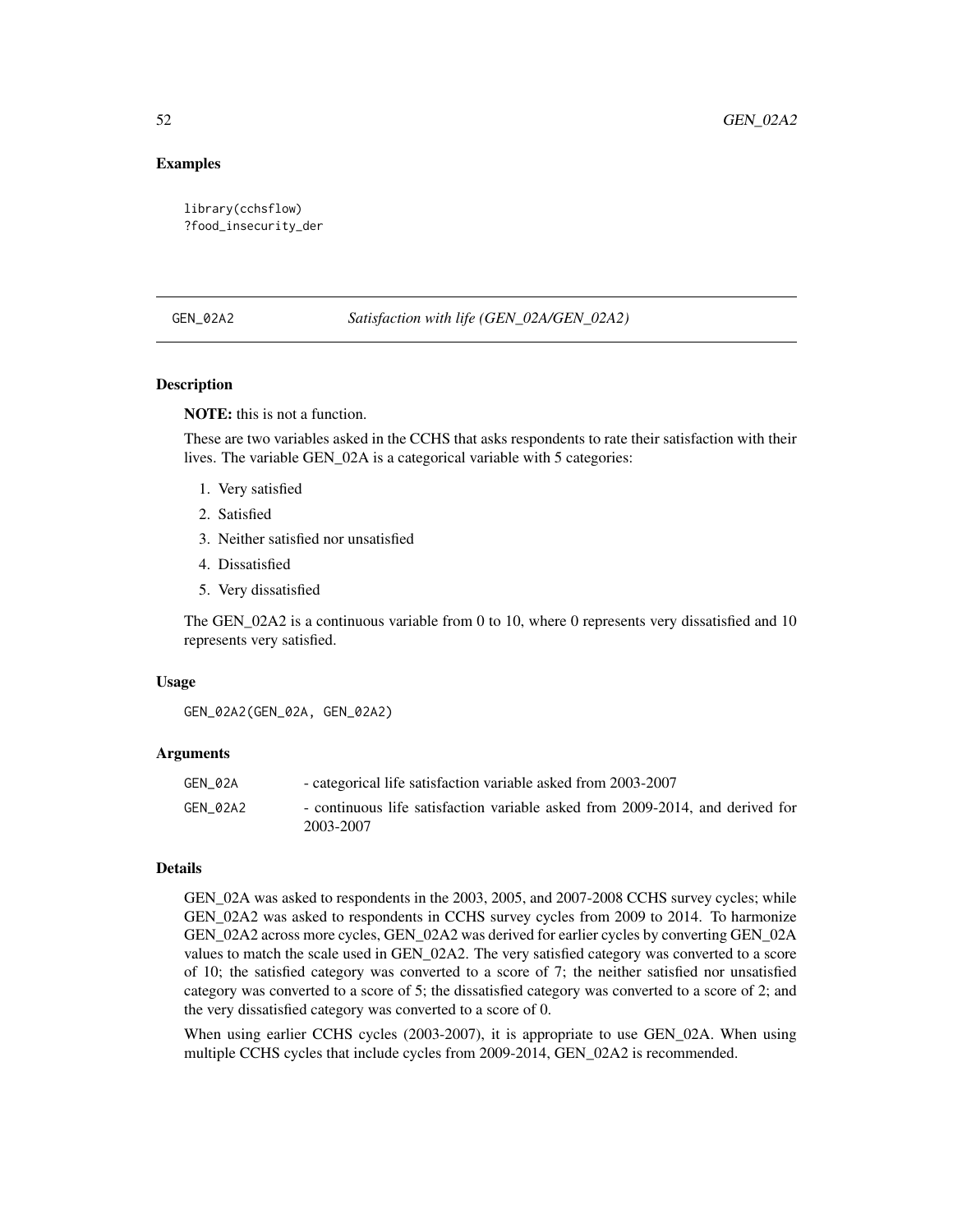### Examples

```
library(cchsflow)
?food_insecurity_der
```
### GEN\_02A2 *Satisfaction with life (GEN\_02A/GEN\_02A2)*

## Description

NOTE: this is not a function.

These are two variables asked in the CCHS that asks respondents to rate their satisfaction with their lives. The variable GEN\_02A is a categorical variable with 5 categories:

- 1. Very satisfied
- 2. Satisfied
- 3. Neither satisfied nor unsatisfied
- 4. Dissatisfied
- 5. Very dissatisfied

The GEN\_02A2 is a continuous variable from 0 to 10, where 0 represents very dissatisfied and 10 represents very satisfied.

## Usage

GEN\_02A2(GEN\_02A, GEN\_02A2)

#### Arguments

| GEN 02A  | - categorical life satisfaction variable asked from 2003-2007                              |
|----------|--------------------------------------------------------------------------------------------|
| GEN 02A2 | - continuous life satisfaction variable asked from 2009-2014, and derived for<br>2003-2007 |

#### Details

GEN\_02A was asked to respondents in the 2003, 2005, and 2007-2008 CCHS survey cycles; while GEN\_02A2 was asked to respondents in CCHS survey cycles from 2009 to 2014. To harmonize GEN\_02A2 across more cycles, GEN\_02A2 was derived for earlier cycles by converting GEN\_02A values to match the scale used in GEN\_02A2. The very satisfied category was converted to a score of 10; the satisfied category was converted to a score of 7; the neither satisfied nor unsatisfied category was converted to a score of 5; the dissatisfied category was converted to a score of 2; and the very dissatisfied category was converted to a score of 0.

When using earlier CCHS cycles (2003-2007), it is appropriate to use GEN\_02A. When using multiple CCHS cycles that include cycles from 2009-2014, GEN\_02A2 is recommended.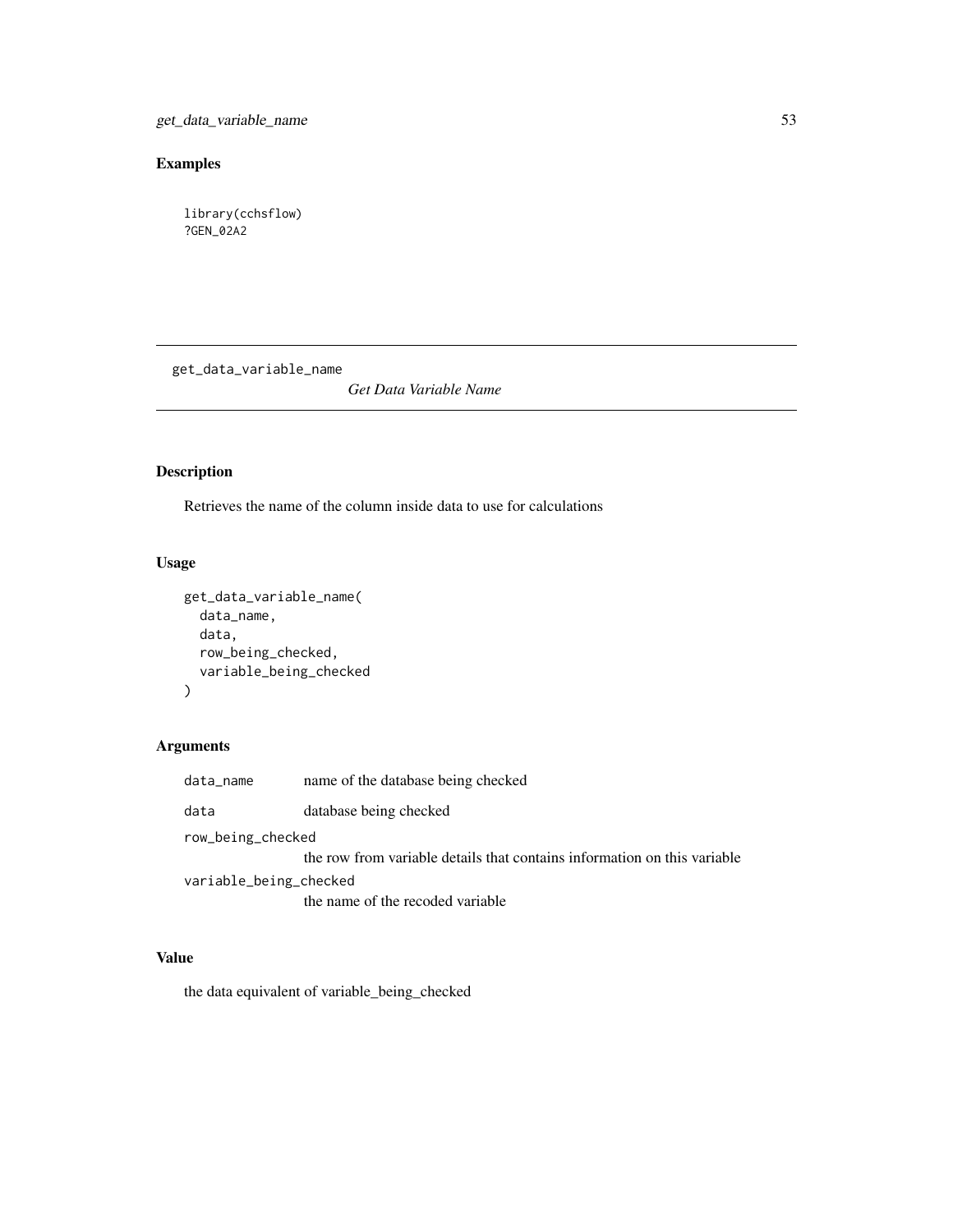get\_data\_variable\_name 53

# Examples

library(cchsflow) ?GEN\_02A2

get\_data\_variable\_name

*Get Data Variable Name*

# Description

Retrieves the name of the column inside data to use for calculations

## Usage

```
get_data_variable_name(
 data_name,
 data,
 row_being_checked,
 variable_being_checked
)
```
# Arguments

| data_name              | name of the database being checked                                       |
|------------------------|--------------------------------------------------------------------------|
| data                   | database being checked                                                   |
| row_being_checked      |                                                                          |
|                        | the row from variable details that contains information on this variable |
| variable_being_checked |                                                                          |
|                        | the name of the recoded variable                                         |

## Value

the data equivalent of variable\_being\_checked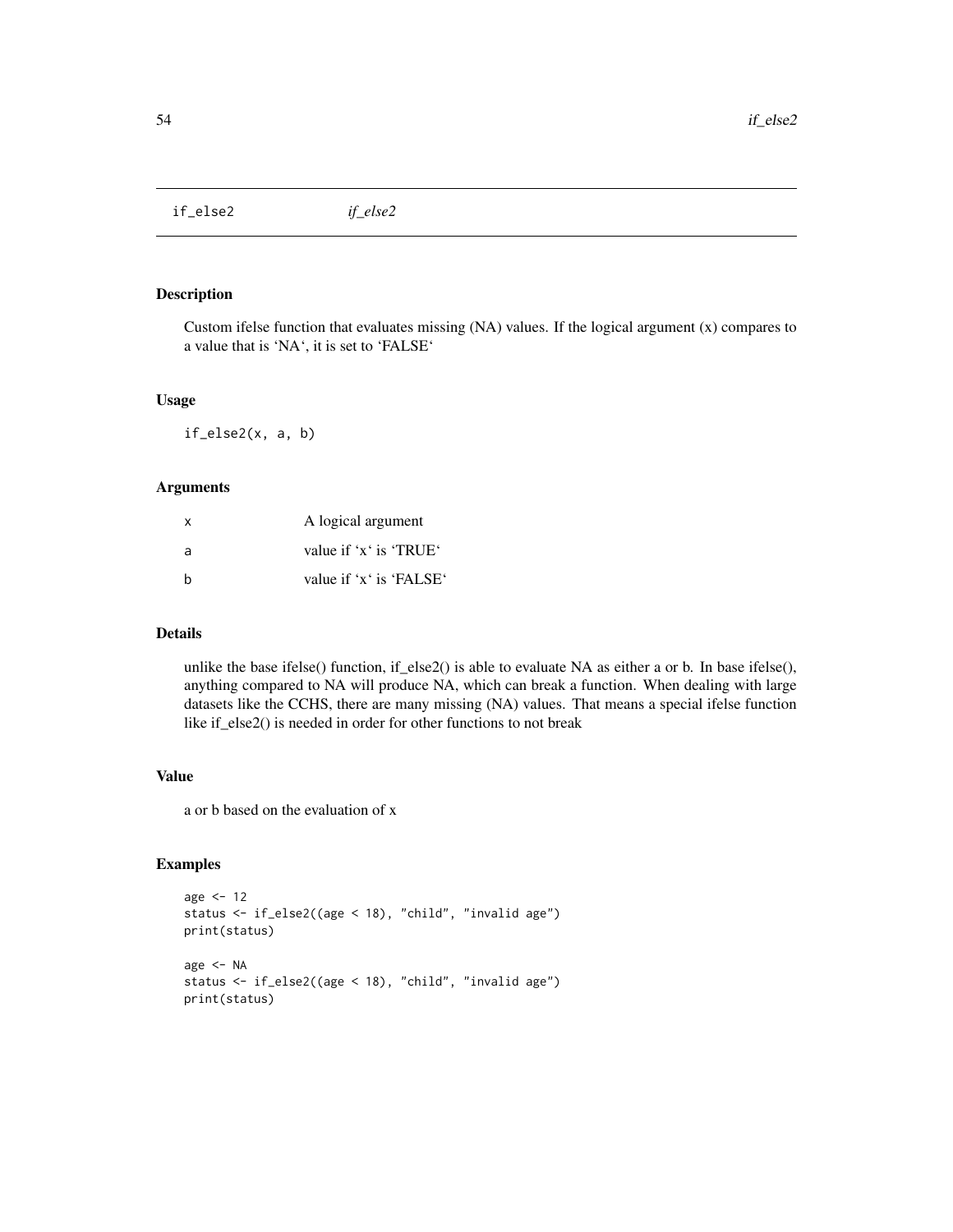if\_else2 *if\_else2*

## Description

Custom if else function that evaluates missing  $(NA)$  values. If the logical argument  $(x)$  compares to a value that is 'NA', it is set to 'FALSE'

#### Usage

if\_else2(x, a, b)

## Arguments

| $\mathsf{x}$ | A logical argument      |
|--------------|-------------------------|
| a            | value if 'x' is 'TRUE'  |
| h            | value if 'x' is 'FALSE' |

## Details

unlike the base ifelse() function, if\_else2() is able to evaluate NA as either a or b. In base ifelse(), anything compared to NA will produce NA, which can break a function. When dealing with large datasets like the CCHS, there are many missing (NA) values. That means a special ifelse function like if\_else2() is needed in order for other functions to not break

## Value

a or b based on the evaluation of x

```
age <-12status <- if_else2((age < 18), "child", "invalid age")
print(status)
age <- NA
status <- if_else2((age < 18), "child", "invalid age")
print(status)
```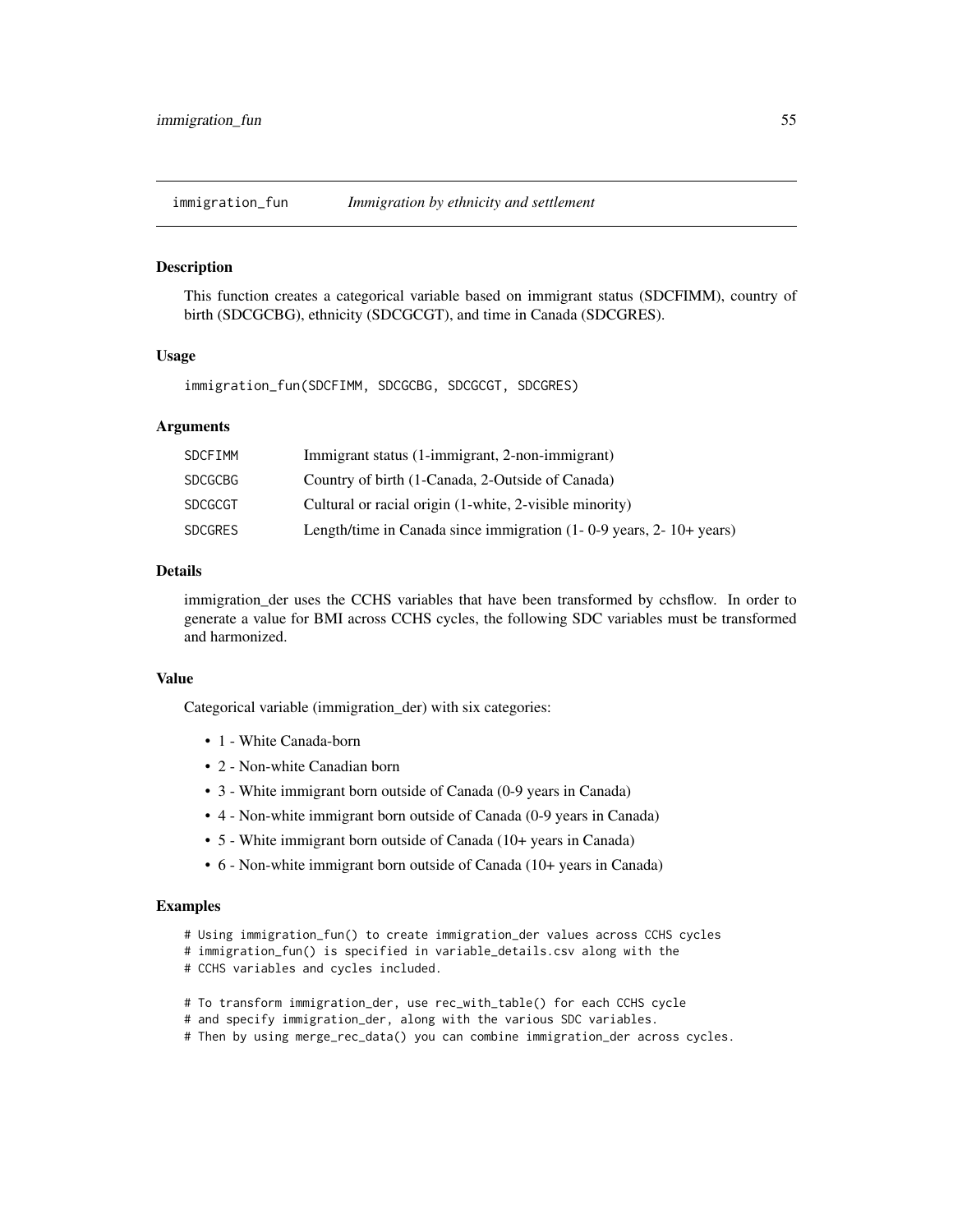immigration\_fun *Immigration by ethnicity and settlement*

#### **Description**

This function creates a categorical variable based on immigrant status (SDCFIMM), country of birth (SDCGCBG), ethnicity (SDCGCGT), and time in Canada (SDCGRES).

### Usage

immigration\_fun(SDCFIMM, SDCGCBG, SDCGCGT, SDCGRES)

### Arguments

| <b>SDCFIMM</b> | Immigrant status (1-immigrant, 2-non-immigrant)                               |
|----------------|-------------------------------------------------------------------------------|
| <b>SDCGCBG</b> | Country of birth (1-Canada, 2-Outside of Canada)                              |
| <b>SDCGCGT</b> | Cultural or racial origin (1-white, 2-visible minority)                       |
| <b>SDCGRES</b> | Length/time in Canada since immigration $(1 - 0 - 9$ years, $2 - 10 +$ years) |

### Details

immigration\_der uses the CCHS variables that have been transformed by cchsflow. In order to generate a value for BMI across CCHS cycles, the following SDC variables must be transformed and harmonized.

## Value

Categorical variable (immigration\_der) with six categories:

- 1 White Canada-born
- 2 Non-white Canadian born
- 3 White immigrant born outside of Canada (0-9 years in Canada)
- 4 Non-white immigrant born outside of Canada (0-9 years in Canada)
- 5 White immigrant born outside of Canada (10+ years in Canada)
- 6 Non-white immigrant born outside of Canada (10+ years in Canada)

- # Using immigration\_fun() to create immigration\_der values across CCHS cycles
- # immigration\_fun() is specified in variable\_details.csv along with the
- # CCHS variables and cycles included.
- # To transform immigration\_der, use rec\_with\_table() for each CCHS cycle
- # and specify immigration\_der, along with the various SDC variables.
- # Then by using merge\_rec\_data() you can combine immigration\_der across cycles.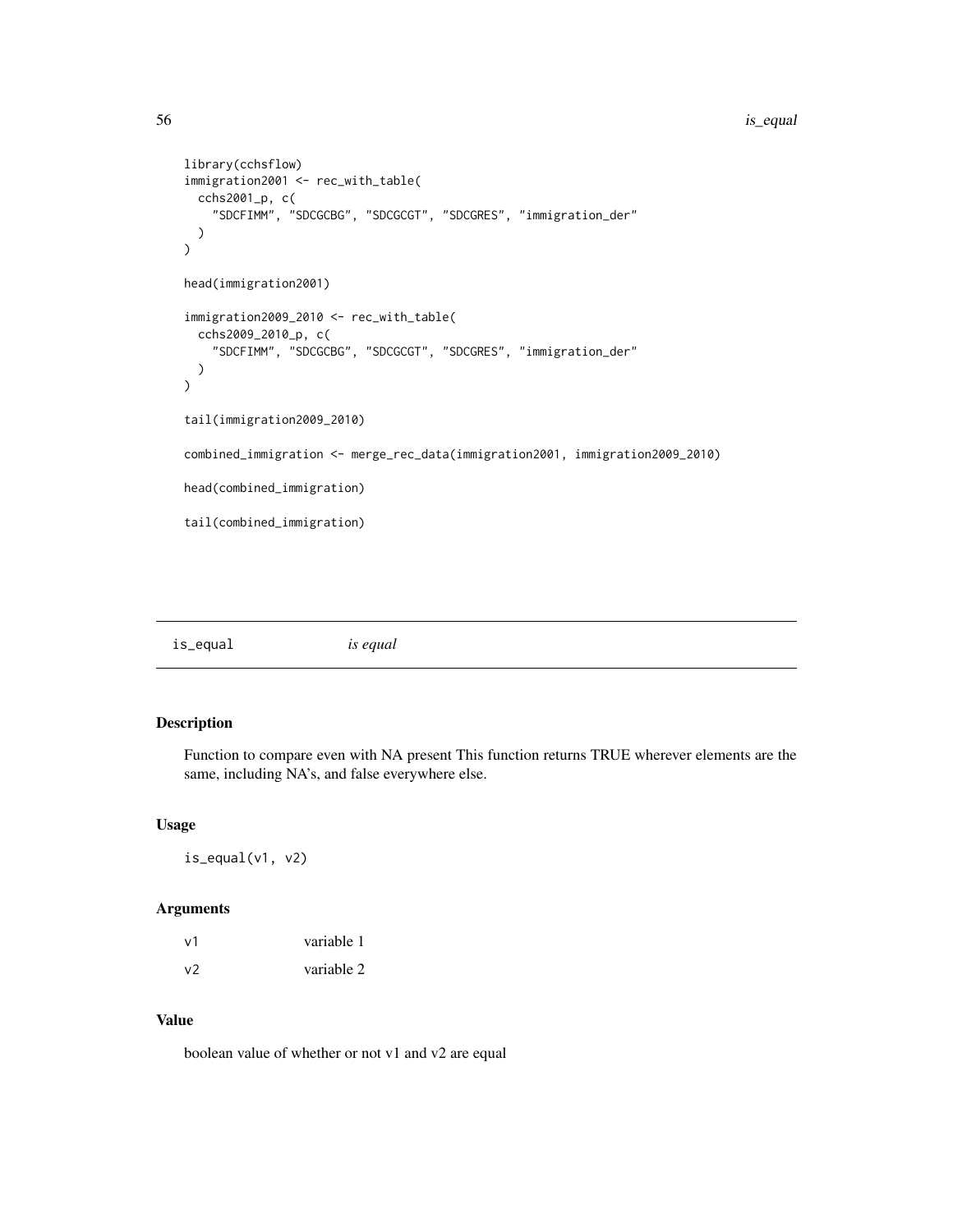```
library(cchsflow)
immigration2001 <- rec_with_table(
  cchs2001_p, c(
    "SDCFIMM", "SDCGCBG", "SDCGCGT", "SDCGRES", "immigration_der"
  )
\overline{\phantom{a}}head(immigration2001)
immigration2009_2010 <- rec_with_table(
  cchs2009_2010_p, c(
    "SDCFIMM", "SDCGCBG", "SDCGCGT", "SDCGRES", "immigration_der"
  )
\overline{\phantom{a}}tail(immigration2009_2010)
combined_immigration <- merge_rec_data(immigration2001, immigration2009_2010)
head(combined_immigration)
tail(combined_immigration)
```

|--|--|

Function to compare even with NA present This function returns TRUE wherever elements are the same, including NA's, and false everywhere else.

#### Usage

 $is$ <sub>equal</sub> $(v1, v2)$ 

### Arguments

| v1 | variable 1 |
|----|------------|
| v2 | variable 2 |

## Value

boolean value of whether or not v1 and v2 are equal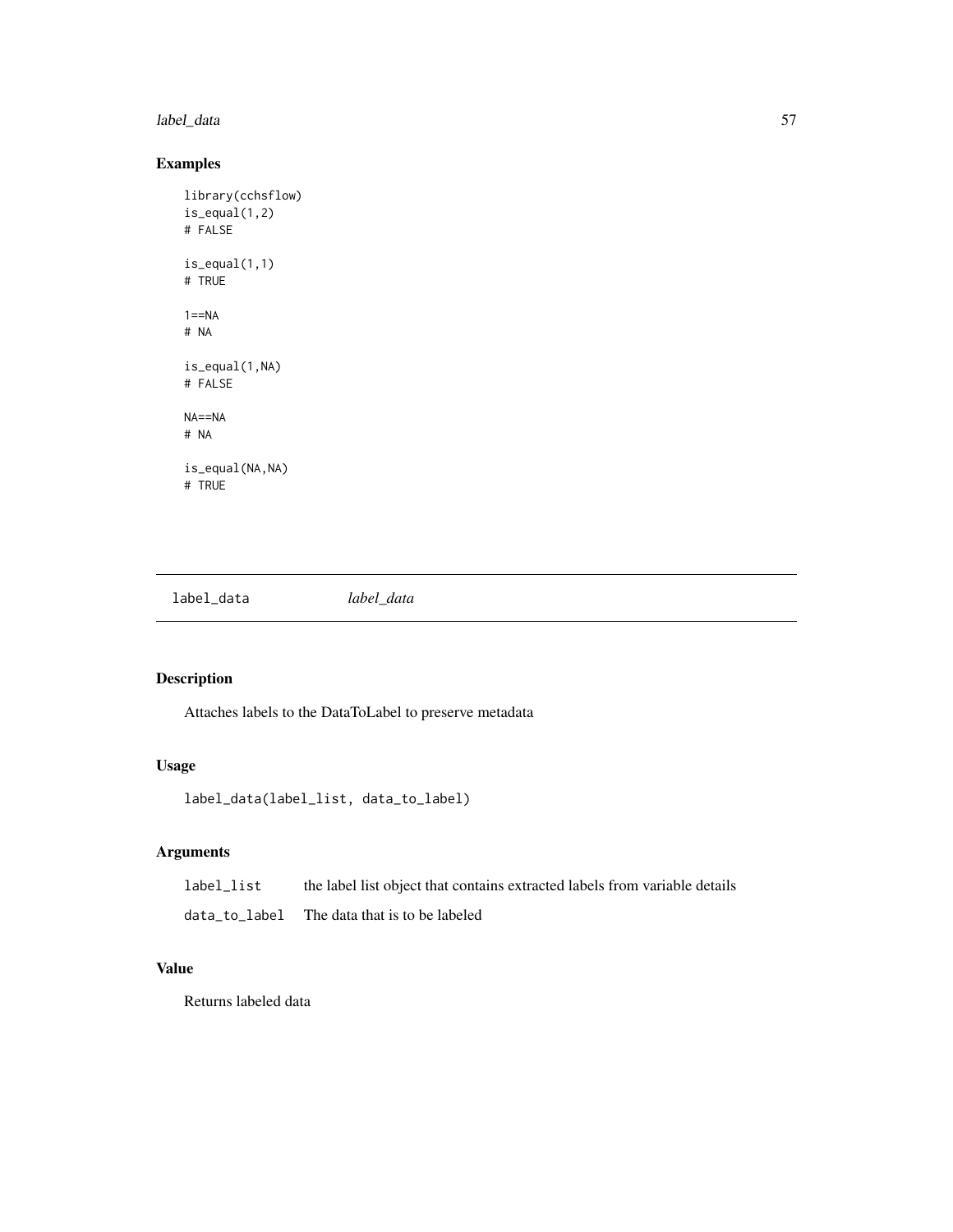label\_data 57

## Examples

```
library(cchsflow)
is_equal(1,2)
# FALSE
is_equal(1,1)
# TRUE
1 == NA# NA
is_equal(1,NA)
# FALSE
NA==NA
# NA
is_equal(NA,NA)
# TRUE
```
label\_data *label\_data*

## Description

Attaches labels to the DataToLabel to preserve metadata

# Usage

label\_data(label\_list, data\_to\_label)

## Arguments

| label_list |  | the label list object that contains extracted labels from variable details |  |
|------------|--|----------------------------------------------------------------------------|--|
|            |  |                                                                            |  |

data\_to\_label The data that is to be labeled

# Value

Returns labeled data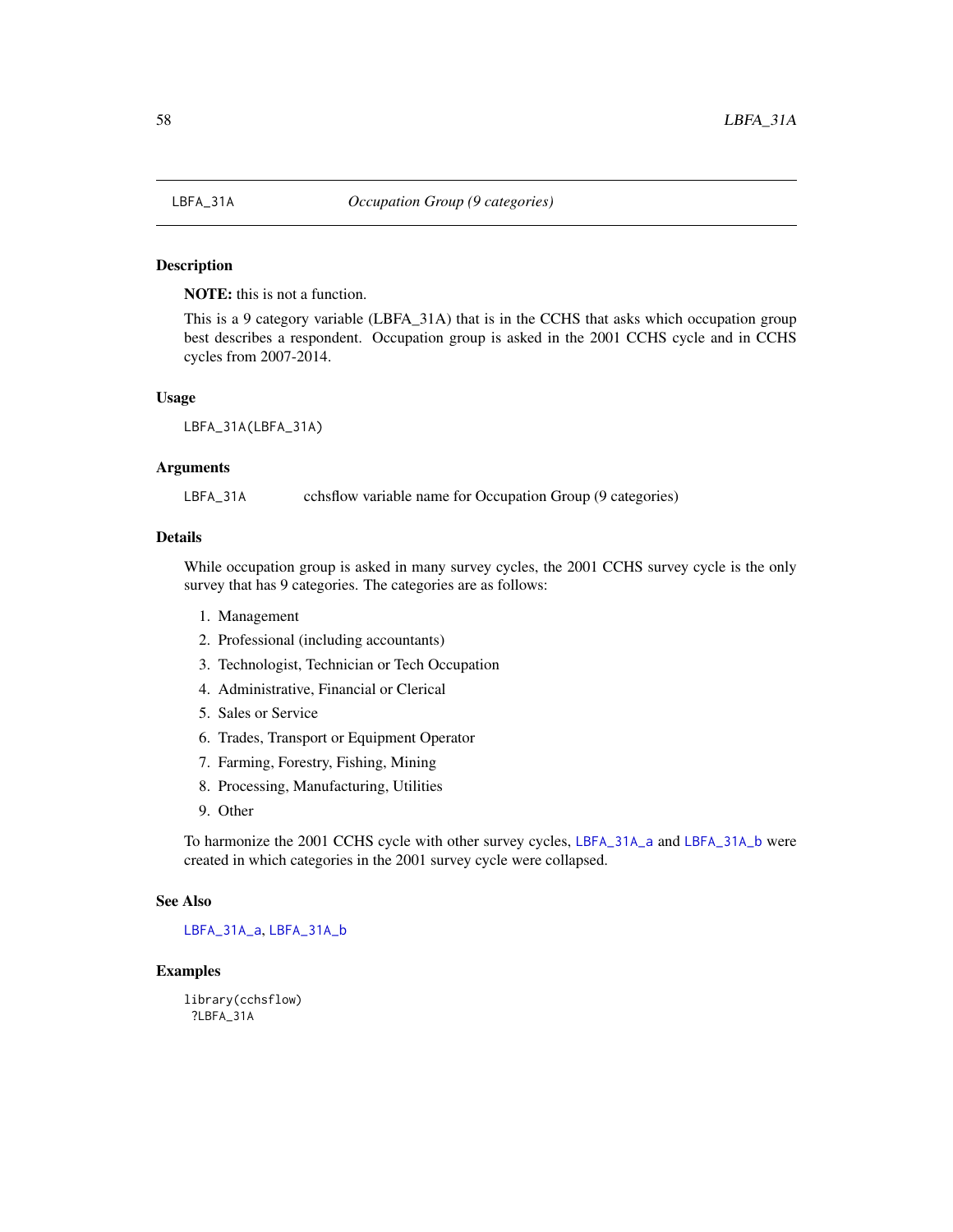<span id="page-57-0"></span>

NOTE: this is not a function.

This is a 9 category variable (LBFA\_31A) that is in the CCHS that asks which occupation group best describes a respondent. Occupation group is asked in the 2001 CCHS cycle and in CCHS cycles from 2007-2014.

#### Usage

LBFA\_31A(LBFA\_31A)

#### Arguments

LBFA\_31A cchsflow variable name for Occupation Group (9 categories)

### Details

While occupation group is asked in many survey cycles, the 2001 CCHS survey cycle is the only survey that has 9 categories. The categories are as follows:

- 1. Management
- 2. Professional (including accountants)
- 3. Technologist, Technician or Tech Occupation
- 4. Administrative, Financial or Clerical
- 5. Sales or Service
- 6. Trades, Transport or Equipment Operator
- 7. Farming, Forestry, Fishing, Mining
- 8. Processing, Manufacturing, Utilities
- 9. Other

To harmonize the 2001 CCHS cycle with other survey cycles, [LBFA\\_31A\\_a](#page-58-0) and [LBFA\\_31A\\_b](#page-59-0) were created in which categories in the 2001 survey cycle were collapsed.

## See Also

[LBFA\\_31A\\_a](#page-58-0), [LBFA\\_31A\\_b](#page-59-0)

## Examples

library(cchsflow) ?LBFA\_31A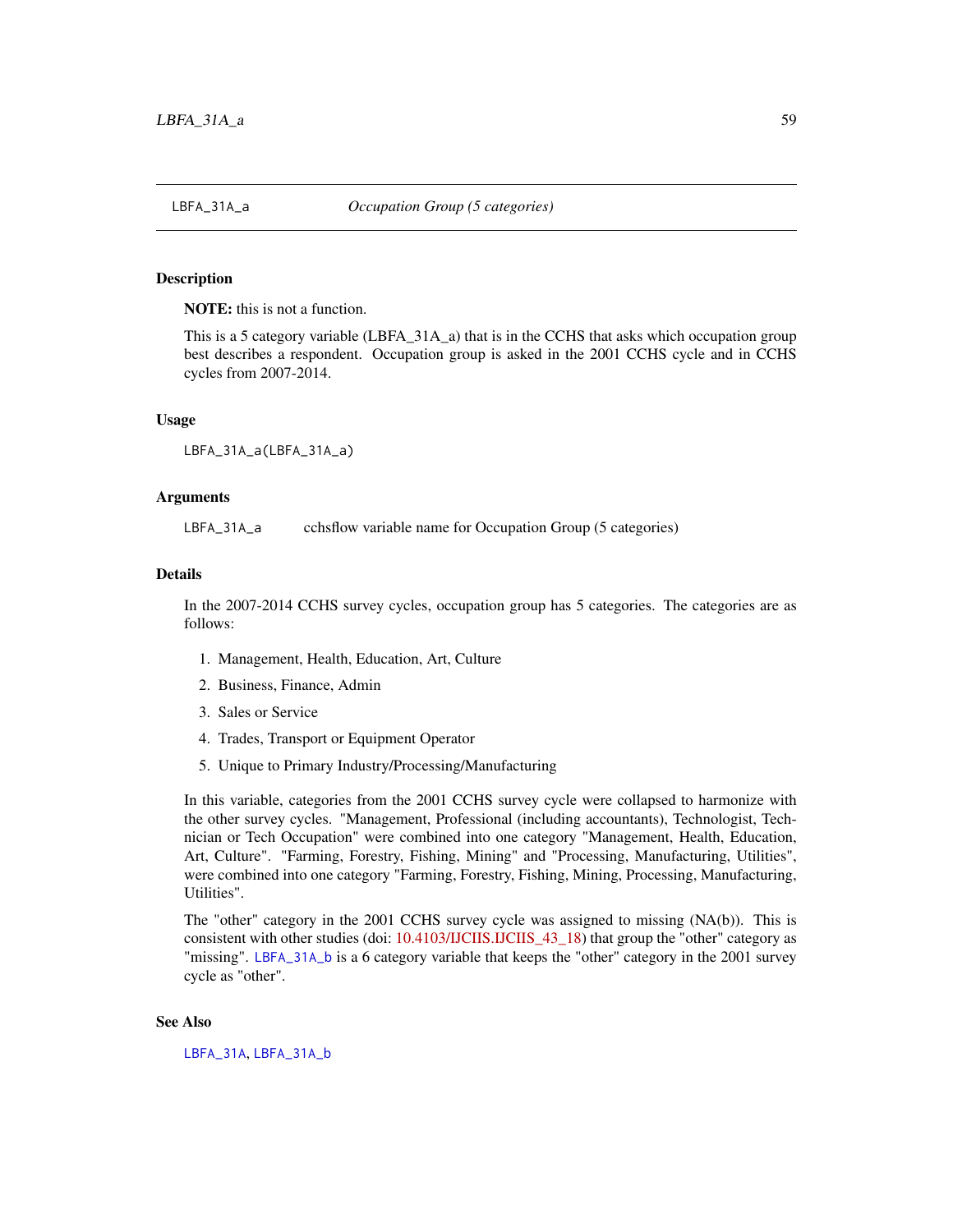<span id="page-58-0"></span>

NOTE: this is not a function.

This is a 5 category variable (LBFA\_31A\_a) that is in the CCHS that asks which occupation group best describes a respondent. Occupation group is asked in the 2001 CCHS cycle and in CCHS cycles from 2007-2014.

### Usage

```
LBFA_31A_a(LBFA_31A_a)
```
### Arguments

LBFA\_31A\_a cchsflow variable name for Occupation Group (5 categories)

#### Details

In the 2007-2014 CCHS survey cycles, occupation group has 5 categories. The categories are as follows:

- 1. Management, Health, Education, Art, Culture
- 2. Business, Finance, Admin
- 3. Sales or Service
- 4. Trades, Transport or Equipment Operator
- 5. Unique to Primary Industry/Processing/Manufacturing

In this variable, categories from the 2001 CCHS survey cycle were collapsed to harmonize with the other survey cycles. "Management, Professional (including accountants), Technologist, Technician or Tech Occupation" were combined into one category "Management, Health, Education, Art, Culture". "Farming, Forestry, Fishing, Mining" and "Processing, Manufacturing, Utilities", were combined into one category "Farming, Forestry, Fishing, Mining, Processing, Manufacturing, Utilities".

The "other" category in the 2001 CCHS survey cycle was assigned to missing (NA(b)). This is consistent with other studies (doi: [10.4103/IJCIIS.IJCIIS\\_43\\_18\)](https://doi.org/10.4103/IJCIIS.IJCIIS_43_18) that group the "other" category as "missing". [LBFA\\_31A\\_b](#page-59-0) is a 6 category variable that keeps the "other" category in the 2001 survey cycle as "other".

### See Also

[LBFA\\_31A](#page-57-0), [LBFA\\_31A\\_b](#page-59-0)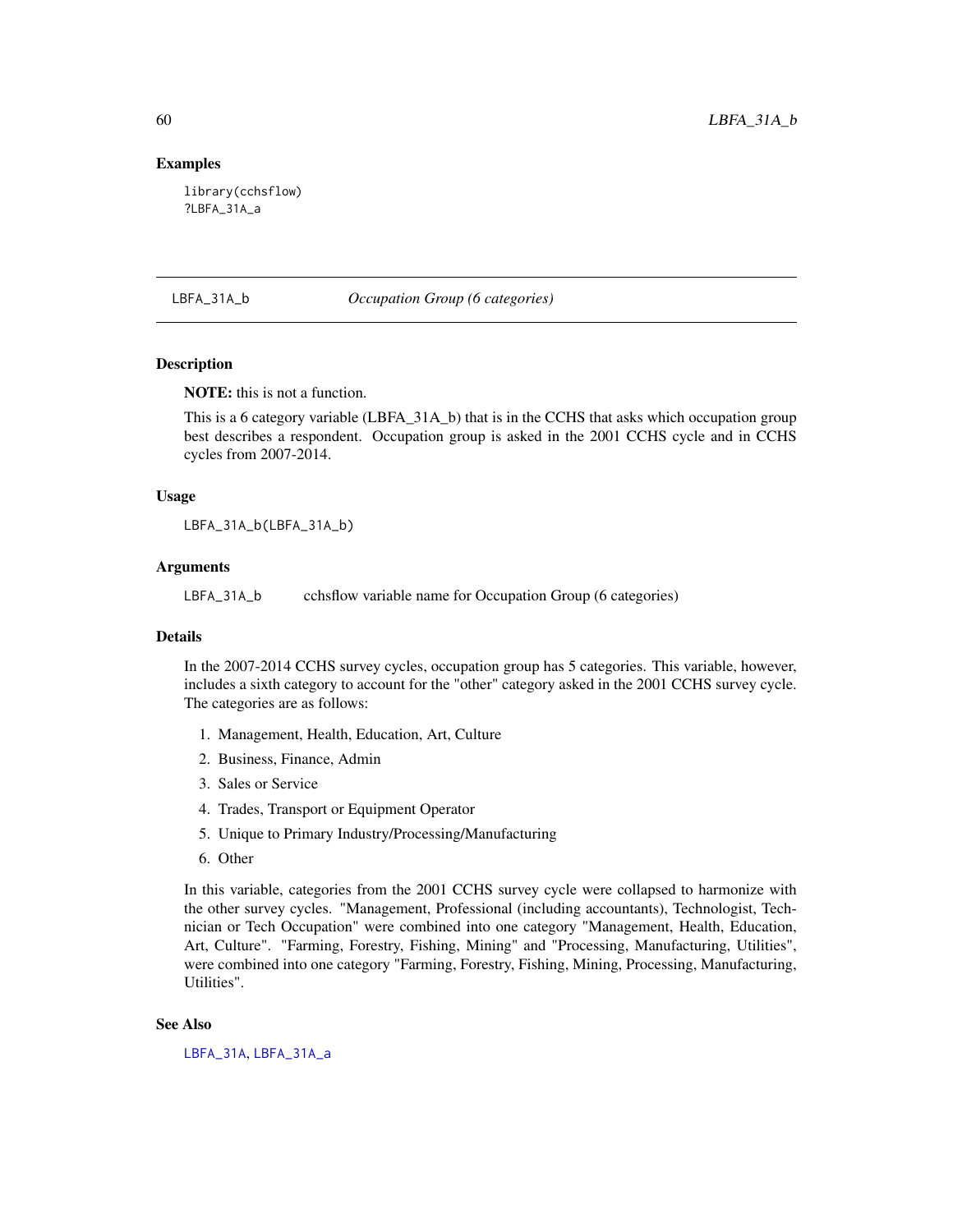### Examples

library(cchsflow) ?LBFA\_31A\_a

#### <span id="page-59-0"></span>LBFA\_31A\_b *Occupation Group (6 categories)*

## **Description**

NOTE: this is not a function.

This is a 6 category variable (LBFA\_31A\_b) that is in the CCHS that asks which occupation group best describes a respondent. Occupation group is asked in the 2001 CCHS cycle and in CCHS cycles from 2007-2014.

#### Usage

LBFA\_31A\_b(LBFA\_31A\_b)

### Arguments

LBFA\_31A\_b cchsflow variable name for Occupation Group (6 categories)

### Details

In the 2007-2014 CCHS survey cycles, occupation group has 5 categories. This variable, however, includes a sixth category to account for the "other" category asked in the 2001 CCHS survey cycle. The categories are as follows:

- 1. Management, Health, Education, Art, Culture
- 2. Business, Finance, Admin
- 3. Sales or Service
- 4. Trades, Transport or Equipment Operator
- 5. Unique to Primary Industry/Processing/Manufacturing
- 6. Other

In this variable, categories from the 2001 CCHS survey cycle were collapsed to harmonize with the other survey cycles. "Management, Professional (including accountants), Technologist, Technician or Tech Occupation" were combined into one category "Management, Health, Education, Art, Culture". "Farming, Forestry, Fishing, Mining" and "Processing, Manufacturing, Utilities", were combined into one category "Farming, Forestry, Fishing, Mining, Processing, Manufacturing, Utilities".

### See Also

[LBFA\\_31A](#page-57-0), [LBFA\\_31A\\_a](#page-58-0)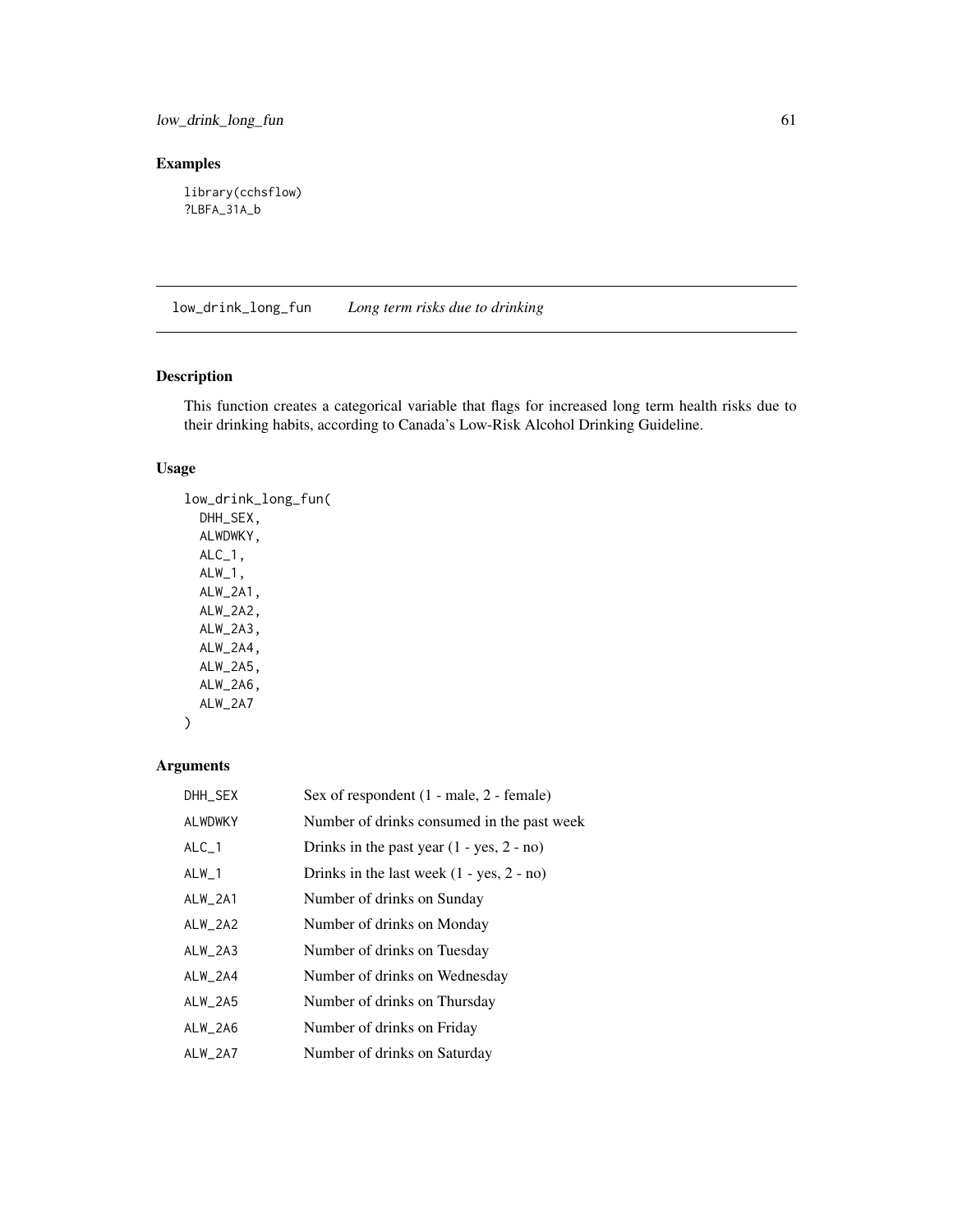low\_drink\_long\_fun 61

## Examples

library(cchsflow) ?LBFA\_31A\_b

low\_drink\_long\_fun *Long term risks due to drinking*

# Description

This function creates a categorical variable that flags for increased long term health risks due to their drinking habits, according to Canada's Low-Risk Alcohol Drinking Guideline.

### Usage

low\_drink\_long\_fun( DHH\_SEX, ALWDWKY,  $ALC_1$ ,  $ALW_1$ , ALW\_2A1, ALW\_2A2, ALW\_2A3, ALW\_2A4, ALW\_2A5, ALW\_2A6, ALW\_2A7

## Arguments

 $\mathcal{L}$ 

| DHH_SEX        | Sex of respondent $(1 - male, 2 - female)$  |
|----------------|---------------------------------------------|
| <b>ALWDWKY</b> | Number of drinks consumed in the past week  |
| $ALC_1$        | Drinks in the past year $(1 - yes, 2 - no)$ |
| $ALW_1$        | Drinks in the last week $(1 - yes, 2 - no)$ |
| $ALW_2A1$      | Number of drinks on Sunday                  |
| $ALW_2AA2$     | Number of drinks on Monday                  |
| $ALW_2A3$      | Number of drinks on Tuesday                 |
| ALW_2A4        | Number of drinks on Wednesday               |
| $ALW_2A5$      | Number of drinks on Thursday                |
| ALW_2A6        | Number of drinks on Friday                  |
| ALW_2A7        | Number of drinks on Saturday                |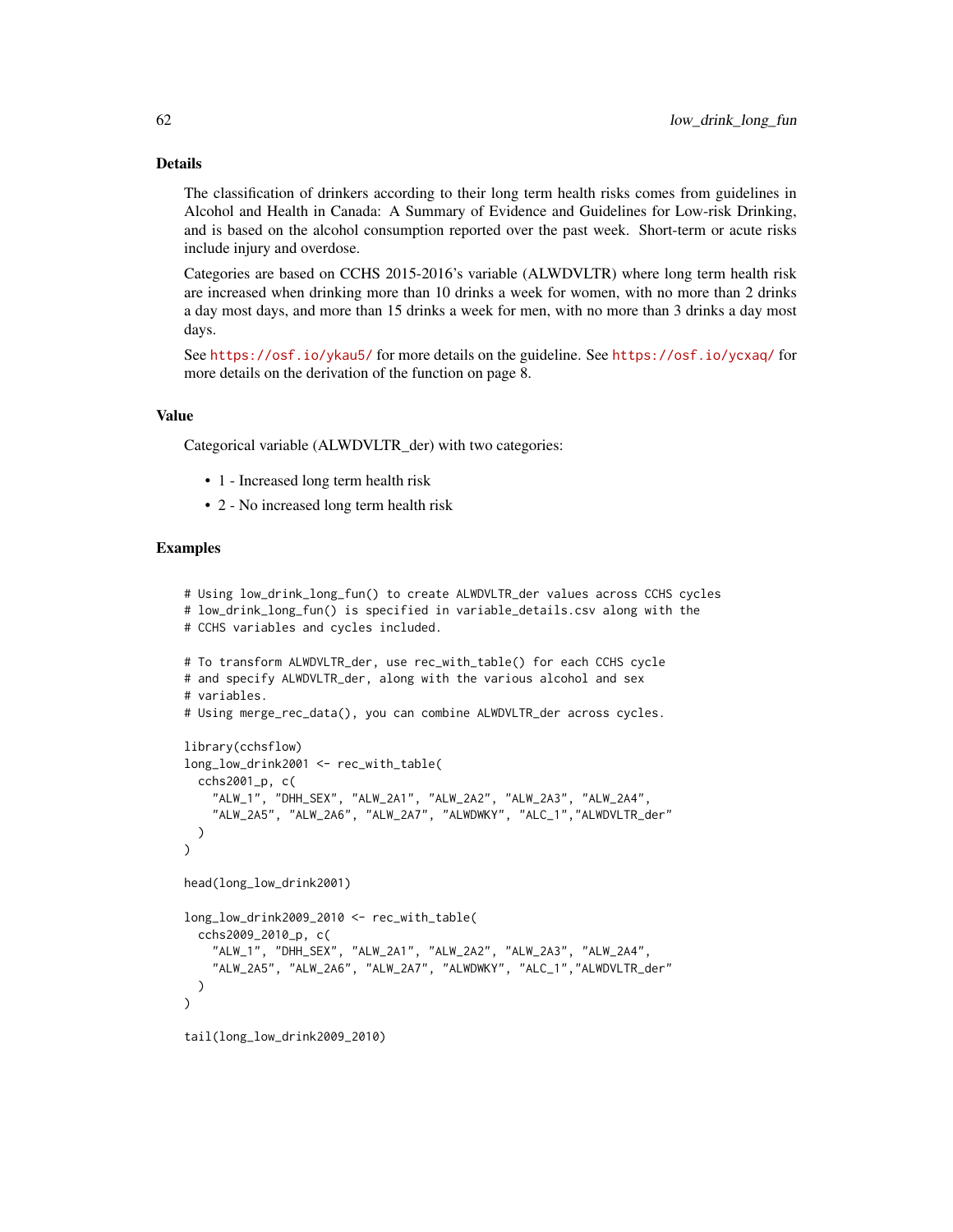#### Details

The classification of drinkers according to their long term health risks comes from guidelines in Alcohol and Health in Canada: A Summary of Evidence and Guidelines for Low-risk Drinking, and is based on the alcohol consumption reported over the past week. Short-term or acute risks include injury and overdose.

Categories are based on CCHS 2015-2016's variable (ALWDVLTR) where long term health risk are increased when drinking more than 10 drinks a week for women, with no more than 2 drinks a day most days, and more than 15 drinks a week for men, with no more than 3 drinks a day most days.

See <https://osf.io/ykau5/> for more details on the guideline. See <https://osf.io/ycxaq/> for more details on the derivation of the function on page 8.

### Value

Categorical variable (ALWDVLTR\_der) with two categories:

- 1 Increased long term health risk
- 2 No increased long term health risk

```
# Using low_drink_long_fun() to create ALWDVLTR_der values across CCHS cycles
# low_drink_long_fun() is specified in variable_details.csv along with the
# CCHS variables and cycles included.
# To transform ALWDVLTR_der, use rec_with_table() for each CCHS cycle
# and specify ALWDVLTR_der, along with the various alcohol and sex
# variables.
# Using merge_rec_data(), you can combine ALWDVLTR_der across cycles.
library(cchsflow)
long_low_drink2001 <- rec_with_table(
  cchs2001_p, c(
    "ALW_1", "DHH_SEX", "ALW_2A1", "ALW_2A2", "ALW_2A3", "ALW_2A4",
    "ALW_2A5", "ALW_2A6", "ALW_2A7", "ALWDWKY", "ALC_1","ALWDVLTR_der"
  )
)
head(long_low_drink2001)
long_low_drink2009_2010 <- rec_with_table(
  cchs2009_2010_p, c(
    "ALW_1", "DHH_SEX", "ALW_2A1", "ALW_2A2", "ALW_2A3", "ALW_2A4",
    "ALW_2A5", "ALW_2A6", "ALW_2A7", "ALWDWKY", "ALC_1","ALWDVLTR_der"
  )
\lambdatail(long_low_drink2009_2010)
```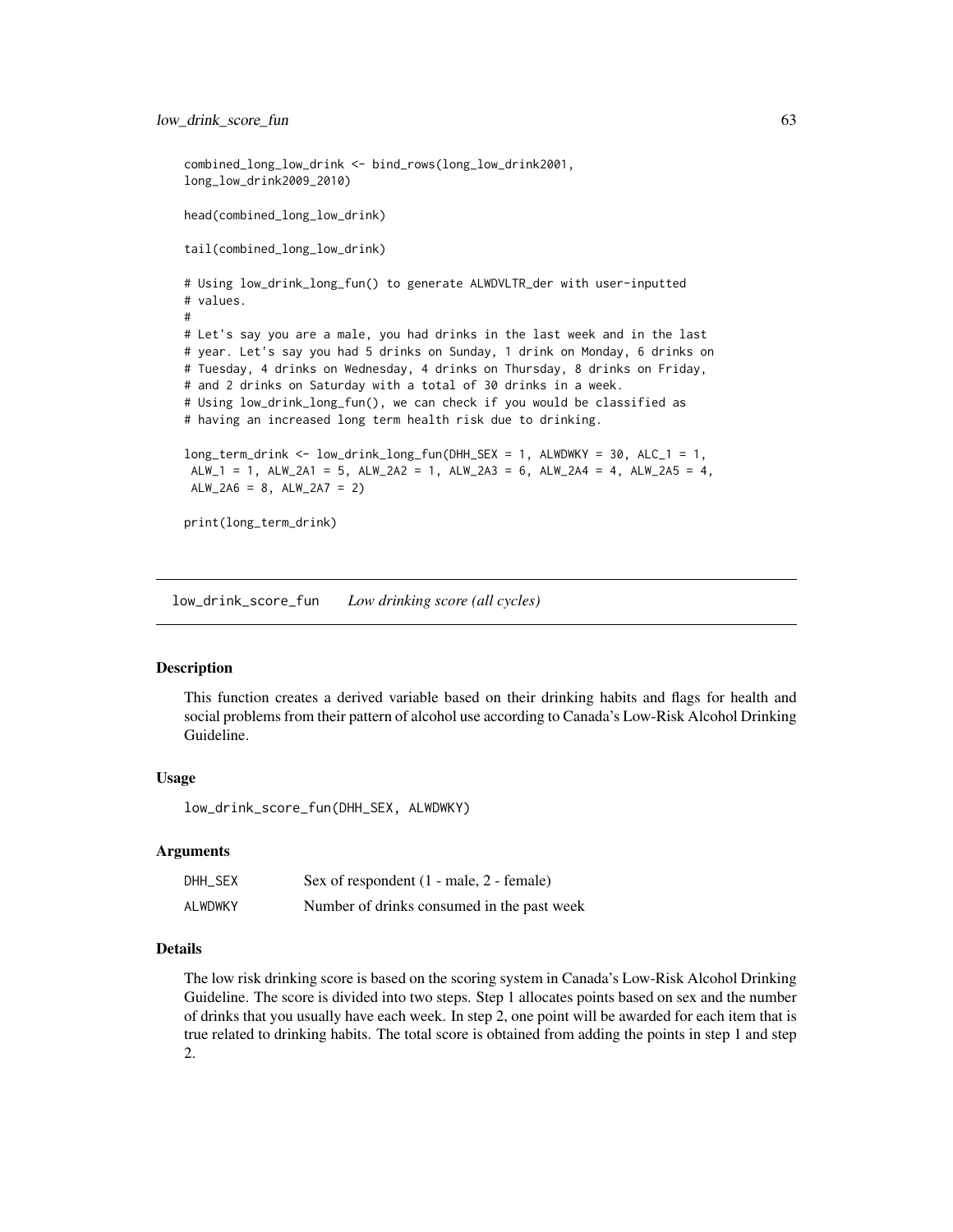```
combined_long_low_drink <- bind_rows(long_low_drink2001,
long_low_drink2009_2010)
head(combined_long_low_drink)
tail(combined_long_low_drink)
# Using low_drink_long_fun() to generate ALWDVLTR_der with user-inputted
# values.
#
# Let's say you are a male, you had drinks in the last week and in the last
# year. Let's say you had 5 drinks on Sunday, 1 drink on Monday, 6 drinks on
# Tuesday, 4 drinks on Wednesday, 4 drinks on Thursday, 8 drinks on Friday,
# and 2 drinks on Saturday with a total of 30 drinks in a week.
# Using low_drink_long_fun(), we can check if you would be classified as
# having an increased long term health risk due to drinking.
long_term_drink <- low_drink_long_fun(DHH_SEX = 1, ALWDWKY = 30, ALC_1 = 1,
ALW_1 = 1, ALW_2A1 = 5, ALW_2A2 = 1, ALW_2A3 = 6, ALW_2A4 = 4, ALW_2A5 = 4,
ALW_2A6 = 8, ALW_2A7 = 2print(long_term_drink)
```
low\_drink\_score\_fun *Low drinking score (all cycles)*

#### Description

This function creates a derived variable based on their drinking habits and flags for health and social problems from their pattern of alcohol use according to Canada's Low-Risk Alcohol Drinking Guideline.

### Usage

low\_drink\_score\_fun(DHH\_SEX, ALWDWKY)

### Arguments

| DHH_SEX        | Sex of respondent $(1 - male, 2 - female)$ |
|----------------|--------------------------------------------|
| <b>ALWDWKY</b> | Number of drinks consumed in the past week |

## Details

The low risk drinking score is based on the scoring system in Canada's Low-Risk Alcohol Drinking Guideline. The score is divided into two steps. Step 1 allocates points based on sex and the number of drinks that you usually have each week. In step 2, one point will be awarded for each item that is true related to drinking habits. The total score is obtained from adding the points in step 1 and step 2.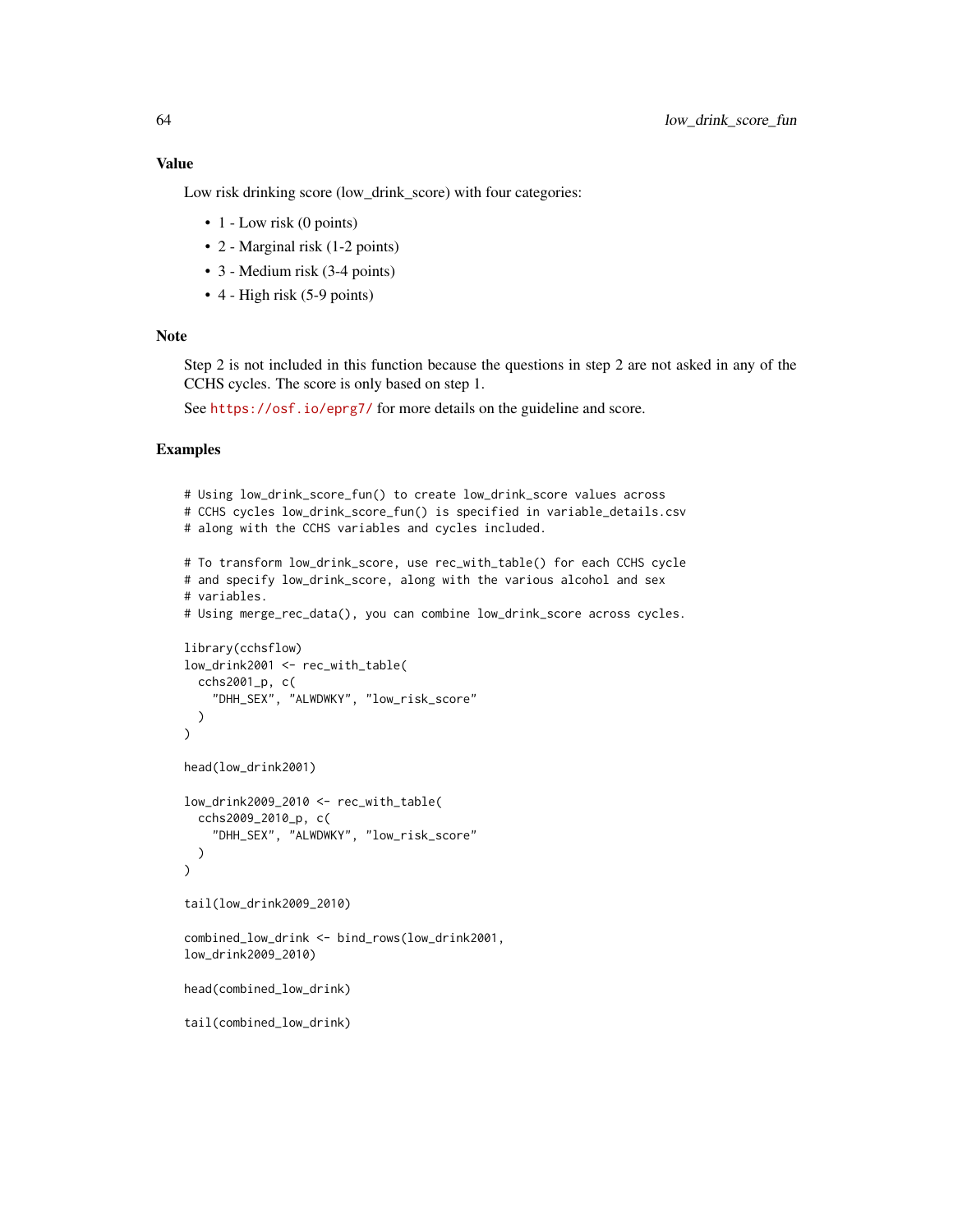## Value

Low risk drinking score (low\_drink\_score) with four categories:

- 1 Low risk (0 points)
- 2 Marginal risk (1-2 points)
- 3 Medium risk (3-4 points)
- 4 High risk (5-9 points)

### Note

Step 2 is not included in this function because the questions in step 2 are not asked in any of the CCHS cycles. The score is only based on step 1.

See <https://osf.io/eprg7/> for more details on the guideline and score.

```
# Using low_drink_score_fun() to create low_drink_score values across
# CCHS cycles low_drink_score_fun() is specified in variable_details.csv
# along with the CCHS variables and cycles included.
# To transform low_drink_score, use rec_with_table() for each CCHS cycle
# and specify low_drink_score, along with the various alcohol and sex
# variables.
# Using merge_rec_data(), you can combine low_drink_score across cycles.
library(cchsflow)
low_drink2001 <- rec_with_table(
  cchs2001_p, c(
    "DHH_SEX", "ALWDWKY", "low_risk_score"
  )
\mathcal{L}head(low_drink2001)
low_drink2009_2010 <- rec_with_table(
  cchs2009_2010_p, c(
    "DHH_SEX", "ALWDWKY", "low_risk_score"
  )
)
tail(low_drink2009_2010)
combined_low_drink <- bind_rows(low_drink2001,
low_drink2009_2010)
head(combined_low_drink)
tail(combined_low_drink)
```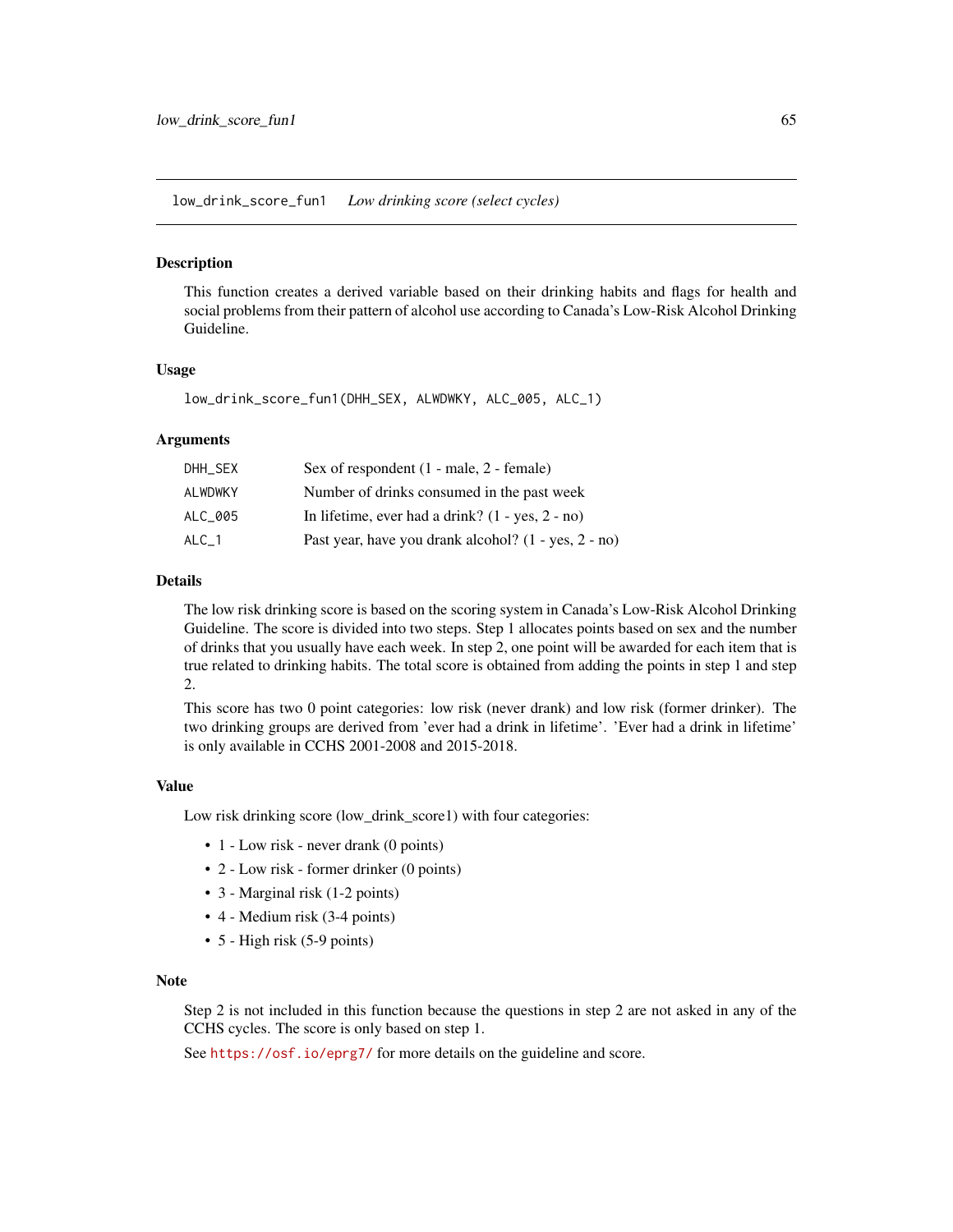low\_drink\_score\_fun1 *Low drinking score (select cycles)*

#### Description

This function creates a derived variable based on their drinking habits and flags for health and social problems from their pattern of alcohol use according to Canada's Low-Risk Alcohol Drinking Guideline.

#### Usage

```
low_drink_score_fun1(DHH_SEX, ALWDWKY, ALC_005, ALC_1)
```
#### Arguments

| DHH SEX | Sex of respondent (1 - male, 2 - female)             |
|---------|------------------------------------------------------|
| ALWDWKY | Number of drinks consumed in the past week           |
| ALC 005 | In lifetime, ever had a drink? $(1 - yes, 2 - no)$   |
| ALC 1   | Past year, have you drank alcohol? (1 - yes, 2 - no) |

## Details

The low risk drinking score is based on the scoring system in Canada's Low-Risk Alcohol Drinking Guideline. The score is divided into two steps. Step 1 allocates points based on sex and the number of drinks that you usually have each week. In step 2, one point will be awarded for each item that is true related to drinking habits. The total score is obtained from adding the points in step 1 and step 2.

This score has two 0 point categories: low risk (never drank) and low risk (former drinker). The two drinking groups are derived from 'ever had a drink in lifetime'. 'Ever had a drink in lifetime' is only available in CCHS 2001-2008 and 2015-2018.

#### Value

Low risk drinking score (low\_drink\_score1) with four categories:

- 1 Low risk never drank (0 points)
- 2 Low risk former drinker (0 points)
- 3 Marginal risk (1-2 points)
- 4 Medium risk (3-4 points)
- 5 High risk (5-9 points)

#### **Note**

Step 2 is not included in this function because the questions in step 2 are not asked in any of the CCHS cycles. The score is only based on step 1.

See <https://osf.io/eprg7/> for more details on the guideline and score.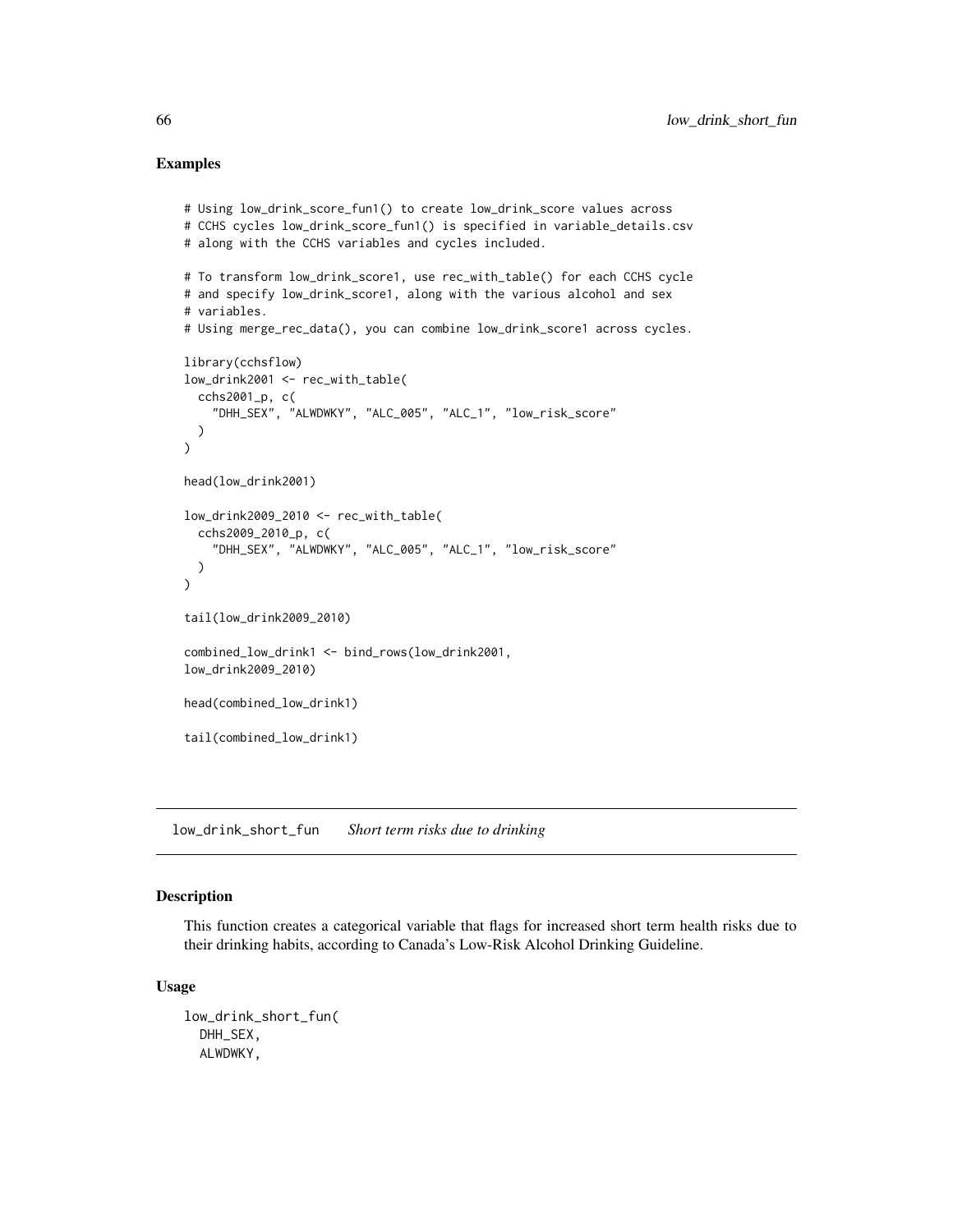### Examples

```
# Using low_drink_score_fun1() to create low_drink_score values across
# CCHS cycles low_drink_score_fun1() is specified in variable_details.csv
# along with the CCHS variables and cycles included.
# To transform low_drink_score1, use rec_with_table() for each CCHS cycle
# and specify low_drink_score1, along with the various alcohol and sex
# variables.
# Using merge_rec_data(), you can combine low_drink_score1 across cycles.
library(cchsflow)
low_drink2001 <- rec_with_table(
  cchs2001_p, c(
    "DHH_SEX", "ALWDWKY", "ALC_005", "ALC_1", "low_risk_score"
  )
\lambdahead(low_drink2001)
low_drink2009_2010 <- rec_with_table(
  cchs2009_2010_p, c(
    "DHH_SEX", "ALWDWKY", "ALC_005", "ALC_1", "low_risk_score"
  )
\lambdatail(low_drink2009_2010)
combined_low_drink1 <- bind_rows(low_drink2001,
low_drink2009_2010)
head(combined_low_drink1)
tail(combined_low_drink1)
```
low\_drink\_short\_fun *Short term risks due to drinking*

## Description

This function creates a categorical variable that flags for increased short term health risks due to their drinking habits, according to Canada's Low-Risk Alcohol Drinking Guideline.

### Usage

```
low_drink_short_fun(
  DHH_SEX,
 ALWDWKY,
```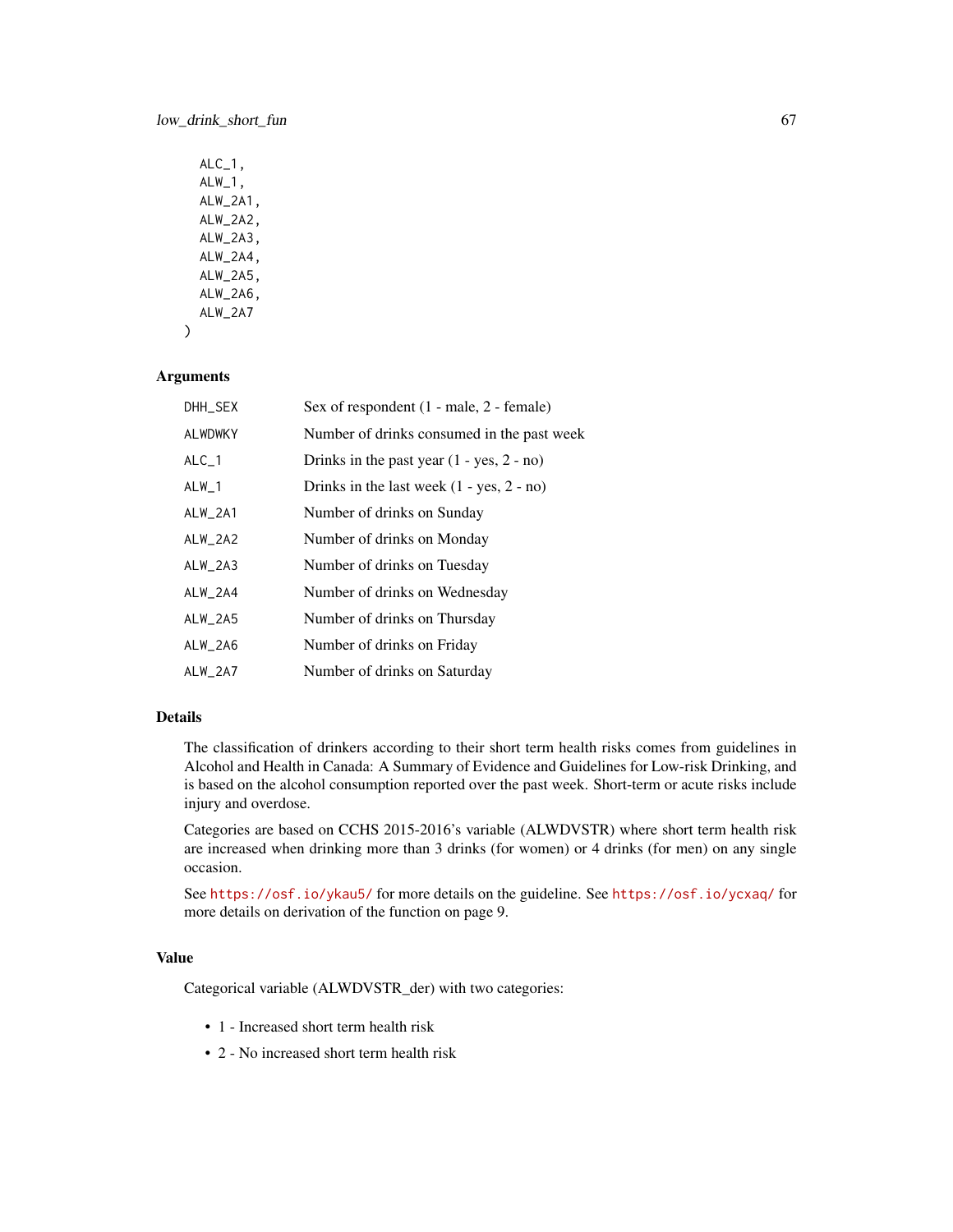## low\_drink\_short\_fun 67

| $ALC_1$ ,<br>$ALW_1,$<br>ALW_2A1,<br>ALW_2A2,<br>ALW_2A3,<br>ALW_2A4, |  |
|-----------------------------------------------------------------------|--|
| ALW_2A5,<br>$ALW_2A6$ ,<br>ALW 2A7                                    |  |
|                                                                       |  |

### Arguments

)

| DHH_SEX        | Sex of respondent $(1 - male, 2 - female)$  |
|----------------|---------------------------------------------|
| <b>ALWDWKY</b> | Number of drinks consumed in the past week  |
| $ALC_1$        | Drinks in the past year $(1 - yes, 2 - no)$ |
| $ALW_1$        | Drinks in the last week $(1 - yes, 2 - no)$ |
| ALW_2A1        | Number of drinks on Sunday                  |
| $ALW_2AA2$     | Number of drinks on Monday                  |
| ALW_2A3        | Number of drinks on Tuesday                 |
| ALW_2A4        | Number of drinks on Wednesday               |
| $ALW_2A5$      | Number of drinks on Thursday                |
| $ALW_2A6$      | Number of drinks on Friday                  |
| ALW_2A7        | Number of drinks on Saturday                |

## Details

The classification of drinkers according to their short term health risks comes from guidelines in Alcohol and Health in Canada: A Summary of Evidence and Guidelines for Low-risk Drinking, and is based on the alcohol consumption reported over the past week. Short-term or acute risks include injury and overdose.

Categories are based on CCHS 2015-2016's variable (ALWDVSTR) where short term health risk are increased when drinking more than 3 drinks (for women) or 4 drinks (for men) on any single occasion.

See <https://osf.io/ykau5/> for more details on the guideline. See <https://osf.io/ycxaq/> for more details on derivation of the function on page 9.

## Value

Categorical variable (ALWDVSTR\_der) with two categories:

- 1 Increased short term health risk
- 2 No increased short term health risk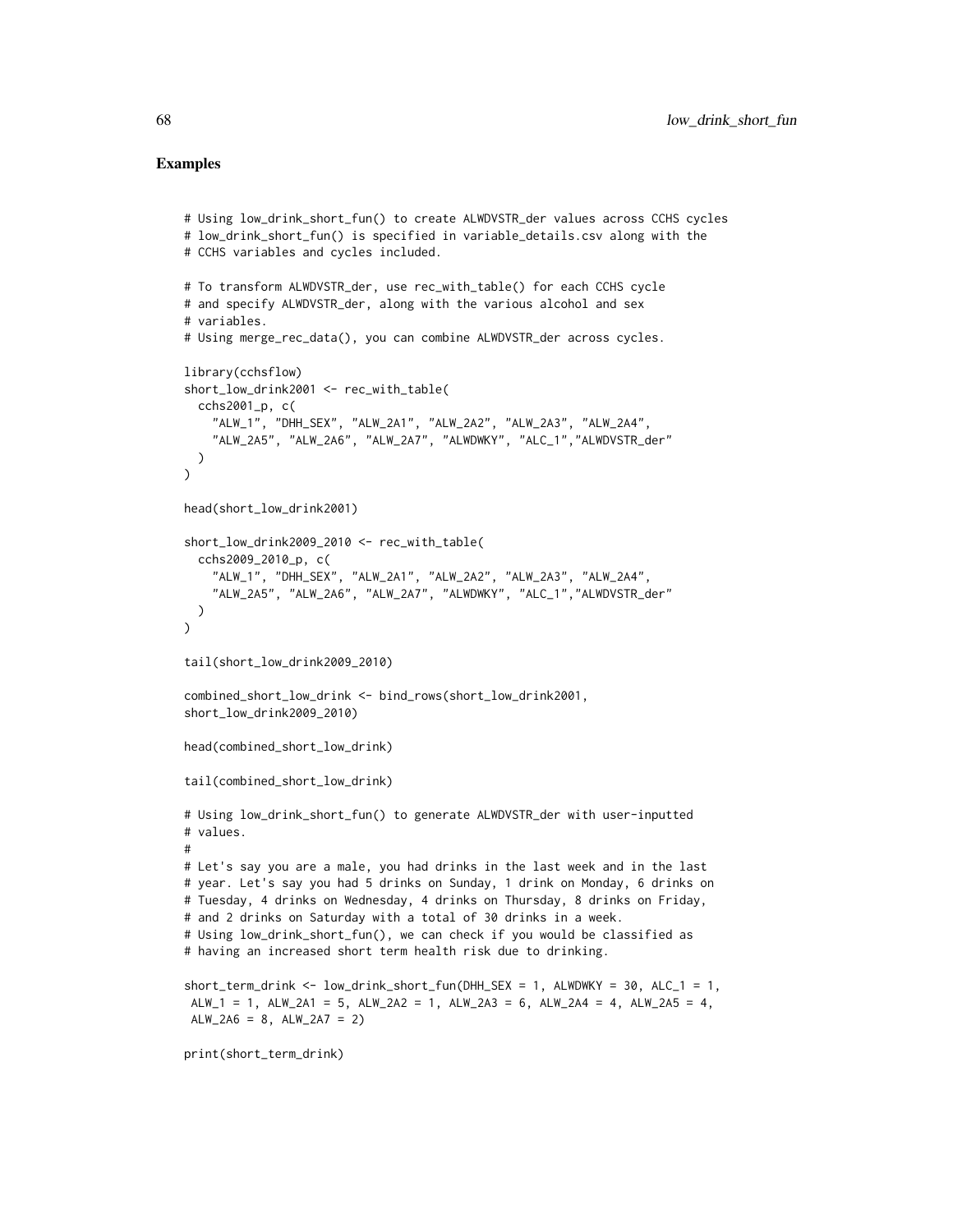```
# Using low_drink_short_fun() to create ALWDVSTR_der values across CCHS cycles
# low_drink_short_fun() is specified in variable_details.csv along with the
# CCHS variables and cycles included.
# To transform ALWDVSTR_der, use rec_with_table() for each CCHS cycle
# and specify ALWDVSTR_der, along with the various alcohol and sex
# variables.
# Using merge_rec_data(), you can combine ALWDVSTR_der across cycles.
library(cchsflow)
short_low_drink2001 <- rec_with_table(
  cchs2001_p, c(
    "ALW_1", "DHH_SEX", "ALW_2A1", "ALW_2A2", "ALW_2A3", "ALW_2A4",
    "ALW_2A5", "ALW_2A6", "ALW_2A7", "ALWDWKY", "ALC_1","ALWDVSTR_der"
  )
\lambdahead(short_low_drink2001)
short_low_drink2009_2010 <- rec_with_table(
  cchs2009_2010_p, c(
    "ALW_1", "DHH_SEX", "ALW_2A1", "ALW_2A2", "ALW_2A3", "ALW_2A4",
    "ALW_2A5", "ALW_2A6", "ALW_2A7", "ALWDWKY", "ALC_1","ALWDVSTR_der"
  )
\lambdatail(short_low_drink2009_2010)
combined_short_low_drink <- bind_rows(short_low_drink2001,
short_low_drink2009_2010)
head(combined_short_low_drink)
tail(combined_short_low_drink)
# Using low_drink_short_fun() to generate ALWDVSTR_der with user-inputted
# values.
#
# Let's say you are a male, you had drinks in the last week and in the last
# year. Let's say you had 5 drinks on Sunday, 1 drink on Monday, 6 drinks on
# Tuesday, 4 drinks on Wednesday, 4 drinks on Thursday, 8 drinks on Friday,
# and 2 drinks on Saturday with a total of 30 drinks in a week.
# Using low_drink_short_fun(), we can check if you would be classified as
# having an increased short term health risk due to drinking.
short_term_drink <- low_drink_short_fun(DHH_SEX = 1, ALWDWKY = 30, ALC_1 = 1,
ALW_1 = 1, ALW_2A1 = 5, ALW_2A2 = 1, ALW_2A3 = 6, ALW_2A4 = 4, ALW_2A5 = 4,
ALW_2AA = 8, ALW_2AA = 2print(short_term_drink)
```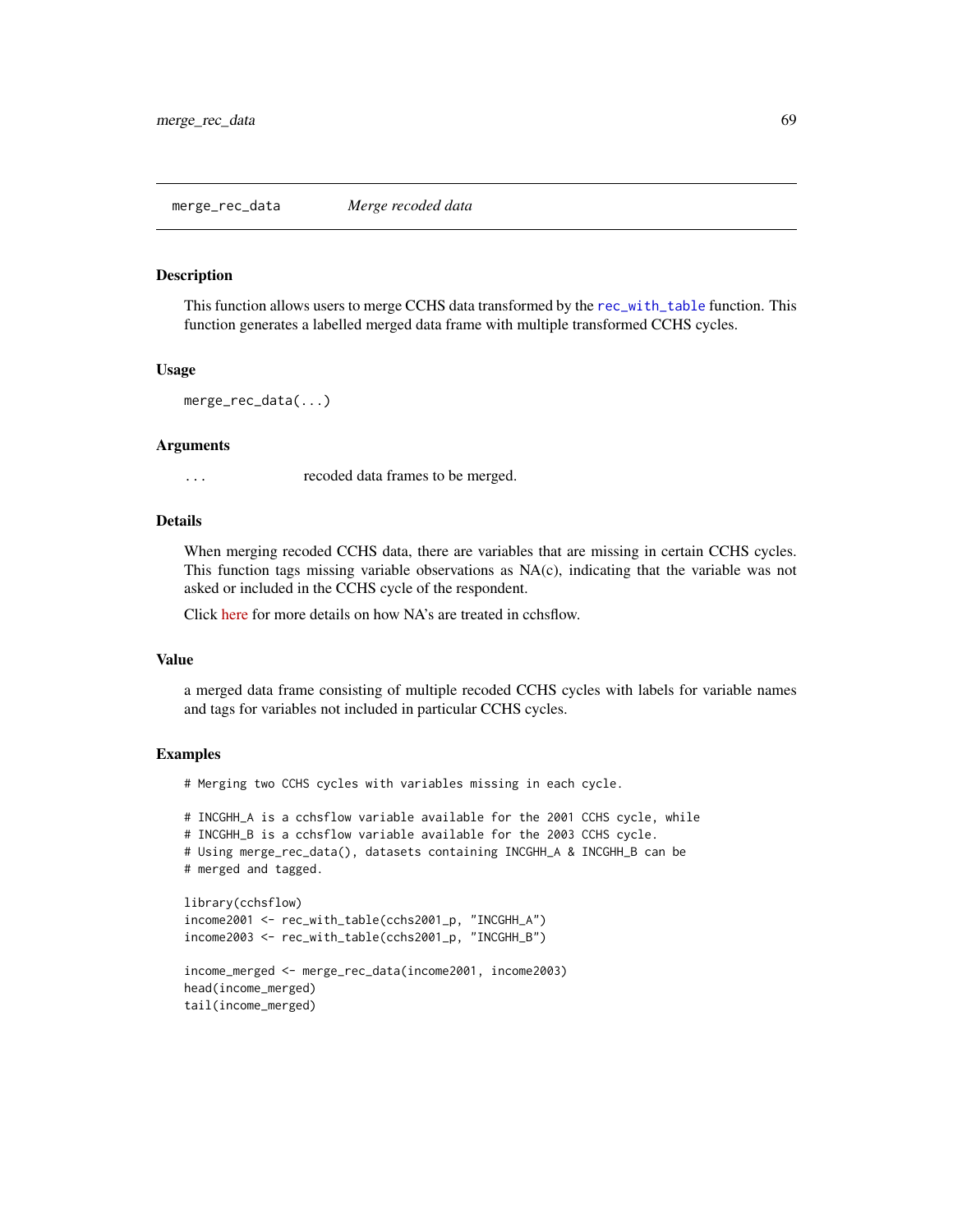This function allows users to merge CCHS data transformed by the [rec\\_with\\_table](#page-82-0) function. This function generates a labelled merged data frame with multiple transformed CCHS cycles.

#### Usage

merge\_rec\_data(...)

#### Arguments

... recoded data frames to be merged.

### Details

When merging recoded CCHS data, there are variables that are missing in certain CCHS cycles. This function tags missing variable observations as NA(c), indicating that the variable was not asked or included in the CCHS cycle of the respondent.

Click [here](https://big-life-lab.github.io/cchsflow/articles/tagged_na_usage.html) for more details on how NA's are treated in cchsflow.

## Value

a merged data frame consisting of multiple recoded CCHS cycles with labels for variable names and tags for variables not included in particular CCHS cycles.

### Examples

tail(income\_merged)

# Merging two CCHS cycles with variables missing in each cycle.

```
# INCGHH_A is a cchsflow variable available for the 2001 CCHS cycle, while
# INCGHH_B is a cchsflow variable available for the 2003 CCHS cycle.
# Using merge_rec_data(), datasets containing INCGHH_A & INCGHH_B can be
# merged and tagged.
library(cchsflow)
income2001 <- rec_with_table(cchs2001_p, "INCGHH_A")
income2003 <- rec_with_table(cchs2001_p, "INCGHH_B")
income_merged <- merge_rec_data(income2001, income2003)
head(income_merged)
```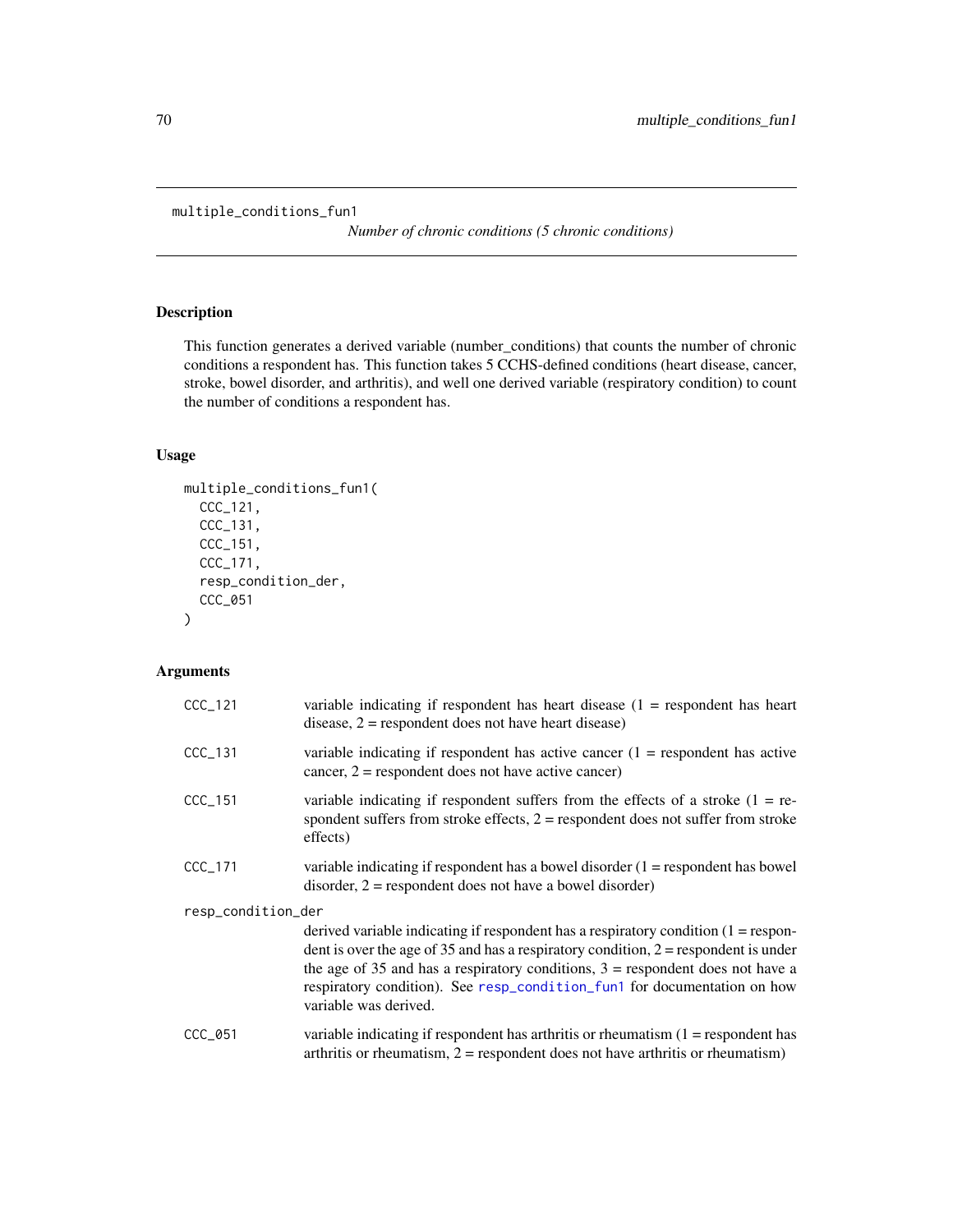```
multiple_conditions_fun1
```
*Number of chronic conditions (5 chronic conditions)*

## Description

This function generates a derived variable (number\_conditions) that counts the number of chronic conditions a respondent has. This function takes 5 CCHS-defined conditions (heart disease, cancer, stroke, bowel disorder, and arthritis), and well one derived variable (respiratory condition) to count the number of conditions a respondent has.

## Usage

```
multiple_conditions_fun1(
  CCC_121,
  CCC_131,
  CCC_151,
  CCC_171,
  resp_condition_der,
  CCC_051
\mathcal{L}
```
## Arguments

| $CCC_121$          | variable indicating if respondent has heart disease $(1 =$ respondent has heart<br>disease, $2$ = respondent does not have heart disease)                                                                                                                                                                                                                              |
|--------------------|------------------------------------------------------------------------------------------------------------------------------------------------------------------------------------------------------------------------------------------------------------------------------------------------------------------------------------------------------------------------|
| $CCC_131$          | variable indicating if respondent has active cancer $(1 =$ respondent has active<br>cancer, $2$ = respondent does not have active cancer)                                                                                                                                                                                                                              |
| $CCC_151$          | variable indicating if respondent suffers from the effects of a stroke $(1 = re$<br>spondent suffers from stroke effects, $2 =$ respondent does not suffer from stroke<br>effects)                                                                                                                                                                                     |
| $CCC_171$          | variable indicating if respondent has a bowel disorder $(1 =$ respondent has bowel<br>$disorder, 2 = respondent does not have a bowl disorder)$                                                                                                                                                                                                                        |
| resp_condition_der |                                                                                                                                                                                                                                                                                                                                                                        |
|                    | derived variable indicating if respondent has a respiratory condition $(1 =$ respon-<br>dent is over the age of 35 and has a respiratory condition, $2 =$ respondent is under<br>the age of 35 and has a respiratory conditions, $3 =$ respondent does not have a<br>respiratory condition). See resp_condition_fun1 for documentation on how<br>variable was derived. |
| CCC_051            | variable indicating if respondent has arthritis or rheumatism $(1 =$ respondent has<br>arthritis or rheumatism, $2 =$ respondent does not have arthritis or rheumatism)                                                                                                                                                                                                |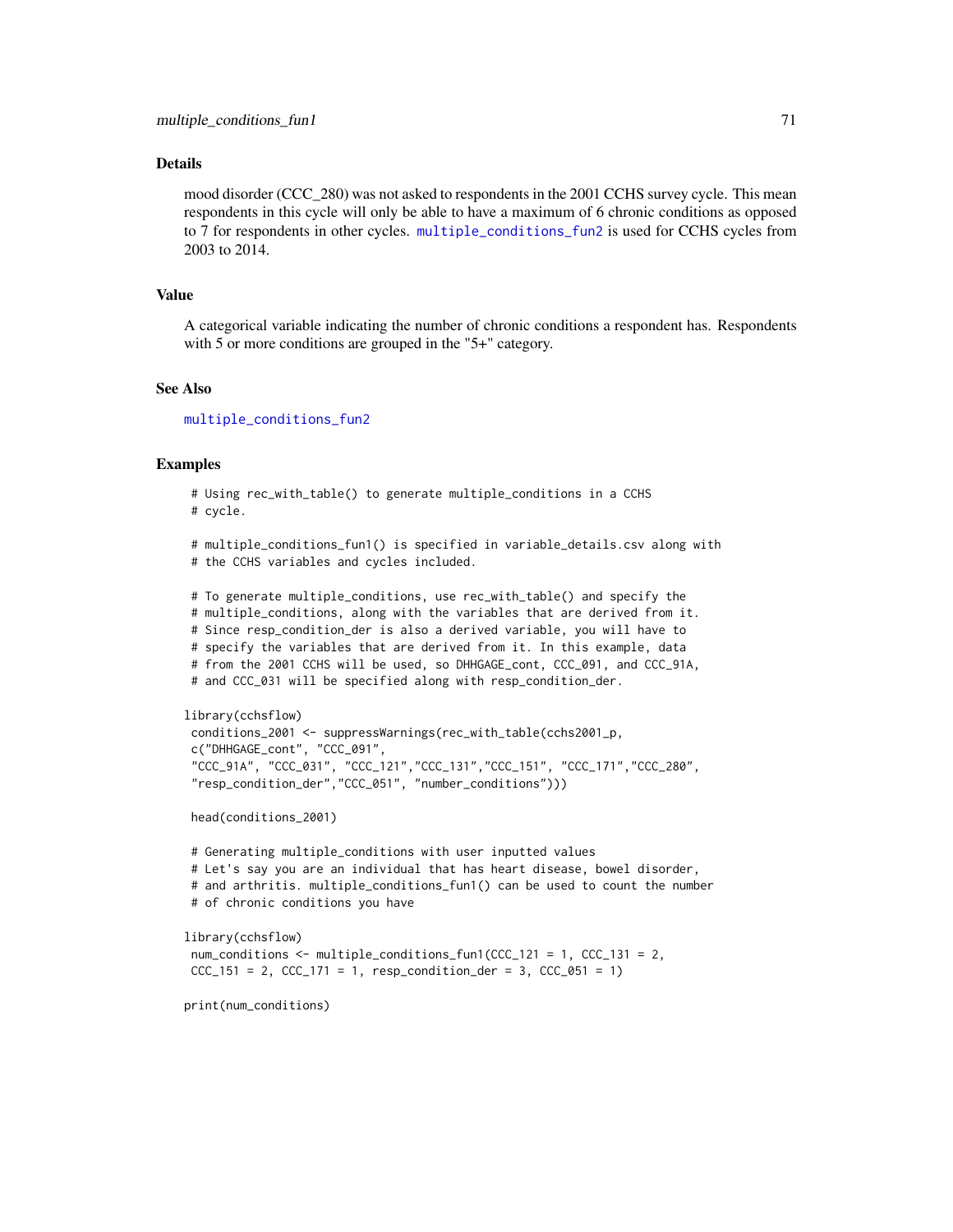### Details

mood disorder (CCC 280) was not asked to respondents in the 2001 CCHS survey cycle. This mean respondents in this cycle will only be able to have a maximum of 6 chronic conditions as opposed to 7 for respondents in other cycles. [multiple\\_conditions\\_fun2](#page-71-0) is used for CCHS cycles from 2003 to 2014.

#### Value

A categorical variable indicating the number of chronic conditions a respondent has. Respondents with 5 or more conditions are grouped in the "5+" category.

#### See Also

[multiple\\_conditions\\_fun2](#page-71-0)

#### Examples

# Using rec\_with\_table() to generate multiple\_conditions in a CCHS # cycle.

# multiple\_conditions\_fun1() is specified in variable\_details.csv along with # the CCHS variables and cycles included.

# To generate multiple\_conditions, use rec\_with\_table() and specify the # multiple\_conditions, along with the variables that are derived from it. # Since resp\_condition\_der is also a derived variable, you will have to # specify the variables that are derived from it. In this example, data # from the 2001 CCHS will be used, so DHHGAGE\_cont, CCC\_091, and CCC\_91A, # and CCC\_031 will be specified along with resp\_condition\_der.

```
library(cchsflow)
conditions_2001 <- suppressWarnings(rec_with_table(cchs2001_p,
c("DHHGAGE_cont", "CCC_091",
"CCC_91A", "CCC_031", "CCC_121","CCC_131","CCC_151", "CCC_171","CCC_280",
"resp_condition_der","CCC_051", "number_conditions")))
```
head(conditions\_2001)

```
# Generating multiple_conditions with user inputted values
# Let's say you are an individual that has heart disease, bowel disorder,
# and arthritis. multiple_conditions_fun1() can be used to count the number
# of chronic conditions you have
```

```
library(cchsflow)
```
num\_conditions <- multiple\_conditions\_fun1(CCC\_121 = 1, CCC\_131 = 2,  $CCC_151 = 2$ ,  $CCC_171 = 1$ ,  $resp\_condition\_der = 3$ ,  $CCC_051 = 1)$ 

print(num\_conditions)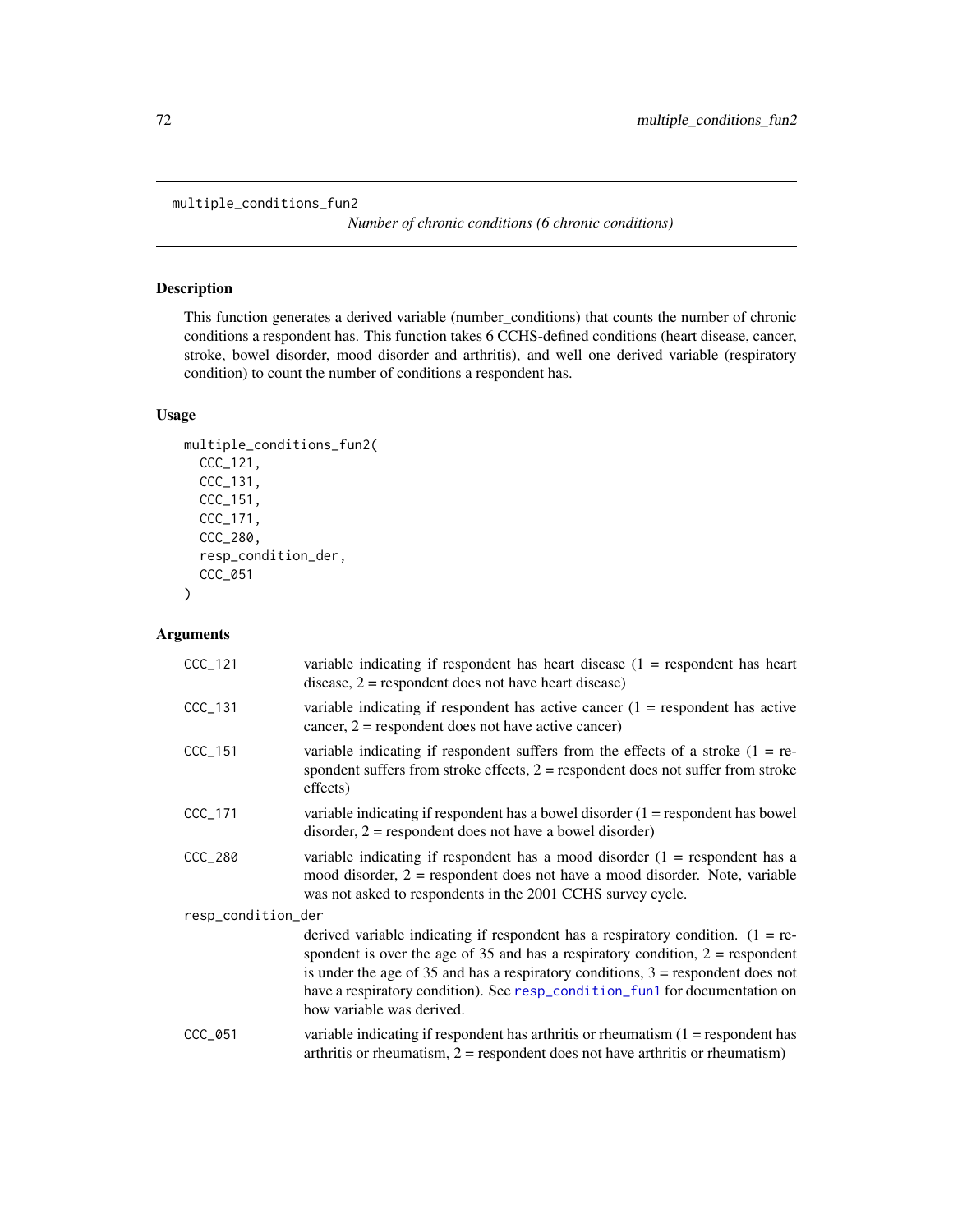```
multiple_conditions_fun2
```
*Number of chronic conditions (6 chronic conditions)*

## Description

This function generates a derived variable (number\_conditions) that counts the number of chronic conditions a respondent has. This function takes 6 CCHS-defined conditions (heart disease, cancer, stroke, bowel disorder, mood disorder and arthritis), and well one derived variable (respiratory condition) to count the number of conditions a respondent has.

### Usage

```
multiple_conditions_fun2(
  CCC_121,
 CCC_131,
 CCC_151,
  CCC_171,
  CCC_280,
  resp_condition_der,
  CCC_051
)
```
## Arguments

| $CCC_121$          | variable indicating if respondent has heart disease $(1 =$ respondent has heart<br>disease, $2$ = respondent does not have heart disease)                                                                                                                                                                                                                              |
|--------------------|------------------------------------------------------------------------------------------------------------------------------------------------------------------------------------------------------------------------------------------------------------------------------------------------------------------------------------------------------------------------|
| $CCC_131$          | variable indicating if respondent has active cancer $(1 =$ respondent has active<br>cancer, $2 =$ respondent does not have active cancer)                                                                                                                                                                                                                              |
| CCC_151            | variable indicating if respondent suffers from the effects of a stroke $(1 = re$<br>spondent suffers from stroke effects, $2 =$ respondent does not suffer from stroke<br>effects)                                                                                                                                                                                     |
| $CCC_1171$         | variable indicating if respondent has a bowel disorder $(1 =$ respondent has bowel<br>disorder, $2$ = respondent does not have a bowel disorder)                                                                                                                                                                                                                       |
| CCC_280            | variable indicating if respondent has a mood disorder $(1 =$ respondent has a<br>mood disorder, $2$ = respondent does not have a mood disorder. Note, variable<br>was not asked to respondents in the 2001 CCHS survey cycle.                                                                                                                                          |
| resp_condition_der |                                                                                                                                                                                                                                                                                                                                                                        |
|                    | derived variable indicating if respondent has a respiratory condition. $(1 = re$<br>spondent is over the age of 35 and has a respiratory condition, $2 =$ respondent<br>is under the age of 35 and has a respiratory conditions, $3 =$ respondent does not<br>have a respiratory condition). See resp_condition_fun1 for documentation on<br>how variable was derived. |
| $CCC_051$          | variable indicating if respondent has arthritis or rheumatism $(1 =$ respondent has<br>arthritis or rheumatism, $2 =$ respondent does not have arthritis or rheumatism)                                                                                                                                                                                                |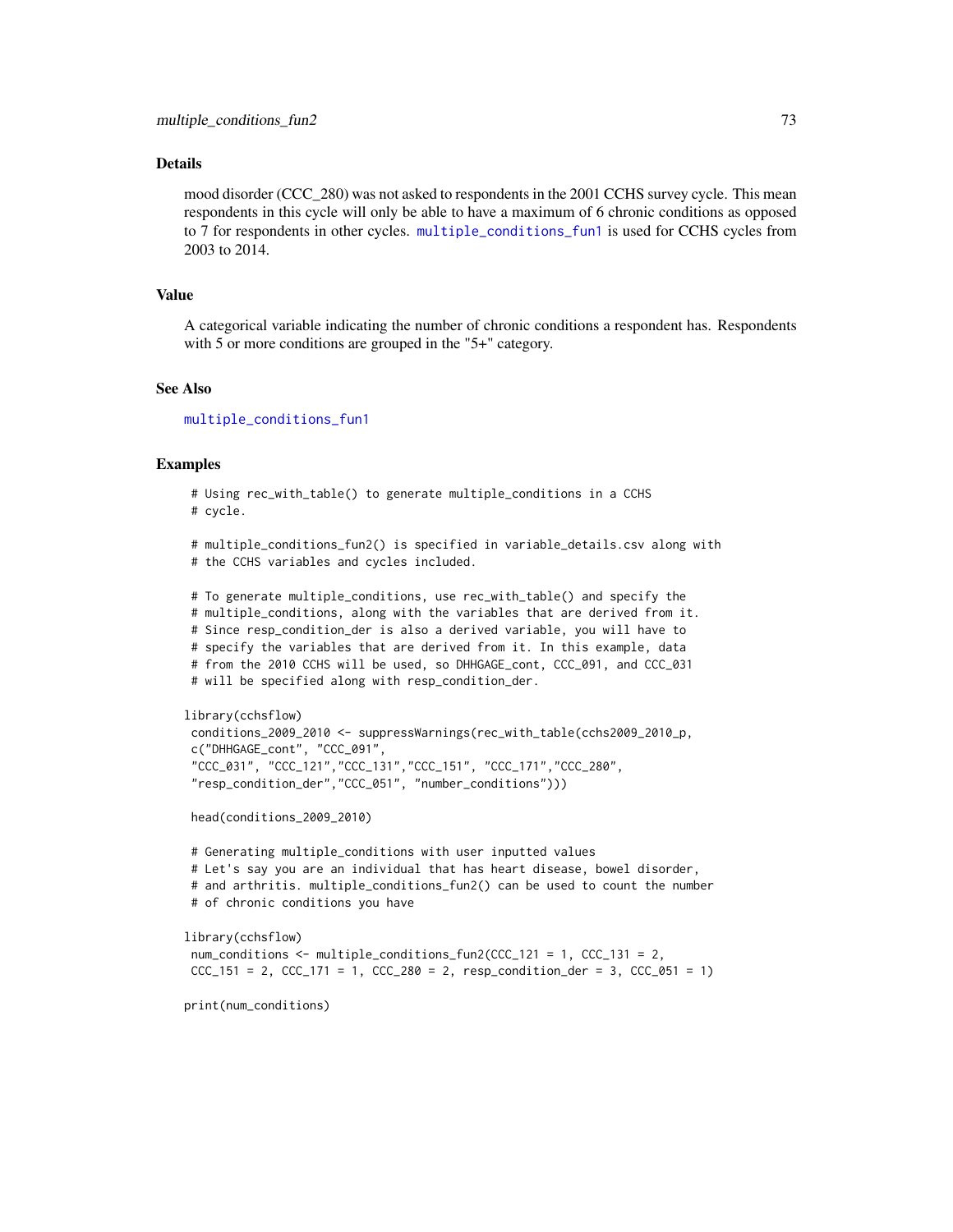#### <span id="page-72-0"></span>Details

mood disorder (CCC 280) was not asked to respondents in the 2001 CCHS survey cycle. This mean respondents in this cycle will only be able to have a maximum of 6 chronic conditions as opposed to 7 for respondents in other cycles. [multiple\\_conditions\\_fun1](#page-69-0) is used for CCHS cycles from 2003 to 2014.

#### Value

A categorical variable indicating the number of chronic conditions a respondent has. Respondents with 5 or more conditions are grouped in the "5+" category.

#### See Also

[multiple\\_conditions\\_fun1](#page-69-0)

#### Examples

# Using rec\_with\_table() to generate multiple\_conditions in a CCHS # cycle.

# multiple\_conditions\_fun2() is specified in variable\_details.csv along with # the CCHS variables and cycles included.

# To generate multiple\_conditions, use rec\_with\_table() and specify the # multiple\_conditions, along with the variables that are derived from it. # Since resp\_condition\_der is also a derived variable, you will have to # specify the variables that are derived from it. In this example, data # from the 2010 CCHS will be used, so DHHGAGE\_cont, CCC\_091, and CCC\_031 # will be specified along with resp\_condition\_der.

```
library(cchsflow)
conditions_2009_2010 <- suppressWarnings(rec_with_table(cchs2009_2010_p,
c("DHHGAGE_cont", "CCC_091",
"CCC_031", "CCC_121","CCC_131","CCC_151", "CCC_171","CCC_280",
"resp_condition_der","CCC_051", "number_conditions")))
```
head(conditions\_2009\_2010)

# Generating multiple\_conditions with user inputted values # Let's say you are an individual that has heart disease, bowel disorder, # and arthritis. multiple\_conditions\_fun2() can be used to count the number # of chronic conditions you have

library(cchsflow)

num\_conditions <- multiple\_conditions\_fun2(CCC\_121 = 1, CCC\_131 = 2,  $CCC_151 = 2$ ,  $CCC_171 = 1$ ,  $CCC_280 = 2$ ,  $resp_conditional_{der} = 3$ ,  $CCC_051 = 1)$ 

print(num\_conditions)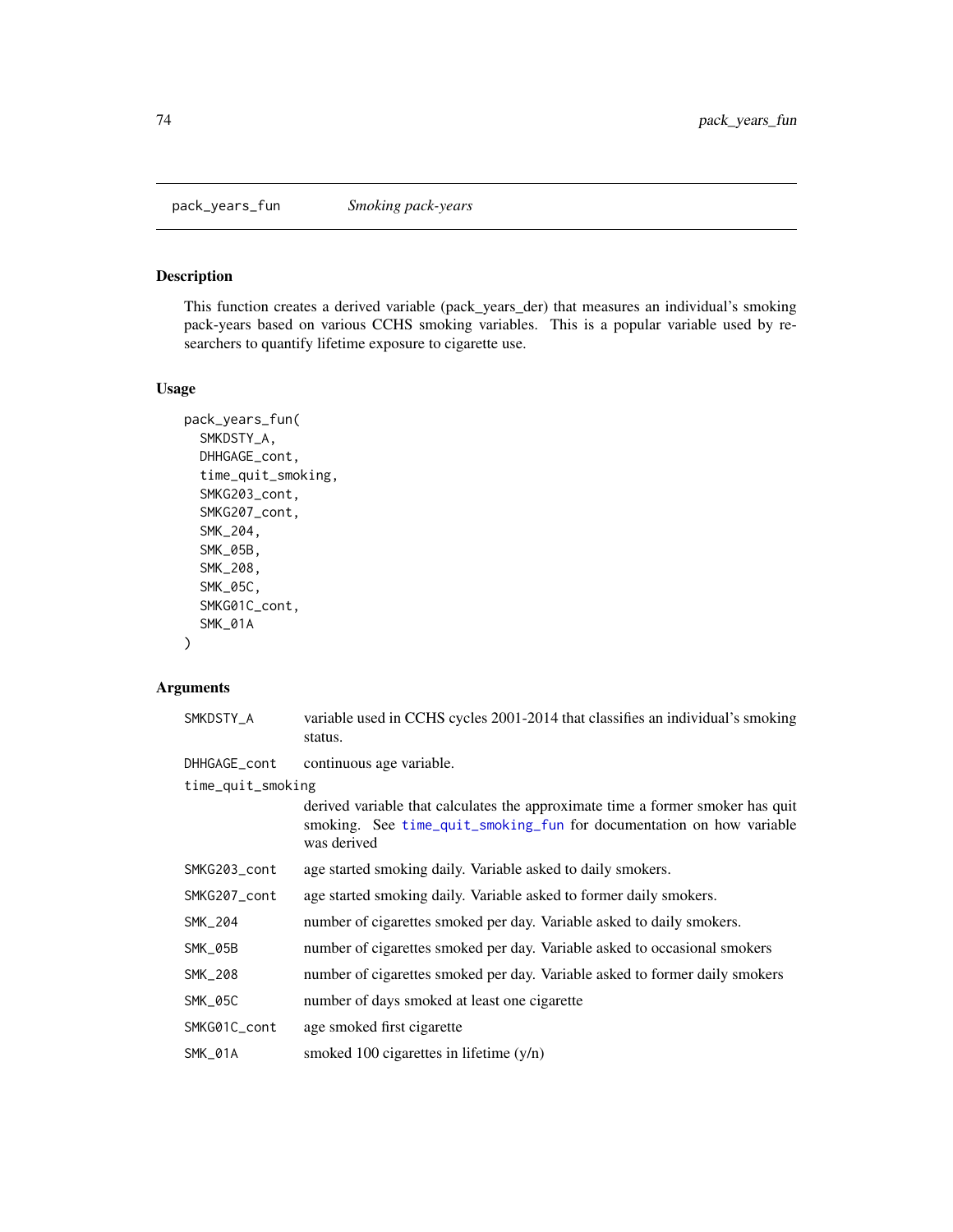<span id="page-73-1"></span><span id="page-73-0"></span>pack\_years\_fun *Smoking pack-years*

### Description

This function creates a derived variable (pack\_years\_der) that measures an individual's smoking pack-years based on various CCHS smoking variables. This is a popular variable used by researchers to quantify lifetime exposure to cigarette use.

### Usage

```
pack_years_fun(
  SMKDSTY_A,
  DHHGAGE_cont,
  time_quit_smoking,
  SMKG203_cont,
  SMKG207_cont,
  SMK_204,
  SMK_05B,
  SMK_208,
  SMK_05C,
  SMKG01C_cont,
  SMK_01A
\mathcal{L}
```
### Arguments

| SMKDSTY_A         | variable used in CCHS cycles 2001-2014 that classifies an individual's smoking<br>status.                                                                             |
|-------------------|-----------------------------------------------------------------------------------------------------------------------------------------------------------------------|
| DHHGAGE_cont      | continuous age variable.                                                                                                                                              |
| time_quit_smoking |                                                                                                                                                                       |
|                   | derived variable that calculates the approximate time a former smoker has quit<br>smoking. See time_quit_smoking_fun for documentation on how variable<br>was derived |
| SMKG203_cont      | age started smoking daily. Variable asked to daily smokers.                                                                                                           |
| SMKG207_cont      | age started smoking daily. Variable asked to former daily smokers.                                                                                                    |
| SMK_204           | number of cigarettes smoked per day. Variable asked to daily smokers.                                                                                                 |
| SMK_05B           | number of cigarettes smoked per day. Variable asked to occasional smokers                                                                                             |
| SMK_208           | number of cigarettes smoked per day. Variable asked to former daily smokers                                                                                           |
| SMK_05C           | number of days smoked at least one cigarette                                                                                                                          |
| SMKG01C_cont      | age smoked first cigarette                                                                                                                                            |
| SMK_01A           | smoked 100 cigarettes in lifetime $(y/n)$                                                                                                                             |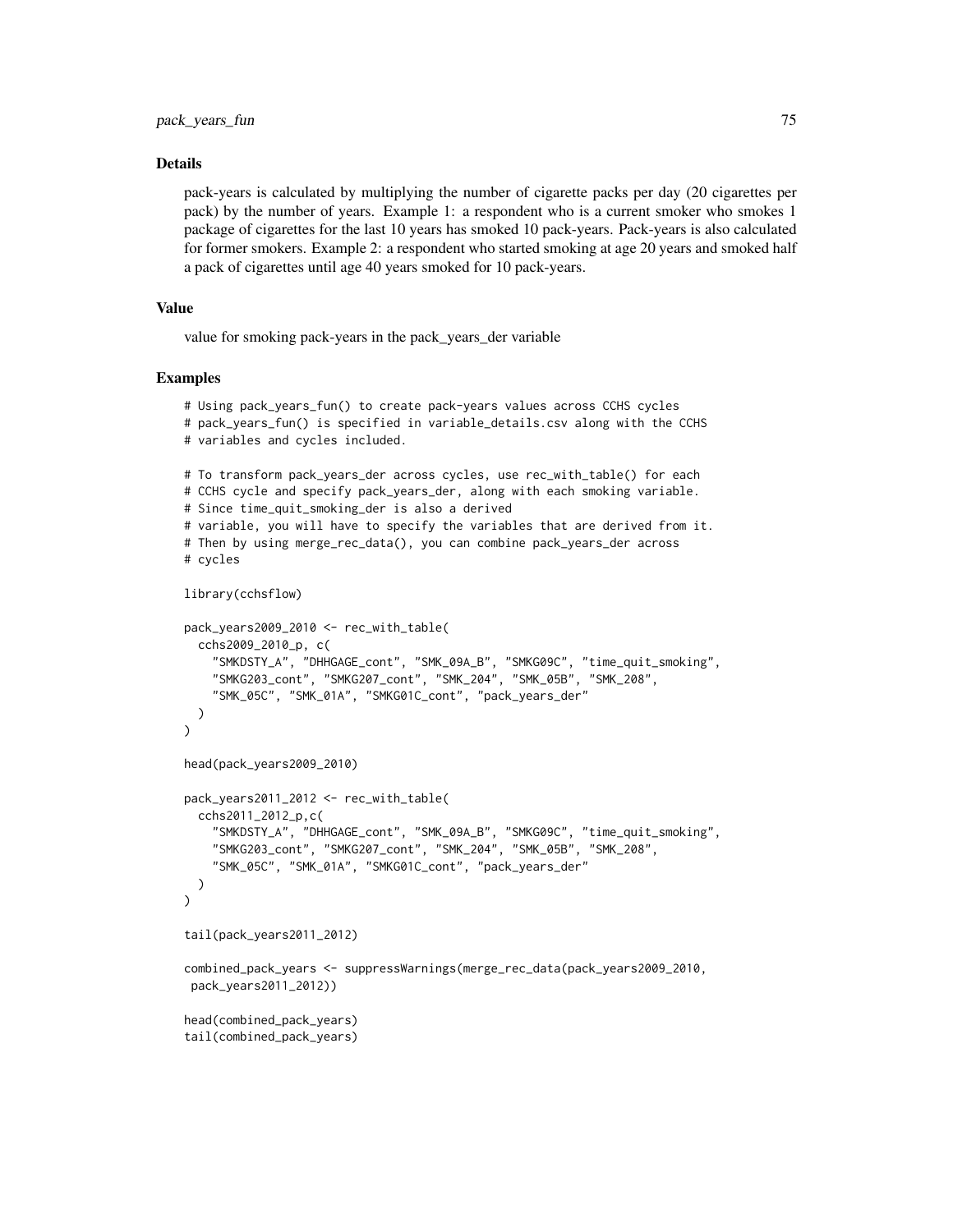#### Details

pack-years is calculated by multiplying the number of cigarette packs per day (20 cigarettes per pack) by the number of years. Example 1: a respondent who is a current smoker who smokes 1 package of cigarettes for the last 10 years has smoked 10 pack-years. Pack-years is also calculated for former smokers. Example 2: a respondent who started smoking at age 20 years and smoked half a pack of cigarettes until age 40 years smoked for 10 pack-years.

### Value

value for smoking pack-years in the pack\_years\_der variable

```
# Using pack_years_fun() to create pack-years values across CCHS cycles
# pack_years_fun() is specified in variable_details.csv along with the CCHS
# variables and cycles included.
# To transform pack_years_der across cycles, use rec_with_table() for each
# CCHS cycle and specify pack_years_der, along with each smoking variable.
# Since time_quit_smoking_der is also a derived
# variable, you will have to specify the variables that are derived from it.
# Then by using merge_rec_data(), you can combine pack_years_der across
# cycles
library(cchsflow)
pack_years2009_2010 <- rec_with_table(
  cchs2009_2010_p, c(
    "SMKDSTY_A", "DHHGAGE_cont", "SMK_09A_B", "SMKG09C", "time_quit_smoking",
    "SMKG203_cont", "SMKG207_cont", "SMK_204", "SMK_05B", "SMK_208",
    "SMK_05C", "SMK_01A", "SMKG01C_cont", "pack_years_der"
  )
)
head(pack_years2009_2010)
pack_years2011_2012 <- rec_with_table(
  cchs2011_2012_p,c(
    "SMKDSTY_A", "DHHGAGE_cont", "SMK_09A_B", "SMKG09C", "time_quit_smoking",
    "SMKG203_cont", "SMKG207_cont", "SMK_204", "SMK_05B", "SMK_208",
    "SMK_05C", "SMK_01A", "SMKG01C_cont", "pack_years_der"
  )
)
tail(pack_years2011_2012)
combined_pack_years <- suppressWarnings(merge_rec_data(pack_years2009_2010,
 pack_years2011_2012))
head(combined_pack_years)
tail(combined_pack_years)
```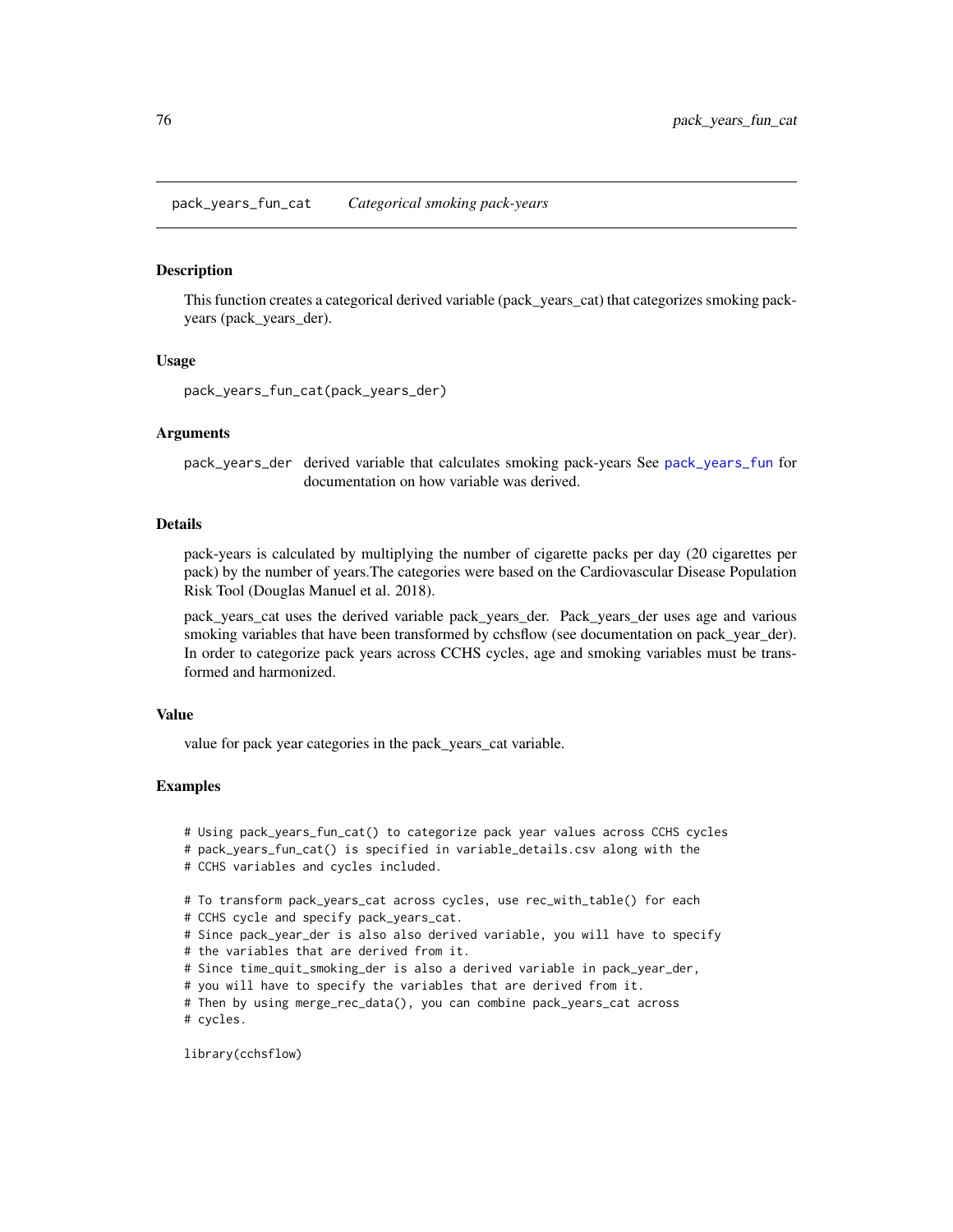<span id="page-75-0"></span>pack\_years\_fun\_cat *Categorical smoking pack-years*

#### Description

This function creates a categorical derived variable (pack\_years\_cat) that categorizes smoking packyears (pack\_years\_der).

#### Usage

pack\_years\_fun\_cat(pack\_years\_der)

#### Arguments

pack\_years\_der derived variable that calculates smoking pack-years See [pack\\_years\\_fun](#page-73-0) for documentation on how variable was derived.

### Details

pack-years is calculated by multiplying the number of cigarette packs per day (20 cigarettes per pack) by the number of years.The categories were based on the Cardiovascular Disease Population Risk Tool (Douglas Manuel et al. 2018).

pack\_years\_cat uses the derived variable pack\_years\_der. Pack\_years\_der uses age and various smoking variables that have been transformed by cchsflow (see documentation on pack\_year\_der). In order to categorize pack years across CCHS cycles, age and smoking variables must be transformed and harmonized.

#### Value

value for pack year categories in the pack\_years\_cat variable.

#### Examples

- # Using pack\_years\_fun\_cat() to categorize pack year values across CCHS cycles
- # pack\_years\_fun\_cat() is specified in variable\_details.csv along with the
- # CCHS variables and cycles included.
- # To transform pack\_years\_cat across cycles, use rec\_with\_table() for each
- # CCHS cycle and specify pack\_years\_cat.
- # Since pack\_year\_der is also also derived variable, you will have to specify
- # the variables that are derived from it.
- # Since time\_quit\_smoking\_der is also a derived variable in pack\_year\_der,
- # you will have to specify the variables that are derived from it.

# Then by using merge\_rec\_data(), you can combine pack\_years\_cat across # cycles.

library(cchsflow)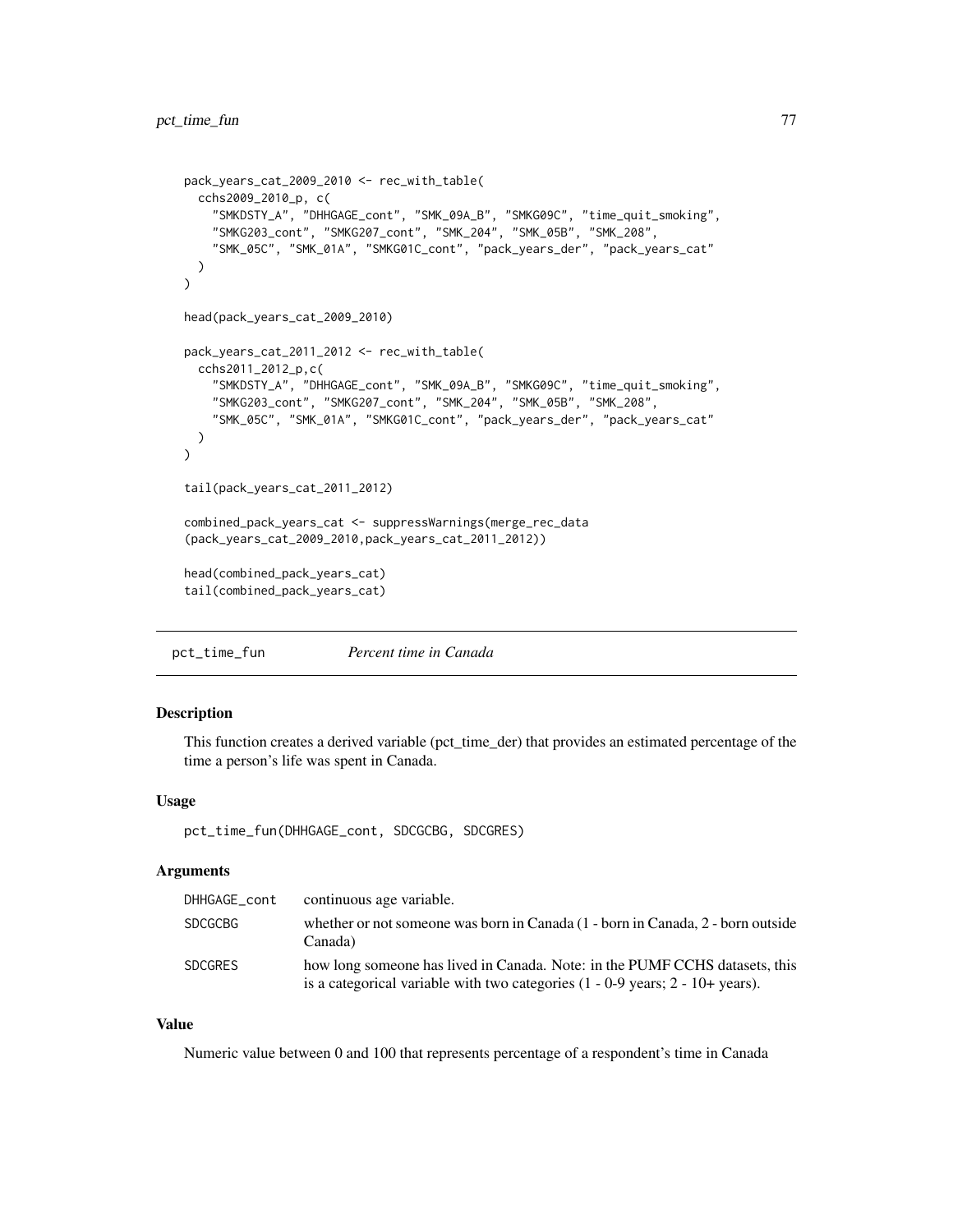```
pack_years_cat_2009_2010 <- rec_with_table(
  cchs2009_2010_p, c(
   "SMKDSTY_A", "DHHGAGE_cont", "SMK_09A_B", "SMKG09C", "time_quit_smoking",
    "SMKG203_cont", "SMKG207_cont", "SMK_204", "SMK_05B", "SMK_208",
    "SMK_05C", "SMK_01A", "SMKG01C_cont", "pack_years_der", "pack_years_cat"
  )
)
head(pack_years_cat_2009_2010)
pack_years_cat_2011_2012 <- rec_with_table(
  cchs2011_2012_p,c(
    "SMKDSTY_A", "DHHGAGE_cont", "SMK_09A_B", "SMKG09C", "time_quit_smoking",
    "SMKG203_cont", "SMKG207_cont", "SMK_204", "SMK_05B", "SMK_208",
    "SMK_05C", "SMK_01A", "SMKG01C_cont", "pack_years_der", "pack_years_cat"
  )
\mathcal{L}tail(pack_years_cat_2011_2012)
combined_pack_years_cat <- suppressWarnings(merge_rec_data
(pack_years_cat_2009_2010,pack_years_cat_2011_2012))
head(combined_pack_years_cat)
tail(combined_pack_years_cat)
```
<span id="page-76-0"></span>

| pct_time_fun | Percent time in Canada |  |  |
|--------------|------------------------|--|--|
|              |                        |  |  |

This function creates a derived variable (pct\_time\_der) that provides an estimated percentage of the time a person's life was spent in Canada.

### Usage

```
pct_time_fun(DHHGAGE_cont, SDCGCBG, SDCGRES)
```
### Arguments

| DHHGAGE cont   | continuous age variable.                                                                                                                                          |
|----------------|-------------------------------------------------------------------------------------------------------------------------------------------------------------------|
| <b>SDCGCBG</b> | whether or not someone was born in Canada (1 - born in Canada, 2 - born outside<br>Canada)                                                                        |
| <b>SDCGRES</b> | how long someone has lived in Canada. Note: in the PUMF CCHS datasets, this<br>is a categorical variable with two categories $(1 - 0.9$ years; $2 - 10 +$ years). |

### Value

Numeric value between 0 and 100 that represents percentage of a respondent's time in Canada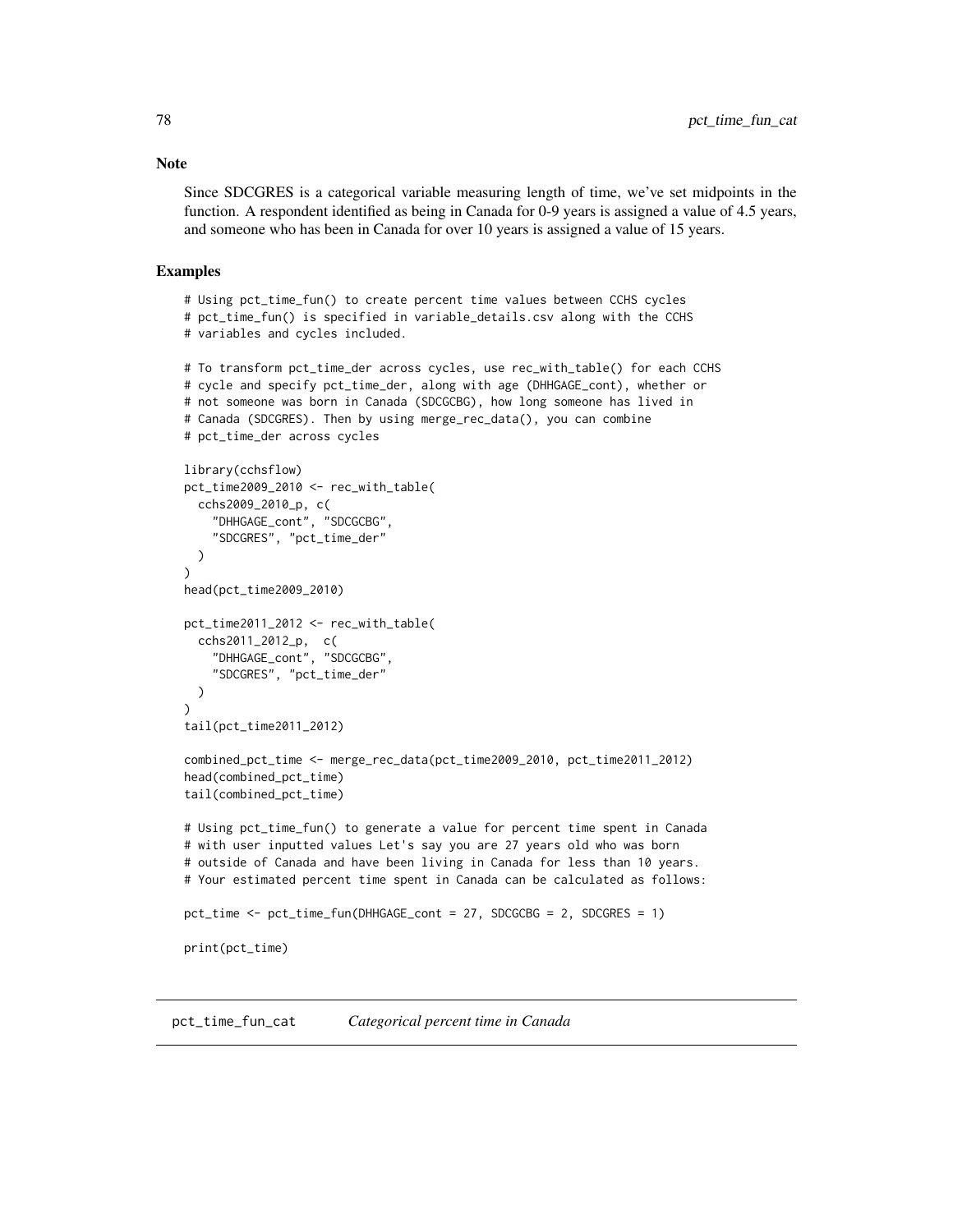Since SDCGRES is a categorical variable measuring length of time, we've set midpoints in the function. A respondent identified as being in Canada for 0-9 years is assigned a value of 4.5 years, and someone who has been in Canada for over 10 years is assigned a value of 15 years.

#### Examples

```
# Using pct_time_fun() to create percent time values between CCHS cycles
# pct_time_fun() is specified in variable_details.csv along with the CCHS
# variables and cycles included.
# To transform pct_time_der across cycles, use rec_with_table() for each CCHS
# cycle and specify pct_time_der, along with age (DHHGAGE_cont), whether or
# not someone was born in Canada (SDCGCBG), how long someone has lived in
# Canada (SDCGRES). Then by using merge_rec_data(), you can combine
# pct_time_der across cycles
library(cchsflow)
pct_time2009_2010 <- rec_with_table(
 cchs2009_2010_p, c(
    "DHHGAGE_cont", "SDCGCBG",
    "SDCGRES", "pct_time_der"
 )
)
head(pct_time2009_2010)
pct_time2011_2012 <- rec_with_table(
 cchs2011_2012_p, c(
    "DHHGAGE_cont", "SDCGCBG",
    "SDCGRES", "pct_time_der"
 )
)
tail(pct_time2011_2012)
combined_pct_time <- merge_rec_data(pct_time2009_2010, pct_time2011_2012)
head(combined_pct_time)
tail(combined_pct_time)
# Using pct_time_fun() to generate a value for percent time spent in Canada
# with user inputted values Let's say you are 27 years old who was born
# outside of Canada and have been living in Canada for less than 10 years.
# Your estimated percent time spent in Canada can be calculated as follows:
pct_time <- pct_time_fun(DHHGAGE_cont = 27, SDCGCBG = 2, SDCGRES = 1)
print(pct_time)
```
pct\_time\_fun\_cat *Categorical percent time in Canada*

### <span id="page-77-0"></span>**Note**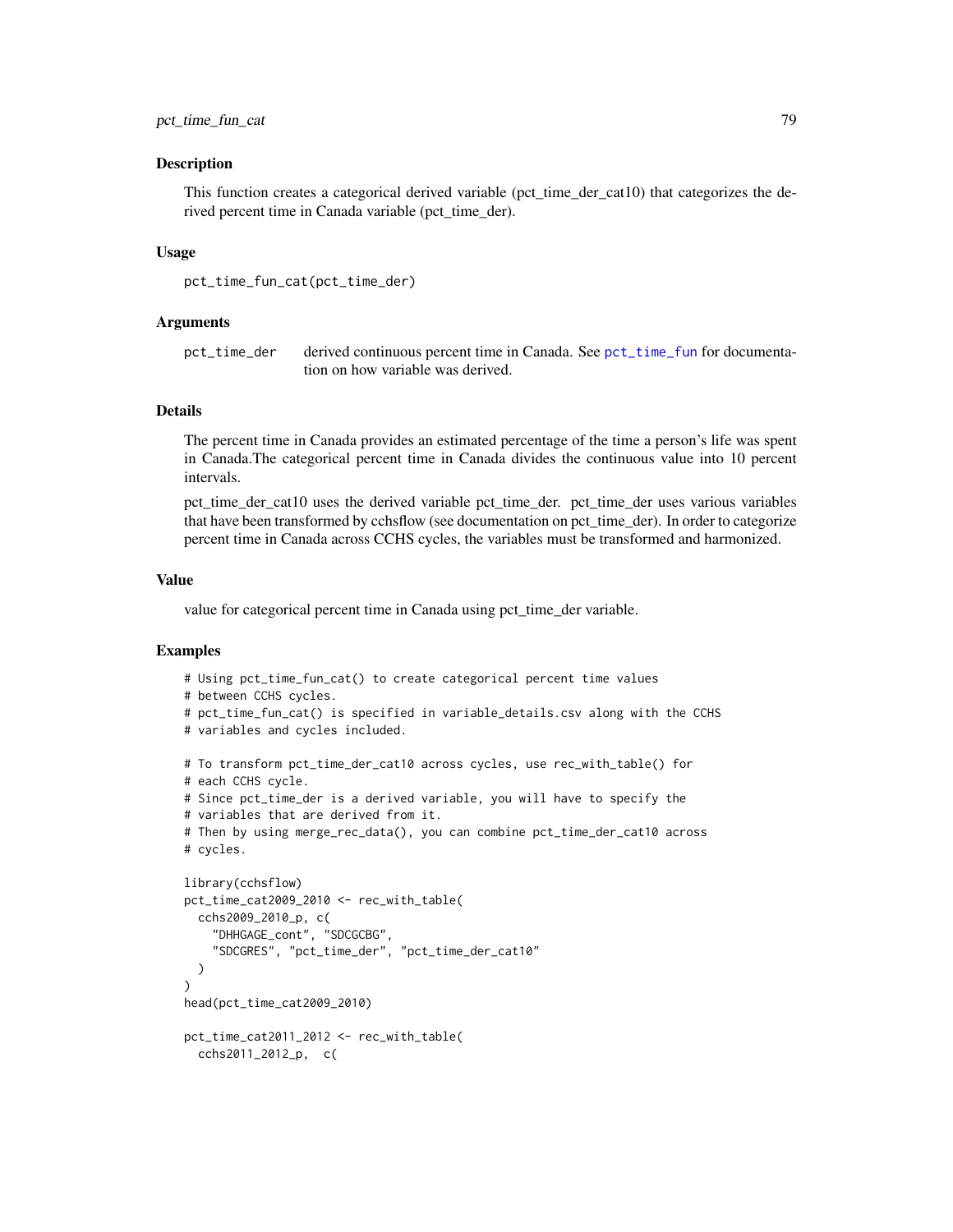<span id="page-78-0"></span>This function creates a categorical derived variable (pct\_time\_der\_cat10) that categorizes the derived percent time in Canada variable (pct\_time\_der).

#### Usage

```
pct_time_fun_cat(pct_time_der)
```
### Arguments

pct\_time\_der derived continuous percent time in Canada. See [pct\\_time\\_fun](#page-76-0) for documentation on how variable was derived.

### Details

The percent time in Canada provides an estimated percentage of the time a person's life was spent in Canada.The categorical percent time in Canada divides the continuous value into 10 percent intervals.

pct\_time\_der\_cat10 uses the derived variable pct\_time\_der. pct\_time\_der uses various variables that have been transformed by cchsflow (see documentation on pct\_time\_der). In order to categorize percent time in Canada across CCHS cycles, the variables must be transformed and harmonized.

### Value

value for categorical percent time in Canada using pct\_time\_der variable.

```
# Using pct_time_fun_cat() to create categorical percent time values
# between CCHS cycles.
# pct_time_fun_cat() is specified in variable_details.csv along with the CCHS
# variables and cycles included.
# To transform pct_time_der_cat10 across cycles, use rec_with_table() for
# each CCHS cycle.
# Since pct_time_der is a derived variable, you will have to specify the
# variables that are derived from it.
# Then by using merge_rec_data(), you can combine pct_time_der_cat10 across
# cycles.
library(cchsflow)
pct_time_cat2009_2010 <- rec_with_table(
  cchs2009_2010_p, c(
    "DHHGAGE_cont", "SDCGCBG",
    "SDCGRES", "pct_time_der", "pct_time_der_cat10"
  )
)
head(pct_time_cat2009_2010)
```

```
pct_time_cat2011_2012 <- rec_with_table(
 cchs2011_2012_p, c(
```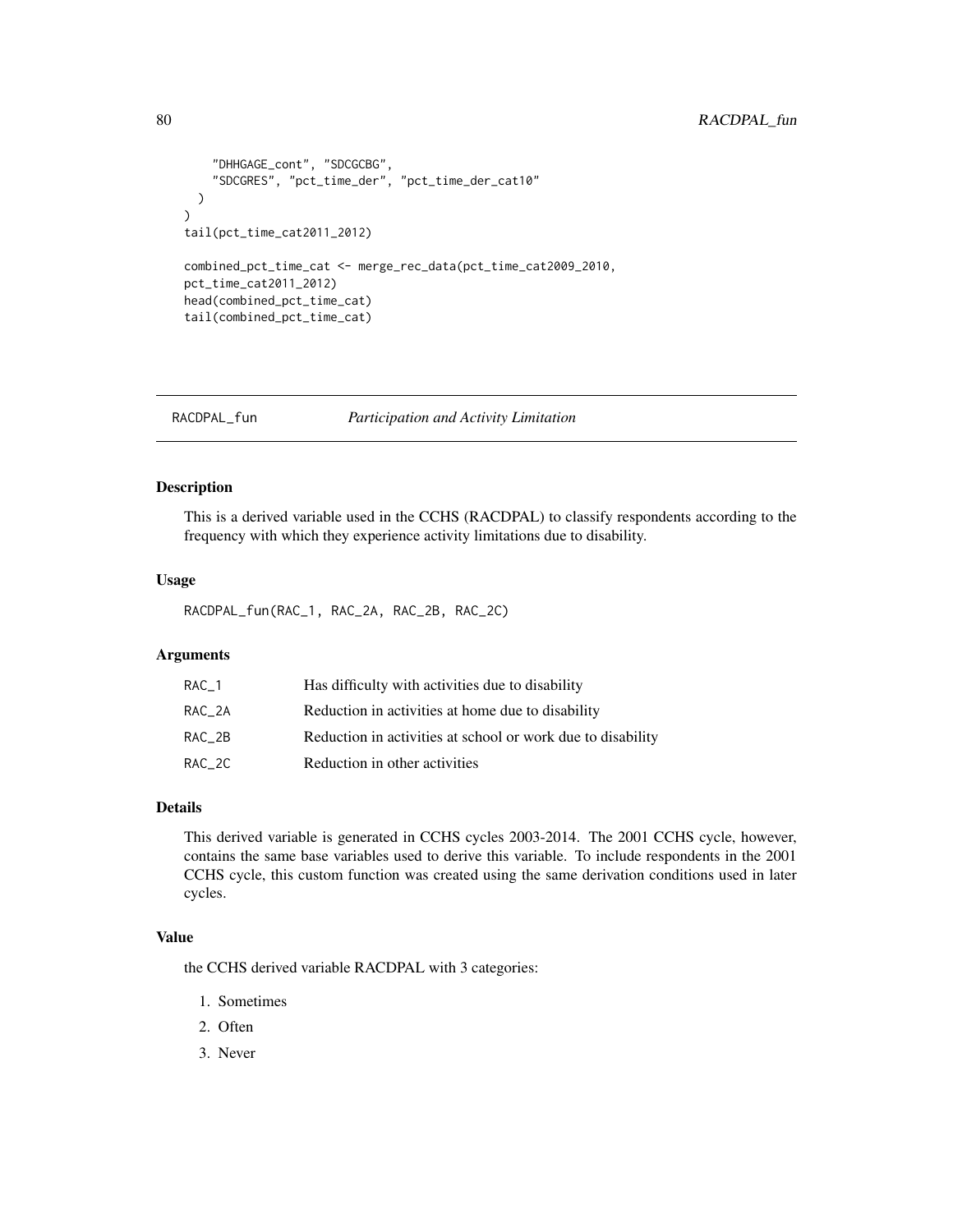### <span id="page-79-0"></span>80 RACDPAL\_fun

```
"DHHGAGE_cont", "SDCGCBG",
    "SDCGRES", "pct_time_der", "pct_time_der_cat10"
 )
\mathcal{L}tail(pct_time_cat2011_2012)
combined_pct_time_cat <- merge_rec_data(pct_time_cat2009_2010,
pct_time_cat2011_2012)
head(combined_pct_time_cat)
tail(combined_pct_time_cat)
```
RACDPAL\_fun *Participation and Activity Limitation*

### Description

This is a derived variable used in the CCHS (RACDPAL) to classify respondents according to the frequency with which they experience activity limitations due to disability.

### Usage

RACDPAL\_fun(RAC\_1, RAC\_2A, RAC\_2B, RAC\_2C)

### Arguments

| RAC 1  | Has difficulty with activities due to disability            |
|--------|-------------------------------------------------------------|
| RAC 2A | Reduction in activities at home due to disability           |
| RAC 2B | Reduction in activities at school or work due to disability |
| RAC 2C | Reduction in other activities                               |

### Details

This derived variable is generated in CCHS cycles 2003-2014. The 2001 CCHS cycle, however, contains the same base variables used to derive this variable. To include respondents in the 2001 CCHS cycle, this custom function was created using the same derivation conditions used in later cycles.

### Value

the CCHS derived variable RACDPAL with 3 categories:

- 1. Sometimes
- 2. Often
- 3. Never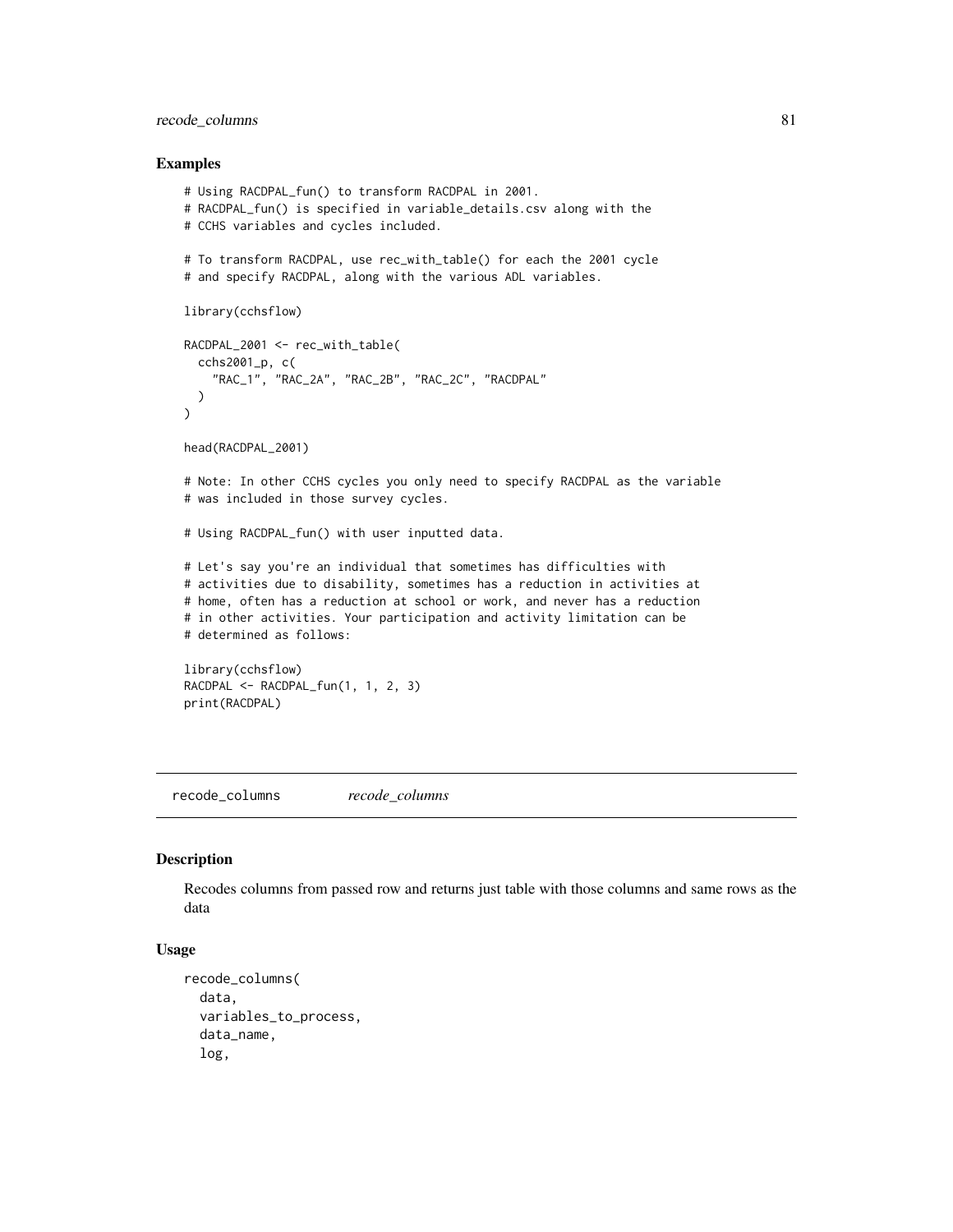### <span id="page-80-0"></span>recode\_columns 81

#### Examples

```
# Using RACDPAL_fun() to transform RACDPAL in 2001.
# RACDPAL_fun() is specified in variable_details.csv along with the
# CCHS variables and cycles included.
# To transform RACDPAL, use rec_with_table() for each the 2001 cycle
# and specify RACDPAL, along with the various ADL variables.
library(cchsflow)
RACDPAL_2001 <- rec_with_table(
  cchs2001_p, c(
    "RAC_1", "RAC_2A", "RAC_2B", "RAC_2C", "RACDPAL"
  )
\mathcal{L}head(RACDPAL_2001)
# Note: In other CCHS cycles you only need to specify RACDPAL as the variable
# was included in those survey cycles.
# Using RACDPAL_fun() with user inputted data.
# Let's say you're an individual that sometimes has difficulties with
# activities due to disability, sometimes has a reduction in activities at
# home, often has a reduction at school or work, and never has a reduction
# in other activities. Your participation and activity limitation can be
# determined as follows:
library(cchsflow)
RACDPAL <- RACDPAL_fun(1, 1, 2, 3)
print(RACDPAL)
```
recode\_columns *recode\_columns*

### Description

Recodes columns from passed row and returns just table with those columns and same rows as the data

### Usage

```
recode_columns(
  data,
  variables_to_process,
  data_name,
  log,
```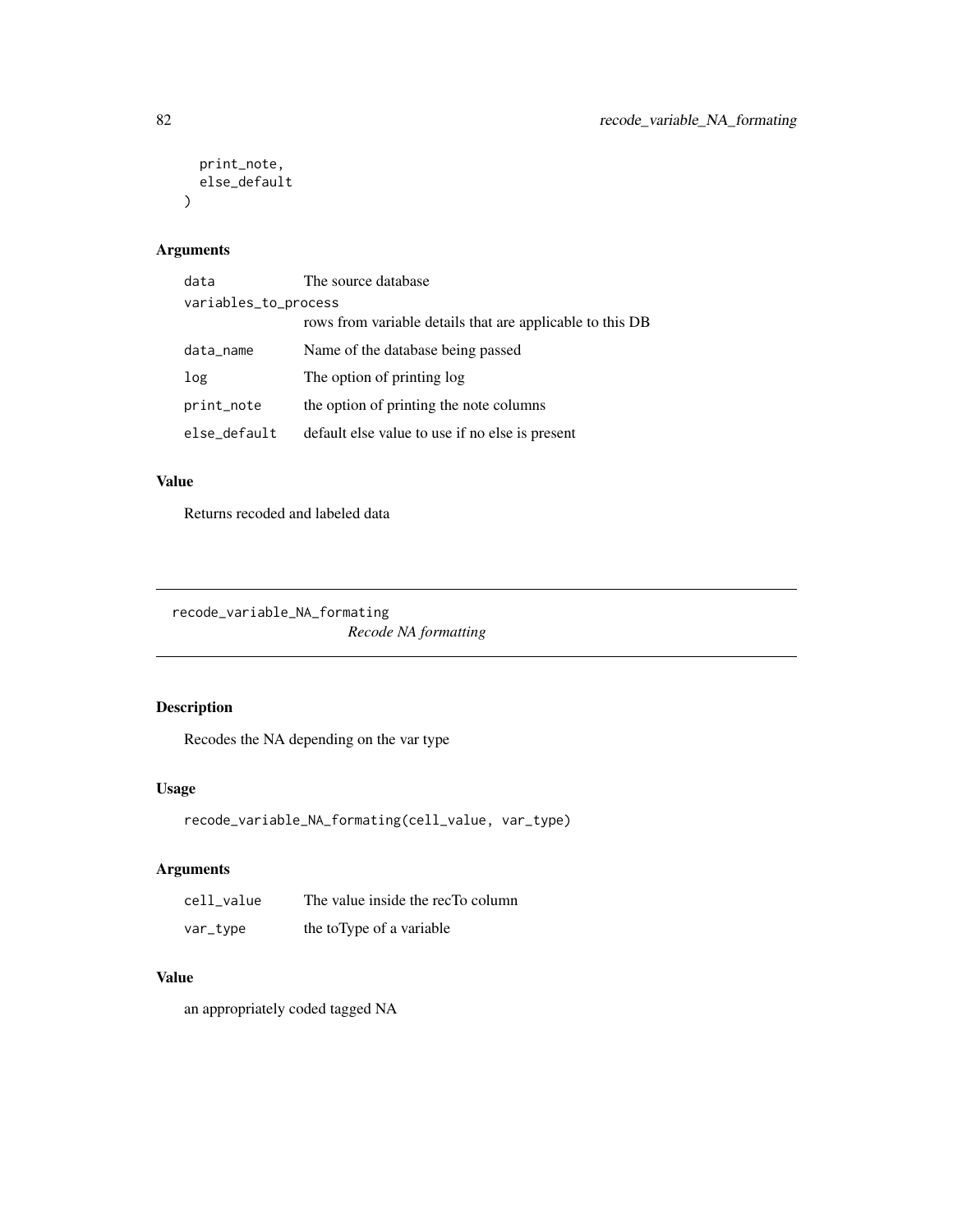```
print_note,
  else_default
\lambda
```
### Arguments

| data                 | The source database                                       |  |
|----------------------|-----------------------------------------------------------|--|
| variables_to_process |                                                           |  |
|                      | rows from variable details that are applicable to this DB |  |
| data_name            | Name of the database being passed                         |  |
| log                  | The option of printing log                                |  |
| print_note           | the option of printing the note columns                   |  |
| else_default         | default else value to use if no else is present           |  |

### Value

Returns recoded and labeled data

recode\_variable\_NA\_formating

*Recode NA formatting*

## Description

Recodes the NA depending on the var type

### Usage

```
recode_variable_NA_formating(cell_value, var_type)
```
## Arguments

| cell value | The value inside the recTo column |
|------------|-----------------------------------|
| var_type   | the toType of a variable          |

### Value

an appropriately coded tagged NA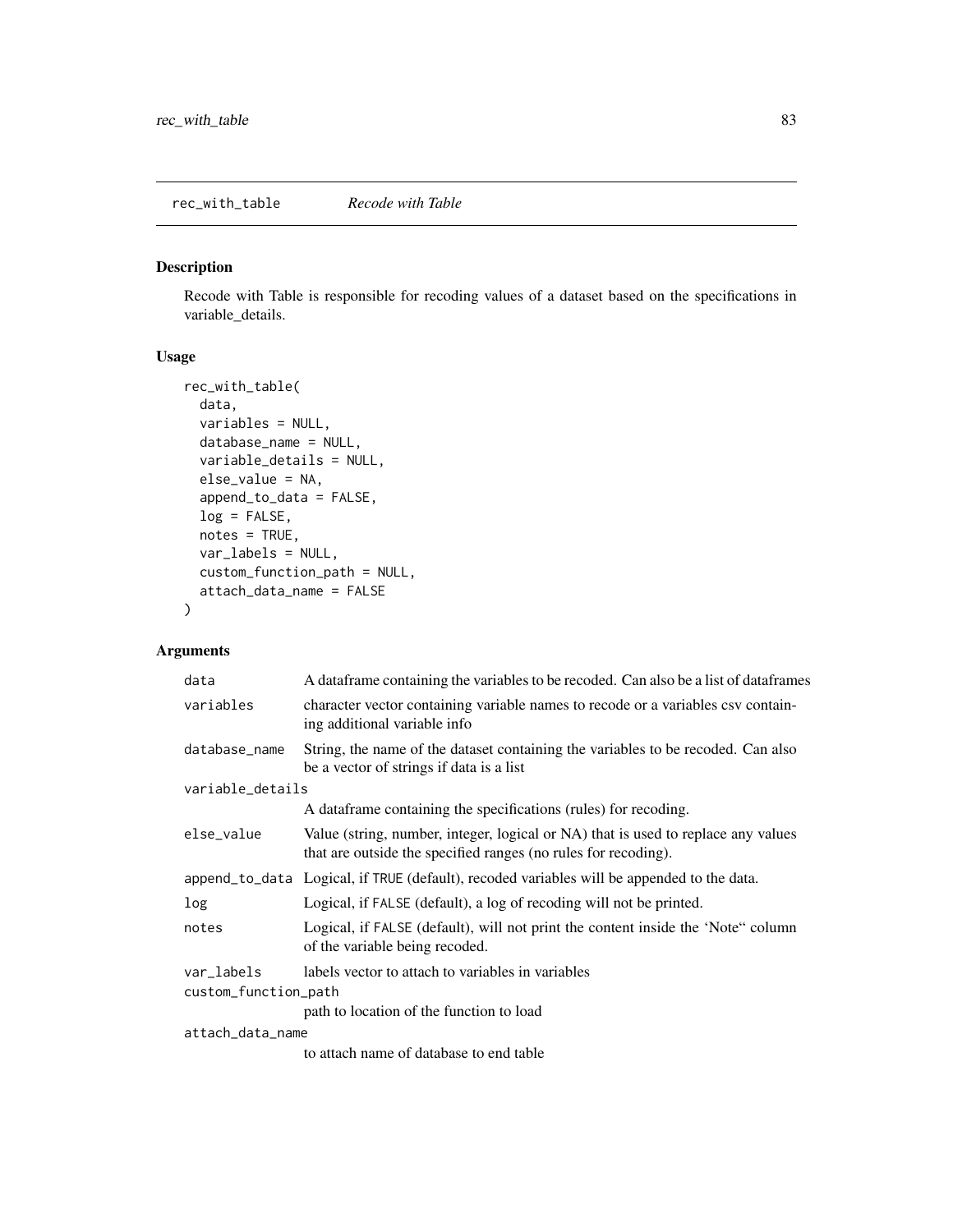<span id="page-82-0"></span>Recode with Table is responsible for recoding values of a dataset based on the specifications in variable\_details.

### Usage

```
rec_with_table(
  data,
  variables = NULL,
  database_name = NULL,
  variable_details = NULL,
  else_value = NA,
  append_to_data = FALSE,
  log = FALSE,notes = TRUE,
  var_labels = NULL,
  custom_function_path = NULL,
  attach_data_name = FALSE
\mathcal{L}
```
## Arguments

| data                 | A data frame containing the variables to be recoded. Can also be a list of data frames                                                              |  |
|----------------------|-----------------------------------------------------------------------------------------------------------------------------------------------------|--|
| variables            | character vector containing variable names to recode or a variables csy contain-<br>ing additional variable info                                    |  |
| database_name        | String, the name of the dataset containing the variables to be recoded. Can also<br>be a vector of strings if data is a list                        |  |
| variable_details     |                                                                                                                                                     |  |
|                      | A data frame containing the specifications (rules) for recoding.                                                                                    |  |
| else_value           | Value (string, number, integer, logical or NA) that is used to replace any values<br>that are outside the specified ranges (no rules for recoding). |  |
|                      | append to data Logical, if TRUE (default), recoded variables will be appended to the data.                                                          |  |
| log                  | Logical, if FALSE (default), a log of recoding will not be printed.                                                                                 |  |
| notes                | Logical, if FALSE (default), will not print the content inside the 'Note" column<br>of the variable being recoded.                                  |  |
| var_labels           | labels vector to attach to variables in variables                                                                                                   |  |
| custom_function_path |                                                                                                                                                     |  |
|                      | path to location of the function to load                                                                                                            |  |
| attach_data_name     |                                                                                                                                                     |  |
|                      |                                                                                                                                                     |  |

to attach name of database to end table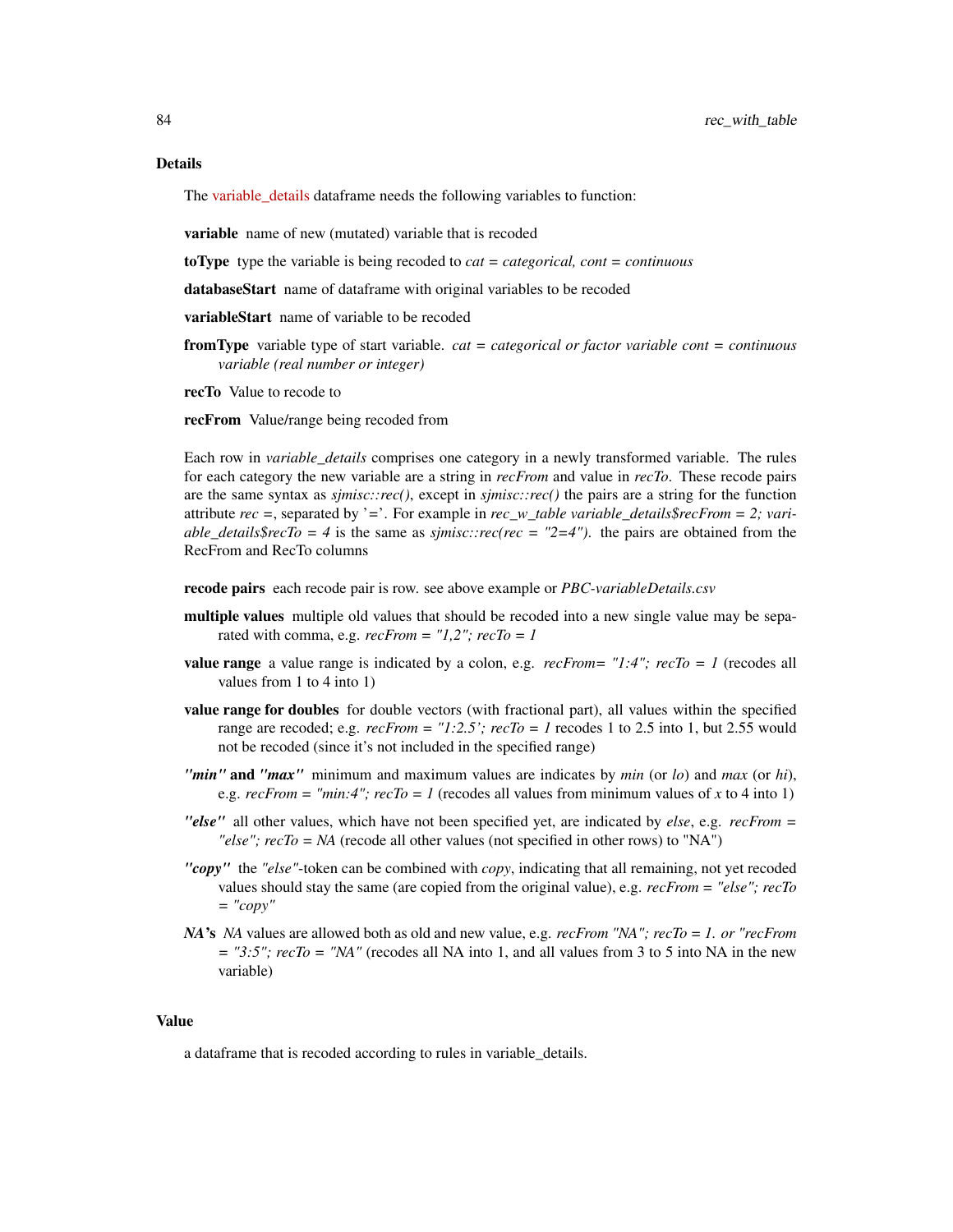#### Details

The [variable\\_details](https://github.com/Big-Life-Lab/cchsflow/blob/master/inst/extdata/variable_details.csv) dataframe needs the following variables to function:

variable name of new (mutated) variable that is recoded

toType type the variable is being recoded to *cat = categorical, cont = continuous*

databaseStart name of dataframe with original variables to be recoded

variableStart name of variable to be recoded

- fromType variable type of start variable. *cat = categorical or factor variable cont = continuous variable (real number or integer)*
- recTo Value to recode to

recFrom Value/range being recoded from

Each row in *variable\_details* comprises one category in a newly transformed variable. The rules for each category the new variable are a string in *recFrom* and value in *recTo*. These recode pairs are the same syntax as *sjmisc::rec()*, except in *sjmisc::rec()* the pairs are a string for the function attribute *rec =*, separated by '*=*'. For example in *rec\_w\_table variable\_details\$recFrom = 2; variable\_details\$recTo = 4* is the same as *sjmisc::rec(rec = "2=4")*. the pairs are obtained from the RecFrom and RecTo columns

recode pairs each recode pair is row. see above example or *PBC-variableDetails.csv*

- multiple values multiple old values that should be recoded into a new single value may be separated with comma, e.g. *recFrom = "1,2"; recTo = 1*
- **value range** a value range is indicated by a colon, e.g.  $recFrom = "1:4"; recTo = 1$  (recodes all values from 1 to 4 into 1)
- value range for doubles for double vectors (with fractional part), all values within the specified range are recoded; e.g.  $recFrom = "1:2.5'; recTo = 1$  recodes 1 to 2.5 into 1, but 2.55 would not be recoded (since it's not included in the specified range)
- *"min"* and *"max"* minimum and maximum values are indicates by *min* (or *lo*) and *max* (or *hi*), e.g.  $recFrom = "min:4"; recTo = 1$  (recodes all values from minimum values of *x* to 4 into 1)
- *"else"* all other values, which have not been specified yet, are indicated by *else*, e.g. *recFrom = "else"; recTo = NA* (recode all other values (not specified in other rows) to "NA")
- *"copy"* the *"else"*-token can be combined with *copy*, indicating that all remaining, not yet recoded values should stay the same (are copied from the original value), e.g. *recFrom = "else"; recTo = "copy"*
- *NA*'s *NA* values are allowed both as old and new value, e.g. *recFrom "NA"; recTo = 1. or "recFrom*  $=$  "3:5";  $recTo = "NA"$  (recodes all NA into 1, and all values from 3 to 5 into NA in the new variable)

#### Value

a dataframe that is recoded according to rules in variable\_details.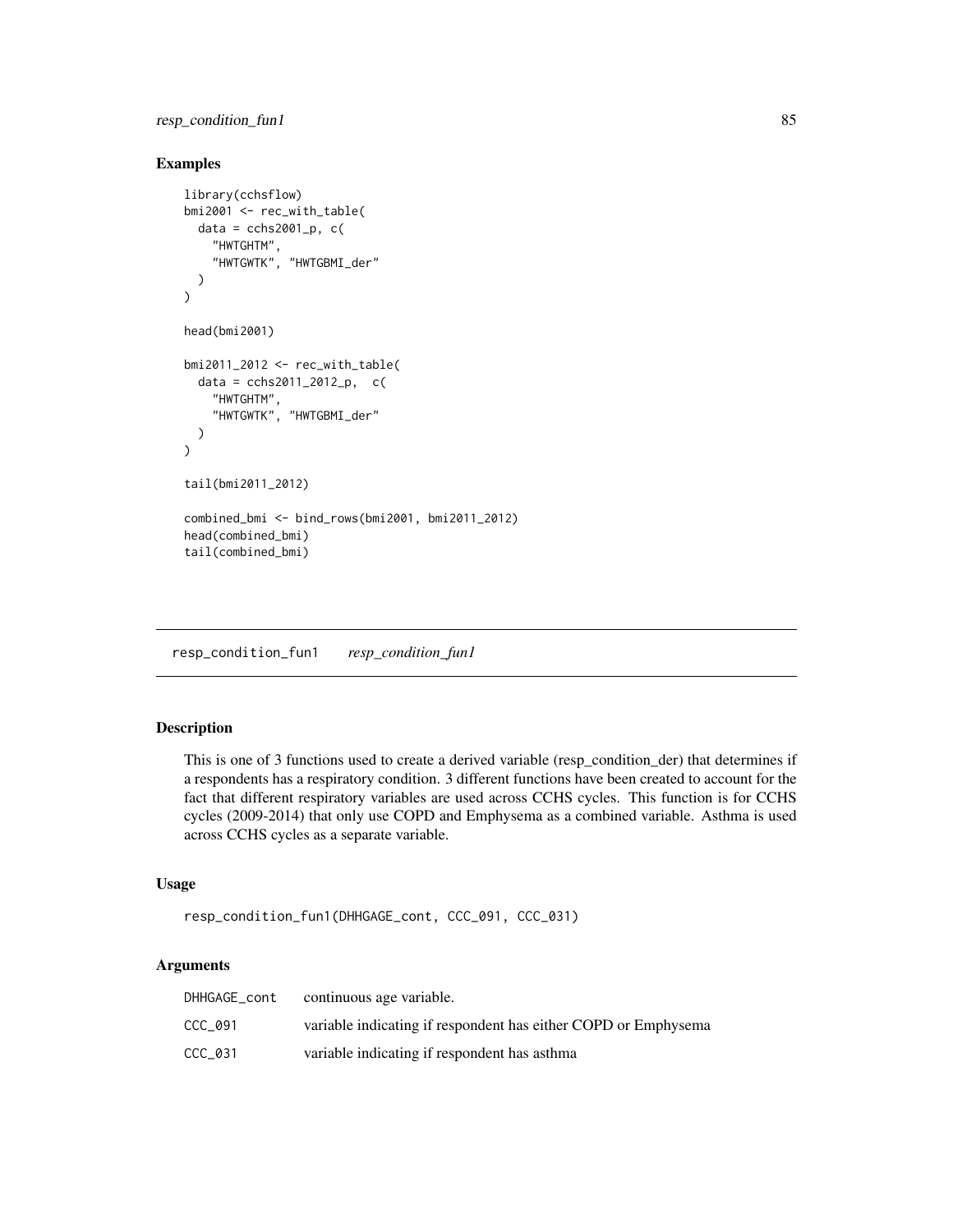### <span id="page-84-1"></span>resp\_condition\_fun1 85

### Examples

```
library(cchsflow)
bmi2001 <- rec_with_table(
  data = cchs2001_p, c("HWTGHTM",
    "HWTGWTK", "HWTGBMI_der"
 )
\mathcal{L}head(bmi2001)
bmi2011_2012 <- rec_with_table(
  data = cchs2011_2012_p, c(
    "HWTGHTM",
    "HWTGWTK", "HWTGBMI_der"
  )
)
tail(bmi2011_2012)
combined_bmi <- bind_rows(bmi2001, bmi2011_2012)
head(combined_bmi)
tail(combined_bmi)
```
<span id="page-84-0"></span>resp\_condition\_fun1 *resp\_condition\_fun1*

### Description

This is one of 3 functions used to create a derived variable (resp\_condition\_der) that determines if a respondents has a respiratory condition. 3 different functions have been created to account for the fact that different respiratory variables are used across CCHS cycles. This function is for CCHS cycles (2009-2014) that only use COPD and Emphysema as a combined variable. Asthma is used across CCHS cycles as a separate variable.

### Usage

```
resp_condition_fun1(DHHGAGE_cont, CCC_091, CCC_031)
```
### Arguments

| DHHGAGE_cont | continuous age variable.                                       |
|--------------|----------------------------------------------------------------|
| CCC 091      | variable indicating if respondent has either COPD or Emphysema |
| CCC 031      | variable indicating if respondent has asthma                   |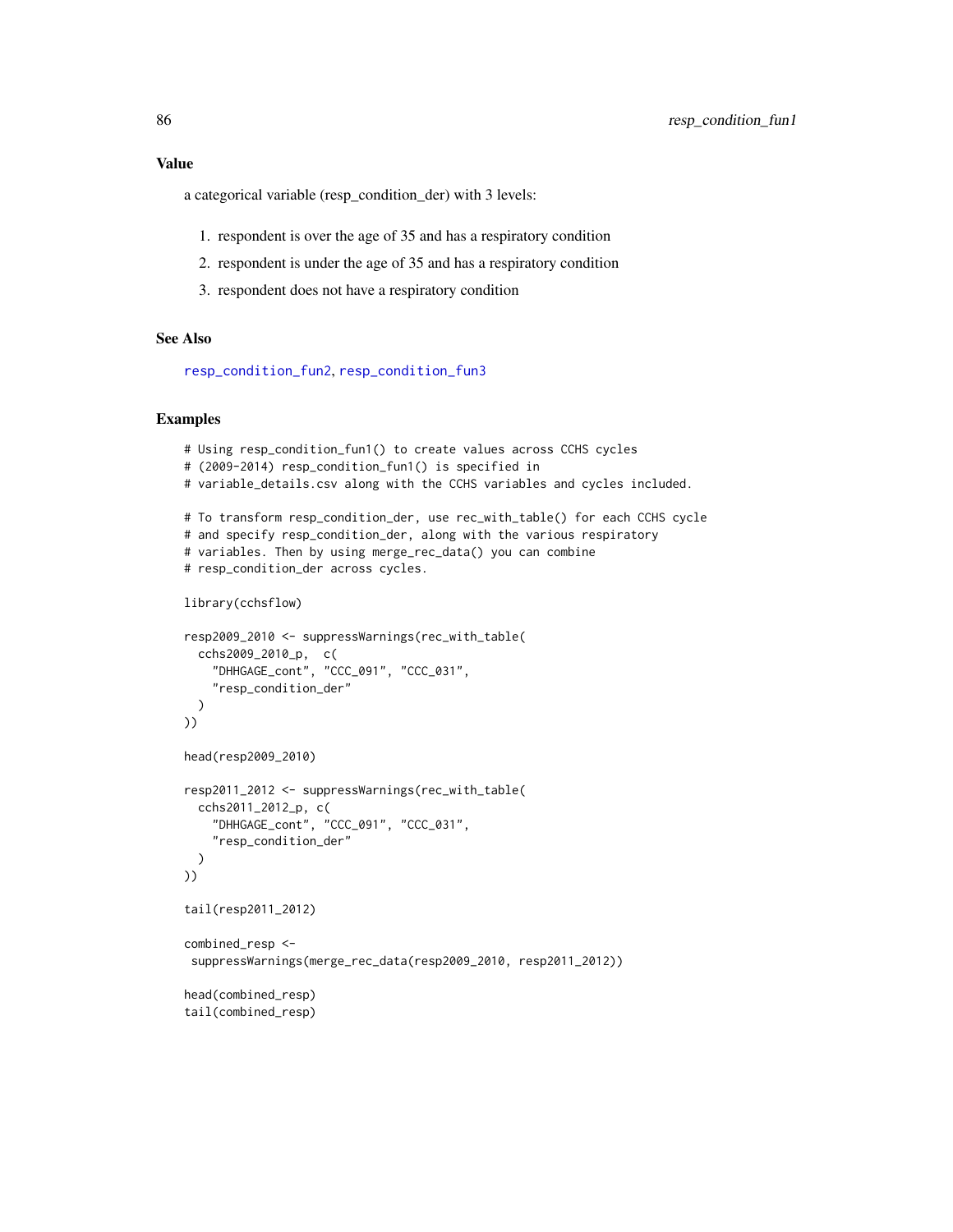<span id="page-85-0"></span>a categorical variable (resp\_condition\_der) with 3 levels:

- 1. respondent is over the age of 35 and has a respiratory condition
- 2. respondent is under the age of 35 and has a respiratory condition
- 3. respondent does not have a respiratory condition

### See Also

[resp\\_condition\\_fun2](#page-86-0), [resp\\_condition\\_fun3](#page-87-0)

```
# Using resp_condition_fun1() to create values across CCHS cycles
# (2009-2014) resp_condition_fun1() is specified in
# variable_details.csv along with the CCHS variables and cycles included.
# To transform resp_condition_der, use rec_with_table() for each CCHS cycle
# and specify resp_condition_der, along with the various respiratory
# variables. Then by using merge_rec_data() you can combine
# resp_condition_der across cycles.
library(cchsflow)
resp2009_2010 <- suppressWarnings(rec_with_table(
  cchs2009_2010_p, c(
    "DHHGAGE_cont", "CCC_091", "CCC_031",
    "resp_condition_der"
  \lambda))
head(resp2009_2010)
resp2011_2012 <- suppressWarnings(rec_with_table(
  cchs2011_2012_p, c(
    "DHHGAGE_cont", "CCC_091", "CCC_031",
    "resp_condition_der"
  )
))
tail(resp2011_2012)
combined_resp <-
 suppressWarnings(merge_rec_data(resp2009_2010, resp2011_2012))
head(combined_resp)
tail(combined_resp)
```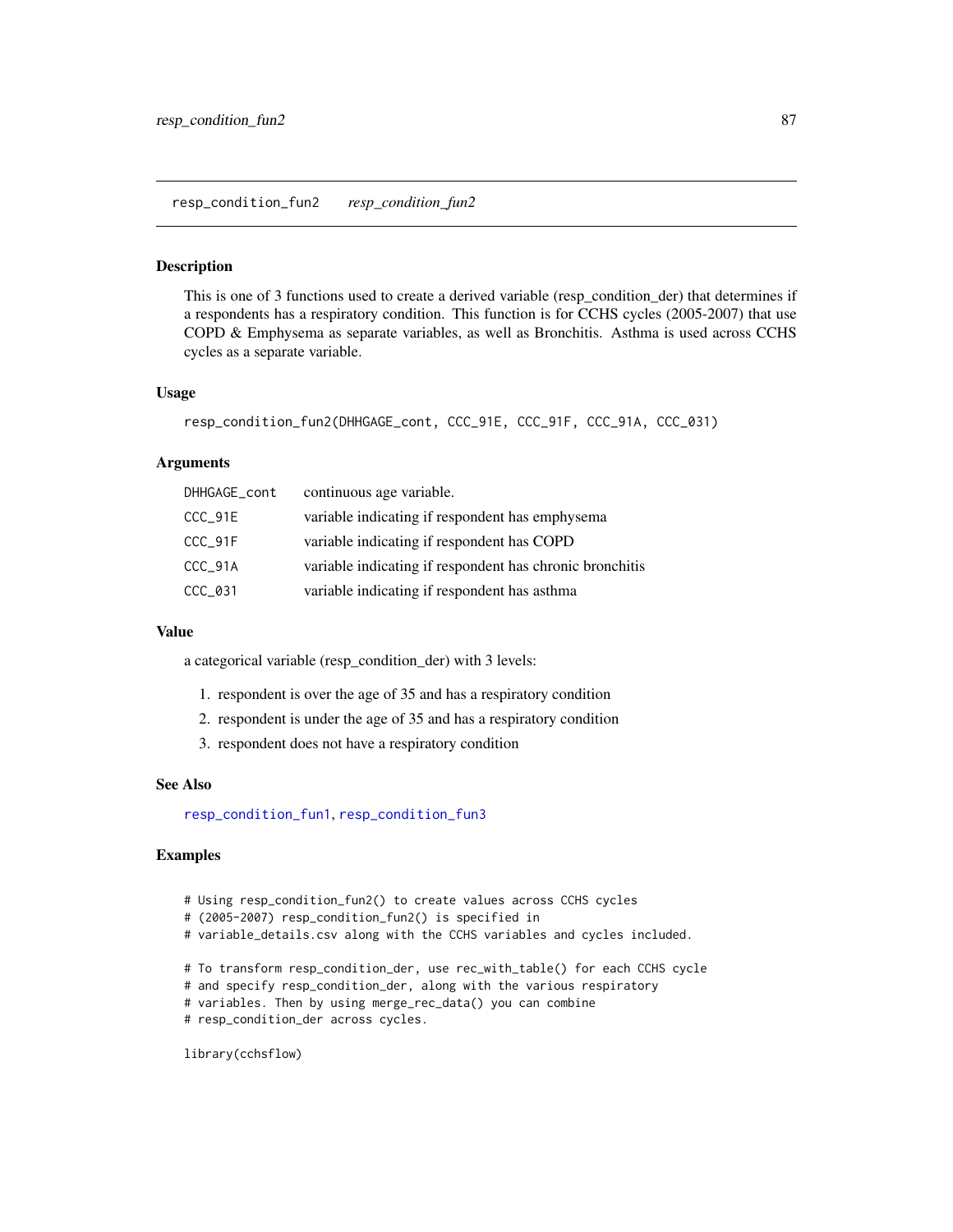<span id="page-86-1"></span><span id="page-86-0"></span>This is one of 3 functions used to create a derived variable (resp\_condition\_der) that determines if a respondents has a respiratory condition. This function is for CCHS cycles (2005-2007) that use COPD & Emphysema as separate variables, as well as Bronchitis. Asthma is used across CCHS cycles as a separate variable.

### Usage

```
resp_condition_fun2(DHHGAGE_cont, CCC_91E, CCC_91F, CCC_91A, CCC_031)
```
#### Arguments

| DHHGAGE_cont | continuous age variable.                                 |
|--------------|----------------------------------------------------------|
| $CCC_91E$    | variable indicating if respondent has emphysema          |
| CCC_91F      | variable indicating if respondent has COPD               |
| CCC_91A      | variable indicating if respondent has chronic bronchitis |
| $CCC_031$    | variable indicating if respondent has asthma             |

#### Value

a categorical variable (resp\_condition\_der) with 3 levels:

- 1. respondent is over the age of 35 and has a respiratory condition
- 2. respondent is under the age of 35 and has a respiratory condition
- 3. respondent does not have a respiratory condition

#### See Also

[resp\\_condition\\_fun1](#page-84-0), [resp\\_condition\\_fun3](#page-87-0)

### Examples

- # Using resp\_condition\_fun2() to create values across CCHS cycles
- # (2005-2007) resp\_condition\_fun2() is specified in
- # variable\_details.csv along with the CCHS variables and cycles included.
- # To transform resp\_condition\_der, use rec\_with\_table() for each CCHS cycle
- # and specify resp\_condition\_der, along with the various respiratory
- # variables. Then by using merge\_rec\_data() you can combine
- # resp\_condition\_der across cycles.

library(cchsflow)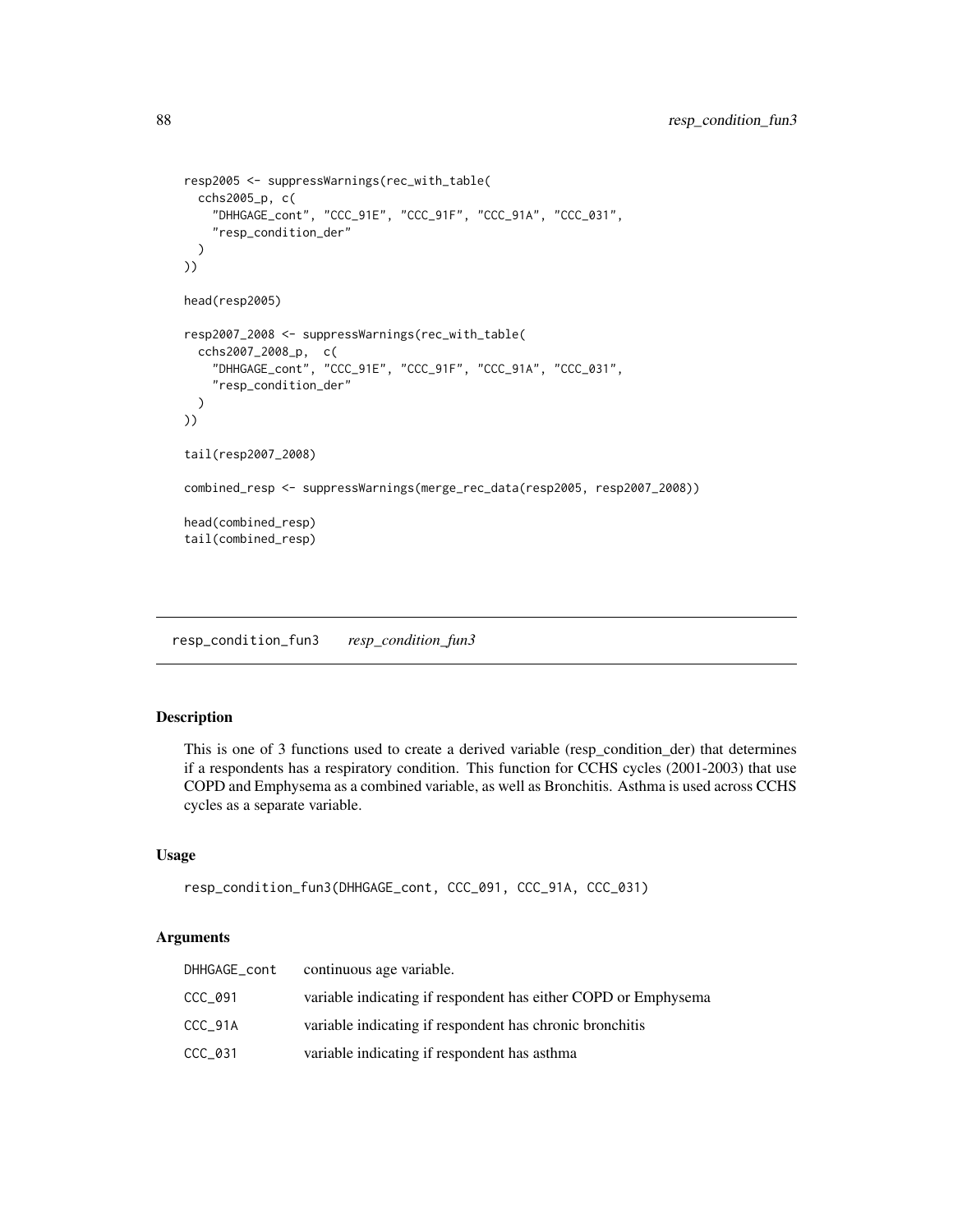```
resp2005 <- suppressWarnings(rec_with_table(
  cchs2005_p, c(
    "DHHGAGE_cont", "CCC_91E", "CCC_91F", "CCC_91A", "CCC_031",
    "resp_condition_der"
  )
))
head(resp2005)
resp2007_2008 <- suppressWarnings(rec_with_table(
  cchs2007_2008_p, c(
    "DHHGAGE_cont", "CCC_91E", "CCC_91F", "CCC_91A", "CCC_031",
    "resp_condition_der"
  )
))
tail(resp2007_2008)
combined_resp <- suppressWarnings(merge_rec_data(resp2005, resp2007_2008))
head(combined_resp)
tail(combined_resp)
```
<span id="page-87-0"></span>resp\_condition\_fun3 *resp\_condition\_fun3*

### Description

This is one of 3 functions used to create a derived variable (resp\_condition\_der) that determines if a respondents has a respiratory condition. This function for CCHS cycles (2001-2003) that use COPD and Emphysema as a combined variable, as well as Bronchitis. Asthma is used across CCHS cycles as a separate variable.

### Usage

```
resp_condition_fun3(DHHGAGE_cont, CCC_091, CCC_91A, CCC_031)
```
### Arguments

| DHHGAGE_cont | continuous age variable.                                       |
|--------------|----------------------------------------------------------------|
| CCC 091      | variable indicating if respondent has either COPD or Emphysema |
| CCC 91A      | variable indicating if respondent has chronic bronchitis       |
| CCC 031      | variable indicating if respondent has asthma                   |

<span id="page-87-1"></span>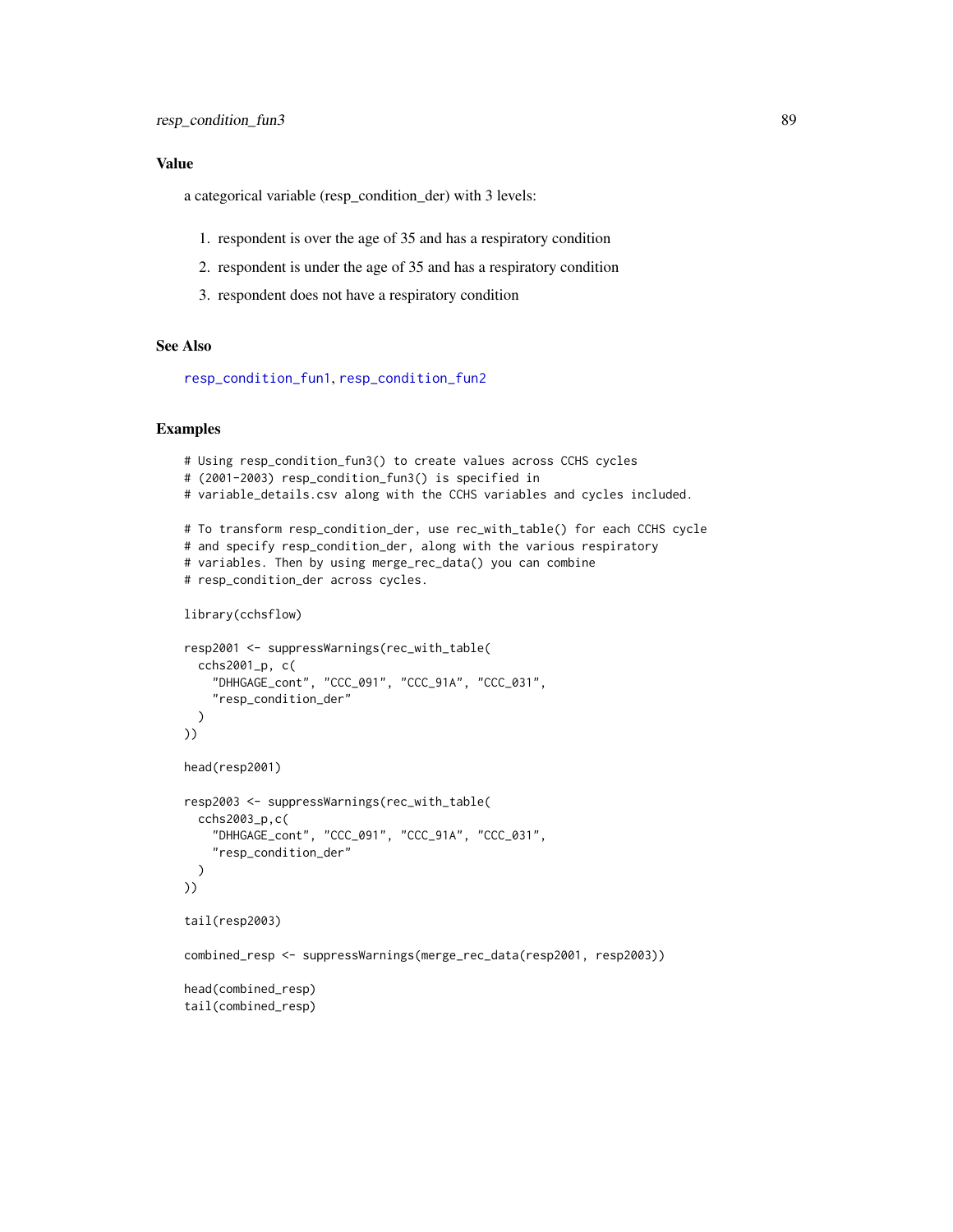### <span id="page-88-0"></span>Value

a categorical variable (resp\_condition\_der) with 3 levels:

- 1. respondent is over the age of 35 and has a respiratory condition
- 2. respondent is under the age of 35 and has a respiratory condition
- 3. respondent does not have a respiratory condition

### See Also

[resp\\_condition\\_fun1](#page-84-0), [resp\\_condition\\_fun2](#page-86-0)

```
# Using resp_condition_fun3() to create values across CCHS cycles
# (2001-2003) resp_condition_fun3() is specified in
# variable_details.csv along with the CCHS variables and cycles included.
# To transform resp_condition_der, use rec_with_table() for each CCHS cycle
# and specify resp_condition_der, along with the various respiratory
# variables. Then by using merge_rec_data() you can combine
# resp_condition_der across cycles.
library(cchsflow)
resp2001 <- suppressWarnings(rec_with_table(
 cchs2001_p, c(
    "DHHGAGE_cont", "CCC_091", "CCC_91A", "CCC_031",
    "resp_condition_der"
 )
))
head(resp2001)
resp2003 <- suppressWarnings(rec_with_table(
 cchs2003_p,c(
    "DHHGAGE_cont", "CCC_091", "CCC_91A", "CCC_031",
    "resp_condition_der"
 )
))
tail(resp2003)
combined_resp <- suppressWarnings(merge_rec_data(resp2001, resp2003))
head(combined_resp)
tail(combined_resp)
```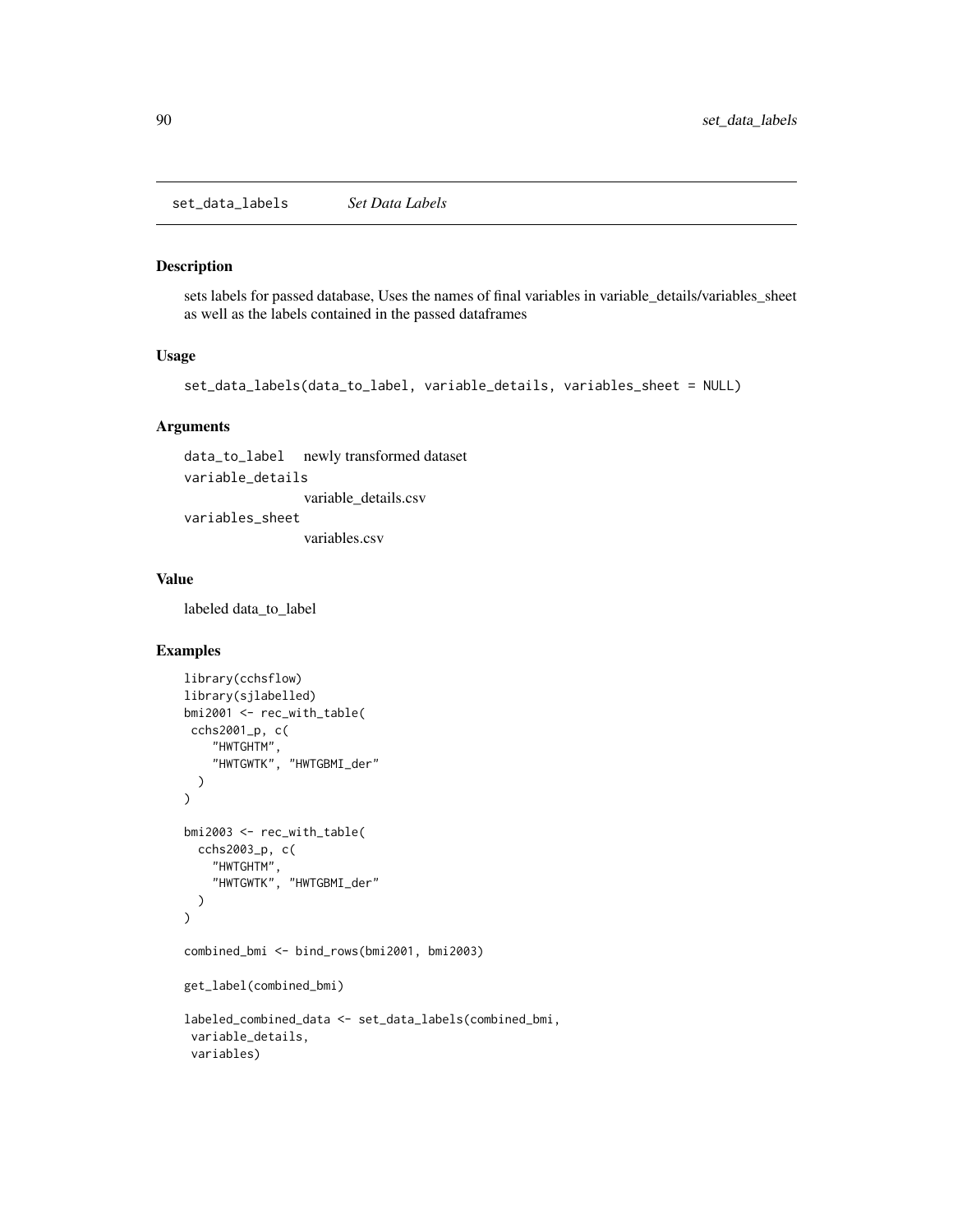<span id="page-89-0"></span>set\_data\_labels *Set Data Labels*

#### Description

sets labels for passed database, Uses the names of final variables in variable\_details/variables\_sheet as well as the labels contained in the passed dataframes

#### Usage

```
set_data_labels(data_to_label, variable_details, variables_sheet = NULL)
```
### Arguments

data\_to\_label newly transformed dataset variable\_details variable\_details.csv variables\_sheet variables.csv

#### Value

labeled data\_to\_label

```
library(cchsflow)
library(sjlabelled)
bmi2001 <- rec_with_table(
 cchs2001_p, c(
    "HWTGHTM",
    "HWTGWTK", "HWTGBMI_der"
  )
\mathcal{L}bmi2003 <- rec_with_table(
  cchs2003_p, c(
    "HWTGHTM",
    "HWTGWTK", "HWTGBMI_der"
  )
\mathcal{L}combined_bmi <- bind_rows(bmi2001, bmi2003)
get_label(combined_bmi)
labeled_combined_data <- set_data_labels(combined_bmi,
 variable_details,
 variables)
```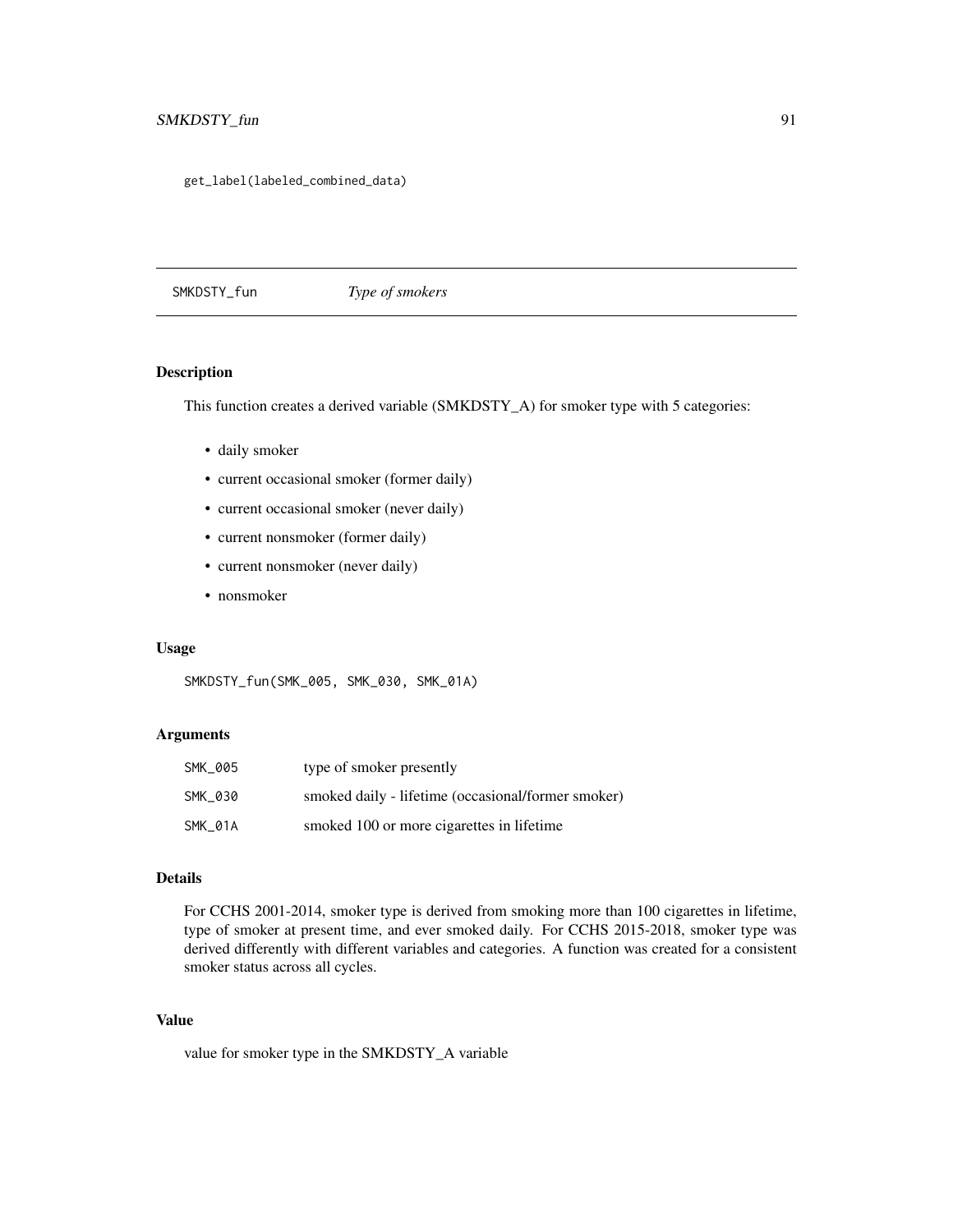<span id="page-90-0"></span>get\_label(labeled\_combined\_data)

SMKDSTY\_fun *Type of smokers*

### Description

This function creates a derived variable (SMKDSTY\_A) for smoker type with 5 categories:

- daily smoker
- current occasional smoker (former daily)
- current occasional smoker (never daily)
- current nonsmoker (former daily)
- current nonsmoker (never daily)
- nonsmoker

### Usage

SMKDSTY\_fun(SMK\_005, SMK\_030, SMK\_01A)

### Arguments

| SMK 005 | type of smoker presently                           |
|---------|----------------------------------------------------|
| SMK 030 | smoked daily - lifetime (occasional/former smoker) |
| SMK 01A | smoked 100 or more cigarettes in lifetime          |

### Details

For CCHS 2001-2014, smoker type is derived from smoking more than 100 cigarettes in lifetime, type of smoker at present time, and ever smoked daily. For CCHS 2015-2018, smoker type was derived differently with different variables and categories. A function was created for a consistent smoker status across all cycles.

### Value

value for smoker type in the SMKDSTY\_A variable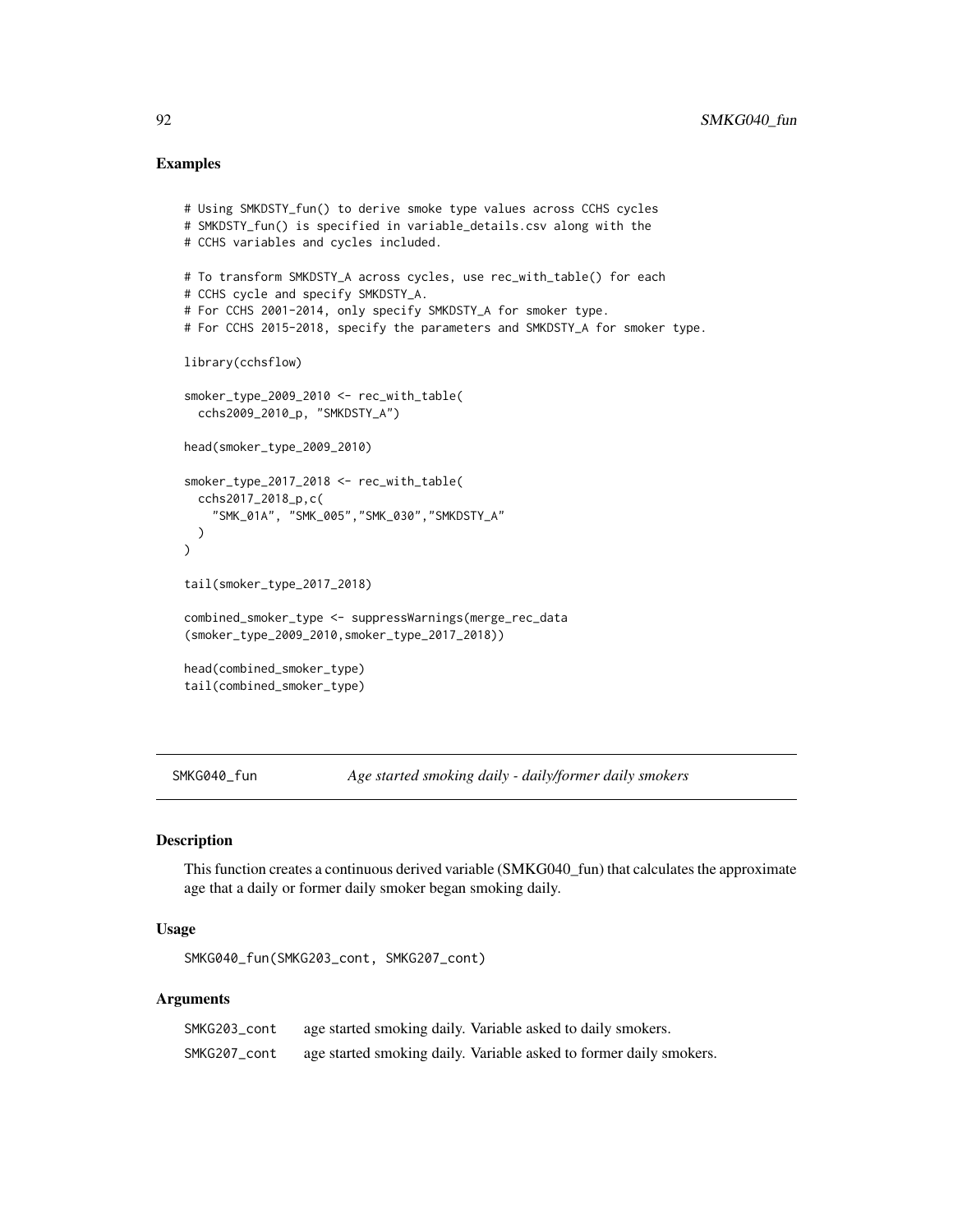### <span id="page-91-0"></span>Examples

```
# Using SMKDSTY_fun() to derive smoke type values across CCHS cycles
# SMKDSTY_fun() is specified in variable_details.csv along with the
# CCHS variables and cycles included.
# To transform SMKDSTY_A across cycles, use rec_with_table() for each
# CCHS cycle and specify SMKDSTY_A.
# For CCHS 2001-2014, only specify SMKDSTY_A for smoker type.
# For CCHS 2015-2018, specify the parameters and SMKDSTY_A for smoker type.
library(cchsflow)
smoker_type_2009_2010 <- rec_with_table(
  cchs2009_2010_p, "SMKDSTY_A")
head(smoker_type_2009_2010)
smoker_type_2017_2018 <- rec_with_table(
  cchs2017_2018_p,c(
    "SMK_01A", "SMK_005","SMK_030","SMKDSTY_A"
  )
)
tail(smoker_type_2017_2018)
combined_smoker_type <- suppressWarnings(merge_rec_data
(smoker_type_2009_2010,smoker_type_2017_2018))
head(combined_smoker_type)
tail(combined_smoker_type)
```
SMKG040\_fun *Age started smoking daily - daily/former daily smokers*

### Description

This function creates a continuous derived variable (SMKG040\_fun) that calculates the approximate age that a daily or former daily smoker began smoking daily.

### Usage

SMKG040\_fun(SMKG203\_cont, SMKG207\_cont)

### Arguments

| SMKG203_cont | age started smoking daily. Variable asked to daily smokers.        |
|--------------|--------------------------------------------------------------------|
| SMKG207_cont | age started smoking daily. Variable asked to former daily smokers. |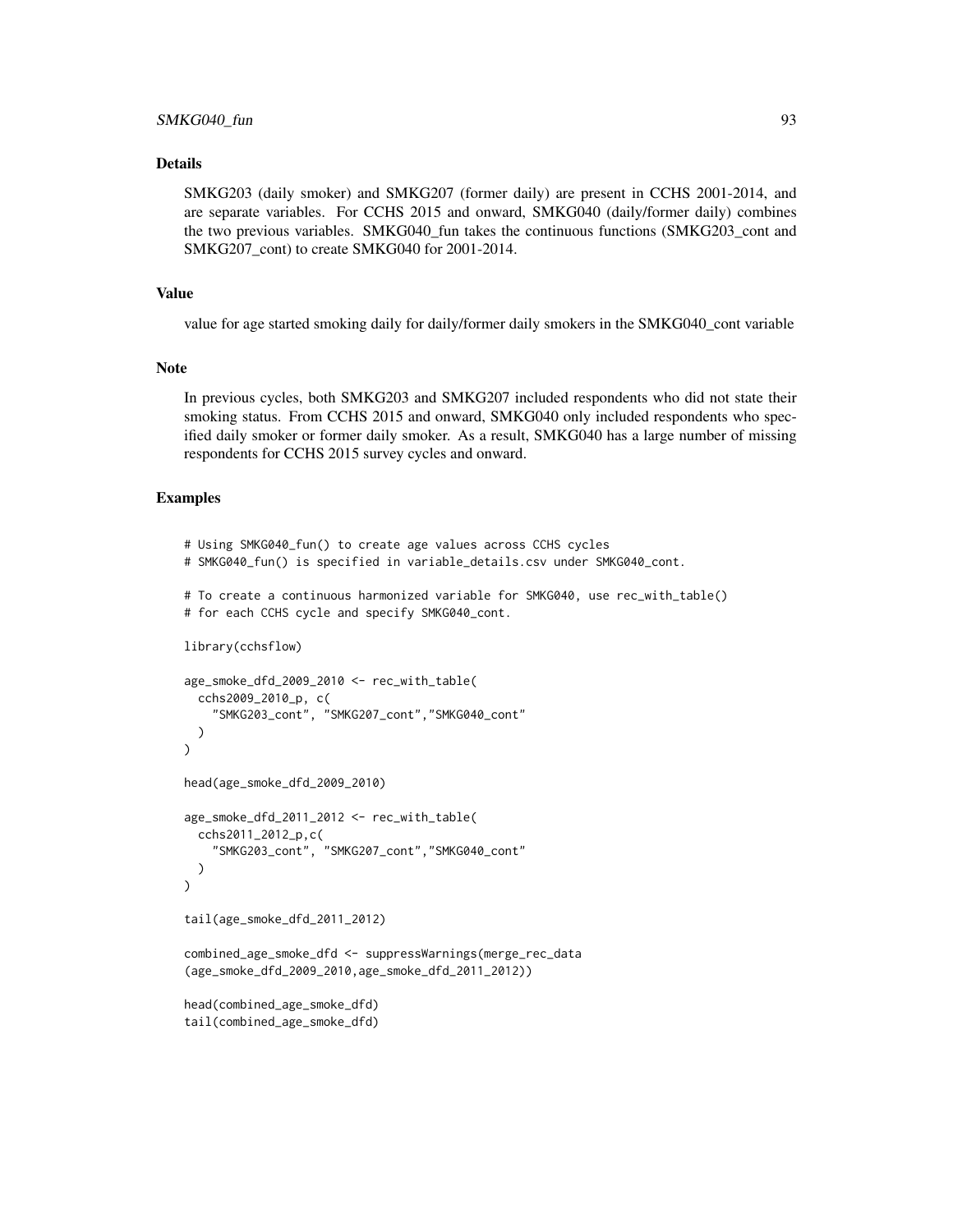### SMKG040\_fun 93

### Details

SMKG203 (daily smoker) and SMKG207 (former daily) are present in CCHS 2001-2014, and are separate variables. For CCHS 2015 and onward, SMKG040 (daily/former daily) combines the two previous variables. SMKG040\_fun takes the continuous functions (SMKG203\_cont and SMKG207\_cont) to create SMKG040 for 2001-2014.

#### Value

value for age started smoking daily for daily/former daily smokers in the SMKG040\_cont variable

#### Note

In previous cycles, both SMKG203 and SMKG207 included respondents who did not state their smoking status. From CCHS 2015 and onward, SMKG040 only included respondents who specified daily smoker or former daily smoker. As a result, SMKG040 has a large number of missing respondents for CCHS 2015 survey cycles and onward.

```
# Using SMKG040_fun() to create age values across CCHS cycles
# SMKG040_fun() is specified in variable_details.csv under SMKG040_cont.
# To create a continuous harmonized variable for SMKG040, use rec_with_table()
# for each CCHS cycle and specify SMKG040_cont.
library(cchsflow)
age_smoke_dfd_2009_2010 <- rec_with_table(
  cchs2009_2010_p, c(
    "SMKG203_cont", "SMKG207_cont","SMKG040_cont"
  )
)
head(age_smoke_dfd_2009_2010)
age_smoke_dfd_2011_2012 <- rec_with_table(
  cchs2011_2012_p,c(
    "SMKG203_cont", "SMKG207_cont","SMKG040_cont"
  )
)
tail(age_smoke_dfd_2011_2012)
combined_age_smoke_dfd <- suppressWarnings(merge_rec_data
(age_smoke_dfd_2009_2010,age_smoke_dfd_2011_2012))
head(combined_age_smoke_dfd)
tail(combined_age_smoke_dfd)
```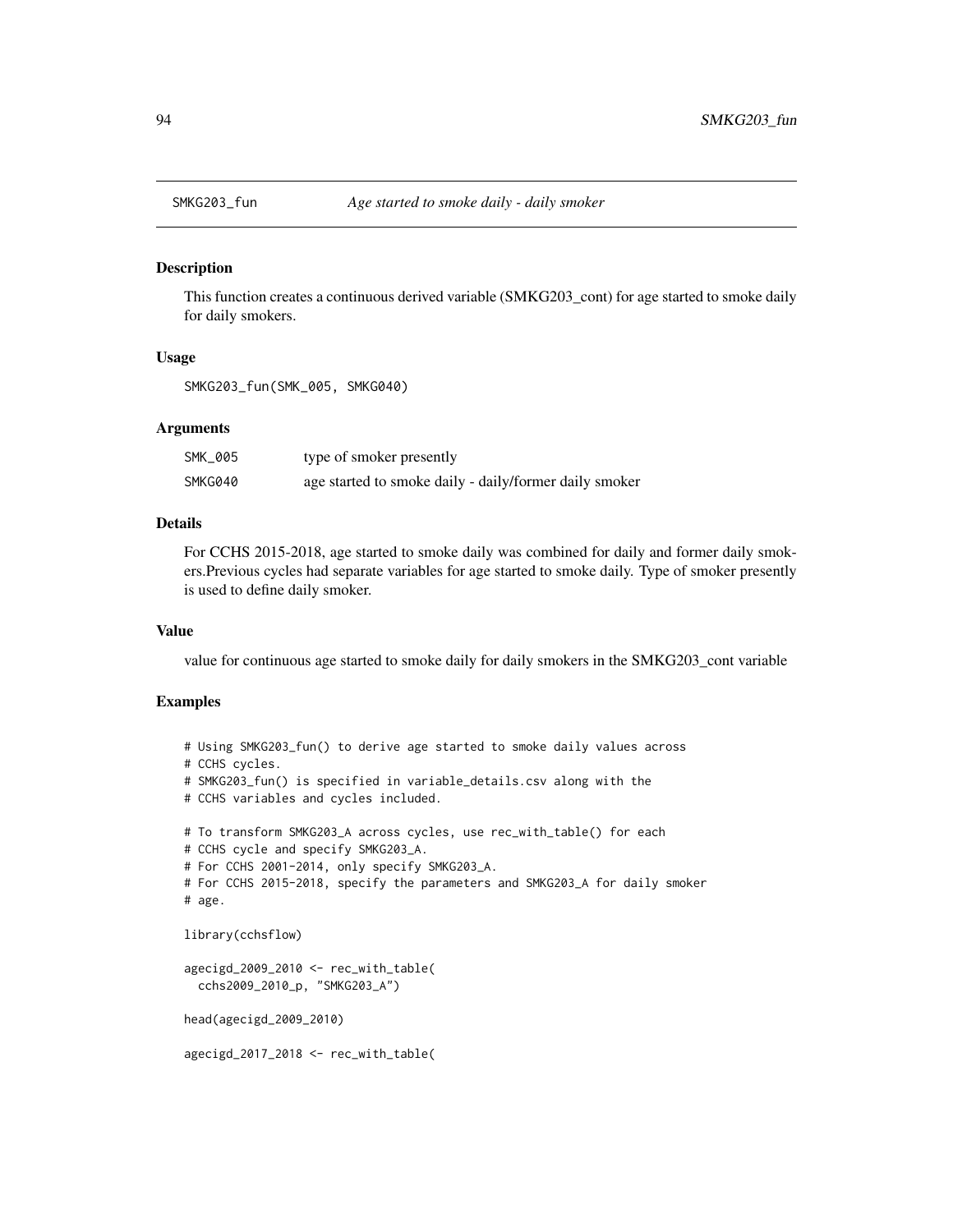<span id="page-93-0"></span>

This function creates a continuous derived variable (SMKG203\_cont) for age started to smoke daily for daily smokers.

#### Usage

SMKG203\_fun(SMK\_005, SMKG040)

### Arguments

| SMK 005 | type of smoker presently                               |
|---------|--------------------------------------------------------|
| SMKG040 | age started to smoke daily - daily/former daily smoker |

### Details

For CCHS 2015-2018, age started to smoke daily was combined for daily and former daily smokers.Previous cycles had separate variables for age started to smoke daily. Type of smoker presently is used to define daily smoker.

#### Value

value for continuous age started to smoke daily for daily smokers in the SMKG203\_cont variable

```
# Using SMKG203_fun() to derive age started to smoke daily values across
# CCHS cycles.
# SMKG203_fun() is specified in variable_details.csv along with the
# CCHS variables and cycles included.
# To transform SMKG203_A across cycles, use rec_with_table() for each
# CCHS cycle and specify SMKG203_A.
# For CCHS 2001-2014, only specify SMKG203_A.
# For CCHS 2015-2018, specify the parameters and SMKG203_A for daily smoker
# age.
library(cchsflow)
agecigd_2009_2010 <- rec_with_table(
 cchs2009_2010_p, "SMKG203_A")
head(agecigd_2009_2010)
agecigd_2017_2018 <- rec_with_table(
```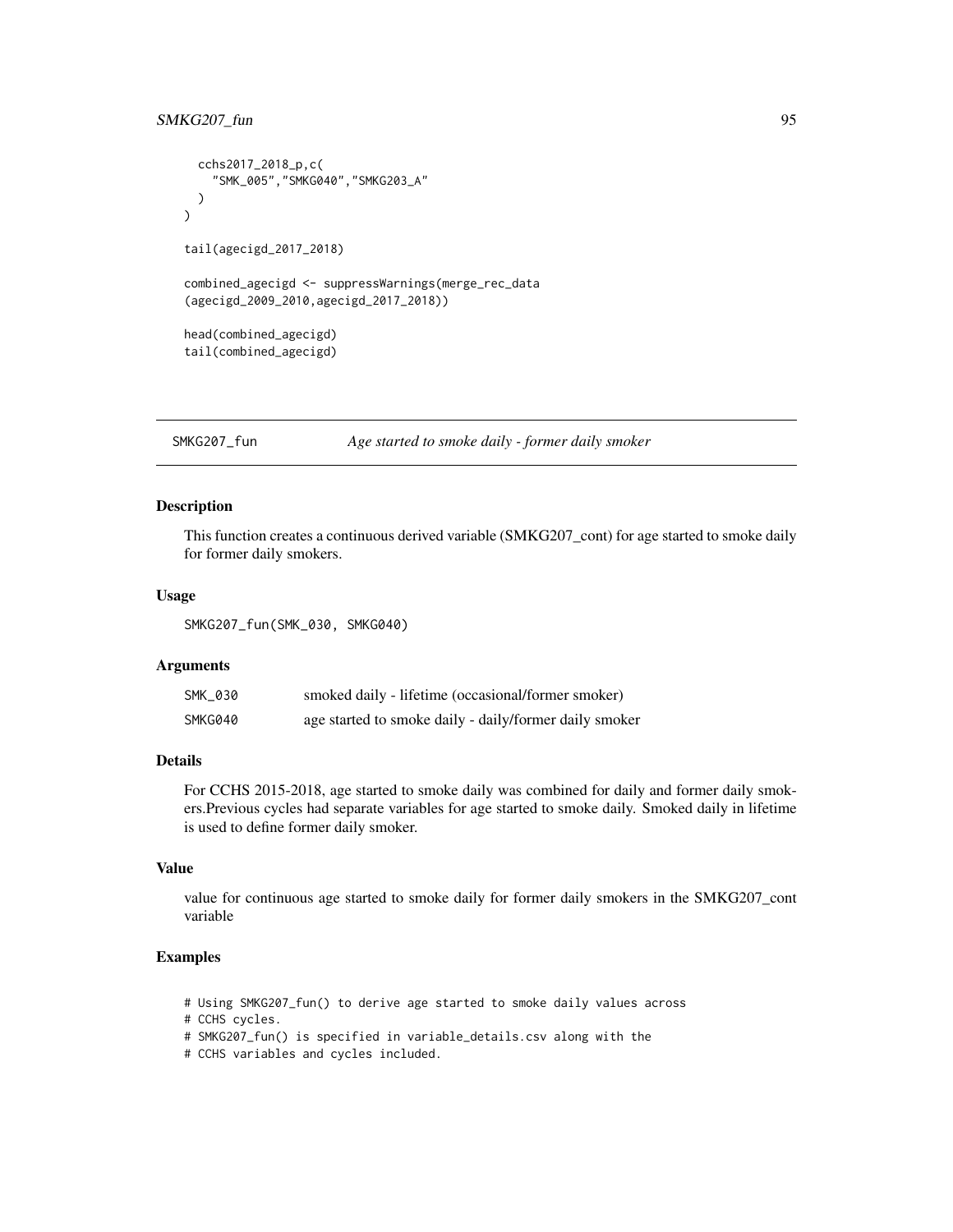### <span id="page-94-0"></span>SMKG207\_fun 95

```
cchs2017_2018_p,c(
    "SMK_005","SMKG040","SMKG203_A"
 )
\lambdatail(agecigd_2017_2018)
combined_agecigd <- suppressWarnings(merge_rec_data
(agecigd_2009_2010,agecigd_2017_2018))
head(combined_agecigd)
tail(combined_agecigd)
```
SMKG207\_fun *Age started to smoke daily - former daily smoker*

### Description

This function creates a continuous derived variable (SMKG207\_cont) for age started to smoke daily for former daily smokers.

### Usage

SMKG207\_fun(SMK\_030, SMKG040)

### Arguments

| SMK 030 | smoked daily - lifetime (occasional/former smoker)     |
|---------|--------------------------------------------------------|
| SMKG040 | age started to smoke daily - daily/former daily smoker |

### Details

For CCHS 2015-2018, age started to smoke daily was combined for daily and former daily smokers.Previous cycles had separate variables for age started to smoke daily. Smoked daily in lifetime is used to define former daily smoker.

### Value

value for continuous age started to smoke daily for former daily smokers in the SMKG207\_cont variable

```
# Using SMKG207_fun() to derive age started to smoke daily values across
```

```
# CCHS cycles.
```
- # SMKG207\_fun() is specified in variable\_details.csv along with the
- # CCHS variables and cycles included.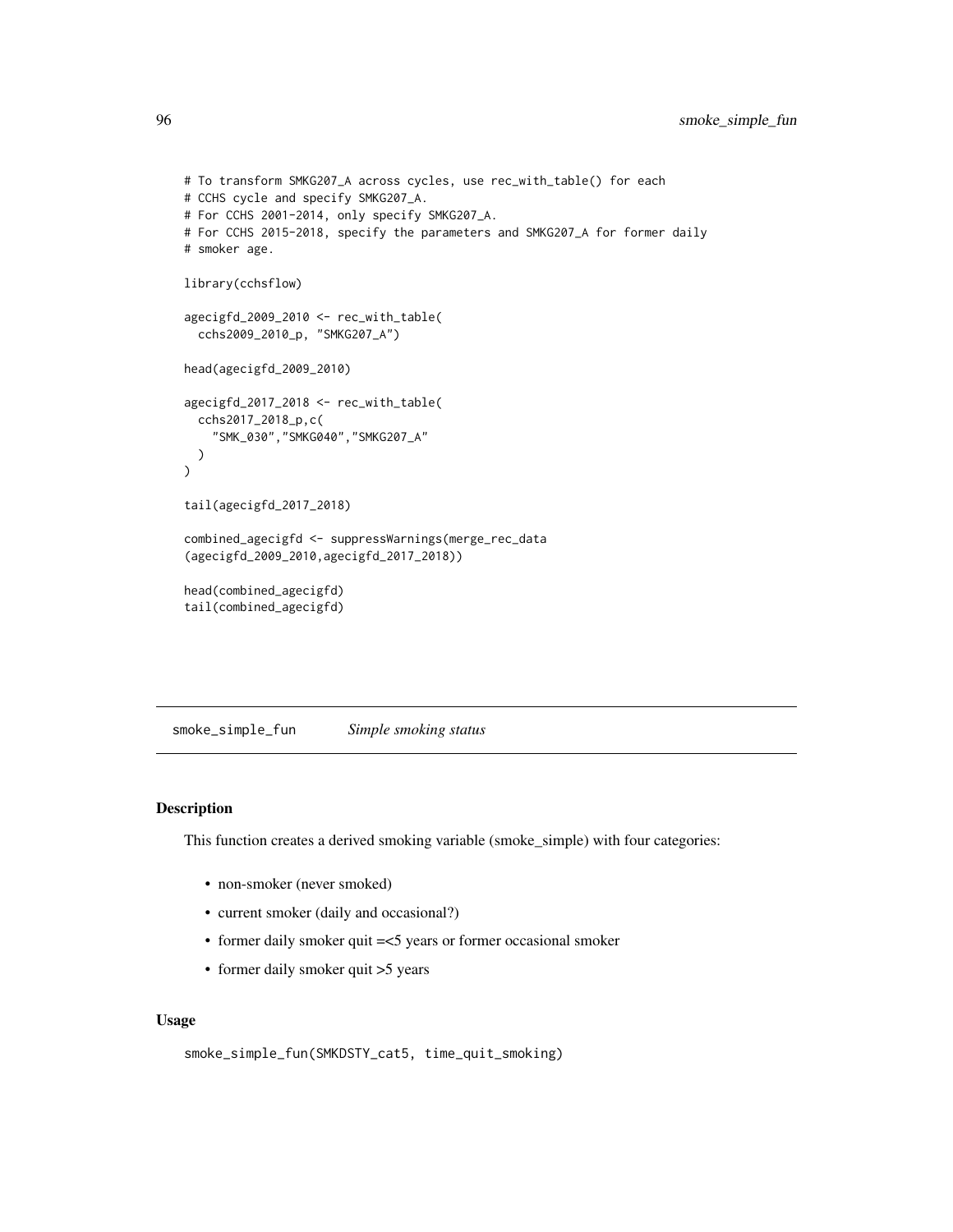```
# To transform SMKG207_A across cycles, use rec_with_table() for each
# CCHS cycle and specify SMKG207_A.
# For CCHS 2001-2014, only specify SMKG207_A.
# For CCHS 2015-2018, specify the parameters and SMKG207_A for former daily
# smoker age.
library(cchsflow)
agecigfd_2009_2010 <- rec_with_table(
  cchs2009_2010_p, "SMKG207_A")
head(agecigfd_2009_2010)
agecigfd_2017_2018 <- rec_with_table(
  cchs2017_2018_p,c(
    "SMK_030","SMKG040","SMKG207_A"
  )
\mathcal{L}tail(agecigfd_2017_2018)
combined_agecigfd <- suppressWarnings(merge_rec_data
(agecigfd_2009_2010,agecigfd_2017_2018))
head(combined_agecigfd)
tail(combined_agecigfd)
```
smoke\_simple\_fun *Simple smoking status*

#### Description

This function creates a derived smoking variable (smoke\_simple) with four categories:

- non-smoker (never smoked)
- current smoker (daily and occasional?)
- former daily smoker quit =<5 years or former occasional smoker
- former daily smoker quit > 5 years

#### Usage

```
smoke_simple_fun(SMKDSTY_cat5, time_quit_smoking)
```
<span id="page-95-0"></span>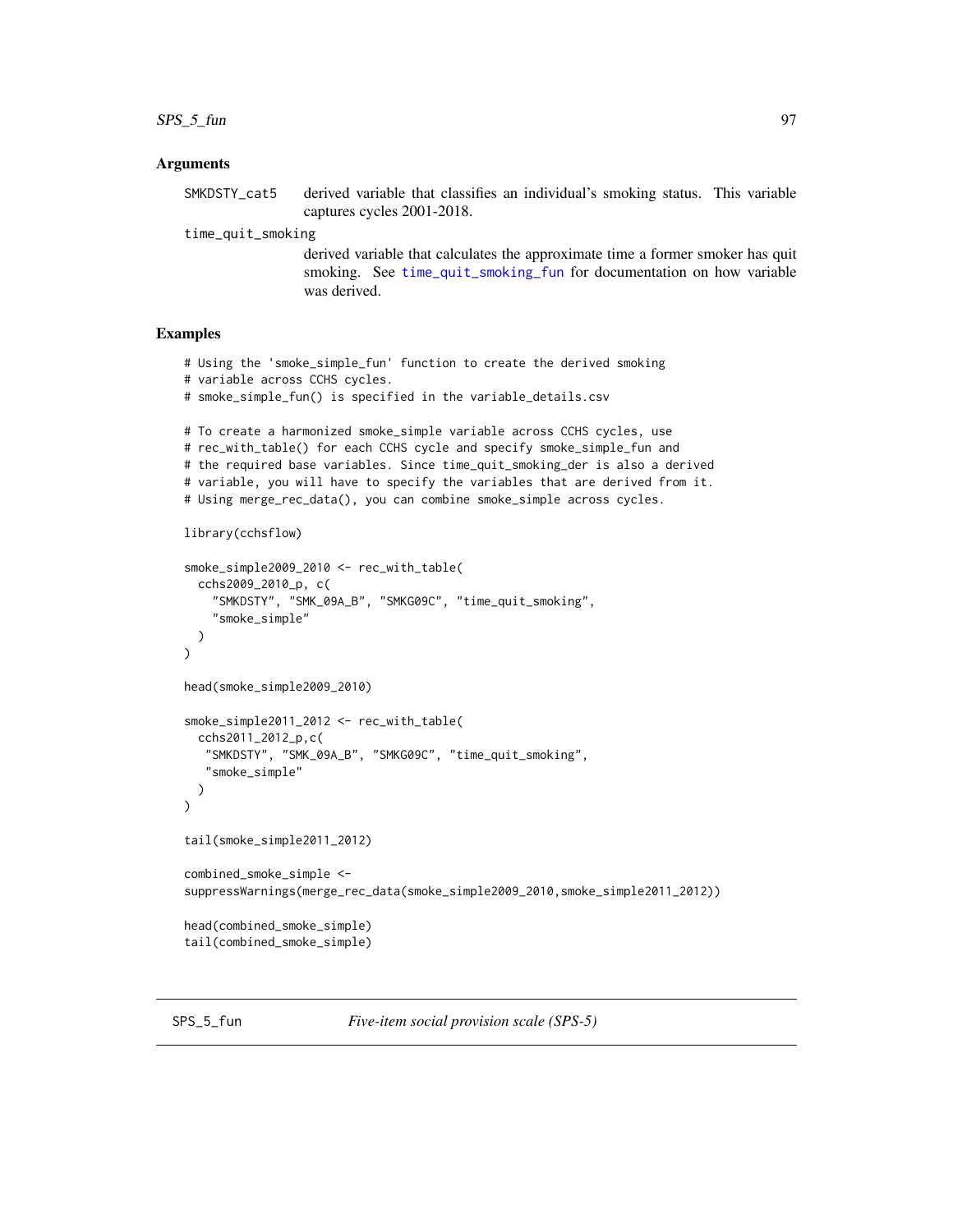<span id="page-96-0"></span> $SPS_5_f$  fun 97

#### Arguments

SMKDSTY\_cat5 derived variable that classifies an individual's smoking status. This variable captures cycles 2001-2018.

time\_quit\_smoking

derived variable that calculates the approximate time a former smoker has quit smoking. See [time\\_quit\\_smoking\\_fun](#page-98-0) for documentation on how variable was derived.

### Examples

```
# Using the 'smoke_simple_fun' function to create the derived smoking
# variable across CCHS cycles.
# smoke_simple_fun() is specified in the variable_details.csv
# To create a harmonized smoke_simple variable across CCHS cycles, use
# rec_with_table() for each CCHS cycle and specify smoke_simple_fun and
# the required base variables. Since time_quit_smoking_der is also a derived
# variable, you will have to specify the variables that are derived from it.
# Using merge_rec_data(), you can combine smoke_simple across cycles.
library(cchsflow)
smoke_simple2009_2010 <- rec_with_table(
 cchs2009_2010_p, c(
    "SMKDSTY", "SMK_09A_B", "SMKG09C", "time_quit_smoking",
    "smoke_simple"
 )
)
head(smoke_simple2009_2010)
smoke_simple2011_2012 <- rec_with_table(
 cchs2011_2012_p,c(
   "SMKDSTY", "SMK_09A_B", "SMKG09C", "time_quit_smoking",
   "smoke_simple"
 )
)
tail(smoke_simple2011_2012)
combined_smoke_simple <-
suppressWarnings(merge_rec_data(smoke_simple2009_2010,smoke_simple2011_2012))
head(combined_smoke_simple)
tail(combined_smoke_simple)
```
SPS\_5\_fun *Five-item social provision scale (SPS-5)*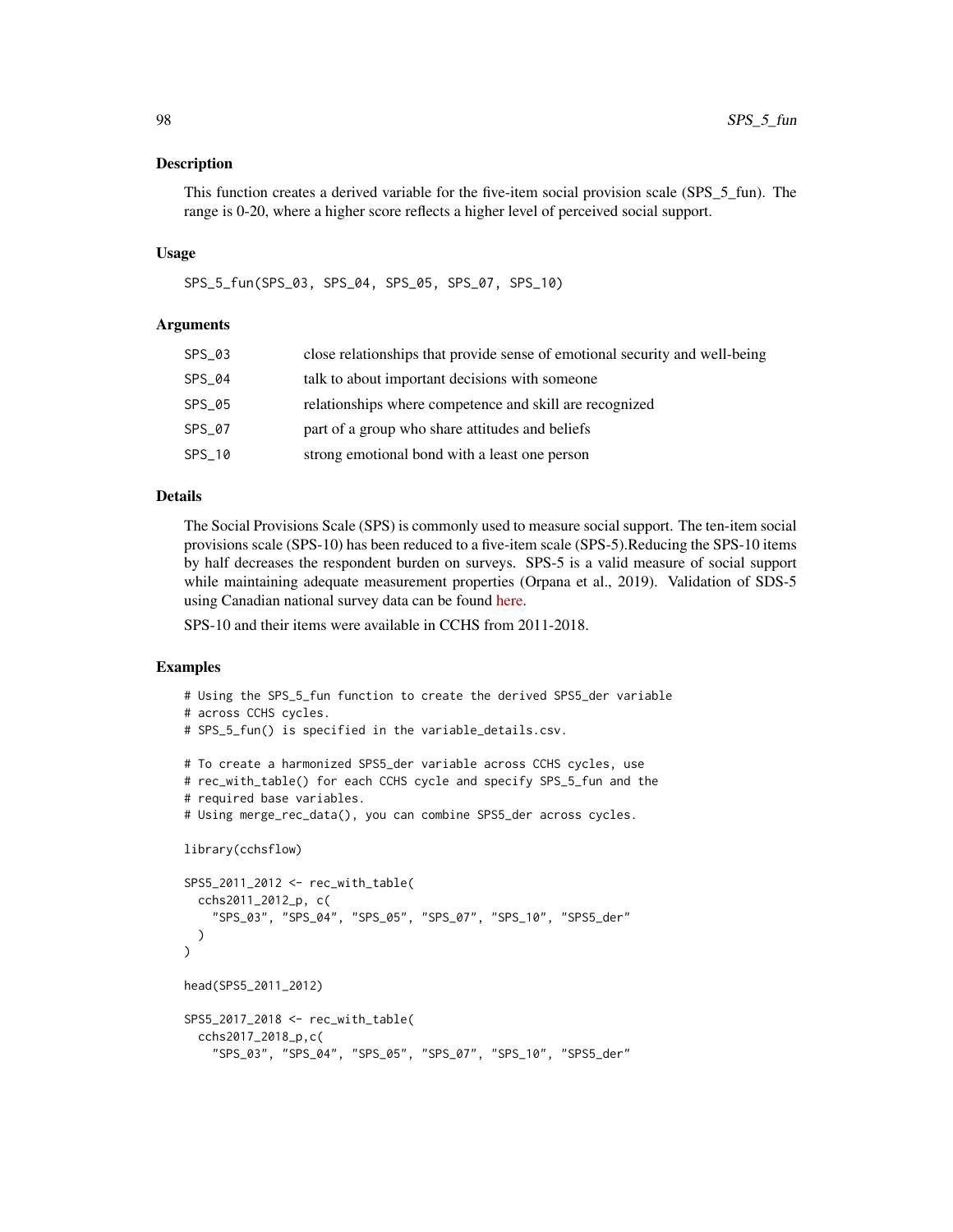This function creates a derived variable for the five-item social provision scale (SPS\_5\_fun). The range is 0-20, where a higher score reflects a higher level of perceived social support.

#### Usage

SPS\_5\_fun(SPS\_03, SPS\_04, SPS\_05, SPS\_07, SPS\_10)

### Arguments

| SPS_03   | close relationships that provide sense of emotional security and well-being |
|----------|-----------------------------------------------------------------------------|
| SPS_04   | talk to about important decisions with someone                              |
| SPS_05   | relationships where competence and skill are recognized                     |
| SPS_07   | part of a group who share attitudes and beliefs                             |
| $SPS_10$ | strong emotional bond with a least one person                               |
|          |                                                                             |

### Details

The Social Provisions Scale (SPS) is commonly used to measure social support. The ten-item social provisions scale (SPS-10) has been reduced to a five-item scale (SPS-5).Reducing the SPS-10 items by half decreases the respondent burden on surveys. SPS-5 is a valid measure of social support while maintaining adequate measurement properties (Orpana et al., 2019). Validation of SDS-5 using Canadian national survey data can be found [here.](https://www.canada.ca/en/public-health/services/reports-publications/health-promotion-chronic-disease-prevention-canada-research-policy-practice/vol-39-no-12-2019/original-quantitative-research-social-provisions-scale.html)

SPS-10 and their items were available in CCHS from 2011-2018.

```
# Using the SPS_5_fun function to create the derived SPS5_der variable
# across CCHS cycles.
# SPS_5_fun() is specified in the variable_details.csv.
# To create a harmonized SPS5_der variable across CCHS cycles, use
# rec_with_table() for each CCHS cycle and specify SPS_5_fun and the
# required base variables.
# Using merge_rec_data(), you can combine SPS5_der across cycles.
library(cchsflow)
SPS5_2011_2012 <- rec_with_table(
 cchs2011_2012_p, c(
    "SPS_03", "SPS_04", "SPS_05", "SPS_07", "SPS_10", "SPS5_der"
 )
\overline{)}head(SPS5_2011_2012)
SPS5_2017_2018 <- rec_with_table(
 cchs2017_2018_p,c(
    "SPS_03", "SPS_04", "SPS_05", "SPS_07", "SPS_10", "SPS5_der"
```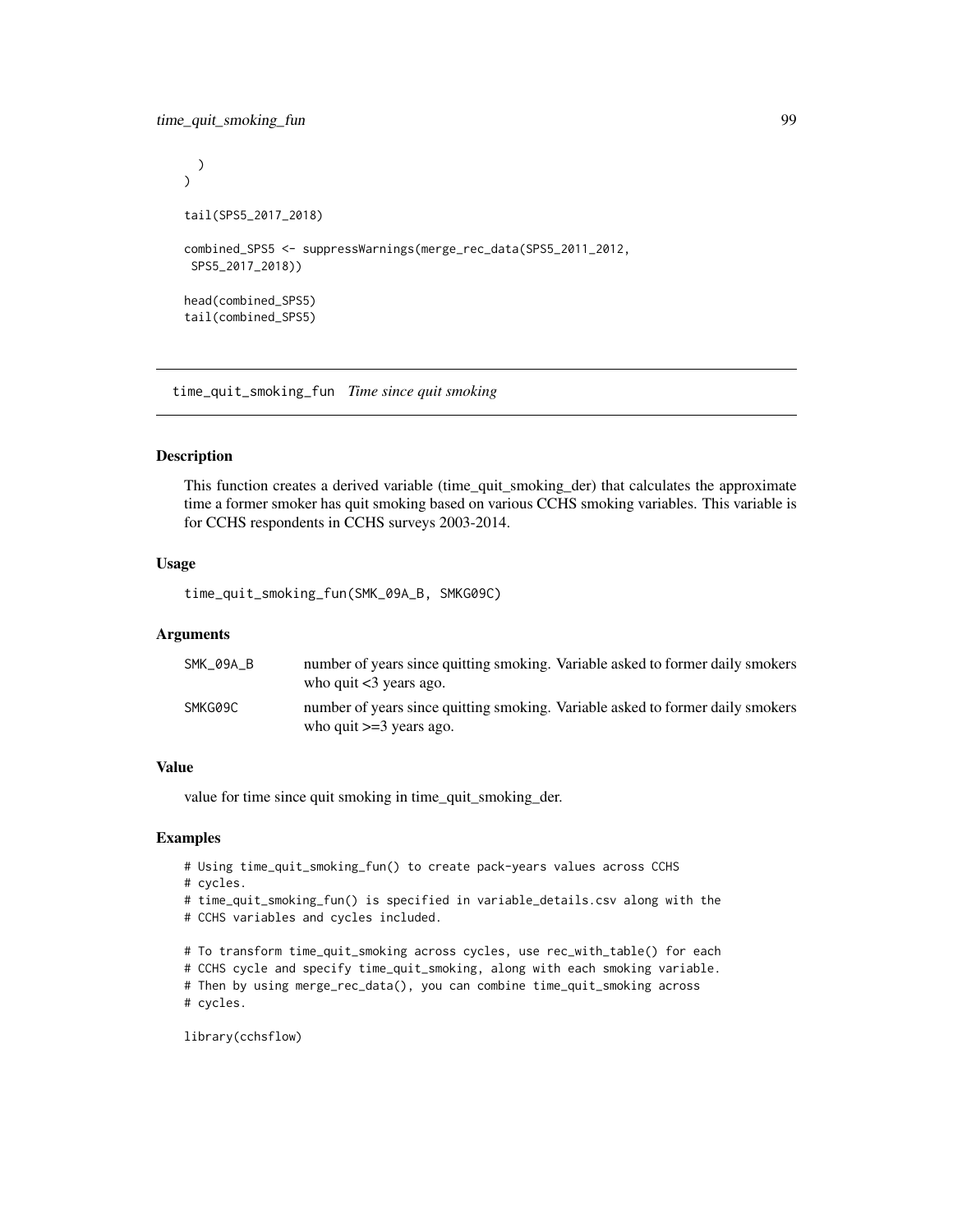```
)
\mathcal{L}tail(SPS5_2017_2018)
combined_SPS5 <- suppressWarnings(merge_rec_data(SPS5_2011_2012,
SPS5_2017_2018))
head(combined_SPS5)
tail(combined_SPS5)
```
<span id="page-98-0"></span>time\_quit\_smoking\_fun *Time since quit smoking*

#### Description

This function creates a derived variable (time\_quit\_smoking\_der) that calculates the approximate time a former smoker has quit smoking based on various CCHS smoking variables. This variable is for CCHS respondents in CCHS surveys 2003-2014.

### Usage

time\_quit\_smoking\_fun(SMK\_09A\_B, SMKG09C)

#### Arguments

| SMK 09A B | number of years since quitting smoking. Variable asked to former daily smokers<br>who quit $<$ 3 years ago.  |
|-----------|--------------------------------------------------------------------------------------------------------------|
| SMKG09C   | number of years since quitting smoking. Variable asked to former daily smokers<br>who quit $>=$ 3 years ago. |

#### Value

value for time since quit smoking in time\_quit\_smoking\_der.

### Examples

- # Using time\_quit\_smoking\_fun() to create pack-years values across CCHS
- # cycles.
- # time\_quit\_smoking\_fun() is specified in variable\_details.csv along with the
- # CCHS variables and cycles included.

# To transform time\_quit\_smoking across cycles, use rec\_with\_table() for each

# CCHS cycle and specify time\_quit\_smoking, along with each smoking variable.

# Then by using merge\_rec\_data(), you can combine time\_quit\_smoking across # cycles.

```
library(cchsflow)
```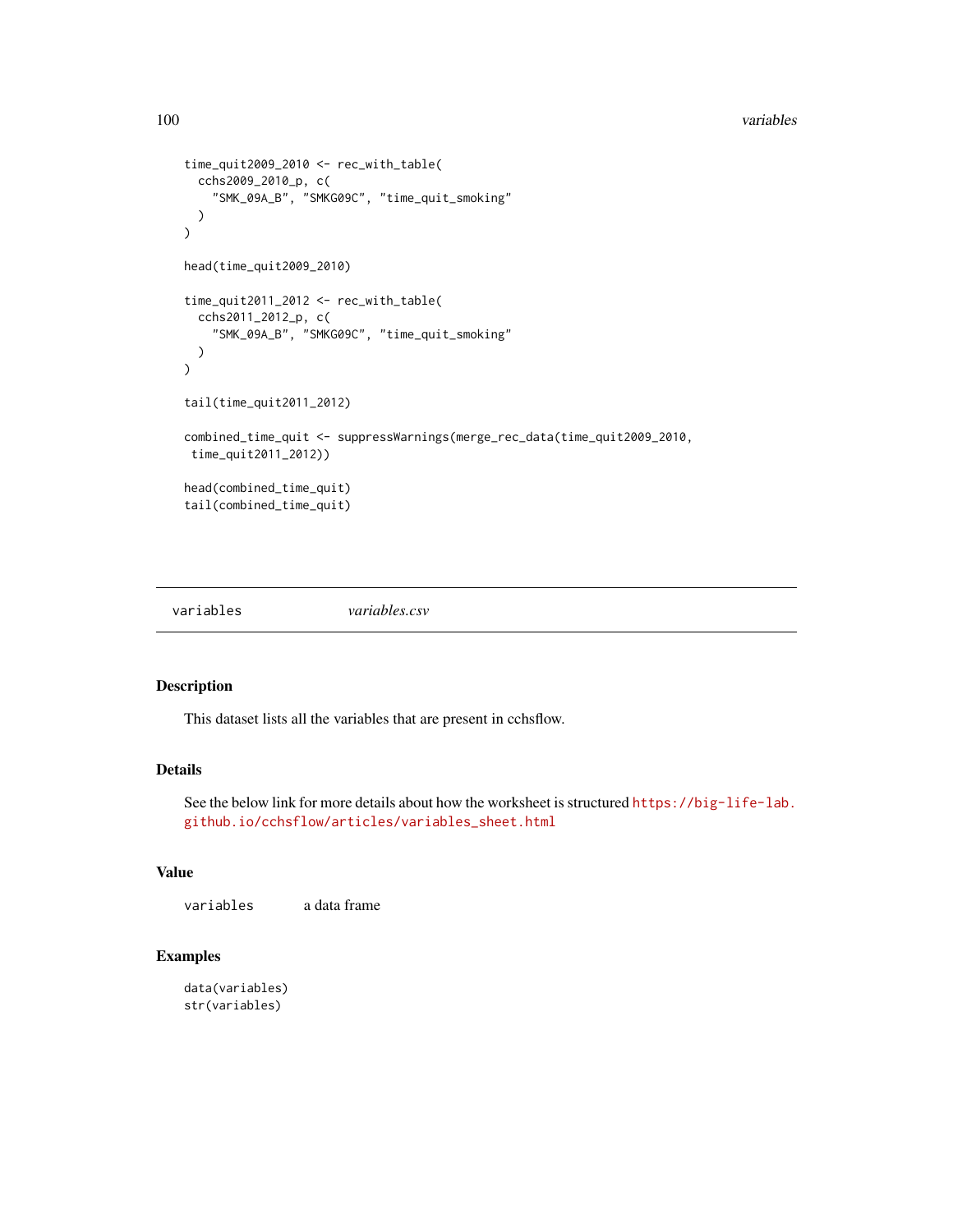#### <span id="page-99-0"></span>100 variables and the contract of the contract of the contract of the contract of the contract of the contract of the contract of the contract of the contract of the contract of the contract of the contract of the contract

```
time_quit2009_2010 <- rec_with_table(
  cchs2009_2010_p, c(
    "SMK_09A_B", "SMKG09C", "time_quit_smoking"
  )
\mathcal{L}head(time_quit2009_2010)
time_quit2011_2012 <- rec_with_table(
  cchs2011_2012_p, c(
    "SMK_09A_B", "SMKG09C", "time_quit_smoking"
  )
\mathcal{L}tail(time_quit2011_2012)
combined_time_quit <- suppressWarnings(merge_rec_data(time_quit2009_2010,
 time_quit2011_2012))
head(combined_time_quit)
tail(combined_time_quit)
```
variables *variables.csv*

### Description

This dataset lists all the variables that are present in cchsflow.

### Details

See the below link for more details about how the worksheet is structured [https://big-life-lab.](https://big-life-lab.github.io/cchsflow/articles/variables_sheet.html) [github.io/cchsflow/articles/variables\\_sheet.html](https://big-life-lab.github.io/cchsflow/articles/variables_sheet.html)

### Value

variables a data frame

```
data(variables)
str(variables)
```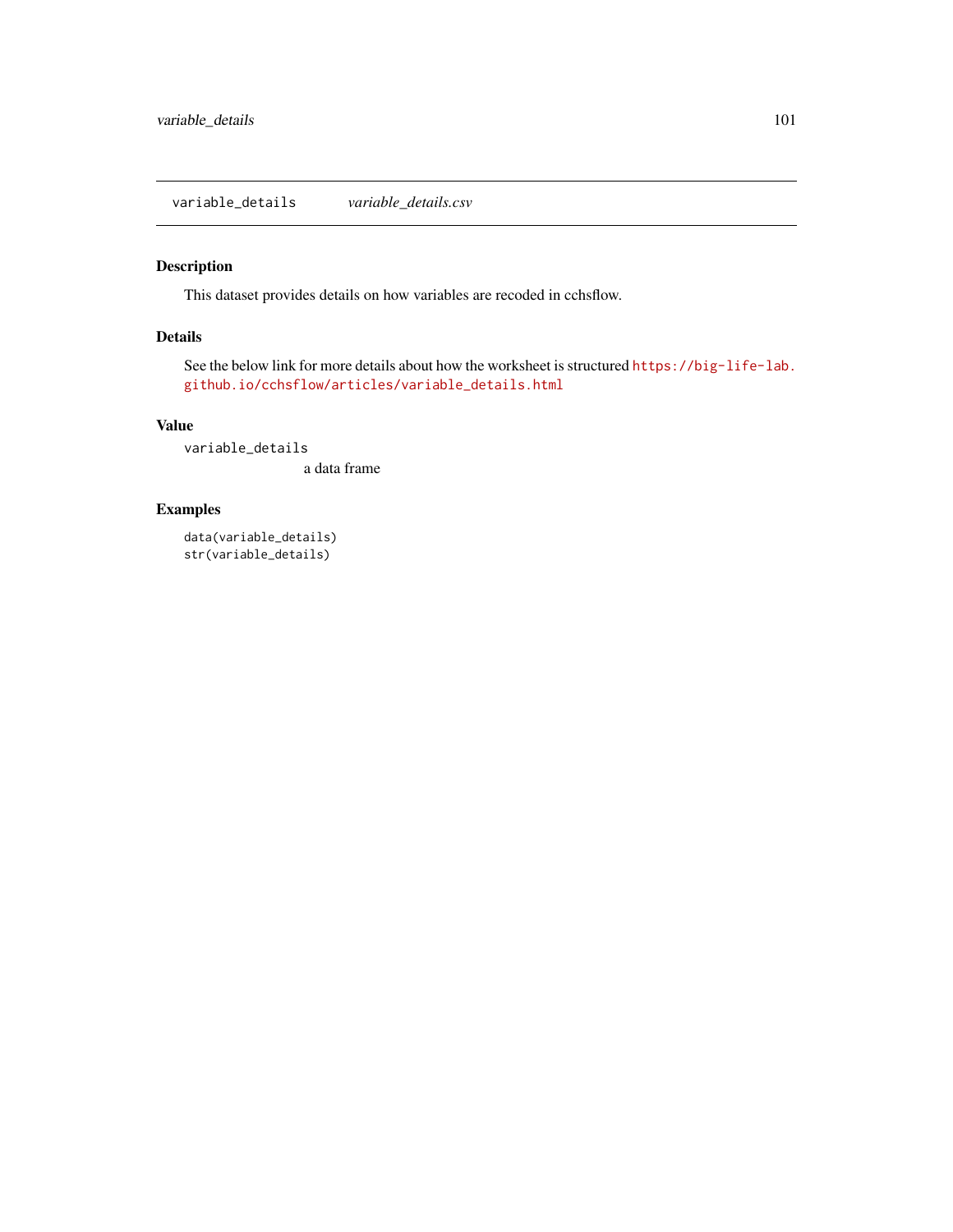<span id="page-100-0"></span>This dataset provides details on how variables are recoded in cchsflow.

### Details

See the below link for more details about how the worksheet is structured [https://big-life-lab.](https://big-life-lab.github.io/cchsflow/articles/variable_details.html) [github.io/cchsflow/articles/variable\\_details.html](https://big-life-lab.github.io/cchsflow/articles/variable_details.html)

### Value

variable\_details

a data frame

### Examples

data(variable\_details) str(variable\_details)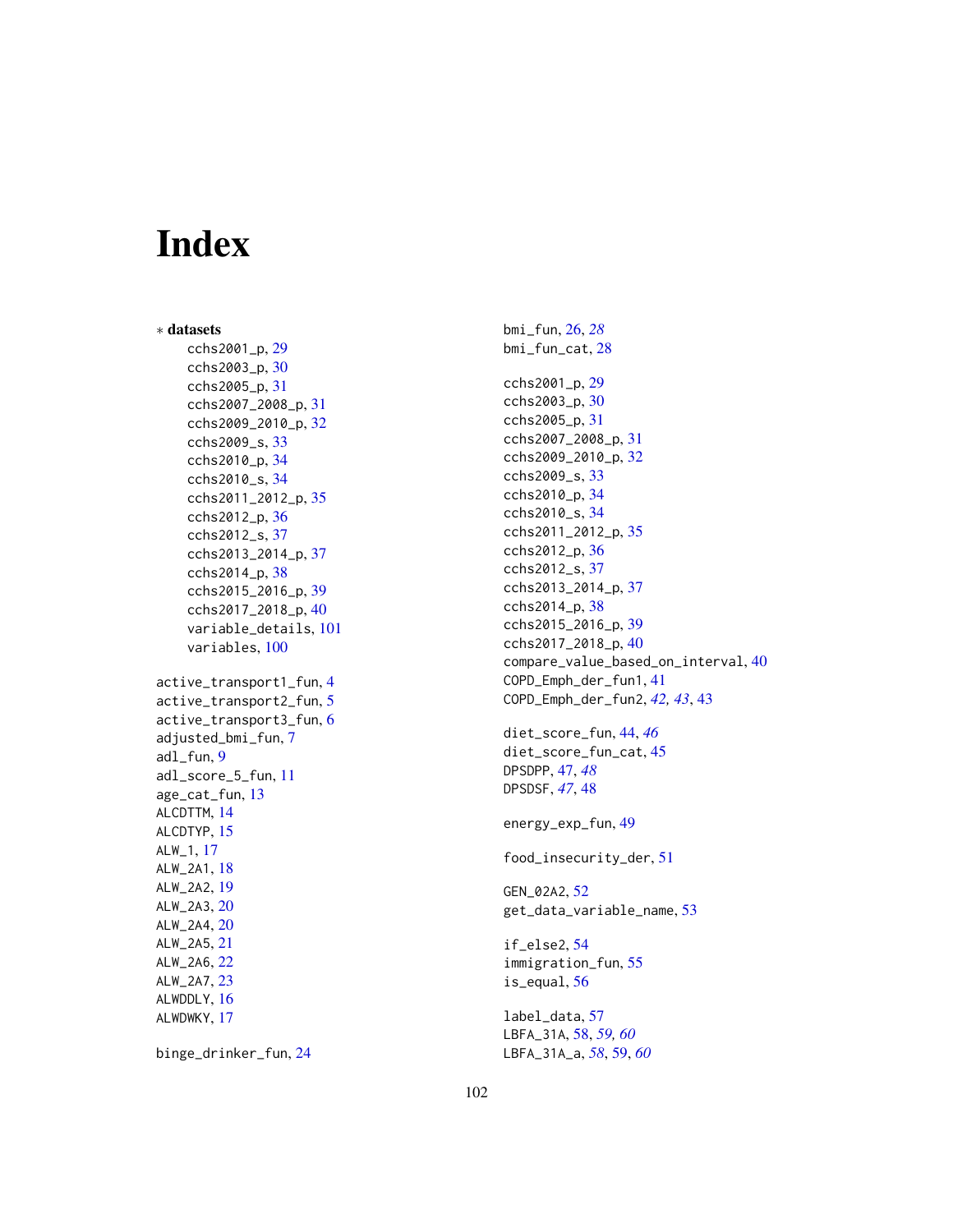# Index

∗ datasets cchs2001\_p, [29](#page-28-0) cchs2003\_p, [30](#page-29-0) cchs2005\_p, [31](#page-30-0) cchs2007\_2008\_p, [31](#page-30-0) cchs2009\_2010\_p, [32](#page-31-0) cchs2009\_s, [33](#page-32-0) cchs2010\_p, [34](#page-33-0) cchs2010\_s, [34](#page-33-0) cchs2011\_2012\_p, [35](#page-34-0) cchs2012\_p, [36](#page-35-0) cchs2012\_s, [37](#page-36-0) cchs2013\_2014\_p, [37](#page-36-0) cchs2014\_p, [38](#page-37-0) cchs2015\_2016\_p, [39](#page-38-0) cchs2017\_2018\_p, [40](#page-39-0) variable\_details, [101](#page-100-0) variables, [100](#page-99-0) active\_transport1\_fun, [4](#page-3-0) active\_transport2\_fun, [5](#page-4-0) active\_transport3\_fun, [6](#page-5-0) adjusted\_bmi\_fun, [7](#page-6-0) adl\_fun, [9](#page-8-0) adl\_score\_5\_fun, [11](#page-10-0) age\_cat\_fun, [13](#page-12-0) ALCDTTM, [14](#page-13-0) ALCDTYP, [15](#page-14-0) ALW\_1, [17](#page-16-0) ALW\_2A1, [18](#page-17-0) ALW\_2A2, [19](#page-18-0) ALW\_2A3, [20](#page-19-0) ALW\_2A4, [20](#page-19-0) ALW\_2A5, [21](#page-20-0) ALW\_2A6, [22](#page-21-0) ALW\_2A7, [23](#page-22-0) ALWDDLY, [16](#page-15-0) ALWDWKY, [17](#page-16-0)

binge\_drinker\_fun, [24](#page-23-0)

bmi\_fun, [26,](#page-25-0) *[28](#page-27-0)* bmi\_fun\_cat, [28](#page-27-0) cchs2001\_p, [29](#page-28-0) cchs2003\_p, [30](#page-29-0) cchs2005\_p, [31](#page-30-0) cchs2007\_2008\_p, [31](#page-30-0) cchs2009\_2010\_p, [32](#page-31-0) cchs2009\_s, [33](#page-32-0) cchs2010\_p, [34](#page-33-0) cchs2010\_s, [34](#page-33-0) cchs2011\_2012\_p, [35](#page-34-0) cchs2012\_p, [36](#page-35-0) cchs2012\_s, [37](#page-36-0) cchs2013\_2014\_p, [37](#page-36-0) cchs2014\_p, [38](#page-37-0) cchs2015\_2016\_p, [39](#page-38-0) cchs2017\_2018\_p, [40](#page-39-0) compare\_value\_based\_on\_interval, [40](#page-39-0) COPD\_Emph\_der\_fun1, [41](#page-40-0) COPD\_Emph\_der\_fun2, *[42,](#page-41-0) [43](#page-42-0)*, [43](#page-42-0) diet\_score\_fun, [44,](#page-43-0) *[46](#page-45-0)* diet\_score\_fun\_cat, [45](#page-44-0) DPSDPP, [47,](#page-46-0) *[48](#page-47-0)* DPSDSF, *[47](#page-46-0)*, [48](#page-47-0) energy\_exp\_fun, [49](#page-48-0) food\_insecurity\_der, [51](#page-50-0) GEN\_02A2, [52](#page-51-0) get\_data\_variable\_name, [53](#page-52-0) if\_else2, [54](#page-53-0)

immigration\_fun, [55](#page-54-0) is\_equal, [56](#page-55-0)

label\_data, [57](#page-56-0) LBFA\_31A, [58,](#page-57-0) *[59,](#page-58-0) [60](#page-59-0)* LBFA\_31A\_a, *[58](#page-57-0)*, [59,](#page-58-0) *[60](#page-59-0)*